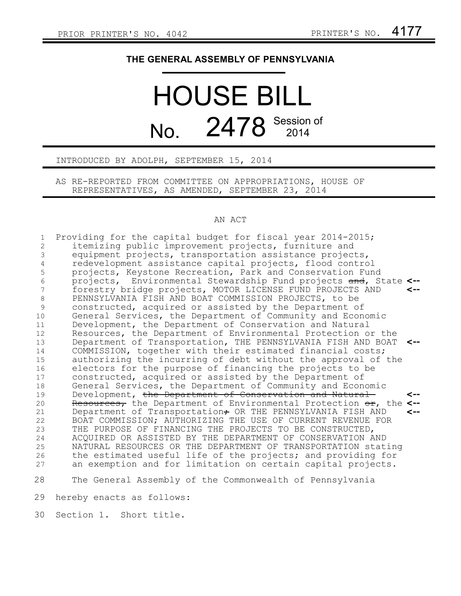## **THE GENERAL ASSEMBLY OF PENNSYLVANIA**

## HOUSE BILL No. 2478 Session of

INTRODUCED BY ADOLPH, SEPTEMBER 15, 2014

AS RE-REPORTED FROM COMMITTEE ON APPROPRIATIONS, HOUSE OF REPRESENTATIVES, AS AMENDED, SEPTEMBER 23, 2014

## AN ACT

Providing for the capital budget for fiscal year 2014-2015; itemizing public improvement projects, furniture and equipment projects, transportation assistance projects, redevelopment assistance capital projects, flood control projects, Keystone Recreation, Park and Conservation Fund projects, Environmental Stewardship Fund projects and, State **<-** forestry bridge projects, MOTOR LICENSE FUND PROJECTS AND PENNSYLVANIA FISH AND BOAT COMMISSION PROJECTS, to be constructed, acquired or assisted by the Department of General Services, the Department of Community and Economic Development, the Department of Conservation and Natural Resources, the Department of Environmental Protection or the Department of Transportation, THE PENNSYLVANIA FISH AND BOAT **<--** COMMISSION, together with their estimated financial costs; authorizing the incurring of debt without the approval of the electors for the purpose of financing the projects to be constructed, acquired or assisted by the Department of General Services, the Department of Community and Economic Development, the Department of Conservation and Natural Resources, the Department of Environmental Protection or, the **<--** Department of Transportation $\tau$  OR THE PENNSYLVANIA FISH AND BOAT COMMISSION; AUTHORIZING THE USE OF CURRENT REVENUE FOR THE PURPOSE OF FINANCING THE PROJECTS TO BE CONSTRUCTED, ACQUIRED OR ASSISTED BY THE DEPARTMENT OF CONSERVATION AND NATURAL RESOURCES OR THE DEPARTMENT OF TRANSPORTATION stating the estimated useful life of the projects; and providing for an exemption and for limitation on certain capital projects. The General Assembly of the Commonwealth of Pennsylvania **<-- <-- <--** 1 2 3 4 5 6 7 8 9 10 11 12 13 14 15 16 17 18 19 20 21 22 23 24 25 26 27 28

hereby enacts as follows: 29

Section 1. Short title. 30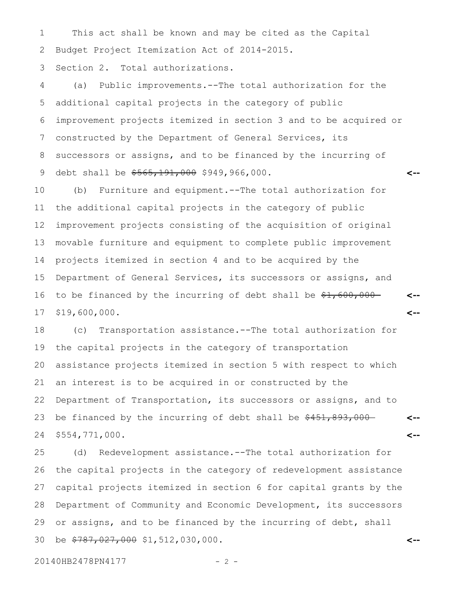This act shall be known and may be cited as the Capital Budget Project Itemization Act of 2014-2015. 1 2

Section 2. Total authorizations. 3

(a) Public improvements.--The total authorization for the additional capital projects in the category of public improvement projects itemized in section 3 and to be acquired or constructed by the Department of General Services, its successors or assigns, and to be financed by the incurring of debt shall be  $$565,191,000$  \$949,966,000. 4 5 6 7 8 9

**<--**

**<--**

**<--**

(b) Furniture and equipment.--The total authorization for the additional capital projects in the category of public improvement projects consisting of the acquisition of original movable furniture and equipment to complete public improvement projects itemized in section 4 and to be acquired by the Department of General Services, its successors or assigns, and to be financed by the incurring of debt shall be  $$1,600,000-$ \$19,600,000. 10 11 12 13 14 15 16 17

(c) Transportation assistance.--The total authorization for the capital projects in the category of transportation assistance projects itemized in section 5 with respect to which an interest is to be acquired in or constructed by the Department of Transportation, its successors or assigns, and to be financed by the incurring of debt shall be \$451,893,000-\$554,771,000. **<-- <--** 18 19 20 21 22 23 24

(d) Redevelopment assistance.--The total authorization for the capital projects in the category of redevelopment assistance capital projects itemized in section 6 for capital grants by the Department of Community and Economic Development, its successors or assigns, and to be financed by the incurring of debt, shall be \$787,027,000 \$1,512,030,000. **<--** 25 26 27 28 29 30

20140HB2478PN4177 - 2 -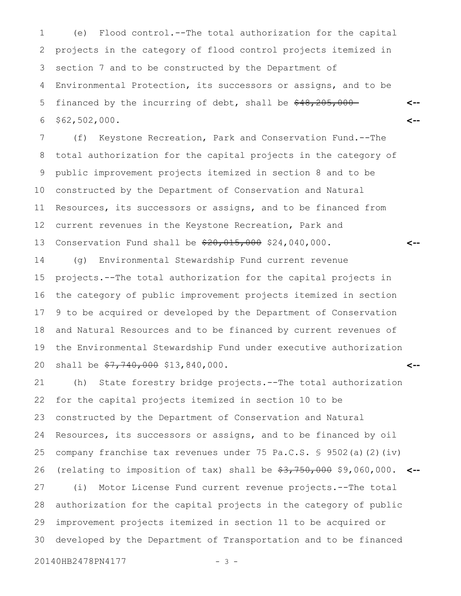(e) Flood control.--The total authorization for the capital projects in the category of flood control projects itemized in section 7 and to be constructed by the Department of Environmental Protection, its successors or assigns, and to be financed by the incurring of debt, shall be  $$48,205,000-$ \$62,502,000. 1 2 3 4 5 6

**<--**

**<--**

(f) Keystone Recreation, Park and Conservation Fund.--The total authorization for the capital projects in the category of public improvement projects itemized in section 8 and to be constructed by the Department of Conservation and Natural Resources, its successors or assigns, and to be financed from current revenues in the Keystone Recreation, Park and Conservation Fund shall be  $\frac{20,015,000}{24,040,000}$ . **<--** 7 8 9 10 11 12 13

(g) Environmental Stewardship Fund current revenue projects.--The total authorization for the capital projects in the category of public improvement projects itemized in section 9 to be acquired or developed by the Department of Conservation and Natural Resources and to be financed by current revenues of the Environmental Stewardship Fund under executive authorization shall be  $\frac{27}{7}740,000$  \$13,840,000. **<--** 14 15 16 17 18 19 20

(h) State forestry bridge projects.--The total authorization for the capital projects itemized in section 10 to be constructed by the Department of Conservation and Natural Resources, its successors or assigns, and to be financed by oil company franchise tax revenues under 75 Pa.C.S. § 9502(a)(2)(iv) (relating to imposition of tax) shall be \$3,750,000 \$9,060,000. **<--** (i) Motor License Fund current revenue projects.--The total authorization for the capital projects in the category of public improvement projects itemized in section 11 to be acquired or developed by the Department of Transportation and to be financed 21 22 23 24 25 26 27 28 29 30

20140HB2478PN4177 - 3 -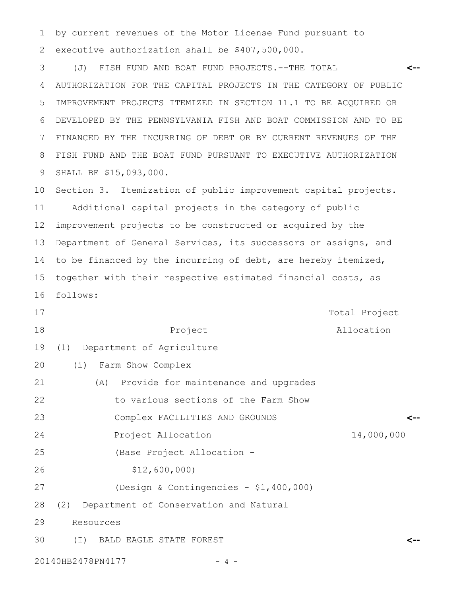by current revenues of the Motor License Fund pursuant to executive authorization shall be \$407,500,000. 1 2

(J) FISH FUND AND BOAT FUND PROJECTS.--THE TOTAL AUTHORIZATION FOR THE CAPITAL PROJECTS IN THE CATEGORY OF PUBLIC IMPROVEMENT PROJECTS ITEMIZED IN SECTION 11.1 TO BE ACQUIRED OR DEVELOPED BY THE PENNSYLVANIA FISH AND BOAT COMMISSION AND TO BE FINANCED BY THE INCURRING OF DEBT OR BY CURRENT REVENUES OF THE FISH FUND AND THE BOAT FUND PURSUANT TO EXECUTIVE AUTHORIZATION SHALL BE \$15,093,000. **<--** 3 4 5 6 7 8 9

Section 3. Itemization of public improvement capital projects. Additional capital projects in the category of public improvement projects to be constructed or acquired by the Department of General Services, its successors or assigns, and to be financed by the incurring of debt, are hereby itemized, together with their respective estimated financial costs, as follows: 10 11 12 13 14 15 16

- Project Total Project Allocation (1) Department of Agriculture (i) Farm Show Complex (A) Provide for maintenance and upgrades to various sections of the Farm Show Complex FACILITIES AND GROUNDS Project Allocation 14,000,000 (Base Project Allocation - 17 18 19 20 21 22 23 24 25
- \$12,600,000) 26
- (Design & Contingencies \$1,400,000) 27

(2) Department of Conservation and Natural 28

Resources 29

(I) BALD EAGLE STATE FOREST 30

20140HB2478PN4177 - 4 -

**<--**

**<--**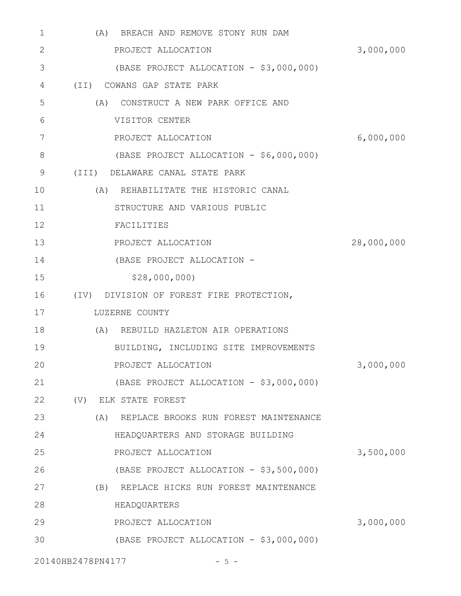| 1            | BREACH AND REMOVE STONY RUN DAM<br>(A)    |            |
|--------------|-------------------------------------------|------------|
| $\mathbf{2}$ | PROJECT ALLOCATION                        | 3,000,000  |
| 3            | (BASE PROJECT ALLOCATION - \$3,000,000)   |            |
| 4            | (II) COWANS GAP STATE PARK                |            |
| 5            | (A) CONSTRUCT A NEW PARK OFFICE AND       |            |
| 6            | VISITOR CENTER                            |            |
| 7            | PROJECT ALLOCATION                        | 6,000,000  |
| 8            | (BASE PROJECT ALLOCATION - \$6,000,000)   |            |
| 9            | (III) DELAWARE CANAL STATE PARK           |            |
| 10           | REHABILITATE THE HISTORIC CANAL<br>(A)    |            |
| 11           | STRUCTURE AND VARIOUS PUBLIC              |            |
| 12           | FACILITIES                                |            |
| 13           | PROJECT ALLOCATION                        | 28,000,000 |
| 14           | (BASE PROJECT ALLOCATION -                |            |
| 15           | \$28,000,000                              |            |
| 16           | (IV) DIVISION OF FOREST FIRE PROTECTION,  |            |
| 17           | LUZERNE COUNTY                            |            |
| 18           | (A) REBUILD HAZLETON AIR OPERATIONS       |            |
| 19           | BUILDING, INCLUDING SITE IMPROVEMENTS     |            |
| 20           | PROJECT ALLOCATION                        | 3,000,000  |
| 21           | (BASE PROJECT ALLOCATION - \$3,000,000)   |            |
| 22           | (V) ELK STATE FOREST                      |            |
| 23           | (A) REPLACE BROOKS RUN FOREST MAINTENANCE |            |
| 24           | HEADQUARTERS AND STORAGE BUILDING         |            |
| 25           | PROJECT ALLOCATION                        | 3,500,000  |
| 26           | (BASE PROJECT ALLOCATION - \$3,500,000)   |            |
| 27           | (B) REPLACE HICKS RUN FOREST MAINTENANCE  |            |
| 28           | HEADQUARTERS                              |            |
| 29           | PROJECT ALLOCATION                        | 3,000,000  |
| 30           | (BASE PROJECT ALLOCATION - \$3,000,000)   |            |
|              |                                           |            |

20140HB2478PN4177 - 5 -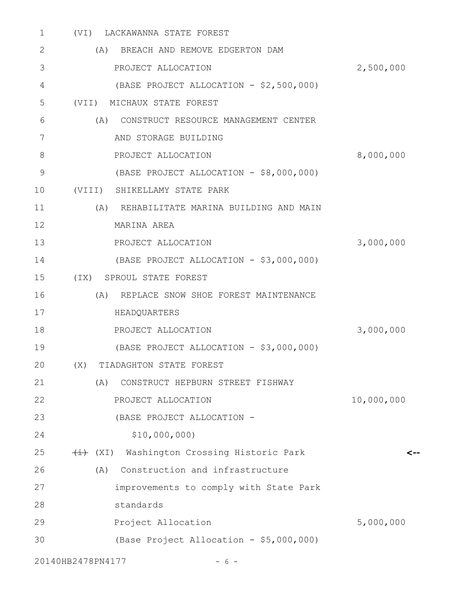| 1            | LACKAWANNA STATE FOREST<br>(VI)              |            |
|--------------|----------------------------------------------|------------|
| $\mathbf{2}$ | (A)<br>BREACH AND REMOVE EDGERTON DAM        |            |
| 3            | PROJECT ALLOCATION                           | 2,500,000  |
| 4            | (BASE PROJECT ALLOCATION - \$2,500,000)      |            |
| 5            | (VII)<br>MICHAUX STATE FOREST                |            |
| 6            | CONSTRUCT RESOURCE MANAGEMENT CENTER<br>(A)  |            |
| 7            | AND STORAGE BUILDING                         |            |
| 8            | PROJECT ALLOCATION                           | 8,000,000  |
| 9            | (BASE PROJECT ALLOCATION - \$8,000,000)      |            |
| 10           | (VIII)<br>SHIKELLAMY STATE PARK              |            |
| 11           | (A)<br>REHABILITATE MARINA BUILDING AND MAIN |            |
| 12           | MARINA AREA                                  |            |
| 13           | PROJECT ALLOCATION                           | 3,000,000  |
| 14           | (BASE PROJECT ALLOCATION - \$3,000,000)      |            |
| 15           | (IX) SPROUL STATE FOREST                     |            |
| 16           | REPLACE SNOW SHOE FOREST MAINTENANCE<br>(A)  |            |
| 17           | HEADQUARTERS                                 |            |
| 18           | PROJECT ALLOCATION                           | 3,000,000  |
| 19           | (BASE PROJECT ALLOCATION - \$3,000,000)      |            |
| 20           | (X)<br>TIADAGHTON STATE FOREST               |            |
| 21           | (A)<br>CONSTRUCT HEPBURN STREET FISHWAY      |            |
| 22           | PROJECT ALLOCATION                           | 10,000,000 |
| 23           | (BASE PROJECT ALLOCATION -                   |            |
| 24           | \$10,000,000)                                |            |
| 25           | (XI) Washington Crossing Historic Park       |            |
| 26           | Construction and infrastructure<br>(A)       |            |
| 27           | improvements to comply with State Park       |            |
| 28           | standards                                    |            |
| 29           | Project Allocation                           | 5,000,000  |
| 30           | (Base Project Allocation - \$5,000,000)      |            |
|              | 20140HB2478PN4177<br>$-6-$                   |            |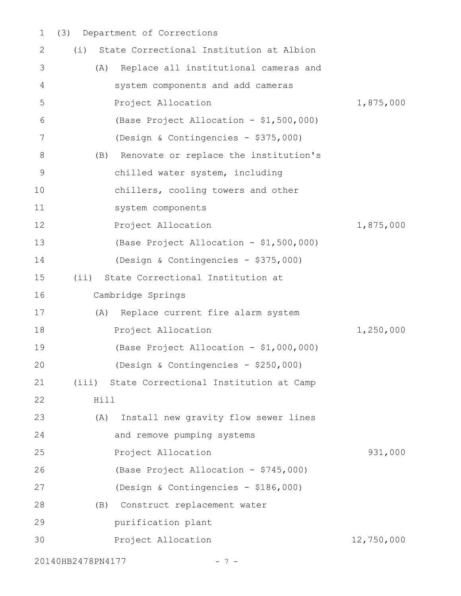(3) Department of Corrections 1

| $\overline{2}$ | State Correctional Institution at Albion<br>(i) |            |
|----------------|-------------------------------------------------|------------|
| 3              | Replace all institutional cameras and<br>(A)    |            |
| 4              | system components and add cameras               |            |
| 5              | Project Allocation                              | 1,875,000  |
| 6              | (Base Project Allocation - \$1,500,000)         |            |
| 7              | (Design & Contingencies - \$375,000)            |            |
| 8              | Renovate or replace the institution's<br>(B)    |            |
| 9              | chilled water system, including                 |            |
| 10             | chillers, cooling towers and other              |            |
| 11             | system components                               |            |
| 12             | Project Allocation                              | 1,875,000  |
| 13             | (Base Project Allocation - \$1,500,000)         |            |
| 14             | (Design & Contingencies - \$375,000)            |            |
| 15             | State Correctional Institution at<br>(i)        |            |
| 16             | Cambridge Springs                               |            |
| 17             | Replace current fire alarm system<br>(A)        |            |
| 18             | Project Allocation                              | 1,250,000  |
| 19             | (Base Project Allocation - \$1,000,000)         |            |
| 20             | (Design & Contingencies - \$250,000)            |            |
| 21             | (iii) State Correctional Institution at Camp    |            |
| 22             | Hill                                            |            |
| 23             | Install new gravity flow sewer lines<br>(A)     |            |
| 24             | and remove pumping systems                      |            |
| 25             | Project Allocation                              | 931,000    |
| 26             | (Base Project Allocation - \$745,000)           |            |
| 27             | (Design & Contingencies - \$186,000)            |            |
| 28             | Construct replacement water<br>(B)              |            |
| 29             | purification plant                              |            |
| 30             | Project Allocation                              | 12,750,000 |
|                | 20140HB2478PN4177<br>$-7-$                      |            |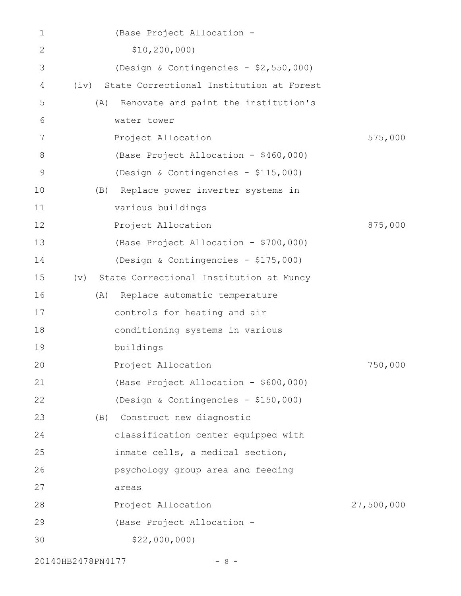| 1  | (Base Project Allocation -                       |                                      |            |
|----|--------------------------------------------------|--------------------------------------|------------|
| 2  | \$10, 200, 000)                                  |                                      |            |
| 3  | (Design & Contingencies - \$2,550,000)           |                                      |            |
| 4  | State Correctional Institution at Forest<br>(iv) |                                      |            |
| 5  | (A)                                              | Renovate and paint the institution's |            |
| 6  | water tower                                      |                                      |            |
| 7  | Project Allocation                               |                                      | 575,000    |
| 8  | (Base Project Allocation - \$460,000)            |                                      |            |
| 9  | (Design & Contingencies - \$115,000)             |                                      |            |
| 10 | Replace power inverter systems in<br>(B)         |                                      |            |
| 11 | various buildings                                |                                      |            |
| 12 | Project Allocation                               |                                      | 875,000    |
| 13 | (Base Project Allocation - \$700,000)            |                                      |            |
| 14 | (Design & Contingencies - \$175,000)             |                                      |            |
| 15 | State Correctional Institution at Muncy<br>(v)   |                                      |            |
| 16 | Replace automatic temperature<br>(A)             |                                      |            |
| 17 | controls for heating and air                     |                                      |            |
| 18 | conditioning systems in various                  |                                      |            |
| 19 | buildings                                        |                                      |            |
| 20 | Project Allocation                               |                                      | 750,000    |
| 21 | (Base Project Allocation - \$600,000)            |                                      |            |
| 22 | (Design & Contingencies - \$150,000)             |                                      |            |
| 23 | Construct new diagnostic<br>(B)                  |                                      |            |
| 24 | classification center equipped with              |                                      |            |
| 25 | inmate cells, a medical section,                 |                                      |            |
| 26 | psychology group area and feeding                |                                      |            |
| 27 | areas                                            |                                      |            |
| 28 | Project Allocation                               |                                      | 27,500,000 |
| 29 | (Base Project Allocation -                       |                                      |            |
| 30 | \$22,000,000                                     |                                      |            |
|    |                                                  |                                      |            |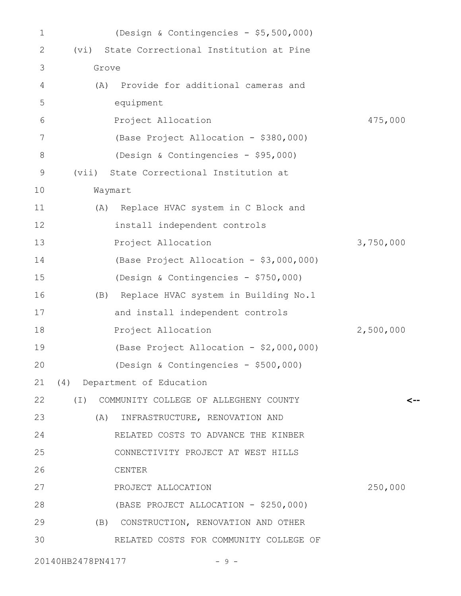| 1  | (Design & Contingencies - \$5,500,000)            |           |
|----|---------------------------------------------------|-----------|
| 2  | State Correctional Institution at Pine<br>(vi)    |           |
| 3  | Grove                                             |           |
| 4  | Provide for additional cameras and<br>(A)         |           |
| 5  | equipment                                         |           |
| 6  | Project Allocation                                | 475,000   |
| 7  | (Base Project Allocation - \$380,000)             |           |
| 8  | (Design & Contingencies - \$95,000)               |           |
| 9  | State Correctional Institution at<br>(vii)        |           |
| 10 | Waymart                                           |           |
| 11 | (A) Replace HVAC system in C Block and            |           |
| 12 | install independent controls                      |           |
| 13 | Project Allocation                                | 3,750,000 |
| 14 | (Base Project Allocation - \$3,000,000)           |           |
| 15 | (Design & Contingencies - \$750,000)              |           |
| 16 | (B) Replace HVAC system in Building No.1          |           |
| 17 | and install independent controls                  |           |
| 18 | Project Allocation                                | 2,500,000 |
| 19 | (Base Project Allocation - \$2,000,000)           |           |
| 20 | (Design & Contingencies - \$500,000)              |           |
| 21 | (4) Department of Education                       |           |
| 22 | $(\top)$<br>COMMUNITY COLLEGE OF ALLEGHENY COUNTY | <--       |
| 23 | (A)<br>INFRASTRUCTURE, RENOVATION AND             |           |
| 24 | RELATED COSTS TO ADVANCE THE KINBER               |           |
| 25 | CONNECTIVITY PROJECT AT WEST HILLS                |           |
| 26 | CENTER                                            |           |
| 27 | PROJECT ALLOCATION                                | 250,000   |
| 28 | (BASE PROJECT ALLOCATION - \$250,000)             |           |
| 29 | (B) CONSTRUCTION, RENOVATION AND OTHER            |           |
| 30 | RELATED COSTS FOR COMMUNITY COLLEGE OF            |           |
|    |                                                   |           |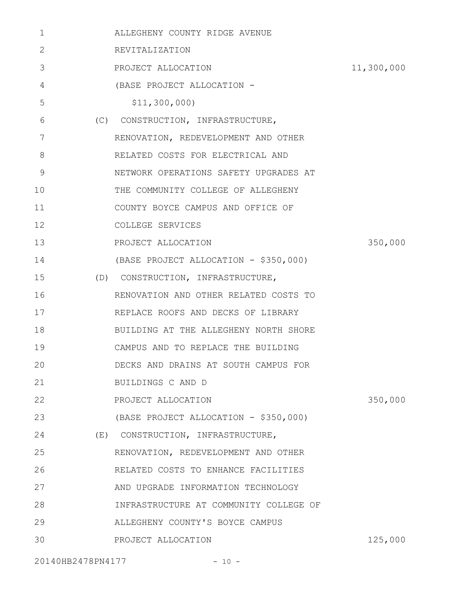| $\mathbf 1$ | ALLEGHENY COUNTY RIDGE AVENUE          |            |
|-------------|----------------------------------------|------------|
| 2           | REVITALIZATION                         |            |
| 3           | PROJECT ALLOCATION                     | 11,300,000 |
| 4           | (BASE PROJECT ALLOCATION -             |            |
| 5           | \$11,300,000                           |            |
| 6           | (C) CONSTRUCTION, INFRASTRUCTURE,      |            |
| 7           | RENOVATION, REDEVELOPMENT AND OTHER    |            |
| 8           | RELATED COSTS FOR ELECTRICAL AND       |            |
| 9           | NETWORK OPERATIONS SAFETY UPGRADES AT  |            |
| 10          | THE COMMUNITY COLLEGE OF ALLEGHENY     |            |
| 11          | COUNTY BOYCE CAMPUS AND OFFICE OF      |            |
| 12          | COLLEGE SERVICES                       |            |
| 13          | PROJECT ALLOCATION                     | 350,000    |
| 14          | (BASE PROJECT ALLOCATION - \$350,000)  |            |
| 15          | (D) CONSTRUCTION, INFRASTRUCTURE,      |            |
| 16          | RENOVATION AND OTHER RELATED COSTS TO  |            |
| 17          | REPLACE ROOFS AND DECKS OF LIBRARY     |            |
| 18          | BUILDING AT THE ALLEGHENY NORTH SHORE  |            |
| 19          | CAMPUS AND TO REPLACE THE BUILDING     |            |
| 20          | DECKS AND DRAINS AT SOUTH CAMPUS FOR   |            |
| 21          | BUILDINGS C AND D                      |            |
| 22          | PROJECT ALLOCATION                     | 350,000    |
| 23          | (BASE PROJECT ALLOCATION - \$350,000)  |            |
| 24          | (E) CONSTRUCTION, INFRASTRUCTURE,      |            |
| 25          | RENOVATION, REDEVELOPMENT AND OTHER    |            |
| 26          | RELATED COSTS TO ENHANCE FACILITIES    |            |
| 27          | AND UPGRADE INFORMATION TECHNOLOGY     |            |
| 28          | INFRASTRUCTURE AT COMMUNITY COLLEGE OF |            |
| 29          | ALLEGHENY COUNTY'S BOYCE CAMPUS        |            |
| 30          | PROJECT ALLOCATION                     | 125,000    |
|             |                                        |            |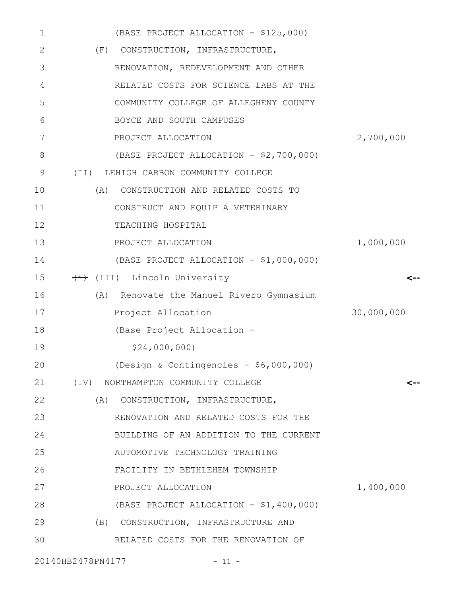| 1  | (BASE PROJECT ALLOCATION - \$125,000)       |            |
|----|---------------------------------------------|------------|
| 2  | (F) CONSTRUCTION, INFRASTRUCTURE,           |            |
| 3  | RENOVATION, REDEVELOPMENT AND OTHER         |            |
| 4  | RELATED COSTS FOR SCIENCE LABS AT THE       |            |
| 5  | COMMUNITY COLLEGE OF ALLEGHENY COUNTY       |            |
| 6  | BOYCE AND SOUTH CAMPUSES                    |            |
| 7  | PROJECT ALLOCATION                          | 2,700,000  |
| 8  | (BASE PROJECT ALLOCATION - \$2,700,000)     |            |
| 9  | (II) LEHIGH CARBON COMMUNITY COLLEGE        |            |
| 10 | CONSTRUCTION AND RELATED COSTS TO<br>(A)    |            |
| 11 | CONSTRUCT AND EQUIP A VETERINARY            |            |
| 12 | TEACHING HOSPITAL                           |            |
| 13 | PROJECT ALLOCATION                          | 1,000,000  |
| 14 | (BASE PROJECT ALLOCATION - \$1,000,000)     |            |
| 15 | (III) Lincoln University                    | <--        |
| 16 | Renovate the Manuel Rivero Gymnasium<br>(A) |            |
| 17 | Project Allocation                          | 30,000,000 |
| 18 | (Base Project Allocation -                  |            |
| 19 | \$24,000,000                                |            |
| 20 | (Design & Contingencies - $$6,000,000)$     |            |
| 21 | (IV) NORTHAMPTON COMMUNITY COLLEGE          | <--        |
| 22 | CONSTRUCTION, INFRASTRUCTURE,<br>(A)        |            |
| 23 | RENOVATION AND RELATED COSTS FOR THE        |            |
| 24 | BUILDING OF AN ADDITION TO THE CURRENT      |            |
| 25 | AUTOMOTIVE TECHNOLOGY TRAINING              |            |
| 26 | FACILITY IN BETHLEHEM TOWNSHIP              |            |
| 27 | PROJECT ALLOCATION                          | 1,400,000  |
| 28 | (BASE PROJECT ALLOCATION - \$1,400,000)     |            |
| 29 | (B) CONSTRUCTION, INFRASTRUCTURE AND        |            |
| 30 | RELATED COSTS FOR THE RENOVATION OF         |            |
|    |                                             |            |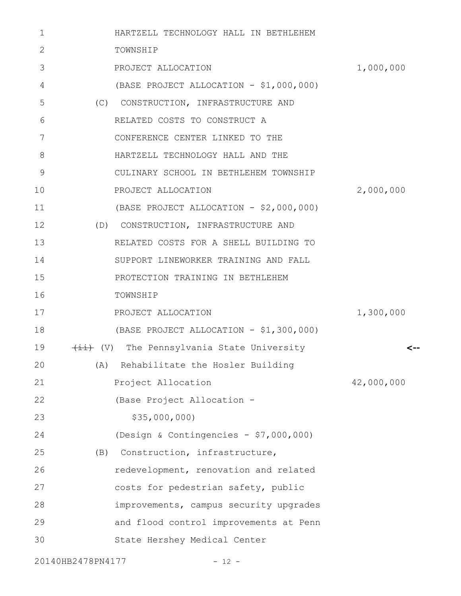| 1            |                    | HARTZELL TECHNOLOGY HALL IN BETHLEHEM   |            |
|--------------|--------------------|-----------------------------------------|------------|
| $\mathbf{2}$ | TOWNSHIP           |                                         |            |
| 3            | PROJECT ALLOCATION |                                         | 1,000,000  |
| 4            |                    | (BASE PROJECT ALLOCATION - \$1,000,000) |            |
| 5            |                    | (C) CONSTRUCTION, INFRASTRUCTURE AND    |            |
| 6            |                    | RELATED COSTS TO CONSTRUCT A            |            |
| 7            |                    | CONFERENCE CENTER LINKED TO THE         |            |
| 8            |                    | HARTZELL TECHNOLOGY HALL AND THE        |            |
| 9            |                    | CULINARY SCHOOL IN BETHLEHEM TOWNSHIP   |            |
| 10           | PROJECT ALLOCATION |                                         | 2,000,000  |
| 11           |                    | (BASE PROJECT ALLOCATION - \$2,000,000) |            |
| 12           |                    | (D) CONSTRUCTION, INFRASTRUCTURE AND    |            |
| 13           |                    | RELATED COSTS FOR A SHELL BUILDING TO   |            |
| 14           |                    | SUPPORT LINEWORKER TRAINING AND FALL    |            |
| 15           |                    | PROTECTION TRAINING IN BETHLEHEM        |            |
| 16           | TOWNSHIP           |                                         |            |
| 17           | PROJECT ALLOCATION |                                         | 1,300,000  |
| 18           |                    | (BASE PROJECT ALLOCATION - \$1,300,000) |            |
| 19           |                    | (V) The Pennsylvania State University   | <--        |
| 20           |                    | (A) Rehabilitate the Hosler Building    |            |
| 21           | Project Allocation |                                         | 42,000,000 |
| 22           |                    | (Base Project Allocation -              |            |
| 23           | \$35,000,000       |                                         |            |
| 24           |                    | (Design & Contingencies - \$7,000,000)  |            |
| 25           |                    | (B) Construction, infrastructure,       |            |
| 26           |                    | redevelopment, renovation and related   |            |
| 27           |                    | costs for pedestrian safety, public     |            |
| 28           |                    | improvements, campus security upgrades  |            |
| 29           |                    | and flood control improvements at Penn  |            |
| 30           |                    | State Hershey Medical Center            |            |
|              |                    |                                         |            |

20140HB2478PN4177 - 12 -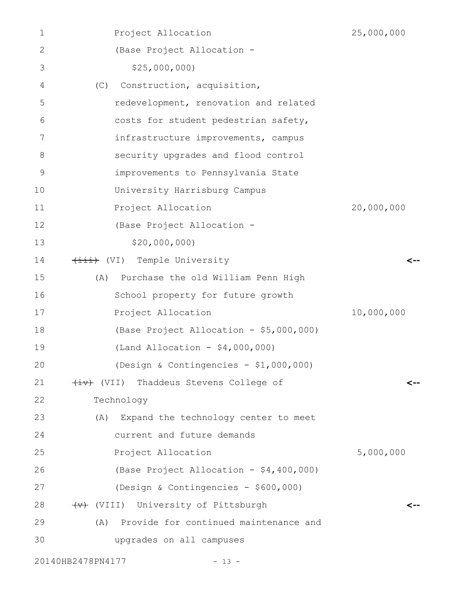| 1             | Project Allocation                        | 25,000,000 |
|---------------|-------------------------------------------|------------|
| 2             | (Base Project Allocation -                |            |
| 3             | \$25,000,000                              |            |
| 4             | Construction, acquisition,<br>(C)         |            |
| 5             | redevelopment, renovation and related     |            |
| 6             | costs for student pedestrian safety,      |            |
| 7             | infrastructure improvements, campus       |            |
| 8             | security upgrades and flood control       |            |
| $\mathcal{G}$ | improvements to Pennsylvania State        |            |
| 10            | University Harrisburg Campus              |            |
| 11            | Project Allocation                        | 20,000,000 |
| 12            | (Base Project Allocation -                |            |
| 13            | \$20,000,000                              |            |
| 14            | (VI) Temple University                    | <--        |
| 15            | Purchase the old William Penn High<br>(A) |            |
| 16            | School property for future growth         |            |
| 17            | Project Allocation                        | 10,000,000 |
| 18            | (Base Project Allocation - \$5,000,000)   |            |
| 19            | (Land Allocation - $$4,000,000$ )         |            |
| 20            | (Design & Contingencies - $$1,000,000$ )  |            |
| 21            | (VII) Thaddeus Stevens College of         | <--        |
| 22            | Technology                                |            |
| 23            | (A) Expand the technology center to meet  |            |
| 24            | current and future demands                |            |
| 25            | Project Allocation                        | 5,000,000  |
| 26            | (Base Project Allocation - \$4,400,000)   |            |
| 27            | (Design & Contingencies - \$600,000)      |            |
| 28            | (VIII) University of Pittsburgh           | <--        |
| 29            | (A) Provide for continued maintenance and |            |
| 30            | upgrades on all campuses                  |            |
|               |                                           |            |

20140HB2478PN4177 - 13 -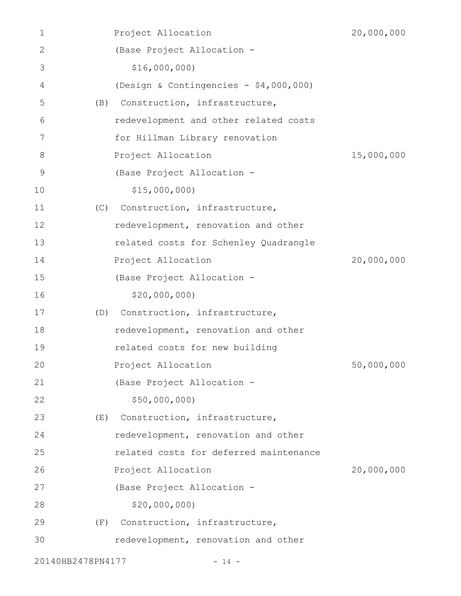| 1                 |     | Project Allocation                     | 20,000,000 |
|-------------------|-----|----------------------------------------|------------|
| 2                 |     | (Base Project Allocation -             |            |
| 3                 |     | \$16,000,000                           |            |
| 4                 |     | (Design & Contingencies - \$4,000,000) |            |
| 5                 | (B) | Construction, infrastructure,          |            |
| 6                 |     | redevelopment and other related costs  |            |
| 7                 |     | for Hillman Library renovation         |            |
| 8                 |     | Project Allocation                     | 15,000,000 |
| 9                 |     | (Base Project Allocation -             |            |
| 10                |     | \$15,000,000                           |            |
| 11                | (C) | Construction, infrastructure,          |            |
| 12                |     | redevelopment, renovation and other    |            |
| 13                |     | related costs for Schenley Quadrangle  |            |
| 14                |     | Project Allocation                     | 20,000,000 |
| 15                |     | (Base Project Allocation -             |            |
| 16                |     | \$20,000,000                           |            |
| 17                | (D) | Construction, infrastructure,          |            |
| 18                |     | redevelopment, renovation and other    |            |
| 19                |     | related costs for new building         |            |
| 20                |     | Project Allocation                     | 50,000,000 |
| 21                |     | (Base Project Allocation -             |            |
| 22                |     | \$50,000,000                           |            |
| 23                | (E) | Construction, infrastructure,          |            |
| 24                |     | redevelopment, renovation and other    |            |
| 25                |     | related costs for deferred maintenance |            |
| 26                |     | Project Allocation                     | 20,000,000 |
| 27                |     | (Base Project Allocation -             |            |
| 28                |     | \$20,000,000                           |            |
| 29                | (F) | Construction, infrastructure,          |            |
| 30                |     | redevelopment, renovation and other    |            |
| 20140HB2478PN4177 |     | $-14 -$                                |            |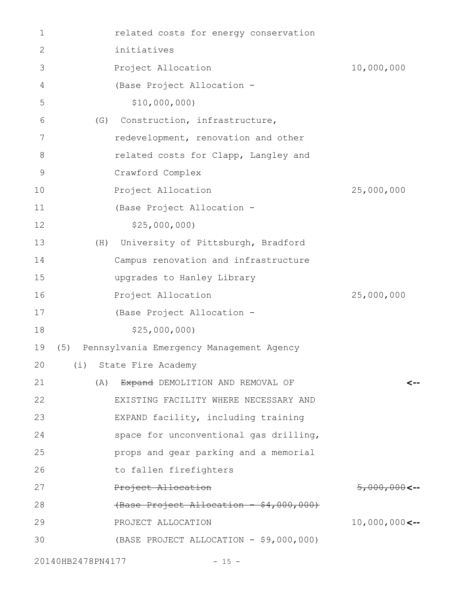| $\mathbf 1$   |     | related costs for energy conservation    |                           |
|---------------|-----|------------------------------------------|---------------------------|
| 2             |     | initiatives                              |                           |
| 3             |     | Project Allocation                       | 10,000,000                |
| 4             |     | (Base Project Allocation -               |                           |
| 5             |     | \$10,000,000                             |                           |
| 6             | (G) | Construction, infrastructure,            |                           |
| 7             |     | redevelopment, renovation and other      |                           |
| 8             |     | related costs for Clapp, Langley and     |                           |
| $\mathcal{G}$ |     | Crawford Complex                         |                           |
| 10            |     | Project Allocation                       | 25,000,000                |
| 11            |     | (Base Project Allocation -               |                           |
| 12            |     | \$25,000,000                             |                           |
| 13            | (H) | University of Pittsburgh, Bradford       |                           |
| 14            |     | Campus renovation and infrastructure     |                           |
| 15            |     | upgrades to Hanley Library               |                           |
| 16            |     | Project Allocation                       | 25,000,000                |
| 17            |     | (Base Project Allocation -               |                           |
| 18            |     | \$25,000,000                             |                           |
| 19            | (5) | Pennsylvania Emergency Management Agency |                           |
|               |     | 20 (i) State Fire Academy                |                           |
| 21            | (A) | Expand DEMOLITION AND REMOVAL OF         |                           |
| 22            |     | EXISTING FACILITY WHERE NECESSARY AND    |                           |
| 23            |     | EXPAND facility, including training      |                           |
| 24            |     | space for unconventional gas drilling,   |                           |
| 25            |     | props and gear parking and a memorial    |                           |
| 26            |     | to fallen firefighters                   |                           |
| 27            |     | Project Allocation                       | $5,000,000$ <--           |
| 28            |     | (Base Project Allocation - \$4,000,000)  |                           |
| 29            |     | PROJECT ALLOCATION                       | $10,000,000 \leftarrow -$ |
| 30            |     | (BASE PROJECT ALLOCATION - \$9,000,000)  |                           |
|               |     |                                          |                           |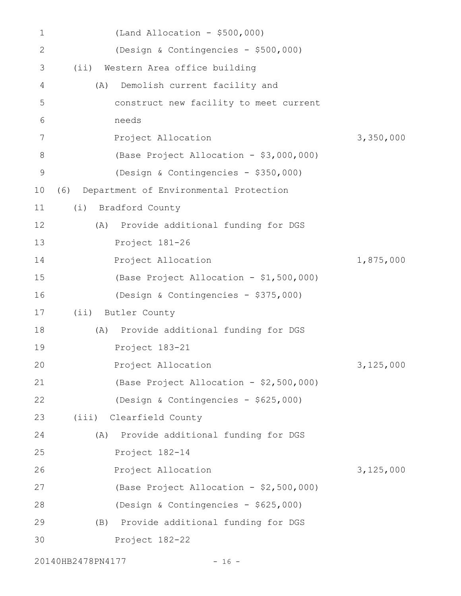| $\mathbf 1$ | $(Land$ Allocation - \$500,000)               |           |
|-------------|-----------------------------------------------|-----------|
| 2           | (Design & Contingencies - \$500,000)          |           |
| 3           | (i)<br>Western Area office building           |           |
| 4           | Demolish current facility and<br>(A)          |           |
| 5           | construct new facility to meet current        |           |
| 6           | needs                                         |           |
| 7           | Project Allocation                            | 3,350,000 |
| 8           | (Base Project Allocation - \$3,000,000)       |           |
| 9           | (Design & Contingencies - \$350,000)          |           |
| 10          | Department of Environmental Protection<br>(6) |           |
| 11          | Bradford County<br>(i)                        |           |
| 12          | Provide additional funding for DGS<br>(A)     |           |
| 13          | Project 181-26                                |           |
| 14          | Project Allocation                            | 1,875,000 |
| 15          | (Base Project Allocation - \$1,500,000)       |           |
| 16          | (Design & Contingencies - \$375,000)          |           |
| 17          | (ii) Butler County                            |           |
| 18          | Provide additional funding for DGS<br>(A)     |           |
| 19          | Project 183-21                                |           |
| 20          | Project Allocation                            | 3,125,000 |
| 21          | (Base Project Allocation - \$2,500,000)       |           |
| 22          | (Design & Contingencies - \$625,000)          |           |
| 23          | (iii) Clearfield County                       |           |
| 24          | Provide additional funding for DGS<br>(A)     |           |
| 25          | Project 182-14                                |           |
| 26          | Project Allocation                            | 3,125,000 |
| 27          | (Base Project Allocation - \$2,500,000)       |           |
| 28          | (Design & Contingencies - \$625,000)          |           |
| 29          | (B) Provide additional funding for DGS        |           |
| 30          | Project 182-22                                |           |
|             |                                               |           |

20140HB2478PN4177 - 16 -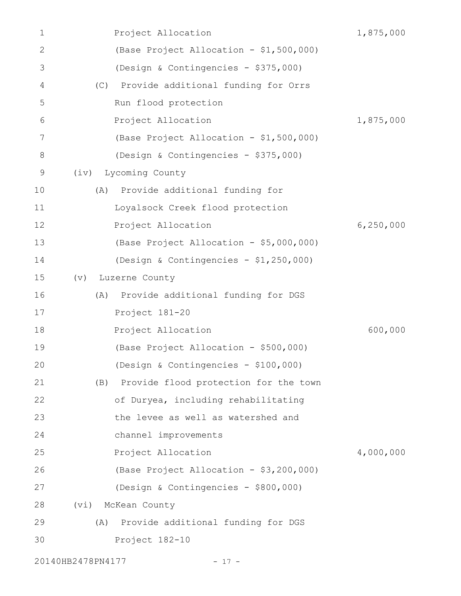| 1            | Project Allocation                         | 1,875,000   |
|--------------|--------------------------------------------|-------------|
| $\mathbf{2}$ | (Base Project Allocation - \$1,500,000)    |             |
| 3            | (Design & Contingencies - \$375,000)       |             |
| 4            | Provide additional funding for Orrs<br>(C) |             |
| 5            | Run flood protection                       |             |
| 6            | Project Allocation                         | 1,875,000   |
| 7            | (Base Project Allocation - \$1,500,000)    |             |
| 8            | (Design & Contingencies - \$375,000)       |             |
| 9            | Lycoming County<br>(iv)                    |             |
| 10           | Provide additional funding for<br>(A)      |             |
| 11           | Loyalsock Creek flood protection           |             |
| 12           | Project Allocation                         | 6, 250, 000 |
| 13           | (Base Project Allocation - \$5,000,000)    |             |
| 14           | (Design & Contingencies - \$1,250,000)     |             |
| 15           | (v)<br>Luzerne County                      |             |
| 16           | Provide additional funding for DGS<br>(A)  |             |
| 17           | Project 181-20                             |             |
| 18           | Project Allocation                         | 600,000     |
| 19           | (Base Project Allocation - \$500,000)      |             |
| 20           | (Design & Contingencies - \$100,000)       |             |
| 21           | (B) Provide flood protection for the town  |             |
| 22           | of Duryea, including rehabilitating        |             |
| 23           | the levee as well as watershed and         |             |
| 24           | channel improvements                       |             |
| 25           | Project Allocation                         | 4,000,000   |
| 26           | (Base Project Allocation - \$3,200,000)    |             |
| 27           | (Design & Contingencies - \$800,000)       |             |
| 28           | McKean County<br>(vi)                      |             |
| 29           | Provide additional funding for DGS<br>(A)  |             |
| 30           | Project 182-10                             |             |
|              | 20140HB2478PN4177<br>$-17 -$               |             |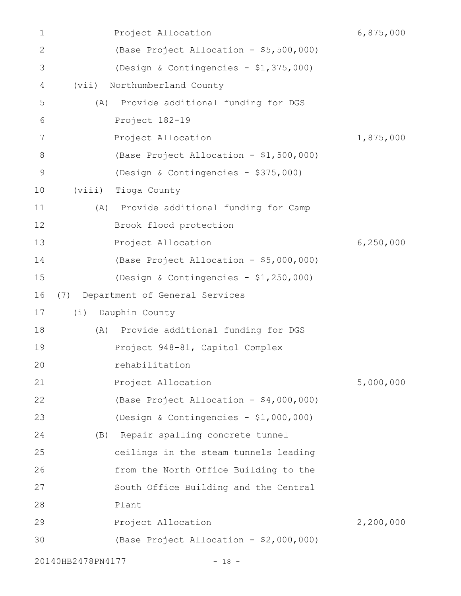| 1            | Project Allocation                         | 6,875,000   |
|--------------|--------------------------------------------|-------------|
| $\mathbf{2}$ | (Base Project Allocation - \$5,500,000)    |             |
| 3            | (Design & Contingencies - \$1,375,000)     |             |
| 4            | Northumberland County<br>(vii)             |             |
| 5            | Provide additional funding for DGS<br>(A)  |             |
| 6            | Project 182-19                             |             |
| 7            | Project Allocation                         | 1,875,000   |
| 8            | (Base Project Allocation - \$1,500,000)    |             |
| 9            | (Design & Contingencies - \$375,000)       |             |
| 10           | Tioga County<br>(viii)                     |             |
| 11           | Provide additional funding for Camp<br>(A) |             |
| 12           | Brook flood protection                     |             |
| 13           | Project Allocation                         | 6, 250, 000 |
| 14           | (Base Project Allocation - \$5,000,000)    |             |
| 15           | (Design & Contingencies - \$1,250,000)     |             |
| 16           | Department of General Services<br>(7)      |             |
| 17           | Dauphin County<br>(i)                      |             |
| 18           | Provide additional funding for DGS<br>(A)  |             |
| 19           | Project 948-81, Capitol Complex            |             |
| 20           | rehabilitation                             |             |
| 21           | Project Allocation                         | 5,000,000   |
| 22           | (Base Project Allocation - \$4,000,000)    |             |
| 23           | (Design & Contingencies - \$1,000,000)     |             |
| 24           | (B) Repair spalling concrete tunnel        |             |
| 25           | ceilings in the steam tunnels leading      |             |
| 26           | from the North Office Building to the      |             |
| 27           | South Office Building and the Central      |             |
| 28           | Plant                                      |             |
| 29           | Project Allocation                         | 2,200,000   |
| 30           | (Base Project Allocation - \$2,000,000)    |             |
|              |                                            |             |

20140HB2478PN4177 - 18 -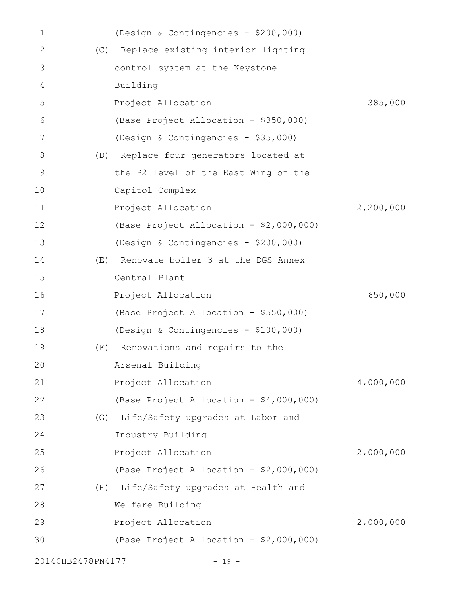| 1                 |     | (Design & Contingencies - \$200,000)    |           |
|-------------------|-----|-----------------------------------------|-----------|
| $\mathbf{2}$      | (C) | Replace existing interior lighting      |           |
| 3                 |     | control system at the Keystone          |           |
| 4                 |     | Building                                |           |
| 5                 |     | Project Allocation                      | 385,000   |
| 6                 |     | (Base Project Allocation - \$350,000)   |           |
| 7                 |     | (Design & Contingencies - \$35,000)     |           |
| 8                 | (D) | Replace four generators located at      |           |
| 9                 |     | the P2 level of the East Wing of the    |           |
| 10                |     | Capitol Complex                         |           |
| 11                |     | Project Allocation                      | 2,200,000 |
| 12                |     | (Base Project Allocation - \$2,000,000) |           |
| 13                |     | (Design & Contingencies - \$200,000)    |           |
| 14                | (E) | Renovate boiler 3 at the DGS Annex      |           |
| 15                |     | Central Plant                           |           |
| 16                |     | Project Allocation                      | 650,000   |
| 17                |     | (Base Project Allocation - \$550,000)   |           |
| 18                |     | (Design & Contingencies - \$100,000)    |           |
| 19                | (E) | Renovations and repairs to the          |           |
| 20                |     | Arsenal Building                        |           |
| 21                |     | Project Allocation                      | 4,000,000 |
| 22                |     | (Base Project Allocation - \$4,000,000) |           |
| 23                | (G) | Life/Safety upgrades at Labor and       |           |
| 24                |     | Industry Building                       |           |
| 25                |     | Project Allocation                      | 2,000,000 |
| 26                |     | (Base Project Allocation - \$2,000,000) |           |
| 27                | (H) | Life/Safety upgrades at Health and      |           |
| 28                |     | Welfare Building                        |           |
| 29                |     | Project Allocation                      | 2,000,000 |
| 30                |     | (Base Project Allocation - \$2,000,000) |           |
| 20140HB2478PN4177 |     | $-19 -$                                 |           |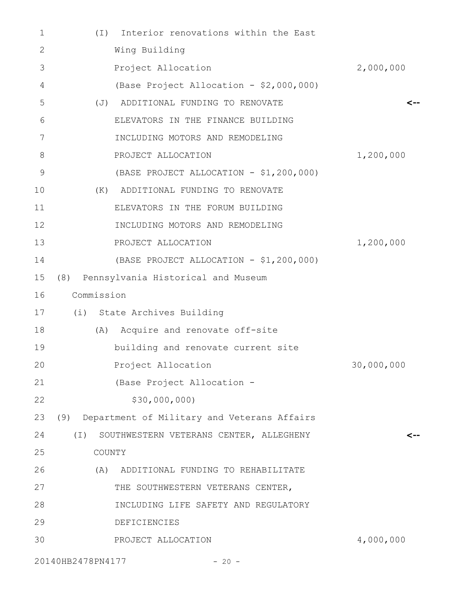| $\mathbf 1$   | Interior renovations within the East<br>$(\top)$    |            |
|---------------|-----------------------------------------------------|------------|
| 2             | Wing Building                                       |            |
| 3             | Project Allocation                                  | 2,000,000  |
| 4             | (Base Project Allocation - \$2,000,000)             |            |
| 5             | (J) ADDITIONAL FUNDING TO RENOVATE                  | <--        |
| 6             | ELEVATORS IN THE FINANCE BUILDING                   |            |
| 7             | INCLUDING MOTORS AND REMODELING                     |            |
| 8             | PROJECT ALLOCATION                                  | 1,200,000  |
| $\mathcal{G}$ | (BASE PROJECT ALLOCATION - \$1,200,000)             |            |
| 10            | ADDITIONAL FUNDING TO RENOVATE<br>(K)               |            |
| 11            | ELEVATORS IN THE FORUM BUILDING                     |            |
| 12            | INCLUDING MOTORS AND REMODELING                     |            |
| 13            | PROJECT ALLOCATION                                  | 1,200,000  |
| 14            | (BASE PROJECT ALLOCATION - \$1,200,000)             |            |
| 15            | (8) Pennsylvania Historical and Museum              |            |
| 16            | Commission                                          |            |
| 17            | (i) State Archives Building                         |            |
| 18            | (A) Acquire and renovate off-site                   |            |
| 19            | building and renovate current site                  |            |
| 20            | Project Allocation                                  | 30,000,000 |
| 21            | (Base Project Allocation -                          |            |
| 22            | \$30,000,000)                                       |            |
| 23            | (9) Department of Military and Veterans Affairs     |            |
| 24            | $(\top)$<br>SOUTHWESTERN VETERANS CENTER, ALLEGHENY | <--        |
| 25            | COUNTY                                              |            |
| 26            | (A)<br>ADDITIONAL FUNDING TO REHABILITATE           |            |
| 27            | THE SOUTHWESTERN VETERANS CENTER,                   |            |
| 28            | INCLUDING LIFE SAFETY AND REGULATORY                |            |
| 29            | DEFICIENCIES                                        |            |
| 30            | PROJECT ALLOCATION                                  | 4,000,000  |
|               | 20140HB2478PN4177<br>$-20 -$                        |            |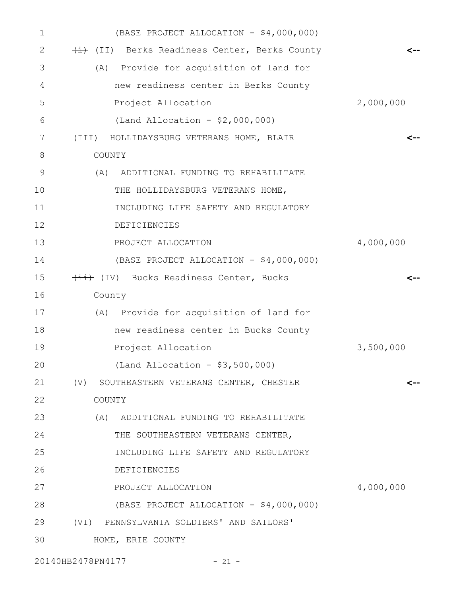| $\mathbf{1}$ | (BASE PROJECT ALLOCATION - \$4,000,000)   |           |
|--------------|-------------------------------------------|-----------|
| 2            | (II) Berks Readiness Center, Berks County | <--       |
| 3            | (A) Provide for acquisition of land for   |           |
| 4            | new readiness center in Berks County      |           |
| 5            | Project Allocation                        | 2,000,000 |
| 6            | (Land Allocation - $$2,000,000)$          |           |
| 7            | (III) HOLLIDAYSBURG VETERANS HOME, BLAIR  | <--       |
| 8            | COUNTY                                    |           |
| 9            | (A)<br>ADDITIONAL FUNDING TO REHABILITATE |           |
| 10           | THE HOLLIDAYSBURG VETERANS HOME,          |           |
| 11           | INCLUDING LIFE SAFETY AND REGULATORY      |           |
| 12           | <b>DEFICIENCIES</b>                       |           |
| 13           | PROJECT ALLOCATION                        | 4,000,000 |
| 14           | (BASE PROJECT ALLOCATION - \$4,000,000)   |           |
| 15           | (IV) Bucks Readiness Center, Bucks        | <--       |
| 16           | County                                    |           |
| 17           | (A) Provide for acquisition of land for   |           |
| 18           | new readiness center in Bucks County      |           |
| 19           | Project Allocation                        | 3,500,000 |
| 20           | (Land Allocation - \$3,500,000)           |           |
| 21           | (V) SOUTHEASTERN VETERANS CENTER, CHESTER | <--       |
| 22           | COUNTY                                    |           |
| 23           | (A) ADDITIONAL FUNDING TO REHABILITATE    |           |
| 24           | THE SOUTHEASTERN VETERANS CENTER,         |           |
| 25           | INCLUDING LIFE SAFETY AND REGULATORY      |           |
| 26           | <b>DEFICIENCIES</b>                       |           |
| 27           | PROJECT ALLOCATION                        | 4,000,000 |
| 28           | (BASE PROJECT ALLOCATION - \$4,000,000)   |           |
| 29           | (VI) PENNSYLVANIA SOLDIERS' AND SAILORS'  |           |
| 30           | HOME, ERIE COUNTY                         |           |
|              |                                           |           |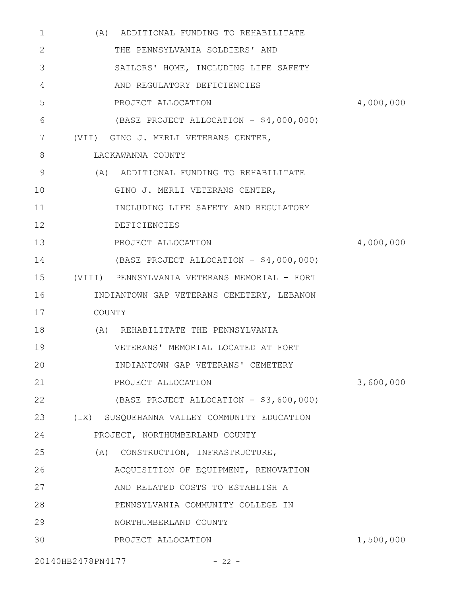| $\mathbf{1}$ | (A) ADDITIONAL FUNDING TO REHABILITATE       |           |
|--------------|----------------------------------------------|-----------|
| 2            | THE PENNSYLVANIA SOLDIERS' AND               |           |
| 3            | SAILORS' HOME, INCLUDING LIFE SAFETY         |           |
| 4            | AND REGULATORY DEFICIENCIES                  |           |
| 5            | PROJECT ALLOCATION                           | 4,000,000 |
| 6            | (BASE PROJECT ALLOCATION - \$4,000,000)      |           |
| 7            | (VII) GINO J. MERLI VETERANS CENTER,         |           |
| 8            | LACKAWANNA COUNTY                            |           |
| 9            | (A) ADDITIONAL FUNDING TO REHABILITATE       |           |
| 10           | GINO J. MERLI VETERANS CENTER,               |           |
| 11           | INCLUDING LIFE SAFETY AND REGULATORY         |           |
| 12           | DEFICIENCIES                                 |           |
| 13           | PROJECT ALLOCATION                           | 4,000,000 |
| 14           | (BASE PROJECT ALLOCATION - \$4,000,000)      |           |
| 15           | (VIII) PENNSYLVANIA VETERANS MEMORIAL - FORT |           |
| 16           | INDIANTOWN GAP VETERANS CEMETERY, LEBANON    |           |
| 17           | COUNTY                                       |           |
| 18           | (A) REHABILITATE THE PENNSYLVANIA            |           |
| 19           | VETERANS' MEMORIAL LOCATED AT FORT           |           |
| 20           | INDIANTOWN GAP VETERANS' CEMETERY            |           |
| 21           | PROJECT ALLOCATION                           | 3,600,000 |
| 22           | (BASE PROJECT ALLOCATION - \$3,600,000)      |           |
| 23           | (IX) SUSQUEHANNA VALLEY COMMUNITY EDUCATION  |           |
| 24           | PROJECT, NORTHUMBERLAND COUNTY               |           |
| 25           | (A) CONSTRUCTION, INFRASTRUCTURE,            |           |
| 26           | ACQUISITION OF EQUIPMENT, RENOVATION         |           |
| 27           | AND RELATED COSTS TO ESTABLISH A             |           |
| 28           | PENNSYLVANIA COMMUNITY COLLEGE IN            |           |
| 29           | NORTHUMBERLAND COUNTY                        |           |
| 30           | PROJECT ALLOCATION                           | 1,500,000 |
|              |                                              |           |

20140HB2478PN4177 - 22 -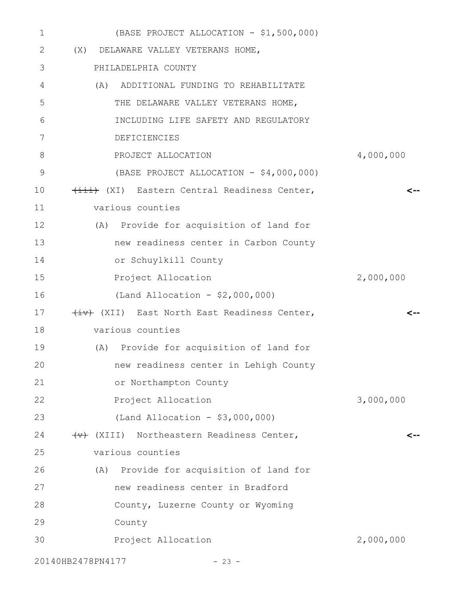| $\mathbf 1$       | (BASE PROJECT ALLOCATION - \$1,500,000)                     |           |
|-------------------|-------------------------------------------------------------|-----------|
| 2                 | (X) DELAWARE VALLEY VETERANS HOME,                          |           |
| 3                 | PHILADELPHIA COUNTY                                         |           |
| 4                 | (A) ADDITIONAL FUNDING TO REHABILITATE                      |           |
| 5                 | THE DELAWARE VALLEY VETERANS HOME,                          |           |
| 6                 | INCLUDING LIFE SAFETY AND REGULATORY                        |           |
| 7                 | DEFICIENCIES                                                |           |
| 8                 | PROJECT ALLOCATION                                          | 4,000,000 |
| $\mathcal{G}$     | (BASE PROJECT ALLOCATION - \$4,000,000)                     |           |
| 10                | (XI) Eastern Central Readiness Center,                      | <--       |
| 11                | various counties                                            |           |
| 12                | (A) Provide for acquisition of land for                     |           |
| 13                | new readiness center in Carbon County                       |           |
| 14                | or Schuylkill County                                        |           |
| 15                | Project Allocation                                          | 2,000,000 |
| 16                | (Land Allocation - $$2,000,000)$                            |           |
| 17                | (XII) East North East Readiness Center,                     |           |
| 18                | various counties                                            |           |
| 19<br>(A)         | Provide for acquisition of land for                         |           |
| 20                | new readiness center in Lehigh County                       |           |
| 21                | or Northampton County                                       |           |
| 22                | Project Allocation                                          | 3,000,000 |
| 23                | (Land Allocation - $$3,000,000)$                            |           |
| 24                | $\overline{\text{w}}$ (XIII) Northeastern Readiness Center, | <--       |
| 25                | various counties                                            |           |
| 26                | (A) Provide for acquisition of land for                     |           |
| 27                | new readiness center in Bradford                            |           |
| 28                | County, Luzerne County or Wyoming                           |           |
| 29                | County                                                      |           |
| 30                | Project Allocation                                          | 2,000,000 |
| 20140HB2478PN4177 | $-23 -$                                                     |           |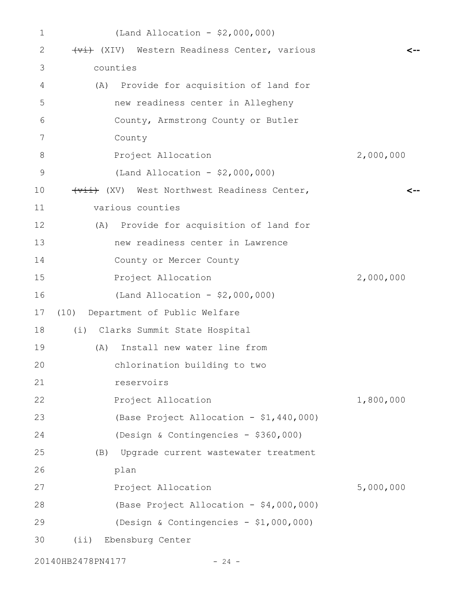| $\mathbf 1$       | (Land Allocation - $$2,000,000)$            |           |
|-------------------|---------------------------------------------|-----------|
| 2                 | (Vi) Western Readiness Center, various      |           |
| 3                 | counties                                    |           |
| 4                 | Provide for acquisition of land for<br>(A)  |           |
| 5                 | new readiness center in Allegheny           |           |
| 6                 | County, Armstrong County or Butler          |           |
| 7                 | County                                      |           |
| 8                 | Project Allocation                          | 2,000,000 |
| $\mathsf 9$       | (Land Allocation - $$2,000,000)$            |           |
| 10                | (Wii) (XV) West Northwest Readiness Center, |           |
| 11                | various counties                            |           |
| $12 \overline{ }$ | (A) Provide for acquisition of land for     |           |
| 13                | new readiness center in Lawrence            |           |
| 14                | County or Mercer County                     |           |
| 15                | Project Allocation                          | 2,000,000 |
| 16                | (Land Allocation - $$2,000,000)$            |           |
| 17                | (10) Department of Public Welfare           |           |
| 18                | (i) Clarks Summit State Hospital            |           |
| 19                | Install new water line from<br>(A)          |           |
| 20                | chlorination building to two                |           |
| 21                | reservoirs                                  |           |
| 22                | Project Allocation                          | 1,800,000 |
| 23                | (Base Project Allocation - \$1,440,000)     |           |
| 24                | (Design & Contingencies - \$360,000)        |           |
| 25                | Upgrade current wastewater treatment<br>(B) |           |
| 26                | plan                                        |           |
| 27                | Project Allocation                          | 5,000,000 |
| 28                | (Base Project Allocation - \$4,000,000)     |           |
| 29                | (Design & Contingencies - $$1,000,000)$     |           |
| 30                | Ebensburg Center<br>(i)                     |           |
|                   |                                             |           |

20140HB2478PN4177 - 24 -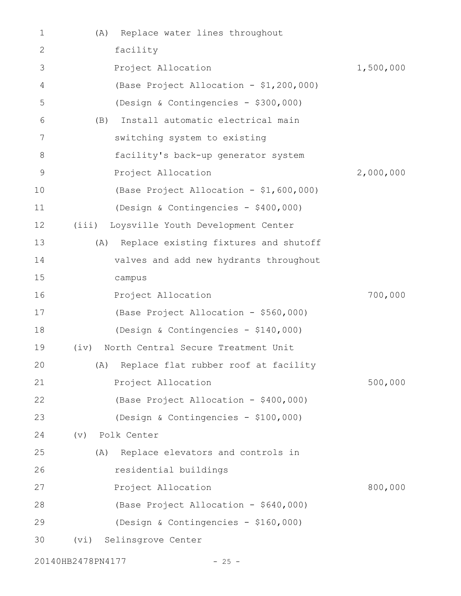| 1              | Replace water lines throughout<br>(A)            |           |
|----------------|--------------------------------------------------|-----------|
| 2              | facility                                         |           |
| 3              | Project Allocation                               | 1,500,000 |
| $\overline{4}$ | (Base Project Allocation - \$1,200,000)          |           |
| 5              | (Design & Contingencies - \$300,000)             |           |
| 6              | Install automatic electrical main<br>(B)         |           |
| 7              | switching system to existing                     |           |
| 8              | facility's back-up generator system              |           |
| 9              | Project Allocation                               | 2,000,000 |
| 10             | (Base Project Allocation - \$1,600,000)          |           |
| 11             | (Design & Contingencies - \$400,000)             |           |
| 12             | (iii) Loysville Youth Development Center         |           |
| 13             | Replace existing fixtures and shutoff<br>(A)     |           |
| 14             | valves and add new hydrants throughout           |           |
| 15             | campus                                           |           |
| 16             | Project Allocation                               | 700,000   |
| 17             | (Base Project Allocation - \$560,000)            |           |
| 18             | (Design & Contingencies - \$140,000)             |           |
| 19             | North Central Secure Treatment Unit<br>$(i\vee)$ |           |
| 20             | (A) Replace flat rubber roof at facility         |           |
| 21             | Project Allocation                               | 500,000   |
| 22             | (Base Project Allocation - \$400,000)            |           |
| 23             | (Design & Contingencies - \$100,000)             |           |
| 24             | Polk Center<br>$(\triangledown)$                 |           |
| 25             | Replace elevators and controls in<br>(A)         |           |
| 26             | residential buildings                            |           |
| 27             | Project Allocation                               | 800,000   |
| 28             | (Base Project Allocation - \$640,000)            |           |
| 29             | (Design & Contingencies - \$160,000)             |           |
| 30             | Selinsgrove Center<br>(vi)                       |           |
|                |                                                  |           |

20140HB2478PN4177 - 25 -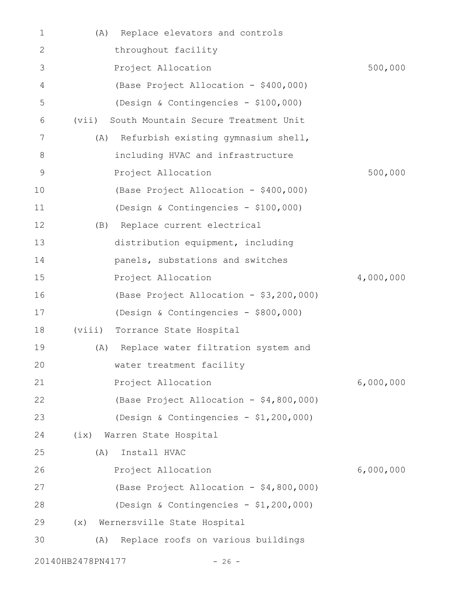| 1            | (A)               | Replace elevators and controls          |           |
|--------------|-------------------|-----------------------------------------|-----------|
| $\mathbf{2}$ |                   | throughout facility                     |           |
| 3            |                   | Project Allocation                      | 500,000   |
| 4            |                   | (Base Project Allocation - \$400,000)   |           |
| 5            |                   | (Design & Contingencies - \$100,000)    |           |
| 6            | (vii)             | South Mountain Secure Treatment Unit    |           |
| 7            | (A)               | Refurbish existing gymnasium shell,     |           |
| 8            |                   | including HVAC and infrastructure       |           |
| $\mathsf 9$  |                   | Project Allocation                      | 500,000   |
| 10           |                   | (Base Project Allocation - \$400,000)   |           |
| 11           |                   | (Design & Contingencies - \$100,000)    |           |
| 12           | (B)               | Replace current electrical              |           |
| 13           |                   | distribution equipment, including       |           |
| 14           |                   | panels, substations and switches        |           |
| 15           |                   | Project Allocation                      | 4,000,000 |
| 16           |                   | (Base Project Allocation - \$3,200,000) |           |
| 17           |                   | (Design & Contingencies - \$800,000)    |           |
| 18           | (viii)            | Torrance State Hospital                 |           |
| 19           | (A)               | Replace water filtration system and     |           |
| 20           |                   | water treatment facility                |           |
| 21           |                   | Project Allocation                      | 6,000,000 |
| 22           |                   | (Base Project Allocation - \$4,800,000) |           |
| 23           |                   | (Design & Contingencies - \$1,200,000)  |           |
| 24           | (ix)              | Warren State Hospital                   |           |
| 25           | (A)               | Install HVAC                            |           |
| 26           |                   | Project Allocation                      | 6,000,000 |
| 27           |                   | (Base Project Allocation - \$4,800,000) |           |
| 28           |                   | (Design & Contingencies - \$1,200,000)  |           |
| 29           | (x)               | Wernersville State Hospital             |           |
| 30           | (A)               | Replace roofs on various buildings      |           |
|              | 20140HB2478PN4177 | $-26 -$                                 |           |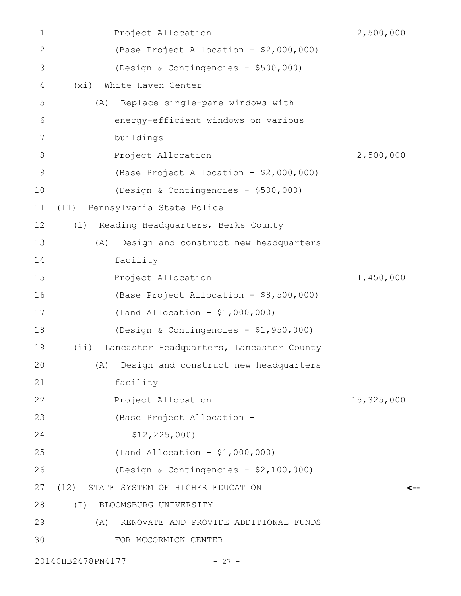| 1             | Project Allocation                                | 2,500,000  |
|---------------|---------------------------------------------------|------------|
| $\mathbf{2}$  | (Base Project Allocation - \$2,000,000)           |            |
| 3             | (Design & Contingencies - \$500,000)              |            |
| 4             | (xi)<br>White Haven Center                        |            |
| 5             | Replace single-pane windows with<br>(A)           |            |
| 6             | energy-efficient windows on various               |            |
| 7             | buildings                                         |            |
| $8\,$         | Project Allocation                                | 2,500,000  |
| $\mathcal{G}$ | (Base Project Allocation - \$2,000,000)           |            |
| 10            | (Design & Contingencies - \$500,000)              |            |
| 11            | Pennsylvania State Police<br>(11)                 |            |
| 12            | Reading Headquarters, Berks County<br>(i)         |            |
| 13            | Design and construct new headquarters<br>(A)      |            |
| 14            | facility                                          |            |
| 15            | Project Allocation                                | 11,450,000 |
| 16            | (Base Project Allocation - \$8,500,000)           |            |
| 17            | (Land Allocation - $$1,000,000)$                  |            |
| 18            | (Design & Contingencies - \$1,950,000)            |            |
| 19            | Lancaster Headquarters, Lancaster County<br>(iii) |            |
| 20            | (A) Design and construct new headquarters         |            |
| 21            | facility                                          |            |
| 22            | Project Allocation                                | 15,325,000 |
| 23            | (Base Project Allocation -                        |            |
| 24            | \$12, 225, 000)                                   |            |
| 25            | (Land Allocation - $$1,000,000)$                  |            |
| 26            | (Design & Contingencies - \$2,100,000)            |            |
| 27            | (12) STATE SYSTEM OF HIGHER EDUCATION             | <--        |
| 28            | $(\top)$<br>BLOOMSBURG UNIVERSITY                 |            |
| 29            | RENOVATE AND PROVIDE ADDITIONAL FUNDS<br>(A)      |            |
| 30            | FOR MCCORMICK CENTER                              |            |
|               | 20140HB2478PN4177<br>$-27 -$                      |            |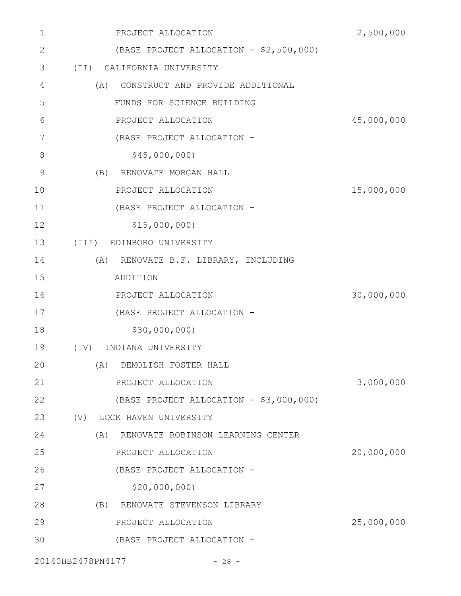| $\mathbf 1$  | PROJECT ALLOCATION                       | 2,500,000  |
|--------------|------------------------------------------|------------|
| $\mathbf{2}$ | (BASE PROJECT ALLOCATION - \$2,500,000)  |            |
| 3            | (TI)<br>CALIFORNIA UNIVERSITY            |            |
| 4            | CONSTRUCT AND PROVIDE ADDITIONAL<br>(A)  |            |
| 5            | FUNDS FOR SCIENCE BUILDING               |            |
| 6            | PROJECT ALLOCATION                       | 45,000,000 |
| 7            | (BASE PROJECT ALLOCATION -               |            |
| 8            | \$45,000,000                             |            |
| 9            | (B)<br>RENOVATE MORGAN HALL              |            |
| 10           | PROJECT ALLOCATION                       | 15,000,000 |
| 11           | (BASE PROJECT ALLOCATION -               |            |
| 12           | \$15,000,000                             |            |
| 13           | EDINBORO UNIVERSITY<br>$(\text{III})$    |            |
| 14           | (A)<br>RENOVATE B.F. LIBRARY, INCLUDING  |            |
| 15           | ADDITION                                 |            |
| 16           | PROJECT ALLOCATION                       | 30,000,000 |
| 17           | (BASE PROJECT ALLOCATION -               |            |
| 18           | \$30,000,000)                            |            |
| 19           | $(\mathrm{IV})$<br>INDIANA UNIVERSITY    |            |
| 20           | (A)<br>DEMOLISH FOSTER HALL              |            |
| 21           | PROJECT ALLOCATION                       | 3,000,000  |
| 22           | (BASE PROJECT ALLOCATION - \$3,000,000)  |            |
| 23           | (V) LOCK HAVEN UNIVERSITY                |            |
| 24           | (A)<br>RENOVATE ROBINSON LEARNING CENTER |            |
| 25           | PROJECT ALLOCATION                       | 20,000,000 |
| 26           | (BASE PROJECT ALLOCATION -               |            |
| 27           | \$20,000,000                             |            |
| 28           | (B) RENOVATE STEVENSON LIBRARY           |            |
| 29           | PROJECT ALLOCATION                       | 25,000,000 |
| 30           | (BASE PROJECT ALLOCATION -               |            |
|              |                                          |            |

20140HB2478PN4177 - 28 -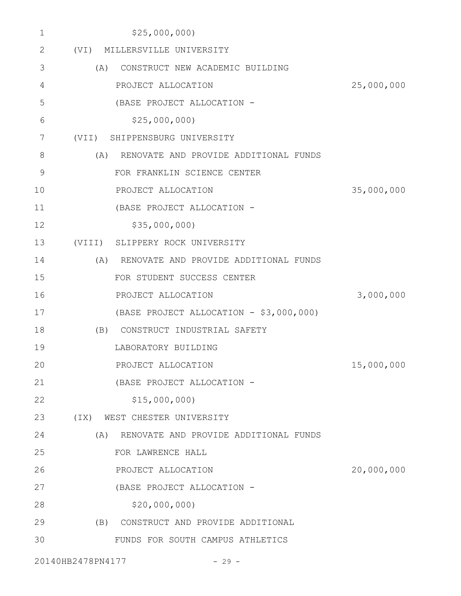| 1             | \$25,000,000                                 |            |
|---------------|----------------------------------------------|------------|
| 2             | (VI) MILLERSVILLE UNIVERSITY                 |            |
| 3             | CONSTRUCT NEW ACADEMIC BUILDING<br>(A)       |            |
| 4             | PROJECT ALLOCATION                           | 25,000,000 |
| 5             | (BASE PROJECT ALLOCATION -                   |            |
| 6             | \$25,000,000                                 |            |
| 7             | (VII) SHIPPENSBURG UNIVERSITY                |            |
| 8             | (A)<br>RENOVATE AND PROVIDE ADDITIONAL FUNDS |            |
| $\mathcal{G}$ | FOR FRANKLIN SCIENCE CENTER                  |            |
| 10            | PROJECT ALLOCATION                           | 35,000,000 |
| 11            | (BASE PROJECT ALLOCATION -                   |            |
| 12            | \$35,000,000                                 |            |
| 13            | (VIII) SLIPPERY ROCK UNIVERSITY              |            |
| 14            | (A) RENOVATE AND PROVIDE ADDITIONAL FUNDS    |            |
| 15            | FOR STUDENT SUCCESS CENTER                   |            |
| 16            | PROJECT ALLOCATION                           | 3,000,000  |
| 17            | (BASE PROJECT ALLOCATION - \$3,000,000)      |            |
| 18            | (B) CONSTRUCT INDUSTRIAL SAFETY              |            |
| 19            | LABORATORY BUILDING                          |            |
| 20            | PROJECT ALLOCATION                           | 15,000,000 |
| 21            | (BASE PROJECT ALLOCATION -                   |            |
| 22            | \$15,000,000                                 |            |
| 23            | (TX)<br>WEST CHESTER UNIVERSITY              |            |
| 24            | (A)<br>RENOVATE AND PROVIDE ADDITIONAL FUNDS |            |
| 25            | FOR LAWRENCE HALL                            |            |
| 26            | PROJECT ALLOCATION                           | 20,000,000 |
| 27            | (BASE PROJECT ALLOCATION -                   |            |
| 28            | \$20,000,000                                 |            |
| 29            | CONSTRUCT AND PROVIDE ADDITIONAL<br>(B)      |            |
| 30            | FUNDS FOR SOUTH CAMPUS ATHLETICS             |            |
|               |                                              |            |

20140HB2478PN4177 - 29 -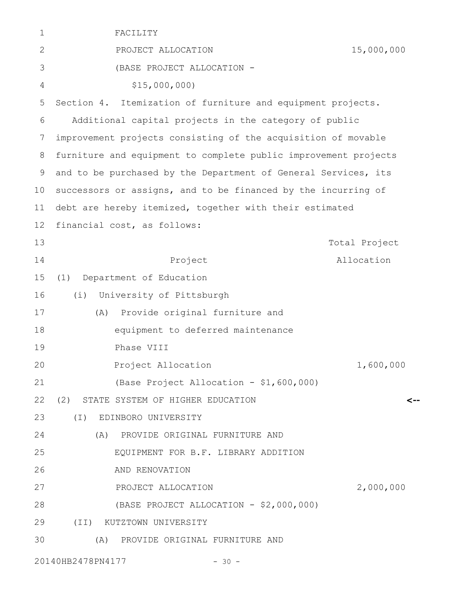| $\mathbf 1$  | FACILITY                                                        |               |
|--------------|-----------------------------------------------------------------|---------------|
| $\mathbf{2}$ | PROJECT ALLOCATION                                              | 15,000,000    |
| 3            | (BASE PROJECT ALLOCATION -                                      |               |
| 4            | \$15,000,000                                                    |               |
| 5            | Section 4. Itemization of furniture and equipment projects.     |               |
| 6            | Additional capital projects in the category of public           |               |
| 7            | improvement projects consisting of the acquisition of movable   |               |
| 8            | furniture and equipment to complete public improvement projects |               |
| 9            | and to be purchased by the Department of General Services, its  |               |
| 10           | successors or assigns, and to be financed by the incurring of   |               |
| 11           | debt are hereby itemized, together with their estimated         |               |
| 12           | financial cost, as follows:                                     |               |
| 13           |                                                                 | Total Project |
| 14           | Project                                                         | Allocation    |
| 15           | Department of Education<br>(1)                                  |               |
| 16           | University of Pittsburgh<br>(i)                                 |               |
| 17           | Provide original furniture and<br>(A)                           |               |
| 18           | equipment to deferred maintenance                               |               |
| 19           | Phase VIII                                                      |               |
| 20           | Project Allocation                                              | 1,600,000     |
| 21           | (Base Project Allocation - \$1,600,000)                         |               |
| 22           | (2) STATE SYSTEM OF HIGHER EDUCATION                            | <--           |
| 23           | (I) EDINBORO UNIVERSITY                                         |               |
| 24           | (A) PROVIDE ORIGINAL FURNITURE AND                              |               |
| 25           | EQUIPMENT FOR B.F. LIBRARY ADDITION                             |               |
| 26           | AND RENOVATION                                                  |               |
| 27           | PROJECT ALLOCATION                                              | 2,000,000     |
| 28           | (BASE PROJECT ALLOCATION - \$2,000,000)                         |               |
| 29           | (II) KUTZTOWN UNIVERSITY                                        |               |
| 30           | (A)<br>PROVIDE ORIGINAL FURNITURE AND                           |               |
|              | 20140HB2478PN4177<br>$-30 -$                                    |               |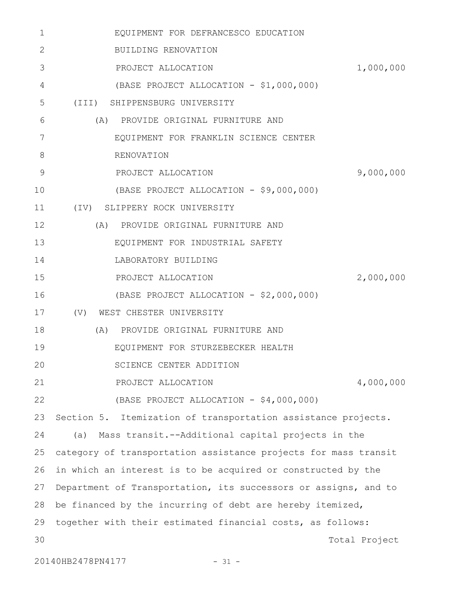| 1            | EQUIPMENT FOR DEFRANCESCO EDUCATION                             |  |
|--------------|-----------------------------------------------------------------|--|
| $\mathbf{2}$ | BUILDING RENOVATION                                             |  |
| 3            | PROJECT ALLOCATION<br>1,000,000                                 |  |
| 4            | (BASE PROJECT ALLOCATION - \$1,000,000)                         |  |
| 5            | (III) SHIPPENSBURG UNIVERSITY                                   |  |
| 6            | (A) PROVIDE ORIGINAL FURNITURE AND                              |  |
| 7            | EQUIPMENT FOR FRANKLIN SCIENCE CENTER                           |  |
| 8            | RENOVATION                                                      |  |
| 9            | 9,000,000<br>PROJECT ALLOCATION                                 |  |
| 10           | (BASE PROJECT ALLOCATION - \$9,000,000)                         |  |
| 11           | (IV) SLIPPERY ROCK UNIVERSITY                                   |  |
| 12           | (A)<br>PROVIDE ORIGINAL FURNITURE AND                           |  |
| 13           | EQUIPMENT FOR INDUSTRIAL SAFETY                                 |  |
| 14           | LABORATORY BUILDING                                             |  |
| 15           | 2,000,000<br>PROJECT ALLOCATION                                 |  |
| 16           | (BASE PROJECT ALLOCATION - \$2,000,000)                         |  |
| 17           | (V)<br>WEST CHESTER UNIVERSITY                                  |  |
| 18           | PROVIDE ORIGINAL FURNITURE AND<br>(A)                           |  |
| 19           | EQUIPMENT FOR STURZEBECKER HEALTH                               |  |
| 20           | SCIENCE CENTER ADDITION                                         |  |
| 21           | PROJECT ALLOCATION<br>4,000,000                                 |  |
| 22           | (BASE PROJECT ALLOCATION - \$4,000,000)                         |  |
| 23           | Section 5. Itemization of transportation assistance projects.   |  |
| 24           | Mass transit.--Additional capital projects in the<br>(a)        |  |
| 25           | category of transportation assistance projects for mass transit |  |
| 26           | in which an interest is to be acquired or constructed by the    |  |
| 27           | Department of Transportation, its successors or assigns, and to |  |
| 28           | be financed by the incurring of debt are hereby itemized,       |  |
| 29           | together with their estimated financial costs, as follows:      |  |
| 30           | Total Project                                                   |  |
|              | 20140HB2478PN4177<br>$-31 -$                                    |  |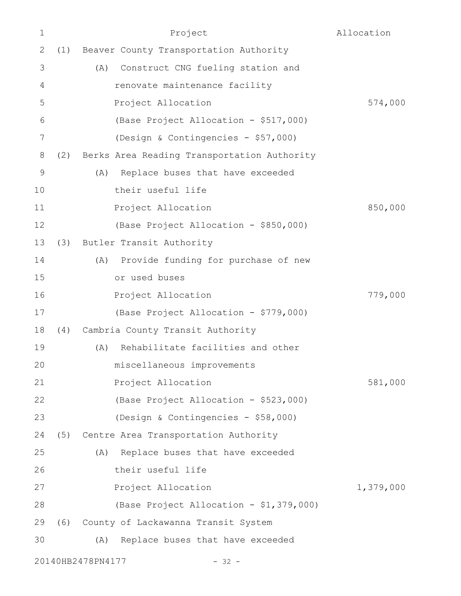| $\mathbf 1$  |     | Project                                     | Allocation |
|--------------|-----|---------------------------------------------|------------|
| $\mathbf{2}$ | (1) | Beaver County Transportation Authority      |            |
| 3            |     | Construct CNG fueling station and<br>(A)    |            |
| 4            |     | renovate maintenance facility               |            |
| 5            |     | Project Allocation                          | 574,000    |
| 6            |     | (Base Project Allocation - \$517,000)       |            |
| 7            |     | (Design & Contingencies - \$57,000)         |            |
| 8            | (2) | Berks Area Reading Transportation Authority |            |
| 9            |     | Replace buses that have exceeded<br>(A)     |            |
| 10           |     | their useful life                           |            |
| 11           |     | Project Allocation                          | 850,000    |
| 12           |     | (Base Project Allocation - \$850,000)       |            |
| 13           | (3) | Butler Transit Authority                    |            |
| 14           |     | (A) Provide funding for purchase of new     |            |
| 15           |     | or used buses                               |            |
| 16           |     | Project Allocation                          | 779,000    |
| 17           |     | (Base Project Allocation - \$779,000)       |            |
| 18           | (4) | Cambria County Transit Authority            |            |
| 19           |     | Rehabilitate facilities and other<br>(A)    |            |
| 20           |     | miscellaneous improvements                  |            |
| 21           |     | Project Allocation                          | 581,000    |
| 22           |     | (Base Project Allocation - \$523,000)       |            |
| 23           |     | (Design & Contingencies - \$58,000)         |            |
| 24           | (5) | Centre Area Transportation Authority        |            |
| 25           |     | Replace buses that have exceeded<br>(A)     |            |
| 26           |     | their useful life                           |            |
| 27           |     | Project Allocation                          | 1,379,000  |
| 28           |     | (Base Project Allocation - \$1,379,000)     |            |
| 29           |     | (6) County of Lackawanna Transit System     |            |
| 30           |     | Replace buses that have exceeded<br>(A)     |            |
|              |     | 20140HB2478PN4177<br>$-32 -$                |            |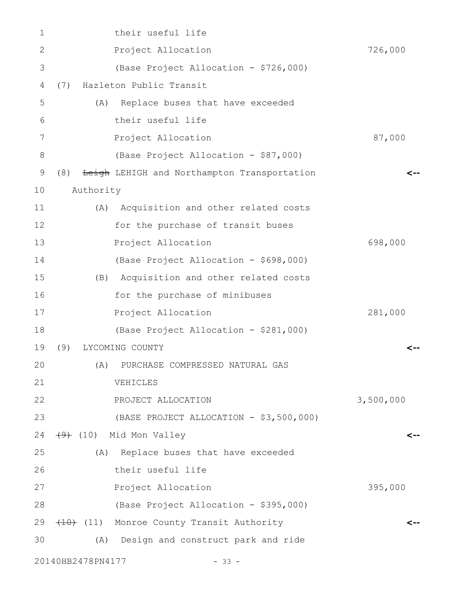| $\mathbf 1$  |                   | their useful life                           |           |
|--------------|-------------------|---------------------------------------------|-----------|
| $\mathbf{2}$ |                   | Project Allocation                          | 726,000   |
| 3            |                   | (Base Project Allocation - \$726,000)       |           |
| 4            | (7)               | Hazleton Public Transit                     |           |
| 5            |                   | Replace buses that have exceeded<br>(A)     |           |
| 6            |                   | their useful life                           |           |
| 7            |                   | Project Allocation                          | 87,000    |
| $8\,$        |                   | (Base Project Allocation - \$87,000)        |           |
| 9            | (8)               | Leigh LEHIGH and Northampton Transportation | <--       |
| 10           | Authority         |                                             |           |
| 11           |                   | (A) Acquisition and other related costs     |           |
| 12           |                   | for the purchase of transit buses           |           |
| 13           |                   | Project Allocation                          | 698,000   |
| 14           |                   | (Base Project Allocation - \$698,000)       |           |
| 15           |                   | (B) Acquisition and other related costs     |           |
| 16           |                   | for the purchase of minibuses               |           |
| 17           |                   | Project Allocation                          | 281,000   |
| 18           |                   | (Base Project Allocation - \$281,000)       |           |
| 19           | (9)               | LYCOMING COUNTY                             |           |
| 20           |                   | (A) PURCHASE COMPRESSED NATURAL GAS         |           |
| 21           |                   | VEHICLES                                    |           |
| 22           |                   | PROJECT ALLOCATION                          | 3,500,000 |
| 23           |                   | (BASE PROJECT ALLOCATION - \$3,500,000)     |           |
| 24           |                   | $(10)$ Mid Mon Valley                       | <--       |
| 25           |                   | (A) Replace buses that have exceeded        |           |
| 26           |                   | their useful life                           |           |
| 27           |                   | Project Allocation                          | 395,000   |
| 28           |                   | (Base Project Allocation - \$395,000)       |           |
| 29           |                   | (10) (11) Monroe County Transit Authority   |           |
| 30           |                   | (A)<br>Design and construct park and ride   |           |
|              | 20140HB2478PN4177 | $-33 -$                                     |           |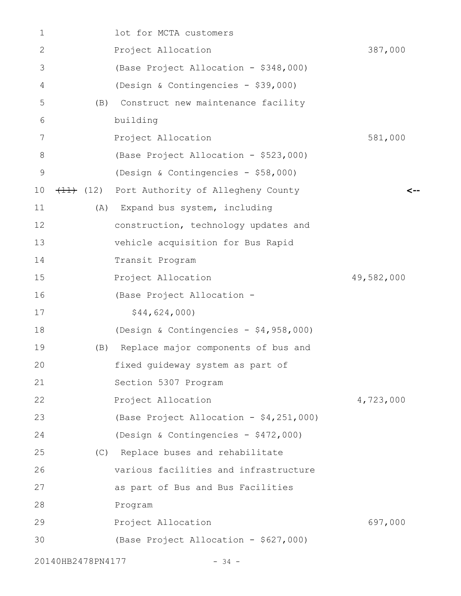| 1  |                   | lot for MCTA customers                  |            |
|----|-------------------|-----------------------------------------|------------|
| 2  |                   | Project Allocation                      | 387,000    |
| 3  |                   | (Base Project Allocation - \$348,000)   |            |
| 4  |                   | (Design & Contingencies - \$39,000)     |            |
| 5  | (B)               | Construct new maintenance facility      |            |
| 6  |                   | building                                |            |
| 7  |                   | Project Allocation                      | 581,000    |
| 8  |                   | (Base Project Allocation - \$523,000)   |            |
| 9  |                   | (Design & Contingencies - \$58,000)     |            |
| 10 |                   | (12) Port Authority of Allegheny County |            |
| 11 | (A)               | Expand bus system, including            |            |
| 12 |                   | construction, technology updates and    |            |
| 13 |                   | vehicle acquisition for Bus Rapid       |            |
| 14 |                   | Transit Program                         |            |
| 15 |                   | Project Allocation                      | 49,582,000 |
| 16 |                   | (Base Project Allocation -              |            |
| 17 |                   | \$44,624,000                            |            |
| 18 |                   | (Design & Contingencies - \$4,958,000)  |            |
| 19 | (B)               | Replace major components of bus and     |            |
| 20 |                   | fixed guideway system as part of        |            |
| 21 |                   | Section 5307 Program                    |            |
| 22 |                   | Project Allocation                      | 4,723,000  |
| 23 |                   | (Base Project Allocation - \$4,251,000) |            |
| 24 |                   | (Design & Contingencies - \$472,000)    |            |
| 25 |                   | (C) Replace buses and rehabilitate      |            |
| 26 |                   | various facilities and infrastructure   |            |
| 27 |                   | as part of Bus and Bus Facilities       |            |
| 28 |                   | Program                                 |            |
| 29 |                   | Project Allocation                      | 697,000    |
| 30 |                   | (Base Project Allocation - \$627,000)   |            |
|    | 20140HB2478PN4177 | $-34 -$                                 |            |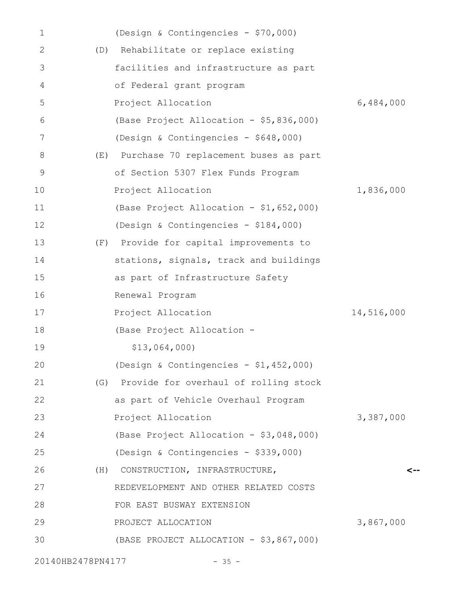| 1             |     | (Design & Contingencies - \$70,000)       |            |
|---------------|-----|-------------------------------------------|------------|
| 2             | (D) | Rehabilitate or replace existing          |            |
| 3             |     | facilities and infrastructure as part     |            |
| 4             |     | of Federal grant program                  |            |
| 5             |     | Project Allocation                        | 6,484,000  |
| 6             |     | (Base Project Allocation - \$5,836,000)   |            |
| 7             |     | (Design & Contingencies - \$648,000)      |            |
| 8             | (E) | Purchase 70 replacement buses as part     |            |
| $\mathcal{G}$ |     | of Section 5307 Flex Funds Program        |            |
| 10            |     | Project Allocation                        | 1,836,000  |
| 11            |     | (Base Project Allocation - \$1,652,000)   |            |
| 12            |     | (Design & Contingencies - \$184,000)      |            |
| 13            |     | (F) Provide for capital improvements to   |            |
| 14            |     | stations, signals, track and buildings    |            |
| 15            |     | as part of Infrastructure Safety          |            |
| 16            |     | Renewal Program                           |            |
| 17            |     | Project Allocation                        | 14,516,000 |
| 18            |     | (Base Project Allocation -                |            |
| 19            |     | \$13,064,000                              |            |
| 20            |     | (Design & Contingencies - \$1,452,000)    |            |
| 21            |     | (G) Provide for overhaul of rolling stock |            |
| 22            |     | as part of Vehicle Overhaul Program       |            |
| 23            |     | Project Allocation                        | 3,387,000  |
| 24            |     | (Base Project Allocation - \$3,048,000)   |            |
| 25            |     | (Design & Contingencies - \$339,000)      |            |
| 26            |     | (H) CONSTRUCTION, INFRASTRUCTURE,         |            |
| 27            |     | REDEVELOPMENT AND OTHER RELATED COSTS     |            |
| 28            |     | FOR EAST BUSWAY EXTENSION                 |            |
| 29            |     | PROJECT ALLOCATION                        | 3,867,000  |
| 30            |     | (BASE PROJECT ALLOCATION - \$3,867,000)   |            |
|               |     |                                           |            |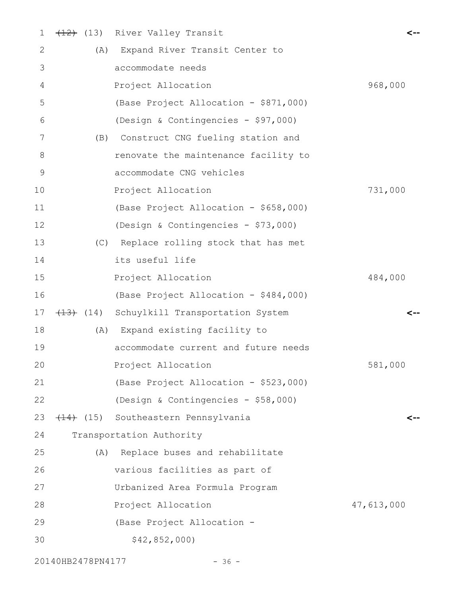| $\mathbf 1$ |     | (13) River Valley Transit              | <--        |
|-------------|-----|----------------------------------------|------------|
| 2           |     | (A) Expand River Transit Center to     |            |
| 3           |     | accommodate needs                      |            |
| 4           |     | Project Allocation                     | 968,000    |
| 5           |     | (Base Project Allocation - \$871,000)  |            |
| 6           |     | (Design & Contingencies - \$97,000)    |            |
| 7           |     | (B) Construct CNG fueling station and  |            |
| 8           |     | renovate the maintenance facility to   |            |
| $\mathsf 9$ |     | accommodate CNG vehicles               |            |
| 10          |     | Project Allocation                     | 731,000    |
| 11          |     | (Base Project Allocation - \$658,000)  |            |
| 12          |     | (Design & Contingencies - \$73,000)    |            |
| 13          |     | (C) Replace rolling stock that has met |            |
| 14          |     | its useful life                        |            |
| 15          |     | Project Allocation                     | 484,000    |
| 16          |     | (Base Project Allocation - \$484,000)  |            |
| 17          |     | (14) Schuylkill Transportation System  |            |
| 18          |     | (A) Expand existing facility to        |            |
| 19          |     | accommodate current and future needs   |            |
| 20          |     | Project Allocation                     | 581,000    |
| 21          |     | (Base Project Allocation - \$523,000)  |            |
| 22          |     | (Design & Contingencies - \$58,000)    |            |
| 23          |     | (14) (15) Southeastern Pennsylvania    | <--        |
| 24          |     | Transportation Authority               |            |
| 25          | (A) | Replace buses and rehabilitate         |            |
| 26          |     | various facilities as part of          |            |
| 27          |     | Urbanized Area Formula Program         |            |
| 28          |     | Project Allocation                     | 47,613,000 |
| 29          |     | (Base Project Allocation -             |            |
| 30          |     | \$42,852,000)                          |            |
|             |     |                                        |            |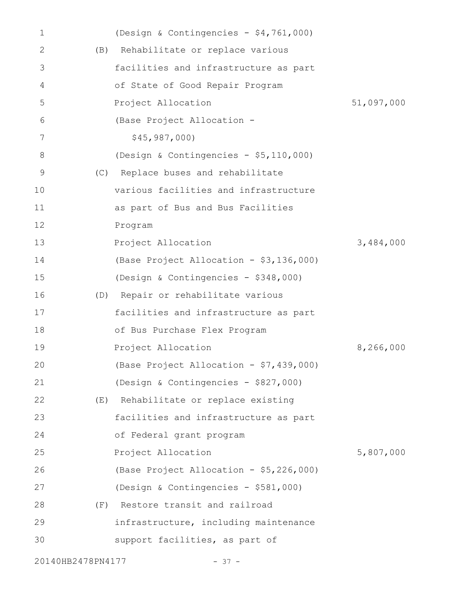| 1                 |     | (Design & Contingencies - \$4,761,000)  |            |
|-------------------|-----|-----------------------------------------|------------|
| 2                 | (B) | Rehabilitate or replace various         |            |
| 3                 |     | facilities and infrastructure as part   |            |
| 4                 |     | of State of Good Repair Program         |            |
| 5                 |     | Project Allocation                      | 51,097,000 |
| 6                 |     | (Base Project Allocation -              |            |
| 7                 |     | \$45, 987, 000)                         |            |
| 8                 |     | (Design & Contingencies - \$5,110,000)  |            |
| 9                 | (C) | Replace buses and rehabilitate          |            |
| 10                |     | various facilities and infrastructure   |            |
| 11                |     | as part of Bus and Bus Facilities       |            |
| 12                |     | Program                                 |            |
| 13                |     | Project Allocation                      | 3,484,000  |
| 14                |     | (Base Project Allocation - \$3,136,000) |            |
| 15                |     | (Design & Contingencies - \$348,000)    |            |
| 16                |     | (D) Repair or rehabilitate various      |            |
| 17                |     | facilities and infrastructure as part   |            |
| 18                |     | of Bus Purchase Flex Program            |            |
| 19                |     | Project Allocation                      | 8,266,000  |
| 20                |     | (Base Project Allocation - \$7,439,000) |            |
| 21                |     | (Design & Contingencies - \$827,000)    |            |
| 22                |     | (E) Rehabilitate or replace existing    |            |
| 23                |     | facilities and infrastructure as part   |            |
| 24                |     | of Federal grant program                |            |
| 25                |     | Project Allocation                      | 5,807,000  |
| 26                |     | (Base Project Allocation - \$5,226,000) |            |
| 27                |     | (Design & Contingencies - \$581,000)    |            |
| 28                |     | (F) Restore transit and railroad        |            |
| 29                |     | infrastructure, including maintenance   |            |
| 30                |     | support facilities, as part of          |            |
| 20140HB2478PN4177 |     | $-37 -$                                 |            |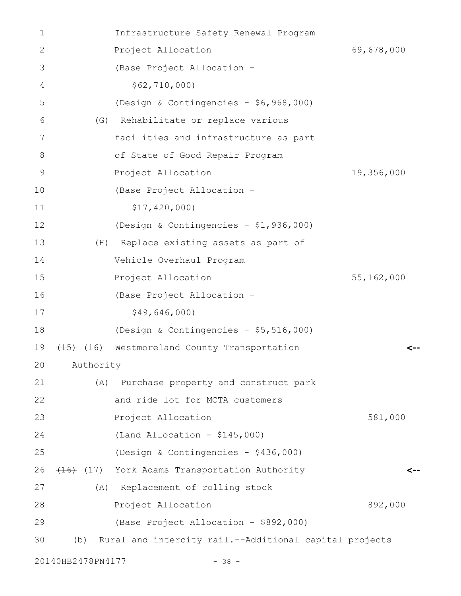| $\mathbf{1}$ |                   | Infrastructure Safety Renewal Program                  |              |
|--------------|-------------------|--------------------------------------------------------|--------------|
| 2            |                   | Project Allocation                                     | 69,678,000   |
| 3            |                   | (Base Project Allocation -                             |              |
| 4            |                   | \$62, 710, 000)                                        |              |
| 5            |                   | (Design & Contingencies - \$6,968,000)                 |              |
| 6            | (G)               | Rehabilitate or replace various                        |              |
| 7            |                   | facilities and infrastructure as part                  |              |
| 8            |                   | of State of Good Repair Program                        |              |
| 9            |                   | Project Allocation                                     | 19,356,000   |
| 10           |                   | (Base Project Allocation -                             |              |
| 11           |                   | \$17,420,000                                           |              |
| 12           |                   | (Design & Contingencies - \$1,936,000)                 |              |
| 13           | (H)               | Replace existing assets as part of                     |              |
| 14           |                   | Vehicle Overhaul Program                               |              |
| 15           |                   | Project Allocation                                     | 55, 162, 000 |
| 16           |                   | (Base Project Allocation -                             |              |
| 17           |                   | \$49,646,000                                           |              |
| 18           |                   | (Design & Contingencies - \$5,516,000)                 |              |
| 19           |                   | (15) Westmoreland County Transportation                | <--          |
| 20           | Authority         |                                                        |              |
| 21           | (A)               | Purchase property and construct park                   |              |
| 22           |                   | and ride lot for MCTA customers                        |              |
| 23           |                   | Project Allocation                                     | 581,000      |
| 24           |                   | $(Land$ Allocation - \$145,000)                        |              |
| 25           |                   | (Design & Contingencies - \$436,000)                   |              |
| 26           |                   | (16) (17) York Adams Transportation Authority          |              |
| 27           |                   | (A) Replacement of rolling stock                       |              |
| 28           |                   | Project Allocation                                     | 892,000      |
| 29           |                   | (Base Project Allocation - \$892,000)                  |              |
| 30           | (b)               | Rural and intercity rail.--Additional capital projects |              |
|              | 20140HB2478PN4177 | $-38 -$                                                |              |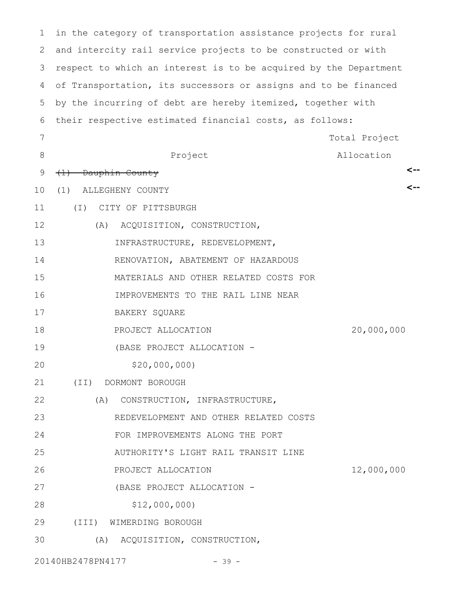in the category of transportation assistance projects for rural and intercity rail service projects to be constructed or with 3 respect to which an interest is to be acquired by the Department of Transportation, its successors or assigns and to be financed by the incurring of debt are hereby itemized, together with their respective estimated financial costs, as follows: Project Total Project Allocation (1) Dauphin County (1) ALLEGHENY COUNTY (I) CITY OF PITTSBURGH (A) ACQUISITION, CONSTRUCTION, INFRASTRUCTURE, REDEVELOPMENT, RENOVATION, ABATEMENT OF HAZARDOUS MATERIALS AND OTHER RELATED COSTS FOR IMPROVEMENTS TO THE RAIL LINE NEAR BAKERY SQUARE PROJECT ALLOCATION 20,000,000 (BASE PROJECT ALLOCATION - \$20,000,000) (II) DORMONT BOROUGH (A) CONSTRUCTION, INFRASTRUCTURE, REDEVELOPMENT AND OTHER RELATED COSTS FOR IMPROVEMENTS ALONG THE PORT AUTHORITY'S LIGHT RAIL TRANSIT LINE PROJECT ALLOCATION 12,000,000 (BASE PROJECT ALLOCATION - \$12,000,000) (III) WIMERDING BOROUGH (A) ACQUISITION, CONSTRUCTION, **<-- <--** 1 2 4 5 6 7 8 9 10 11 12 13 14 15 16 17 18 19 20 21 22 23 24 25 26 27 28 29 30

20140HB2478PN4177 - 39 -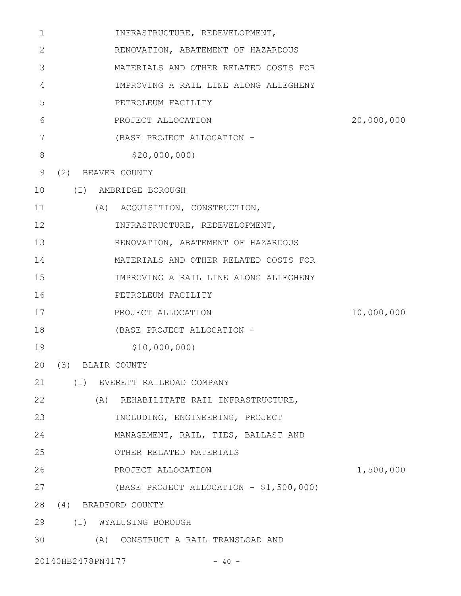| 1  | INFRASTRUCTURE, REDEVELOPMENT,          |            |
|----|-----------------------------------------|------------|
| 2  | RENOVATION, ABATEMENT OF HAZARDOUS      |            |
| 3  | MATERIALS AND OTHER RELATED COSTS FOR   |            |
| 4  | IMPROVING A RAIL LINE ALONG ALLEGHENY   |            |
| 5  | PETROLEUM FACILITY                      |            |
| 6  | PROJECT ALLOCATION                      | 20,000,000 |
| 7  | (BASE PROJECT ALLOCATION -              |            |
| 8  | \$20,000,000                            |            |
| 9  | (2) BEAVER COUNTY                       |            |
| 10 | (I) AMBRIDGE BOROUGH                    |            |
| 11 | (A) ACQUISITION, CONSTRUCTION,          |            |
| 12 | INFRASTRUCTURE, REDEVELOPMENT,          |            |
| 13 | RENOVATION, ABATEMENT OF HAZARDOUS      |            |
| 14 | MATERIALS AND OTHER RELATED COSTS FOR   |            |
| 15 | IMPROVING A RAIL LINE ALONG ALLEGHENY   |            |
| 16 | PETROLEUM FACILITY                      |            |
| 17 | PROJECT ALLOCATION                      | 10,000,000 |
| 18 | (BASE PROJECT ALLOCATION -              |            |
| 19 | \$10,000,000                            |            |
|    | 20 (3) BLAIR COUNTY                     |            |
| 21 | (I) EVERETT RAILROAD COMPANY            |            |
| 22 | (A) REHABILITATE RAIL INFRASTRUCTURE,   |            |
| 23 | INCLUDING, ENGINEERING, PROJECT         |            |
| 24 | MANAGEMENT, RAIL, TIES, BALLAST AND     |            |
| 25 | OTHER RELATED MATERIALS                 |            |
| 26 | PROJECT ALLOCATION                      | 1,500,000  |
| 27 | (BASE PROJECT ALLOCATION - \$1,500,000) |            |
| 28 | (4) BRADFORD COUNTY                     |            |
| 29 | (I) WYALUSING BOROUGH                   |            |
| 30 | (A) CONSTRUCT A RAIL TRANSLOAD AND      |            |
|    |                                         |            |

20140HB2478PN4177 - 40 -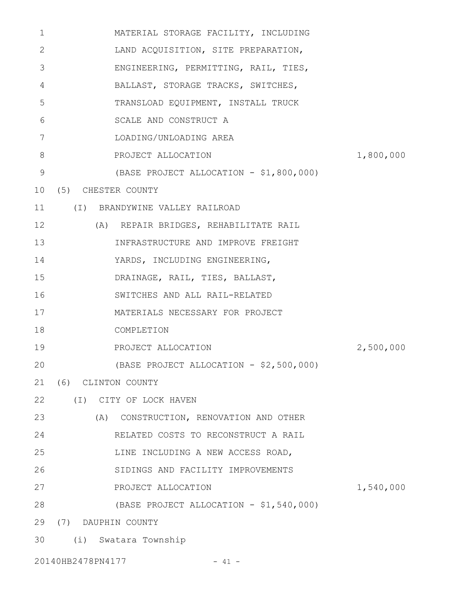| 1               | MATERIAL STORAGE FACILITY, INCLUDING    |           |
|-----------------|-----------------------------------------|-----------|
| 2               | LAND ACQUISITION, SITE PREPARATION,     |           |
| 3               | ENGINEERING, PERMITTING, RAIL, TIES,    |           |
| 4               | BALLAST, STORAGE TRACKS, SWITCHES,      |           |
| 5               | TRANSLOAD EQUIPMENT, INSTALL TRUCK      |           |
| 6               | SCALE AND CONSTRUCT A                   |           |
| 7               | LOADING/UNLOADING AREA                  |           |
| 8               | PROJECT ALLOCATION                      | 1,800,000 |
| 9               | (BASE PROJECT ALLOCATION - \$1,800,000) |           |
| 10 <sub>o</sub> | (5) CHESTER COUNTY                      |           |
| 11              | (I) BRANDYWINE VALLEY RAILROAD          |           |
| 12              | (A) REPAIR BRIDGES, REHABILITATE RAIL   |           |
| 13              | INFRASTRUCTURE AND IMPROVE FREIGHT      |           |
| 14              | YARDS, INCLUDING ENGINEERING,           |           |
| 15              | DRAINAGE, RAIL, TIES, BALLAST,          |           |
| 16              | SWITCHES AND ALL RAIL-RELATED           |           |
| 17              | MATERIALS NECESSARY FOR PROJECT         |           |
| 18              | COMPLETION                              |           |
| 19              | PROJECT ALLOCATION                      | 2,500,000 |
| 20              | (BASE PROJECT ALLOCATION - \$2,500,000) |           |
| 21              | (6) CLINTON COUNTY                      |           |
| 22              | (I) CITY OF LOCK HAVEN                  |           |
| 23              | (A) CONSTRUCTION, RENOVATION AND OTHER  |           |
| 24              | RELATED COSTS TO RECONSTRUCT A RAIL     |           |
| 25              | LINE INCLUDING A NEW ACCESS ROAD,       |           |
| 26              | SIDINGS AND FACILITY IMPROVEMENTS       |           |
| 27              | PROJECT ALLOCATION                      | 1,540,000 |
| 28              | (BASE PROJECT ALLOCATION - \$1,540,000) |           |
| 29              | (7) DAUPHIN COUNTY                      |           |
| 30              | (i) Swatara Township                    |           |

20140HB2478PN4177 - 41 -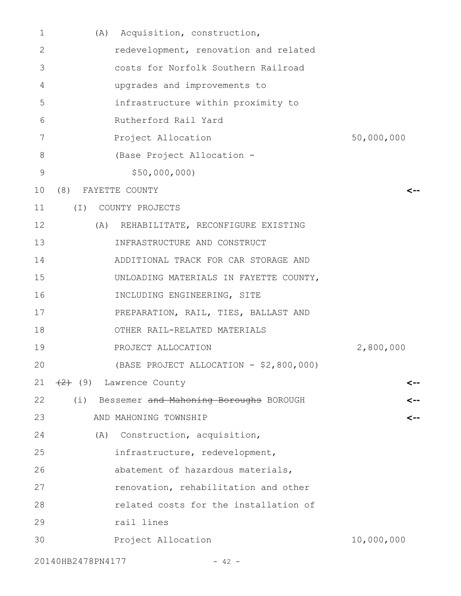| 1  | (A) Acquisition, construction,                 |            |
|----|------------------------------------------------|------------|
| 2  | redevelopment, renovation and related          |            |
| 3  | costs for Norfolk Southern Railroad            |            |
| 4  | upgrades and improvements to                   |            |
| 5  | infrastructure within proximity to             |            |
| 6  | Rutherford Rail Yard                           |            |
| 7  | Project Allocation                             | 50,000,000 |
| 8  | (Base Project Allocation -                     |            |
| 9  | \$50,000,000                                   |            |
| 10 | (8)<br>FAYETTE COUNTY                          | <--        |
| 11 | $(\top)$<br>COUNTY PROJECTS                    |            |
| 12 | (A) REHABILITATE, RECONFIGURE EXISTING         |            |
| 13 | INFRASTRUCTURE AND CONSTRUCT                   |            |
| 14 | ADDITIONAL TRACK FOR CAR STORAGE AND           |            |
| 15 | UNLOADING MATERIALS IN FAYETTE COUNTY,         |            |
| 16 | INCLUDING ENGINEERING, SITE                    |            |
| 17 | PREPARATION, RAIL, TIES, BALLAST AND           |            |
| 18 | OTHER RAIL-RELATED MATERIALS                   |            |
| 19 | PROJECT ALLOCATION                             | 2,800,000  |
| 20 | (BASE PROJECT ALLOCATION - \$2,800,000)        |            |
| 21 | $\left(\frac{2}{2}\right)$ (9) Lawrence County | <--        |
| 22 | (i) Bessemer and Mahoning Boroughs BOROUGH     | <--        |
| 23 | AND MAHONING TOWNSHIP                          | <--        |
| 24 | (A) Construction, acquisition,                 |            |
| 25 | infrastructure, redevelopment,                 |            |
| 26 | abatement of hazardous materials,              |            |
| 27 | renovation, rehabilitation and other           |            |
| 28 | related costs for the installation of          |            |
| 29 | rail lines                                     |            |
| 30 | Project Allocation                             | 10,000,000 |
|    | 20140HB2478PN4177<br>$-42 -$                   |            |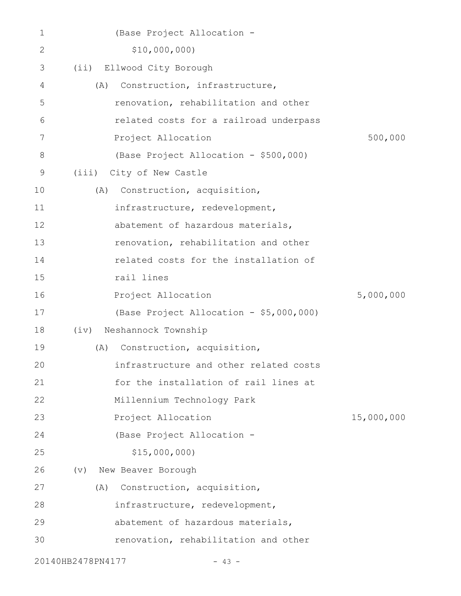| 1  | (Base Project Allocation -              |            |
|----|-----------------------------------------|------------|
| 2  | \$10,000,000                            |            |
| 3  | Ellwood City Borough<br>(iii)           |            |
| 4  | Construction, infrastructure,<br>(A)    |            |
| 5  | renovation, rehabilitation and other    |            |
| 6  | related costs for a railroad underpass  |            |
| 7  | Project Allocation                      | 500,000    |
| 8  | (Base Project Allocation - \$500,000)   |            |
| 9  | City of New Castle<br>(iii)             |            |
| 10 | Construction, acquisition,<br>(A)       |            |
| 11 | infrastructure, redevelopment,          |            |
| 12 | abatement of hazardous materials,       |            |
| 13 | renovation, rehabilitation and other    |            |
| 14 | related costs for the installation of   |            |
| 15 | rail lines                              |            |
| 16 | Project Allocation                      | 5,000,000  |
| 17 | (Base Project Allocation - \$5,000,000) |            |
| 18 | Neshannock Township<br>(iv)             |            |
| 19 | Construction, acquisition,<br>(A)       |            |
| 20 | infrastructure and other related costs  |            |
| 21 | for the installation of rail lines at   |            |
| 22 | Millennium Technology Park              |            |
| 23 | Project Allocation                      | 15,000,000 |
| 24 | (Base Project Allocation -              |            |
| 25 | \$15,000,000                            |            |
| 26 | New Beaver Borough<br>(v)               |            |
| 27 | Construction, acquisition,<br>(A)       |            |
| 28 | infrastructure, redevelopment,          |            |
| 29 | abatement of hazardous materials,       |            |
| 30 | renovation, rehabilitation and other    |            |
|    | 20140HB2478PN4177<br>$-43 -$            |            |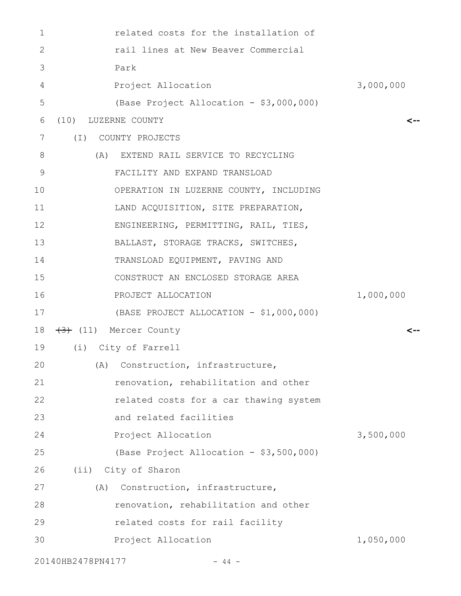| 1                 | related costs for the installation of   |           |
|-------------------|-----------------------------------------|-----------|
| 2                 | rail lines at New Beaver Commercial     |           |
| 3                 | Park                                    |           |
| 4                 | Project Allocation                      | 3,000,000 |
| 5                 | (Base Project Allocation - \$3,000,000) |           |
| 6                 | (10) LUZERNE COUNTY                     |           |
| 7<br>$(\top)$     | COUNTY PROJECTS                         |           |
| 8                 | (A) EXTEND RAIL SERVICE TO RECYCLING    |           |
| 9                 | FACILITY AND EXPAND TRANSLOAD           |           |
| 10                | OPERATION IN LUZERNE COUNTY, INCLUDING  |           |
| 11                | LAND ACQUISITION, SITE PREPARATION,     |           |
| 12                | ENGINEERING, PERMITTING, RAIL, TIES,    |           |
| 13                | BALLAST, STORAGE TRACKS, SWITCHES,      |           |
| 14                | TRANSLOAD EQUIPMENT, PAVING AND         |           |
| 15                | CONSTRUCT AN ENCLOSED STORAGE AREA      |           |
| 16                | PROJECT ALLOCATION                      | 1,000,000 |
| 17                | (BASE PROJECT ALLOCATION - \$1,000,000) |           |
| 18                | (11) Mercer County                      | -->       |
| 19                | (i) City of Farrell                     |           |
| 20                | (A) Construction, infrastructure,       |           |
| 21                | renovation, rehabilitation and other    |           |
| 22                | related costs for a car thawing system  |           |
| 23                | and related facilities                  |           |
| 24                | Project Allocation                      | 3,500,000 |
| 25                | (Base Project Allocation - \$3,500,000) |           |
| 26                | (ii) City of Sharon                     |           |
| 27<br>(A)         | Construction, infrastructure,           |           |
| 28                | renovation, rehabilitation and other    |           |
| 29                | related costs for rail facility         |           |
| 30                | Project Allocation                      | 1,050,000 |
| 20140HB2478PN4177 | - 44 -                                  |           |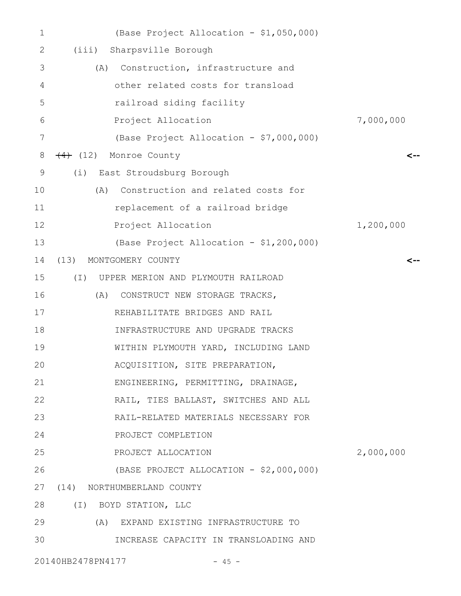| 1  | (Base Project Allocation - \$1,050,000)        |           |
|----|------------------------------------------------|-----------|
| 2  | Sharpsville Borough<br>(iii)                   |           |
| 3  | Construction, infrastructure and<br>(A)        |           |
| 4  | other related costs for transload              |           |
| 5  | railroad siding facility                       |           |
| 6  | Project Allocation                             | 7,000,000 |
| 7  | (Base Project Allocation - \$7,000,000)        |           |
| 8  | $\overline{4}$ (12) Monroe County              |           |
| 9  | East Stroudsburg Borough<br>(i)                |           |
| 10 | Construction and related costs for<br>(A)      |           |
| 11 | replacement of a railroad bridge               |           |
| 12 | Project Allocation                             | 1,200,000 |
| 13 | (Base Project Allocation - \$1,200,000)        |           |
| 14 | (13) MONTGOMERY COUNTY                         | <--       |
| 15 | $(\top)$<br>UPPER MERION AND PLYMOUTH RAILROAD |           |
| 16 | (A)<br>CONSTRUCT NEW STORAGE TRACKS,           |           |
| 17 | REHABILITATE BRIDGES AND RAIL                  |           |
| 18 | INFRASTRUCTURE AND UPGRADE TRACKS              |           |
| 19 | WITHIN PLYMOUTH YARD, INCLUDING LAND           |           |
| 20 | ACQUISITION, SITE PREPARATION,                 |           |
| 21 | ENGINEERING, PERMITTING, DRAINAGE,             |           |
| 22 | RAIL, TIES BALLAST, SWITCHES AND ALL           |           |
| 23 | RAIL-RELATED MATERIALS NECESSARY FOR           |           |
| 24 | PROJECT COMPLETION                             |           |
| 25 | PROJECT ALLOCATION                             | 2,000,000 |
| 26 | (BASE PROJECT ALLOCATION - \$2,000,000)        |           |
| 27 | (14) NORTHUMBERLAND COUNTY                     |           |
| 28 | (I) BOYD STATION, LLC                          |           |
| 29 | (A) EXPAND EXISTING INFRASTRUCTURE TO          |           |
| 30 | INCREASE CAPACITY IN TRANSLOADING AND          |           |
|    | 20140HB2478PN4177<br>$-45 -$                   |           |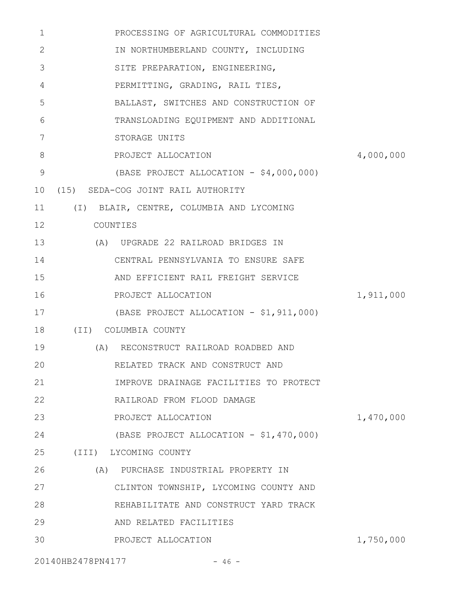| 1            | PROCESSING OF AGRICULTURAL COMMODITIES   |           |
|--------------|------------------------------------------|-----------|
| $\mathbf{2}$ | IN NORTHUMBERLAND COUNTY, INCLUDING      |           |
| 3            | SITE PREPARATION, ENGINEERING,           |           |
| 4            | PERMITTING, GRADING, RAIL TIES,          |           |
| 5            | BALLAST, SWITCHES AND CONSTRUCTION OF    |           |
| 6            | TRANSLOADING EQUIPMENT AND ADDITIONAL    |           |
| 7            | STORAGE UNITS                            |           |
| 8            | PROJECT ALLOCATION                       | 4,000,000 |
| 9            | (BASE PROJECT ALLOCATION - \$4,000,000)  |           |
| 10           | (15) SEDA-COG JOINT RAIL AUTHORITY       |           |
| 11           | (I) BLAIR, CENTRE, COLUMBIA AND LYCOMING |           |
| 12           | COUNTIES                                 |           |
| 13           | (A) UPGRADE 22 RAILROAD BRIDGES IN       |           |
| 14           | CENTRAL PENNSYLVANIA TO ENSURE SAFE      |           |
| 15           | AND EFFICIENT RAIL FREIGHT SERVICE       |           |
| 16           | PROJECT ALLOCATION                       | 1,911,000 |
| 17           | (BASE PROJECT ALLOCATION - \$1,911,000)  |           |
| 18           | (II) COLUMBIA COUNTY                     |           |
| 19           | (A) RECONSTRUCT RAILROAD ROADBED AND     |           |
| 20           | RELATED TRACK AND CONSTRUCT AND          |           |
| 21           | IMPROVE DRAINAGE FACILITIES TO PROTECT   |           |
| 22           | RAILROAD FROM FLOOD DAMAGE               |           |
| 23           | PROJECT ALLOCATION                       | 1,470,000 |
| 24           | (BASE PROJECT ALLOCATION - \$1,470,000)  |           |
| 25           | (III) LYCOMING COUNTY                    |           |
| 26           | (A) PURCHASE INDUSTRIAL PROPERTY IN      |           |
| 27           | CLINTON TOWNSHIP, LYCOMING COUNTY AND    |           |
| 28           | REHABILITATE AND CONSTRUCT YARD TRACK    |           |
| 29           | AND RELATED FACILITIES                   |           |
| 30           | PROJECT ALLOCATION                       | 1,750,000 |
|              |                                          |           |

20140HB2478PN4177 - 46 -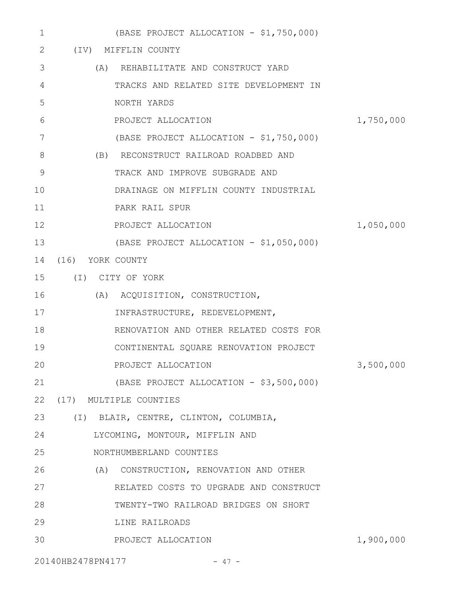| 1  | (BASE PROJECT ALLOCATION - \$1,750,000) |           |
|----|-----------------------------------------|-----------|
| 2  | (IV) MIFFLIN COUNTY                     |           |
| 3  | (A) REHABILITATE AND CONSTRUCT YARD     |           |
| 4  | TRACKS AND RELATED SITE DEVELOPMENT IN  |           |
| 5  | NORTH YARDS                             |           |
| 6  | PROJECT ALLOCATION                      | 1,750,000 |
| 7  | (BASE PROJECT ALLOCATION - \$1,750,000) |           |
| 8  | (B) RECONSTRUCT RAILROAD ROADBED AND    |           |
| 9  | TRACK AND IMPROVE SUBGRADE AND          |           |
| 10 | DRAINAGE ON MIFFLIN COUNTY INDUSTRIAL   |           |
| 11 | PARK RAIL SPUR                          |           |
| 12 | PROJECT ALLOCATION                      | 1,050,000 |
| 13 | (BASE PROJECT ALLOCATION - \$1,050,000) |           |
| 14 | (16) YORK COUNTY                        |           |
| 15 | (I) CITY OF YORK                        |           |
| 16 | (A) ACQUISITION, CONSTRUCTION,          |           |
| 17 | INFRASTRUCTURE, REDEVELOPMENT,          |           |
| 18 | RENOVATION AND OTHER RELATED COSTS FOR  |           |
| 19 | CONTINENTAL SQUARE RENOVATION PROJECT   |           |
| 20 | PROJECT ALLOCATION                      | 3,500,000 |
| 21 | (BASE PROJECT ALLOCATION - \$3,500,000) |           |
| 22 | (17) MULTIPLE COUNTIES                  |           |
| 23 | (I) BLAIR, CENTRE, CLINTON, COLUMBIA,   |           |
| 24 | LYCOMING, MONTOUR, MIFFLIN AND          |           |
| 25 | NORTHUMBERLAND COUNTIES                 |           |
| 26 | (A) CONSTRUCTION, RENOVATION AND OTHER  |           |
| 27 | RELATED COSTS TO UPGRADE AND CONSTRUCT  |           |
| 28 | TWENTY-TWO RAILROAD BRIDGES ON SHORT    |           |
| 29 | LINE RAILROADS                          |           |
| 30 | PROJECT ALLOCATION                      | 1,900,000 |
|    | 20140HB2478PN4177<br>$-47 -$            |           |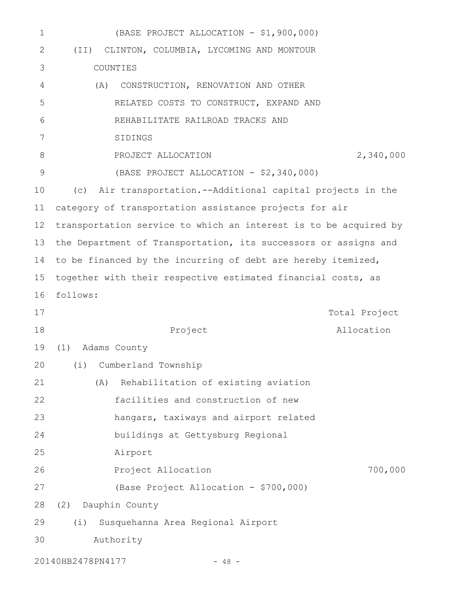| 1            | (BASE PROJECT ALLOCATION - \$1,900,000)                          |
|--------------|------------------------------------------------------------------|
| $\mathbf{2}$ | (II) CLINTON, COLUMBIA, LYCOMING AND MONTOUR                     |
| 3            | COUNTIES                                                         |
| 4            | (A)<br>CONSTRUCTION, RENOVATION AND OTHER                        |
| 5            | RELATED COSTS TO CONSTRUCT, EXPAND AND                           |
| 6            | REHABILITATE RAILROAD TRACKS AND                                 |
| 7            | SIDINGS                                                          |
| 8            | 2,340,000<br>PROJECT ALLOCATION                                  |
| $\mathsf 9$  | (BASE PROJECT ALLOCATION - \$2,340,000)                          |
| 10           | Air transportation.--Additional capital projects in the<br>(C)   |
| 11           | category of transportation assistance projects for air           |
| 12           | transportation service to which an interest is to be acquired by |
| 13           | the Department of Transportation, its successors or assigns and  |
| 14           | to be financed by the incurring of debt are hereby itemized,     |
| 15           | together with their respective estimated financial costs, as     |
| 16           | follows:                                                         |
| 17           | Total Project                                                    |
| 18           | Project<br>Allocation                                            |
| 19           | Adams County<br>(1)                                              |
|              | 20 (i) Cumberland Township                                       |
| 21           | Rehabilitation of existing aviation<br>(A)                       |
| 22           | facilities and construction of new                               |
| 23           | hangars, taxiways and airport related                            |
| 24           | buildings at Gettysburg Regional                                 |
| 25           | Airport                                                          |
| 26           | 700,000<br>Project Allocation                                    |
| 27           | (Base Project Allocation - \$700,000)                            |
| 28           | (2)<br>Dauphin County                                            |
| 29           | Susquehanna Area Regional Airport<br>(i)                         |
| 30           | Authority                                                        |
|              |                                                                  |

20140HB2478PN4177 - 48 -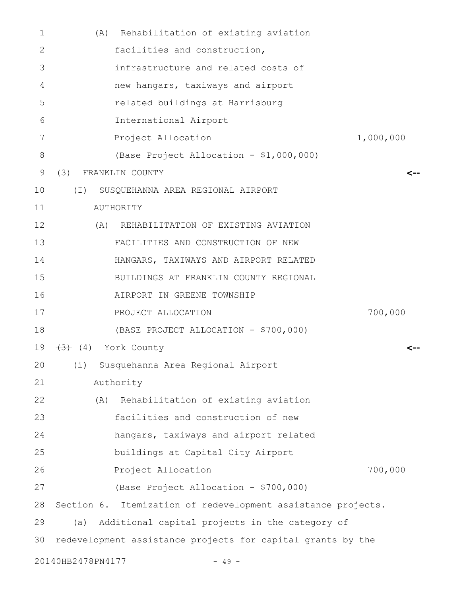| $\mathbf{1}$ |                   | Rehabilitation of existing aviation<br>(A)                   |           |
|--------------|-------------------|--------------------------------------------------------------|-----------|
| 2            |                   | facilities and construction,                                 |           |
| 3            |                   | infrastructure and related costs of                          |           |
| 4            |                   | new hangars, taxiways and airport                            |           |
| 5            |                   | related buildings at Harrisburg                              |           |
| 6            |                   | International Airport                                        |           |
| 7            |                   | Project Allocation                                           | 1,000,000 |
| 8            |                   | (Base Project Allocation - \$1,000,000)                      |           |
| 9            | (3)               | FRANKLIN COUNTY                                              | <--       |
| 10           | $(\top)$          | SUSQUEHANNA AREA REGIONAL AIRPORT                            |           |
| 11           |                   | AUTHORITY                                                    |           |
| 12           |                   | (A) REHABILITATION OF EXISTING AVIATION                      |           |
| 13           |                   | FACILITIES AND CONSTRUCTION OF NEW                           |           |
| 14           |                   | HANGARS, TAXIWAYS AND AIRPORT RELATED                        |           |
| 15           |                   | BUILDINGS AT FRANKLIN COUNTY REGIONAL                        |           |
| 16           |                   | AIRPORT IN GREENE TOWNSHIP                                   |           |
| 17           |                   | PROJECT ALLOCATION                                           | 700,000   |
| 18           |                   | (BASE PROJECT ALLOCATION - \$700,000)                        |           |
| 19           |                   | $(4)$ York County                                            |           |
| 20           |                   | (i) Susquehanna Area Regional Airport                        |           |
| 21           |                   | Authority                                                    |           |
| 22           |                   | Rehabilitation of existing aviation<br>(A)                   |           |
| 23           |                   | facilities and construction of new                           |           |
| 24           |                   | hangars, taxiways and airport related                        |           |
| 25           |                   | buildings at Capital City Airport                            |           |
| 26           |                   | Project Allocation                                           | 700,000   |
| 27           |                   | (Base Project Allocation - \$700,000)                        |           |
| 28           |                   | Section 6. Itemization of redevelopment assistance projects. |           |
| 29           | (a)               | Additional capital projects in the category of               |           |
| 30           |                   | redevelopment assistance projects for capital grants by the  |           |
|              | 20140HB2478PN4177 | $-49 -$                                                      |           |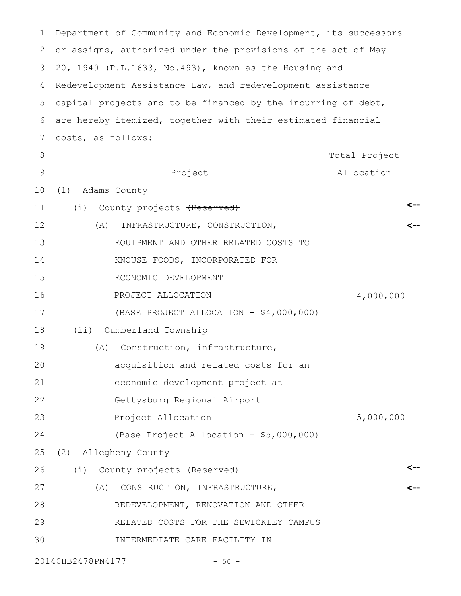| 1             | Department of Community and Economic Development, its successors |               |
|---------------|------------------------------------------------------------------|---------------|
| 2             | or assigns, authorized under the provisions of the act of May    |               |
| 3             | 20, 1949 (P.L.1633, No.493), known as the Housing and            |               |
| 4             | Redevelopment Assistance Law, and redevelopment assistance       |               |
| 5             | capital projects and to be financed by the incurring of debt,    |               |
| 6             | are hereby itemized, together with their estimated financial     |               |
| 7             | costs, as follows:                                               |               |
| 8             |                                                                  | Total Project |
| $\mathcal{G}$ | Project                                                          | Allocation    |
| 10            | (1)<br>Adams County                                              |               |
| 11            | (i) County projects (Reserved)                                   | <--           |
| 12            | INFRASTRUCTURE, CONSTRUCTION,<br>(A)                             |               |
| 13            | EQUIPMENT AND OTHER RELATED COSTS TO                             |               |
| 14            | KNOUSE FOODS, INCORPORATED FOR                                   |               |
| 15            | ECONOMIC DEVELOPMENT                                             |               |
| 16            | PROJECT ALLOCATION                                               | 4,000,000     |
| 17            | (BASE PROJECT ALLOCATION - \$4,000,000)                          |               |
| 18            | Cumberland Township<br>(i)                                       |               |
| 19            | Construction, infrastructure,<br>(A)                             |               |
| 20            | acquisition and related costs for an                             |               |
| 21            | economic development project at                                  |               |
| 22            | Gettysburg Regional Airport                                      |               |
| 23            | Project Allocation                                               | 5,000,000     |
| 24            | (Base Project Allocation - \$5,000,000)                          |               |
| 25            | (2) Allegheny County                                             |               |
| 26            | (i) County projects (Reserved)                                   |               |
| 27            | (A)<br>CONSTRUCTION, INFRASTRUCTURE,                             |               |
| 28            | REDEVELOPMENT, RENOVATION AND OTHER                              |               |
| 29            | RELATED COSTS FOR THE SEWICKLEY CAMPUS                           |               |
| 30            | INTERMEDIATE CARE FACILITY IN                                    |               |
|               | 20140HB2478PN4177<br>$-50 -$                                     |               |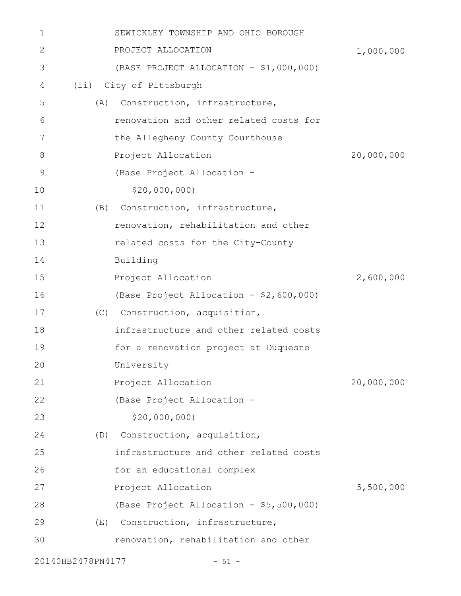| 1  | SEWICKLEY TOWNSHIP AND OHIO BOROUGH     |            |
|----|-----------------------------------------|------------|
| 2  | PROJECT ALLOCATION                      | 1,000,000  |
| 3  | (BASE PROJECT ALLOCATION - \$1,000,000) |            |
| 4  | (ii) City of Pittsburgh                 |            |
| 5  | Construction, infrastructure,<br>(A)    |            |
| 6  | renovation and other related costs for  |            |
| 7  | the Allegheny County Courthouse         |            |
| 8  | Project Allocation                      | 20,000,000 |
| 9  | (Base Project Allocation -              |            |
| 10 | \$20,000,000                            |            |
| 11 | Construction, infrastructure,<br>(B)    |            |
| 12 | renovation, rehabilitation and other    |            |
| 13 | related costs for the City-County       |            |
| 14 | Building                                |            |
| 15 | Project Allocation                      | 2,600,000  |
| 16 | (Base Project Allocation - \$2,600,000) |            |
| 17 | (C) Construction, acquisition,          |            |
| 18 | infrastructure and other related costs  |            |
| 19 | for a renovation project at Duquesne    |            |
| 20 | University                              |            |
| 21 | Project Allocation                      | 20,000,000 |
| 22 | (Base Project Allocation -              |            |
| 23 | \$20,000,000                            |            |
| 24 | Construction, acquisition,<br>(D)       |            |
| 25 | infrastructure and other related costs  |            |
| 26 | for an educational complex              |            |
| 27 | Project Allocation                      | 5,500,000  |
| 28 | (Base Project Allocation - \$5,500,000) |            |
| 29 | Construction, infrastructure,<br>(E)    |            |
| 30 | renovation, rehabilitation and other    |            |
|    | 20140HB2478PN4177<br>$-51 -$            |            |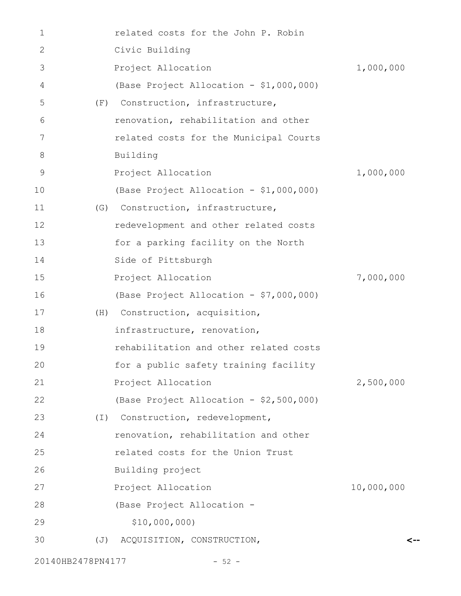| 1  |                  | related costs for the John P. Robin     |            |
|----|------------------|-----------------------------------------|------------|
| 2  |                  | Civic Building                          |            |
| 3  |                  | Project Allocation                      | 1,000,000  |
| 4  |                  | (Base Project Allocation - \$1,000,000) |            |
| 5  | (F)              | Construction, infrastructure,           |            |
| 6  |                  | renovation, rehabilitation and other    |            |
| 7  |                  | related costs for the Municipal Courts  |            |
| 8  |                  | Building                                |            |
| 9  |                  | Project Allocation                      | 1,000,000  |
| 10 |                  | (Base Project Allocation - \$1,000,000) |            |
| 11 | (G)              | Construction, infrastructure,           |            |
| 12 |                  | redevelopment and other related costs   |            |
| 13 |                  | for a parking facility on the North     |            |
| 14 |                  | Side of Pittsburgh                      |            |
| 15 |                  | Project Allocation                      | 7,000,000  |
| 16 |                  | (Base Project Allocation - \$7,000,000) |            |
| 17 | (H)              | Construction, acquisition,              |            |
| 18 |                  | infrastructure, renovation,             |            |
| 19 |                  | rehabilitation and other related costs  |            |
| 20 |                  | for a public safety training facility   |            |
| 21 |                  | Project Allocation                      | 2,500,000  |
| 22 |                  | (Base Project Allocation - \$2,500,000) |            |
| 23 | $(\top)$         | Construction, redevelopment,            |            |
| 24 |                  | renovation, rehabilitation and other    |            |
| 25 |                  | related costs for the Union Trust       |            |
| 26 |                  | Building project                        |            |
| 27 |                  | Project Allocation                      | 10,000,000 |
| 28 |                  | (Base Project Allocation -              |            |
| 29 |                  | \$10,000,000)                           |            |
| 30 | $(\overline{J})$ | ACQUISITION, CONSTRUCTION,              |            |
|    |                  |                                         |            |

**<--**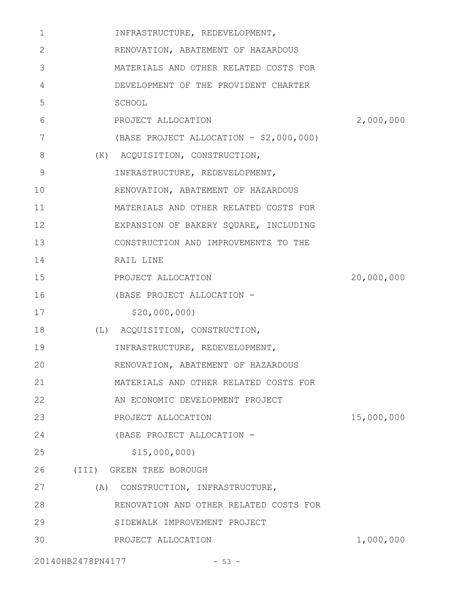| 1  | INFRASTRUCTURE, REDEVELOPMENT,          |            |
|----|-----------------------------------------|------------|
| 2  | RENOVATION, ABATEMENT OF HAZARDOUS      |            |
| 3  | MATERIALS AND OTHER RELATED COSTS FOR   |            |
| 4  | DEVELOPMENT OF THE PROVIDENT CHARTER    |            |
| 5  | SCHOOL                                  |            |
| 6  | PROJECT ALLOCATION                      | 2,000,000  |
| 7  | (BASE PROJECT ALLOCATION - \$2,000,000) |            |
| 8  | (K) ACQUISITION, CONSTRUCTION,          |            |
| 9  | INFRASTRUCTURE, REDEVELOPMENT,          |            |
| 10 | RENOVATION, ABATEMENT OF HAZARDOUS      |            |
| 11 | MATERIALS AND OTHER RELATED COSTS FOR   |            |
| 12 | EXPANSION OF BAKERY SQUARE, INCLUDING   |            |
| 13 | CONSTRUCTION AND IMPROVEMENTS TO THE    |            |
| 14 | RAIL LINE                               |            |
| 15 | PROJECT ALLOCATION                      | 20,000,000 |
| 16 | (BASE PROJECT ALLOCATION -              |            |
| 17 | \$20,000,000                            |            |
| 18 | (L) ACQUISITION, CONSTRUCTION,          |            |
| 19 | INFRASTRUCTURE, REDEVELOPMENT,          |            |
| 20 | RENOVATION, ABATEMENT OF HAZARDOUS      |            |
| 21 | MATERIALS AND OTHER RELATED COSTS FOR   |            |
| 22 | AN ECONOMIC DEVELOPMENT PROJECT         |            |
| 23 | PROJECT ALLOCATION                      | 15,000,000 |
| 24 | (BASE PROJECT ALLOCATION -              |            |
| 25 | \$15,000,000                            |            |
| 26 | (III) GREEN TREE BOROUGH                |            |
| 27 | (A) CONSTRUCTION, INFRASTRUCTURE,       |            |
| 28 | RENOVATION AND OTHER RELATED COSTS FOR  |            |
| 29 | SIDEWALK IMPROVEMENT PROJECT            |            |
| 30 | PROJECT ALLOCATION                      | 1,000,000  |
|    | 20140HB2478PN4177<br>$-53 -$            |            |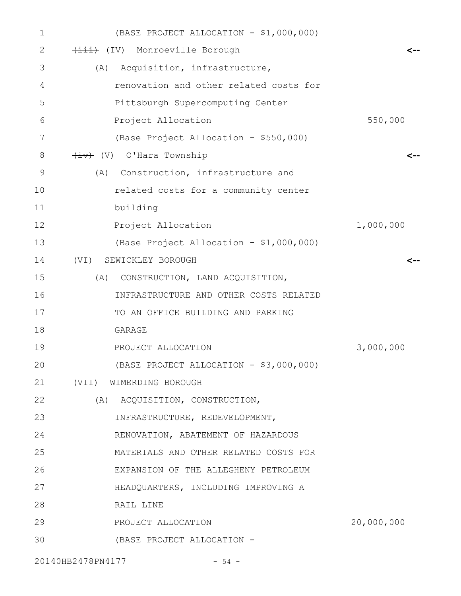| $\mathbf 1$ | (BASE PROJECT ALLOCATION - \$1,000,000) |            |
|-------------|-----------------------------------------|------------|
| 2           | (IV) Monroeville Borough                |            |
| 3           | (A) Acquisition, infrastructure,        |            |
| 4           | renovation and other related costs for  |            |
| 5           | Pittsburgh Supercomputing Center        |            |
| 6           | Project Allocation                      | 550,000    |
| 7           | (Base Project Allocation - \$550,000)   |            |
| 8           | (V) O'Hara Township                     | <--        |
| $\mathsf 9$ | (A) Construction, infrastructure and    |            |
| 10          | related costs for a community center    |            |
| 11          | building                                |            |
| 12          | Project Allocation                      | 1,000,000  |
| 13          | (Base Project Allocation - \$1,000,000) |            |
| 14          | SEWICKLEY BOROUGH<br>(VI)               |            |
| 15          | (A) CONSTRUCTION, LAND ACQUISITION,     |            |
| 16          | INFRASTRUCTURE AND OTHER COSTS RELATED  |            |
| 17          | TO AN OFFICE BUILDING AND PARKING       |            |
| 18          | GARAGE                                  |            |
| 19          | PROJECT ALLOCATION                      | 3,000,000  |
| 20          | (BASE PROJECT ALLOCATION - \$3,000,000) |            |
| 21          | (VII) WIMERDING BOROUGH                 |            |
| 22          | (A) ACQUISITION, CONSTRUCTION,          |            |
| 23          | INFRASTRUCTURE, REDEVELOPMENT,          |            |
| 24          | RENOVATION, ABATEMENT OF HAZARDOUS      |            |
| 25          | MATERIALS AND OTHER RELATED COSTS FOR   |            |
| 26          | EXPANSION OF THE ALLEGHENY PETROLEUM    |            |
| 27          | HEADQUARTERS, INCLUDING IMPROVING A     |            |
| 28          | RAIL LINE                               |            |
| 29          | PROJECT ALLOCATION                      | 20,000,000 |
| 30          | (BASE PROJECT ALLOCATION -              |            |
|             |                                         |            |

20140HB2478PN4177 - 54 -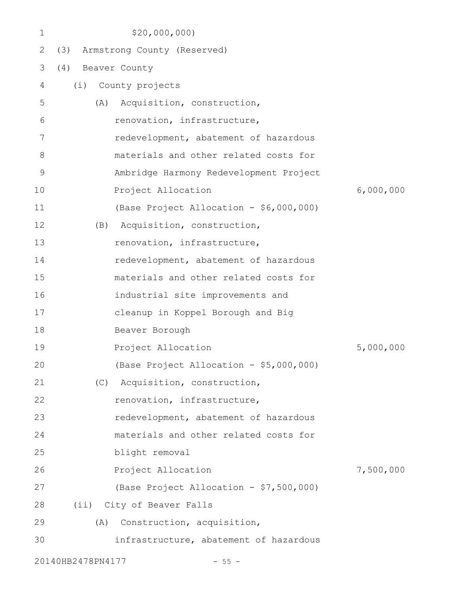| 1           | \$20,000,000)                           |           |
|-------------|-----------------------------------------|-----------|
| 2           | (3) Armstrong County (Reserved)         |           |
| 3           | Beaver County<br>(4)                    |           |
| 4           | (i)<br>County projects                  |           |
| 5           | Acquisition, construction,<br>(A)       |           |
| 6           | renovation, infrastructure,             |           |
| 7           | redevelopment, abatement of hazardous   |           |
| 8           | materials and other related costs for   |           |
| $\mathsf 9$ | Ambridge Harmony Redevelopment Project  |           |
| 10          | Project Allocation                      | 6,000,000 |
| 11          | (Base Project Allocation - \$6,000,000) |           |
| 12          | Acquisition, construction,<br>(B)       |           |
| 13          | renovation, infrastructure,             |           |
| 14          | redevelopment, abatement of hazardous   |           |
| 15          | materials and other related costs for   |           |
| 16          | industrial site improvements and        |           |
| 17          | cleanup in Koppel Borough and Big       |           |
| 18          | Beaver Borough                          |           |
| 19          | Project Allocation                      | 5,000,000 |
| 20          | (Base Project Allocation - \$5,000,000) |           |
| 21          | Acquisition, construction,<br>(C)       |           |
| 22          | renovation, infrastructure,             |           |
| 23          | redevelopment, abatement of hazardous   |           |
| 24          | materials and other related costs for   |           |
| 25          | blight removal                          |           |
| 26          | Project Allocation                      | 7,500,000 |
| 27          | (Base Project Allocation - \$7,500,000) |           |
| 28          | (ii) City of Beaver Falls               |           |
| 29          | Construction, acquisition,<br>(A)       |           |
| 30          | infrastructure, abatement of hazardous  |           |
|             | 20140HB2478PN4177<br>$-55 -$            |           |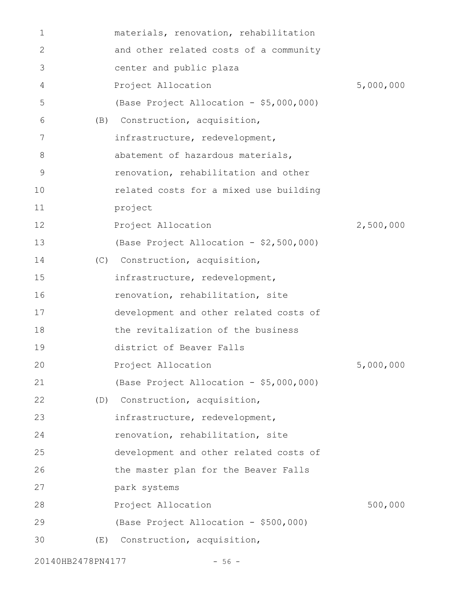| 1  |     | materials, renovation, rehabilitation   |           |
|----|-----|-----------------------------------------|-----------|
| 2  |     | and other related costs of a community  |           |
| 3  |     | center and public plaza                 |           |
| 4  |     | Project Allocation                      | 5,000,000 |
| 5  |     | (Base Project Allocation - \$5,000,000) |           |
| 6  | (B) | Construction, acquisition,              |           |
| 7  |     | infrastructure, redevelopment,          |           |
| 8  |     | abatement of hazardous materials,       |           |
| 9  |     | renovation, rehabilitation and other    |           |
| 10 |     | related costs for a mixed use building  |           |
| 11 |     | project                                 |           |
| 12 |     | Project Allocation                      | 2,500,000 |
| 13 |     | (Base Project Allocation - \$2,500,000) |           |
| 14 |     | (C) Construction, acquisition,          |           |
| 15 |     | infrastructure, redevelopment,          |           |
| 16 |     | renovation, rehabilitation, site        |           |
| 17 |     | development and other related costs of  |           |
| 18 |     | the revitalization of the business      |           |
| 19 |     | district of Beaver Falls                |           |
| 20 |     | Project Allocation                      | 5,000,000 |
| 21 |     | (Base Project Allocation - \$5,000,000) |           |
| 22 |     | (D) Construction, acquisition,          |           |
| 23 |     | infrastructure, redevelopment,          |           |
| 24 |     | renovation, rehabilitation, site        |           |
| 25 |     | development and other related costs of  |           |
| 26 |     | the master plan for the Beaver Falls    |           |
| 27 |     | park systems                            |           |
| 28 |     | Project Allocation                      | 500,000   |
| 29 |     | (Base Project Allocation - \$500,000)   |           |
| 30 | (E) | Construction, acquisition,              |           |
|    |     |                                         |           |

20140HB2478PN4177 - 56 -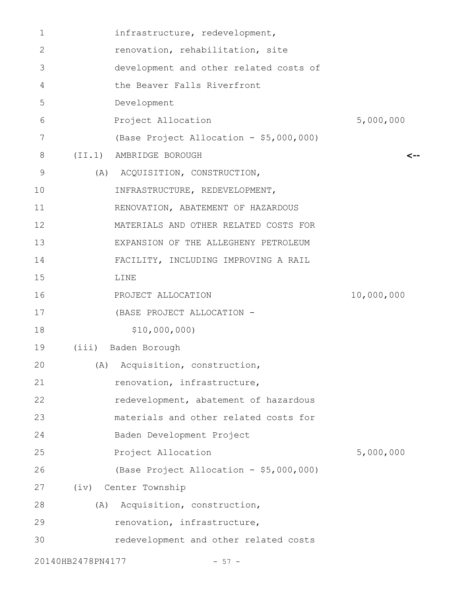| $\mathbf 1$ |                   | infrastructure, redevelopment,          |            |
|-------------|-------------------|-----------------------------------------|------------|
| 2           |                   | renovation, rehabilitation, site        |            |
| 3           |                   | development and other related costs of  |            |
| 4           |                   | the Beaver Falls Riverfront             |            |
| 5           |                   | Development                             |            |
| 6           |                   | Project Allocation                      | 5,000,000  |
| 7           |                   | (Base Project Allocation - \$5,000,000) |            |
| 8           |                   | (II.1) AMBRIDGE BOROUGH                 |            |
| 9           |                   | (A) ACQUISITION, CONSTRUCTION,          |            |
| 10          |                   | INFRASTRUCTURE, REDEVELOPMENT,          |            |
| 11          |                   | RENOVATION, ABATEMENT OF HAZARDOUS      |            |
| 12          |                   | MATERIALS AND OTHER RELATED COSTS FOR   |            |
| 13          |                   | EXPANSION OF THE ALLEGHENY PETROLEUM    |            |
| 14          |                   | FACILITY, INCLUDING IMPROVING A RAIL    |            |
| 15          |                   | LINE                                    |            |
| 16          |                   | PROJECT ALLOCATION                      | 10,000,000 |
| 17          |                   | (BASE PROJECT ALLOCATION -              |            |
| 18          |                   | \$10,000,000)                           |            |
| 19          | (iii)             | Baden Borough                           |            |
| 20          | (A)               | Acquisition, construction,              |            |
| 21          |                   | renovation, infrastructure,             |            |
| 22          |                   | redevelopment, abatement of hazardous   |            |
| 23          |                   | materials and other related costs for   |            |
| 24          |                   | Baden Development Project               |            |
| 25          |                   | Project Allocation                      | 5,000,000  |
| 26          |                   | (Base Project Allocation - \$5,000,000) |            |
| 27          |                   | (iv) Center Township                    |            |
| 28          | (A)               | Acquisition, construction,              |            |
| 29          |                   | renovation, infrastructure,             |            |
| 30          |                   | redevelopment and other related costs   |            |
|             | 20140HB2478PN4177 | $-57 -$                                 |            |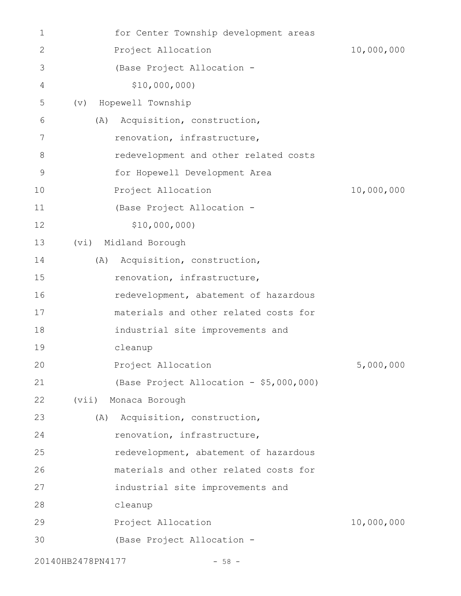| 1            | for Center Township development areas   |            |
|--------------|-----------------------------------------|------------|
| $\mathbf{2}$ | Project Allocation                      | 10,000,000 |
| 3            | (Base Project Allocation -              |            |
| 4            | \$10,000,000)                           |            |
| 5            | Hopewell Township<br>(v)                |            |
| 6            | Acquisition, construction,<br>(A)       |            |
| 7            | renovation, infrastructure,             |            |
| 8            | redevelopment and other related costs   |            |
| $\mathsf 9$  | for Hopewell Development Area           |            |
| 10           | Project Allocation                      | 10,000,000 |
| 11           | (Base Project Allocation -              |            |
| 12           | \$10,000,000                            |            |
| 13           | Midland Borough<br>(vi)                 |            |
| 14           | Acquisition, construction,<br>(A)       |            |
| 15           | renovation, infrastructure,             |            |
| 16           | redevelopment, abatement of hazardous   |            |
| 17           | materials and other related costs for   |            |
| 18           | industrial site improvements and        |            |
| 19           | cleanup                                 |            |
| 20           | Project Allocation                      | 5,000,000  |
| 21           | (Base Project Allocation - \$5,000,000) |            |
| 22           | (vii)<br>Monaca Borough                 |            |
| 23           | Acquisition, construction,<br>(A)       |            |
| 24           | renovation, infrastructure,             |            |
| 25           | redevelopment, abatement of hazardous   |            |
| 26           | materials and other related costs for   |            |
| 27           | industrial site improvements and        |            |
| 28           | cleanup                                 |            |
| 29           | Project Allocation                      | 10,000,000 |
| 30           | (Base Project Allocation -              |            |
|              | 20140HB2478PN4177<br>$-58 -$            |            |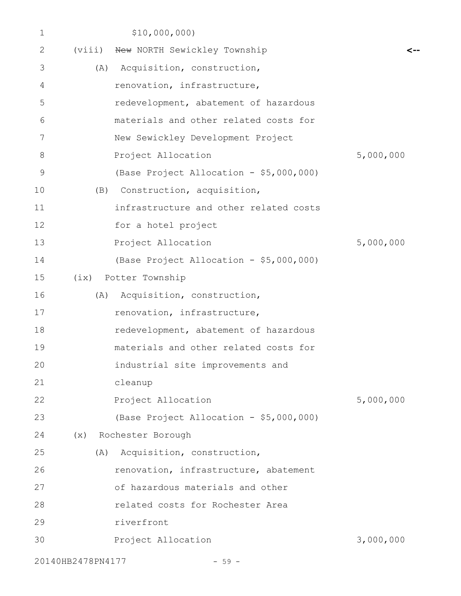| 1  |                   | \$10,000,000                            |           |
|----|-------------------|-----------------------------------------|-----------|
| 2  | (viii)            | New NORTH Sewickley Township            |           |
| 3  | (A)               | Acquisition, construction,              |           |
| 4  |                   | renovation, infrastructure,             |           |
| 5  |                   | redevelopment, abatement of hazardous   |           |
| 6  |                   | materials and other related costs for   |           |
| 7  |                   | New Sewickley Development Project       |           |
| 8  |                   | Project Allocation                      | 5,000,000 |
| 9  |                   | (Base Project Allocation - \$5,000,000) |           |
| 10 | (B)               | Construction, acquisition,              |           |
| 11 |                   | infrastructure and other related costs  |           |
| 12 |                   | for a hotel project                     |           |
| 13 |                   | Project Allocation                      | 5,000,000 |
| 14 |                   | (Base Project Allocation - \$5,000,000) |           |
| 15 |                   | (ix) Potter Township                    |           |
| 16 |                   | (A) Acquisition, construction,          |           |
| 17 |                   | renovation, infrastructure,             |           |
| 18 |                   | redevelopment, abatement of hazardous   |           |
| 19 |                   | materials and other related costs for   |           |
| 20 |                   | industrial site improvements and        |           |
| 21 |                   | cleanup                                 |           |
| 22 |                   | Project Allocation                      | 5,000,000 |
| 23 |                   | (Base Project Allocation - \$5,000,000) |           |
| 24 |                   | (x) Rochester Borough                   |           |
| 25 |                   | (A) Acquisition, construction,          |           |
| 26 |                   | renovation, infrastructure, abatement   |           |
| 27 |                   | of hazardous materials and other        |           |
| 28 |                   | related costs for Rochester Area        |           |
| 29 |                   | riverfront                              |           |
| 30 |                   | Project Allocation                      | 3,000,000 |
|    | 20140HB2478PN4177 | $-59 -$                                 |           |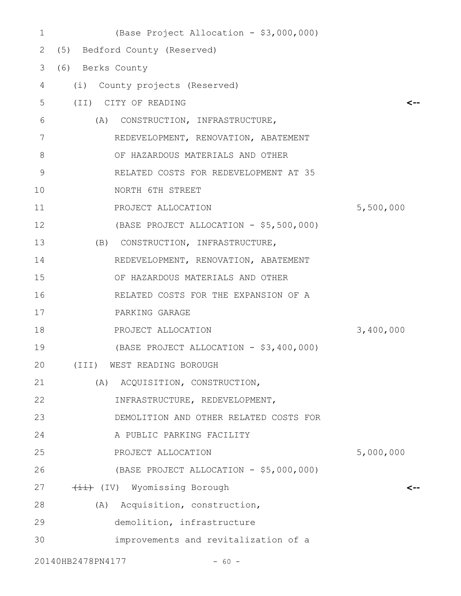| 1  | (Base Project Allocation - \$3,000,000) |           |
|----|-----------------------------------------|-----------|
| 2  | (5) Bedford County (Reserved)           |           |
| 3  | (6) Berks County                        |           |
| 4  | (i) County projects (Reserved)          |           |
| 5  | (II) CITY OF READING                    | <--       |
| 6  | (A) CONSTRUCTION, INFRASTRUCTURE,       |           |
| 7  | REDEVELOPMENT, RENOVATION, ABATEMENT    |           |
| 8  | OF HAZARDOUS MATERIALS AND OTHER        |           |
| 9  | RELATED COSTS FOR REDEVELOPMENT AT 35   |           |
| 10 | NORTH 6TH STREET                        |           |
| 11 | PROJECT ALLOCATION                      | 5,500,000 |
| 12 | (BASE PROJECT ALLOCATION - \$5,500,000) |           |
| 13 | (B) CONSTRUCTION, INFRASTRUCTURE,       |           |
| 14 | REDEVELOPMENT, RENOVATION, ABATEMENT    |           |
| 15 | OF HAZARDOUS MATERIALS AND OTHER        |           |
| 16 | RELATED COSTS FOR THE EXPANSION OF A    |           |
| 17 | PARKING GARAGE                          |           |
| 18 | PROJECT ALLOCATION                      | 3,400,000 |
| 19 | (BASE PROJECT ALLOCATION - \$3,400,000) |           |
| 20 | (III) WEST READING BOROUGH              |           |
| 21 | (A) ACQUISITION, CONSTRUCTION,          |           |
| 22 | INFRASTRUCTURE, REDEVELOPMENT,          |           |
| 23 | DEMOLITION AND OTHER RELATED COSTS FOR  |           |
| 24 | A PUBLIC PARKING FACILITY               |           |
| 25 | PROJECT ALLOCATION                      | 5,000,000 |
| 26 | (BASE PROJECT ALLOCATION - \$5,000,000) |           |
| 27 | (IV) Wyomissing Borough                 | <--       |
| 28 | (A) Acquisition, construction,          |           |
| 29 | demolition, infrastructure              |           |
| 30 | improvements and revitalization of a    |           |
|    | 20140HB2478PN4177<br>$-60 -$            |           |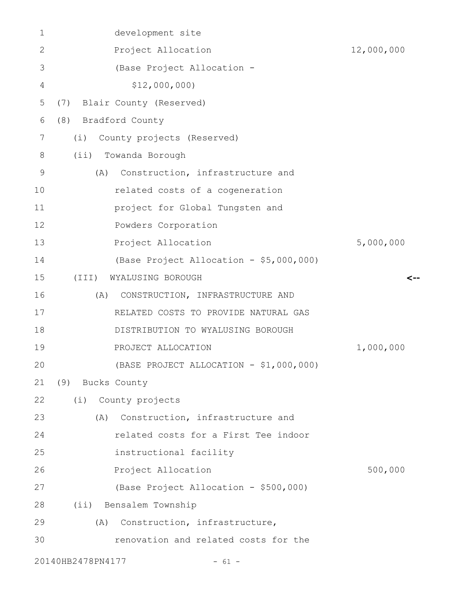| $\mathbf 1$   | development site                        |            |
|---------------|-----------------------------------------|------------|
| 2             | Project Allocation                      | 12,000,000 |
| 3             | (Base Project Allocation -              |            |
| 4             | \$12,000,000                            |            |
| 5             | (7) Blair County (Reserved)             |            |
| 6             | (8) Bradford County                     |            |
| 7             | County projects (Reserved)<br>(i)       |            |
| 8             | (ii) Towanda Borough                    |            |
| $\mathcal{G}$ | (A)<br>Construction, infrastructure and |            |
| 10            | related costs of a cogeneration         |            |
| 11            | project for Global Tungsten and         |            |
| 12            | Powders Corporation                     |            |
| 13            | Project Allocation                      | 5,000,000  |
| 14            | (Base Project Allocation - \$5,000,000) |            |
| 15            | WYALUSING BOROUGH<br>(III)              | <--        |
| 16            | CONSTRUCTION, INFRASTRUCTURE AND<br>(A) |            |
| 17            | RELATED COSTS TO PROVIDE NATURAL GAS    |            |
| 18            | DISTRIBUTION TO WYALUSING BOROUGH       |            |
| 19            | PROJECT ALLOCATION                      | 1,000,000  |
| 20            | (BASE PROJECT ALLOCATION - \$1,000,000) |            |
| 21            | (9) Bucks County                        |            |
| 22            | (i) County projects                     |            |
| 23            | (A)<br>Construction, infrastructure and |            |
| 24            | related costs for a First Tee indoor    |            |
| 25            | instructional facility                  |            |
| 26            | Project Allocation                      | 500,000    |
| 27            | (Base Project Allocation - \$500,000)   |            |
| 28            | (ii) Bensalem Township                  |            |
| 29            | Construction, infrastructure,<br>(A)    |            |
| 30            | renovation and related costs for the    |            |
|               | 20140HB2478PN4177<br>$-61 -$            |            |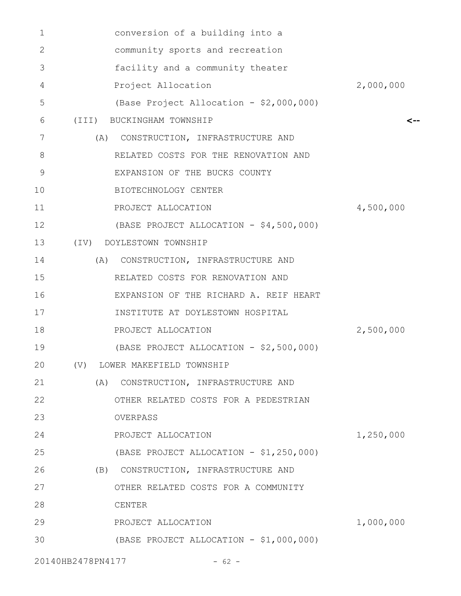| 1  | conversion of a building into a         |           |
|----|-----------------------------------------|-----------|
| 2  | community sports and recreation         |           |
| 3  | facility and a community theater        |           |
| 4  | Project Allocation                      | 2,000,000 |
| 5  | (Base Project Allocation - \$2,000,000) |           |
| 6  | (III) BUCKINGHAM TOWNSHIP               | <--       |
| 7  | CONSTRUCTION, INFRASTRUCTURE AND<br>(A) |           |
| 8  | RELATED COSTS FOR THE RENOVATION AND    |           |
| 9  | EXPANSION OF THE BUCKS COUNTY           |           |
| 10 | BIOTECHNOLOGY CENTER                    |           |
| 11 | PROJECT ALLOCATION                      | 4,500,000 |
| 12 | (BASE PROJECT ALLOCATION - \$4,500,000) |           |
| 13 | (IV) DOYLESTOWN TOWNSHIP                |           |
| 14 | CONSTRUCTION, INFRASTRUCTURE AND<br>(A) |           |
| 15 | RELATED COSTS FOR RENOVATION AND        |           |
| 16 | EXPANSION OF THE RICHARD A. REIF HEART  |           |
| 17 | INSTITUTE AT DOYLESTOWN HOSPITAL        |           |
| 18 | PROJECT ALLOCATION                      | 2,500,000 |
| 19 | (BASE PROJECT ALLOCATION - \$2,500,000) |           |
| 20 | (V) LOWER MAKEFIELD TOWNSHIP            |           |
| 21 | (A)<br>CONSTRUCTION, INFRASTRUCTURE AND |           |
| 22 | OTHER RELATED COSTS FOR A PEDESTRIAN    |           |
| 23 | OVERPASS                                |           |
| 24 | PROJECT ALLOCATION                      | 1,250,000 |
| 25 | (BASE PROJECT ALLOCATION - \$1,250,000) |           |
| 26 | (B) CONSTRUCTION, INFRASTRUCTURE AND    |           |
| 27 | OTHER RELATED COSTS FOR A COMMUNITY     |           |
| 28 | CENTER                                  |           |
| 29 | PROJECT ALLOCATION                      | 1,000,000 |
| 30 | (BASE PROJECT ALLOCATION - \$1,000,000) |           |
|    | 20140HB2478PN4177<br>$-62 -$            |           |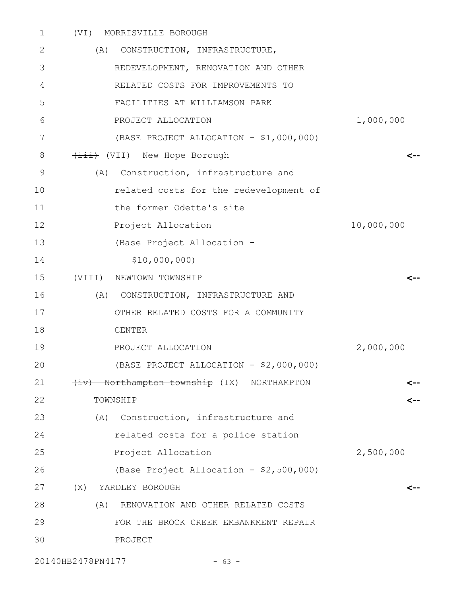| $\mathbf 1$    | MORRISVILLE BOROUGH<br>(VI)                |            |
|----------------|--------------------------------------------|------------|
| 2              | (A) CONSTRUCTION, INFRASTRUCTURE,          |            |
| 3              | REDEVELOPMENT, RENOVATION AND OTHER        |            |
| 4              | RELATED COSTS FOR IMPROVEMENTS TO          |            |
| 5              | FACILITIES AT WILLIAMSON PARK              |            |
| 6              | PROJECT ALLOCATION                         | 1,000,000  |
| 7              | (BASE PROJECT ALLOCATION - \$1,000,000)    |            |
| 8              | (VII) New Hope Borough                     | <--        |
| $\overline{9}$ | (A)<br>Construction, infrastructure and    |            |
| 10             | related costs for the redevelopment of     |            |
| 11             | the former Odette's site                   |            |
| 12             | Project Allocation                         | 10,000,000 |
| 13             | (Base Project Allocation -                 |            |
| 14             | \$10,000,000                               |            |
| 15             | (VIII) NEWTOWN TOWNSHIP                    | <--        |
| 16             | (A) CONSTRUCTION, INFRASTRUCTURE AND       |            |
| 17             | OTHER RELATED COSTS FOR A COMMUNITY        |            |
| 18             | CENTER                                     |            |
| 19             | PROJECT ALLOCATION                         | 2,000,000  |
| 20             | (BASE PROJECT ALLOCATION - \$2,000,000)    |            |
| 21             | (iv) Northampton township (IX) NORTHAMPTON |            |
| 22             | TOWNSHIP                                   |            |
| 23             | (A) Construction, infrastructure and       |            |
| 24             | related costs for a police station         |            |
| 25             | Project Allocation                         | 2,500,000  |
| 26             | (Base Project Allocation - \$2,500,000)    |            |
| 27             | (X)<br>YARDLEY BOROUGH                     | <--        |
| 28             | RENOVATION AND OTHER RELATED COSTS<br>(A)  |            |
| 29             | FOR THE BROCK CREEK EMBANKMENT REPAIR      |            |
| 30             | PROJECT                                    |            |
|                |                                            |            |

20140HB2478PN4177 - 63 -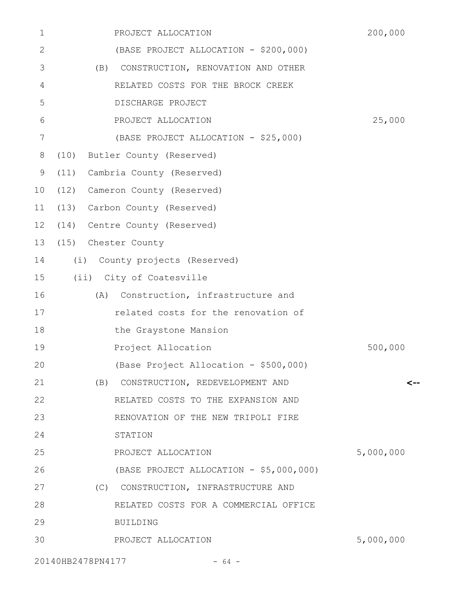| 1       | PROJECT ALLOCATION                      | 200,000   |
|---------|-----------------------------------------|-----------|
| 2       | (BASE PROJECT ALLOCATION - \$200,000)   |           |
| 3       | (B) CONSTRUCTION, RENOVATION AND OTHER  |           |
| 4       | RELATED COSTS FOR THE BROCK CREEK       |           |
| 5       | DISCHARGE PROJECT                       |           |
| 6       | PROJECT ALLOCATION                      | 25,000    |
| 7       | (BASE PROJECT ALLOCATION - \$25,000)    |           |
| 8       | (10)<br>Butler County (Reserved)        |           |
| 9       | (11) Cambria County (Reserved)          |           |
| 10      | (12) Cameron County (Reserved)          |           |
| 11      | (13) Carbon County (Reserved)           |           |
| $12 \,$ | (14) Centre County (Reserved)           |           |
| 13      | (15) Chester County                     |           |
| 14      | (i)<br>County projects (Reserved)       |           |
| 15      | (ii) City of Coatesville                |           |
| 16      | Construction, infrastructure and<br>(A) |           |
| 17      | related costs for the renovation of     |           |
| 18      | the Graystone Mansion                   |           |
| 19      | Project Allocation                      | 500,000   |
| 20      | (Base Project Allocation - \$500,000)   |           |
| 21      | CONSTRUCTION, REDEVELOPMENT AND<br>(B)  | <--       |
| 22      | RELATED COSTS TO THE EXPANSION AND      |           |
| 23      | RENOVATION OF THE NEW TRIPOLI FIRE      |           |
| 24      | STATION                                 |           |
| 25      | PROJECT ALLOCATION                      | 5,000,000 |
| 26      | (BASE PROJECT ALLOCATION - \$5,000,000) |           |
| 27      | (C) CONSTRUCTION, INFRASTRUCTURE AND    |           |
| 28      | RELATED COSTS FOR A COMMERCIAL OFFICE   |           |
| 29      | <b>BUILDING</b>                         |           |
| 30      | PROJECT ALLOCATION                      | 5,000,000 |
|         | 20140HB2478PN4177<br>$-64 -$            |           |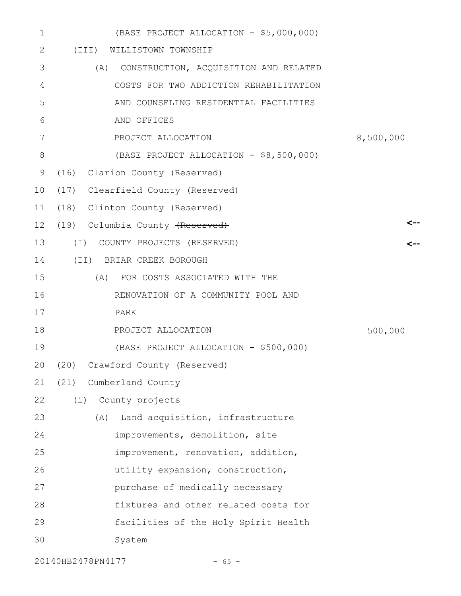| $\mathbf 1$ | (BASE PROJECT ALLOCATION - \$5,000,000)      |           |
|-------------|----------------------------------------------|-----------|
| 2           | (III) WILLISTOWN TOWNSHIP                    |           |
| 3           | CONSTRUCTION, ACQUISITION AND RELATED<br>(A) |           |
| 4           | COSTS FOR TWO ADDICTION REHABILITATION       |           |
| 5           | AND COUNSELING RESIDENTIAL FACILITIES        |           |
| 6           | AND OFFICES                                  |           |
| 7           | PROJECT ALLOCATION                           | 8,500,000 |
| 8           | (BASE PROJECT ALLOCATION - \$8,500,000)      |           |
| 9           | (16) Clarion County (Reserved)               |           |
| 10          | (17) Clearfield County (Reserved)            |           |
| 11          | (18) Clinton County (Reserved)               |           |
| 12          | (19) Columbia County (Reserved)              |           |
| 13          | (I) COUNTY PROJECTS (RESERVED)               |           |
| 14          | (II) BRIAR CREEK BOROUGH                     |           |
| 15          | (A) FOR COSTS ASSOCIATED WITH THE            |           |
| 16          | RENOVATION OF A COMMUNITY POOL AND           |           |
| 17          | PARK                                         |           |
| 18          | PROJECT ALLOCATION                           | 500,000   |
| 19          | (BASE PROJECT ALLOCATION - \$500,000)        |           |
| 20          | (20)<br>Crawford County (Reserved)           |           |
| 21          | Cumberland County<br>(21)                    |           |
| 22          | (i)<br>County projects                       |           |
| 23          | Land acquisition, infrastructure<br>(A)      |           |
| 24          | improvements, demolition, site               |           |
| 25          | improvement, renovation, addition,           |           |
| 26          | utility expansion, construction,             |           |
| 27          | purchase of medically necessary              |           |
| 28          | fixtures and other related costs for         |           |
| 29          | facilities of the Holy Spirit Health         |           |
| 30          | System                                       |           |
|             |                                              |           |

20140HB2478PN4177 - 65 -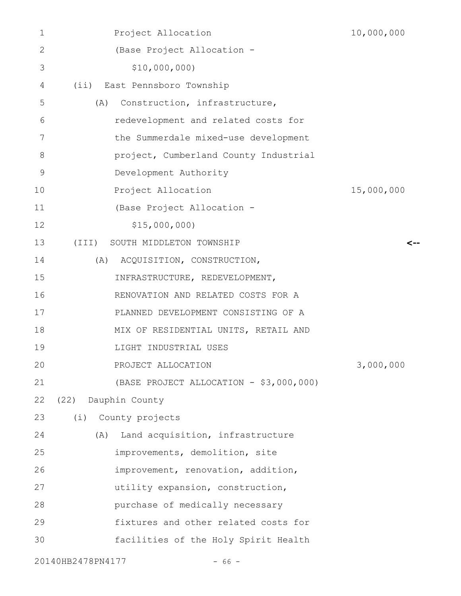| 1            | Project Allocation                      | 10,000,000 |
|--------------|-----------------------------------------|------------|
| $\mathbf{2}$ | (Base Project Allocation -              |            |
| 3            | \$10,000,000)                           |            |
| 4            | (ii) East Pennsboro Township            |            |
| 5            | Construction, infrastructure,<br>(A)    |            |
| 6            | redevelopment and related costs for     |            |
| 7            | the Summerdale mixed-use development    |            |
| 8            | project, Cumberland County Industrial   |            |
| 9            | Development Authority                   |            |
| 10           | Project Allocation                      | 15,000,000 |
| 11           | (Base Project Allocation -              |            |
| 12           | \$15,000,000                            |            |
| 13           | (III)<br>SOUTH MIDDLETON TOWNSHIP       | <--        |
| 14           | (A) ACQUISITION, CONSTRUCTION,          |            |
| 15           | INFRASTRUCTURE, REDEVELOPMENT,          |            |
| 16           | RENOVATION AND RELATED COSTS FOR A      |            |
| 17           | PLANNED DEVELOPMENT CONSISTING OF A     |            |
| 18           | MIX OF RESIDENTIAL UNITS, RETAIL AND    |            |
| 19           | LIGHT INDUSTRIAL USES                   |            |
| 20           | PROJECT ALLOCATION                      | 3,000,000  |
| 21           | (BASE PROJECT ALLOCATION - \$3,000,000) |            |
| 22           | (22)<br>Dauphin County                  |            |
| 23           | (i) County projects                     |            |
| 24           | Land acquisition, infrastructure<br>(A) |            |
| 25           | improvements, demolition, site          |            |
| 26           | improvement, renovation, addition,      |            |
| 27           | utility expansion, construction,        |            |
| 28           | purchase of medically necessary         |            |
| 29           | fixtures and other related costs for    |            |
| 30           | facilities of the Holy Spirit Health    |            |
|              | 20140HB2478PN4177<br>$-66 -$            |            |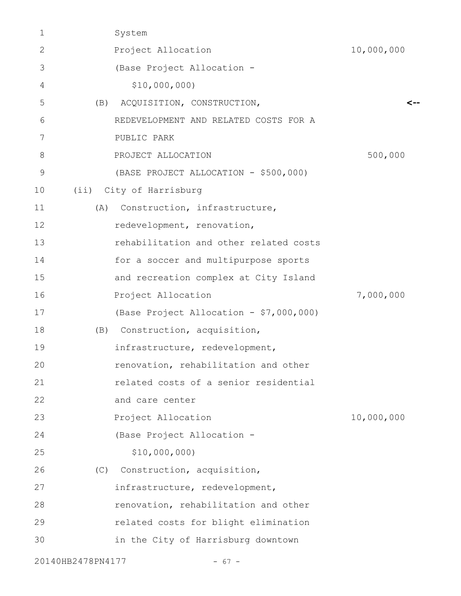| $\mathbf 1$       | System                                  |            |
|-------------------|-----------------------------------------|------------|
| 2                 | Project Allocation                      | 10,000,000 |
| 3                 | (Base Project Allocation -              |            |
| 4                 | \$10,000,000                            |            |
| 5                 | ACQUISITION, CONSTRUCTION,<br>(B)       | <--        |
| 6                 | REDEVELOPMENT AND RELATED COSTS FOR A   |            |
| 7                 | PUBLIC PARK                             |            |
| 8                 | PROJECT ALLOCATION                      | 500,000    |
| 9                 | (BASE PROJECT ALLOCATION - \$500,000)   |            |
| 10                | (ii) City of Harrisburg                 |            |
| 11                | Construction, infrastructure,<br>(A)    |            |
| 12                | redevelopment, renovation,              |            |
| 13                | rehabilitation and other related costs  |            |
| 14                | for a soccer and multipurpose sports    |            |
| 15                | and recreation complex at City Island   |            |
| 16                | Project Allocation                      | 7,000,000  |
| 17                | (Base Project Allocation - \$7,000,000) |            |
| 18                | Construction, acquisition,<br>(B)       |            |
| 19                | infrastructure, redevelopment,          |            |
| 20                | renovation, rehabilitation and other    |            |
| 21                | related costs of a senior residential   |            |
| 22                | and care center                         |            |
| 23                | Project Allocation                      | 10,000,000 |
| 24                | (Base Project Allocation -              |            |
| 25                | \$10,000,000                            |            |
| 26                | Construction, acquisition,<br>(C)       |            |
| 27                | infrastructure, redevelopment,          |            |
| 28                | renovation, rehabilitation and other    |            |
| 29                | related costs for blight elimination    |            |
| 30                | in the City of Harrisburg downtown      |            |
| 20140HB2478PN4177 | - 67 -                                  |            |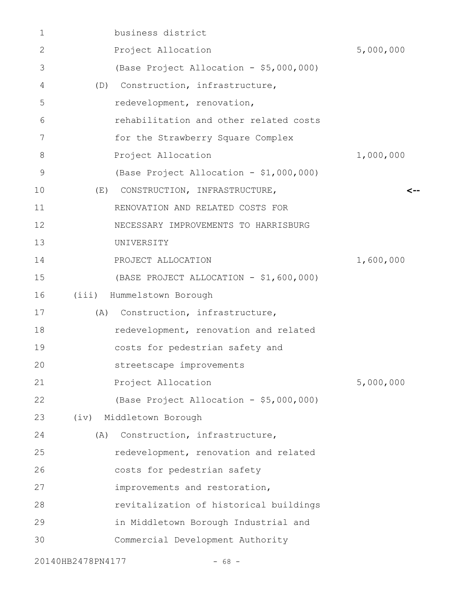| 1  | business district                       |           |
|----|-----------------------------------------|-----------|
| 2  | Project Allocation                      | 5,000,000 |
| 3  | (Base Project Allocation - \$5,000,000) |           |
| 4  | (D) Construction, infrastructure,       |           |
| 5  | redevelopment, renovation,              |           |
| 6  | rehabilitation and other related costs  |           |
| 7  | for the Strawberry Square Complex       |           |
| 8  | Project Allocation                      | 1,000,000 |
| 9  | (Base Project Allocation - \$1,000,000) |           |
| 10 | CONSTRUCTION, INFRASTRUCTURE,<br>(E)    | <--       |
| 11 | RENOVATION AND RELATED COSTS FOR        |           |
| 12 | NECESSARY IMPROVEMENTS TO HARRISBURG    |           |
| 13 | UNIVERSITY                              |           |
| 14 | PROJECT ALLOCATION                      | 1,600,000 |
| 15 | (BASE PROJECT ALLOCATION - \$1,600,000) |           |
| 16 | Hummelstown Borough<br>(iii)            |           |
| 17 | Construction, infrastructure,<br>(A)    |           |
| 18 | redevelopment, renovation and related   |           |
| 19 | costs for pedestrian safety and         |           |
| 20 | streetscape improvements                |           |
| 21 | Project Allocation                      | 5,000,000 |
| 22 | (Base Project Allocation - \$5,000,000) |           |
| 23 | Middletown Borough<br>(iv)              |           |
| 24 | Construction, infrastructure,<br>(A)    |           |
| 25 | redevelopment, renovation and related   |           |
| 26 | costs for pedestrian safety             |           |
| 27 | improvements and restoration,           |           |
| 28 | revitalization of historical buildings  |           |
| 29 | in Middletown Borough Industrial and    |           |
| 30 | Commercial Development Authority        |           |
|    | 20140HB2478PN4177<br>$-68 -$            |           |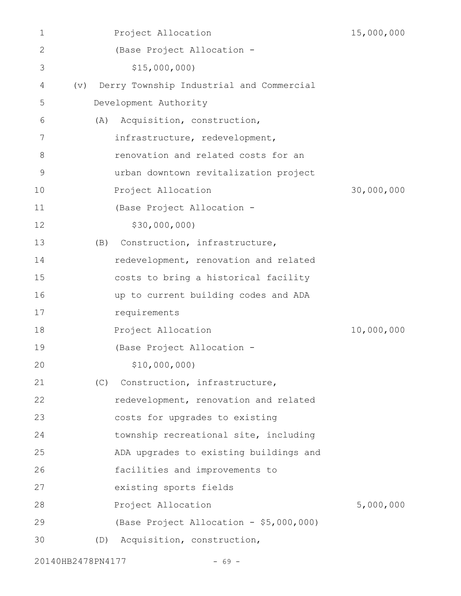| 1            |                   |     | Project Allocation                       | 15,000,000 |
|--------------|-------------------|-----|------------------------------------------|------------|
| $\mathbf{2}$ |                   |     | (Base Project Allocation -               |            |
| 3            |                   |     | \$15,000,000                             |            |
| 4            | $(\triangledown)$ |     | Derry Township Industrial and Commercial |            |
| 5            |                   |     | Development Authority                    |            |
| 6            |                   | (A) | Acquisition, construction,               |            |
| 7            |                   |     | infrastructure, redevelopment,           |            |
| 8            |                   |     | renovation and related costs for an      |            |
| 9            |                   |     | urban downtown revitalization project    |            |
| 10           |                   |     | Project Allocation                       | 30,000,000 |
| 11           |                   |     | (Base Project Allocation -               |            |
| 12           |                   |     | \$30,000,000)                            |            |
| 13           |                   | (B) | Construction, infrastructure,            |            |
| 14           |                   |     | redevelopment, renovation and related    |            |
| 15           |                   |     | costs to bring a historical facility     |            |
| 16           |                   |     | up to current building codes and ADA     |            |
| 17           |                   |     | requirements                             |            |
| 18           |                   |     | Project Allocation                       | 10,000,000 |
| 19           |                   |     | (Base Project Allocation -               |            |
| 20           |                   |     | \$10,000,000)                            |            |
| 21           |                   | (C) | Construction, infrastructure,            |            |
| 22           |                   |     | redevelopment, renovation and related    |            |
| 23           |                   |     | costs for upgrades to existing           |            |
| 24           |                   |     | township recreational site, including    |            |
| 25           |                   |     | ADA upgrades to existing buildings and   |            |
| 26           |                   |     | facilities and improvements to           |            |
| 27           |                   |     | existing sports fields                   |            |
| 28           |                   |     | Project Allocation                       | 5,000,000  |
| 29           |                   |     | (Base Project Allocation - \$5,000,000)  |            |
| 30           |                   | (D) | Acquisition, construction,               |            |
|              |                   |     |                                          |            |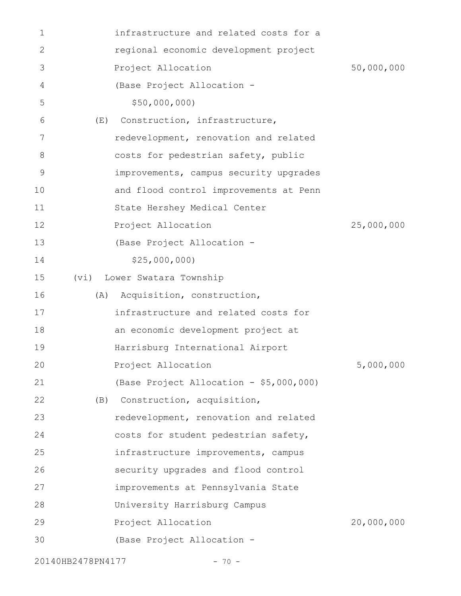| 1  | infrastructure and related costs for a  |            |
|----|-----------------------------------------|------------|
| 2  | regional economic development project   |            |
| 3  | Project Allocation                      | 50,000,000 |
| 4  | (Base Project Allocation -              |            |
| 5  | \$50,000,000                            |            |
| 6  | Construction, infrastructure,<br>(E)    |            |
| 7  | redevelopment, renovation and related   |            |
| 8  | costs for pedestrian safety, public     |            |
| 9  | improvements, campus security upgrades  |            |
| 10 | and flood control improvements at Penn  |            |
| 11 | State Hershey Medical Center            |            |
| 12 | Project Allocation                      | 25,000,000 |
| 13 | (Base Project Allocation -              |            |
| 14 | \$25,000,000                            |            |
| 15 | Lower Swatara Township<br>(vi)          |            |
| 16 | Acquisition, construction,<br>(A)       |            |
| 17 | infrastructure and related costs for    |            |
| 18 | an economic development project at      |            |
| 19 | Harrisburg International Airport        |            |
| 20 | Project Allocation                      | 5,000,000  |
| 21 | (Base Project Allocation - \$5,000,000) |            |
| 22 | (B) Construction, acquisition,          |            |
| 23 | redevelopment, renovation and related   |            |
| 24 | costs for student pedestrian safety,    |            |
| 25 | infrastructure improvements, campus     |            |
| 26 | security upgrades and flood control     |            |
| 27 | improvements at Pennsylvania State      |            |
| 28 | University Harrisburg Campus            |            |
| 29 | Project Allocation                      | 20,000,000 |
| 30 | (Base Project Allocation -              |            |
|    |                                         |            |

20140HB2478PN4177 - 70 -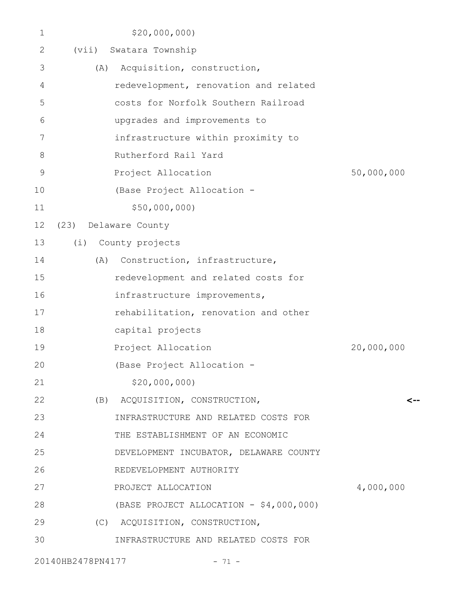| $\mathbf 1$ | \$20,000,000                            |            |
|-------------|-----------------------------------------|------------|
| 2           | Swatara Township<br>(vii)               |            |
| 3           | Acquisition, construction,<br>(A)       |            |
| 4           | redevelopment, renovation and related   |            |
| 5           | costs for Norfolk Southern Railroad     |            |
| 6           | upgrades and improvements to            |            |
| 7           | infrastructure within proximity to      |            |
| 8           | Rutherford Rail Yard                    |            |
| $\mathsf 9$ | Project Allocation                      | 50,000,000 |
| 10          | (Base Project Allocation -              |            |
| 11          | \$50,000,000)                           |            |
| 12          | (23)<br>Delaware County                 |            |
| 13          | (i) County projects                     |            |
| 14          | Construction, infrastructure,<br>(A)    |            |
| 15          | redevelopment and related costs for     |            |
| 16          | infrastructure improvements,            |            |
| 17          | rehabilitation, renovation and other    |            |
| 18          | capital projects                        |            |
| 19          | Project Allocation                      | 20,000,000 |
| 20          | (Base Project Allocation                |            |
| 21          | \$20,000,000                            |            |
| 22          | (B) ACQUISITION, CONSTRUCTION,          | <--        |
| 23          | INFRASTRUCTURE AND RELATED COSTS FOR    |            |
| 24          | THE ESTABLISHMENT OF AN ECONOMIC        |            |
| 25          | DEVELOPMENT INCUBATOR, DELAWARE COUNTY  |            |
| 26          | REDEVELOPMENT AUTHORITY                 |            |
| 27          | PROJECT ALLOCATION                      | 4,000,000  |
| 28          | (BASE PROJECT ALLOCATION - \$4,000,000) |            |
| 29          | (C) ACQUISITION, CONSTRUCTION,          |            |
| 30          | INFRASTRUCTURE AND RELATED COSTS FOR    |            |
|             | 20140HB2478PN4177<br>$-71 -$            |            |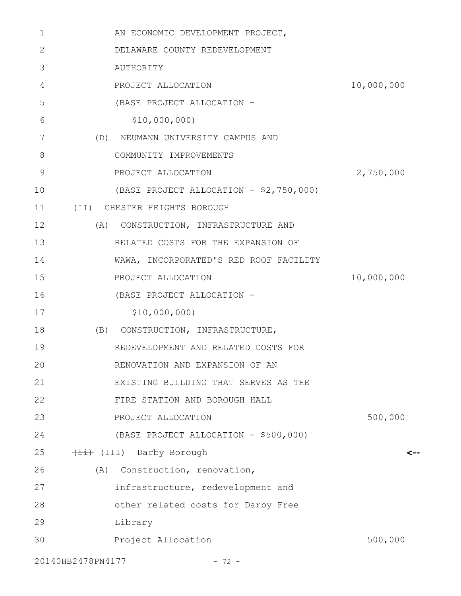| 1                 | AN ECONOMIC DEVELOPMENT PROJECT,        |            |
|-------------------|-----------------------------------------|------------|
| 2                 | DELAWARE COUNTY REDEVELOPMENT           |            |
| 3                 | AUTHORITY                               |            |
| 4                 | PROJECT ALLOCATION                      | 10,000,000 |
| 5                 | (BASE PROJECT ALLOCATION -              |            |
| 6                 | \$10,000,000)                           |            |
| 7                 | (D) NEUMANN UNIVERSITY CAMPUS AND       |            |
| 8                 | COMMUNITY IMPROVEMENTS                  |            |
| 9                 | PROJECT ALLOCATION                      | 2,750,000  |
| 10                | (BASE PROJECT ALLOCATION - \$2,750,000) |            |
| 11                | (II) CHESTER HEIGHTS BOROUGH            |            |
| 12                | (A)<br>CONSTRUCTION, INFRASTRUCTURE AND |            |
| 13                | RELATED COSTS FOR THE EXPANSION OF      |            |
| 14                | WAWA, INCORPORATED'S RED ROOF FACILITY  |            |
| 15                | PROJECT ALLOCATION                      | 10,000,000 |
| 16                | (BASE PROJECT ALLOCATION -              |            |
| 17                | \$10,000,000)                           |            |
| 18                | (B) CONSTRUCTION, INFRASTRUCTURE,       |            |
| 19                | REDEVELOPMENT AND RELATED COSTS FOR     |            |
| 20                | RENOVATION AND EXPANSION OF AN          |            |
| 21                | EXISTING BUILDING THAT SERVES AS THE    |            |
| 22                | FIRE STATION AND BOROUGH HALL           |            |
| 23                | PROJECT ALLOCATION                      | 500,000    |
| 24                | (BASE PROJECT ALLOCATION - \$500,000)   |            |
| 25                | (III) Darby Borough                     |            |
| 26                | (A) Construction, renovation,           |            |
| 27                | infrastructure, redevelopment and       |            |
| 28                | other related costs for Darby Free      |            |
| 29                | Library                                 |            |
| 30                | Project Allocation                      | 500,000    |
| 20140HB2478PN4177 | $-72 -$                                 |            |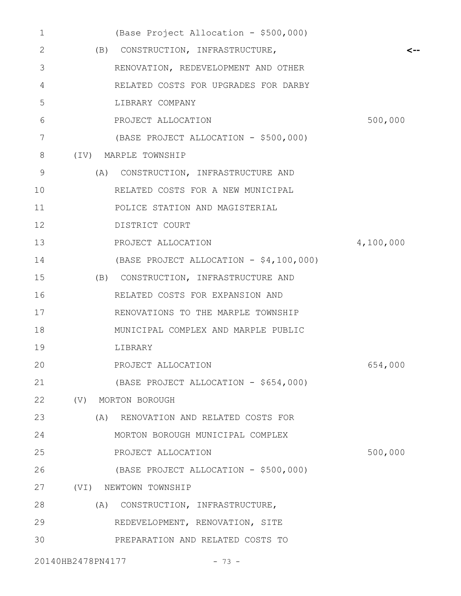| $\mathbf 1$ |                   | (Base Project Allocation - \$500,000)   |           |
|-------------|-------------------|-----------------------------------------|-----------|
| 2           |                   | (B) CONSTRUCTION, INFRASTRUCTURE,       |           |
| 3           |                   | RENOVATION, REDEVELOPMENT AND OTHER     |           |
| 4           |                   | RELATED COSTS FOR UPGRADES FOR DARBY    |           |
| 5           |                   | LIBRARY COMPANY                         |           |
| 6           |                   | PROJECT ALLOCATION                      | 500,000   |
| 7           |                   | (BASE PROJECT ALLOCATION - \$500,000)   |           |
| 8           |                   | (IV) MARPLE TOWNSHIP                    |           |
| 9           |                   | (A) CONSTRUCTION, INFRASTRUCTURE AND    |           |
| 10          |                   | RELATED COSTS FOR A NEW MUNICIPAL       |           |
| 11          |                   | POLICE STATION AND MAGISTERIAL          |           |
| 12          |                   | DISTRICT COURT                          |           |
| 13          |                   | PROJECT ALLOCATION                      | 4,100,000 |
| 14          |                   | (BASE PROJECT ALLOCATION - \$4,100,000) |           |
| 15          |                   | (B) CONSTRUCTION, INFRASTRUCTURE AND    |           |
| 16          |                   | RELATED COSTS FOR EXPANSION AND         |           |
| 17          |                   | RENOVATIONS TO THE MARPLE TOWNSHIP      |           |
| 18          |                   | MUNICIPAL COMPLEX AND MARPLE PUBLIC     |           |
| 19          |                   | LIBRARY                                 |           |
| 20          |                   | PROJECT ALLOCATION                      | 654,000   |
| 21          |                   | (BASE PROJECT ALLOCATION - \$654,000)   |           |
| 22          |                   | (V) MORTON BOROUGH                      |           |
| 23          |                   | (A) RENOVATION AND RELATED COSTS FOR    |           |
| 24          |                   | MORTON BOROUGH MUNICIPAL COMPLEX        |           |
| 25          |                   | PROJECT ALLOCATION                      | 500,000   |
| 26          |                   | (BASE PROJECT ALLOCATION - \$500,000)   |           |
| 27          |                   | (VI) NEWTOWN TOWNSHIP                   |           |
| 28          |                   | (A) CONSTRUCTION, INFRASTRUCTURE,       |           |
| 29          |                   | REDEVELOPMENT, RENOVATION, SITE         |           |
| 30          |                   | PREPARATION AND RELATED COSTS TO        |           |
|             | 20140HB2478PN4177 | $-73 -$                                 |           |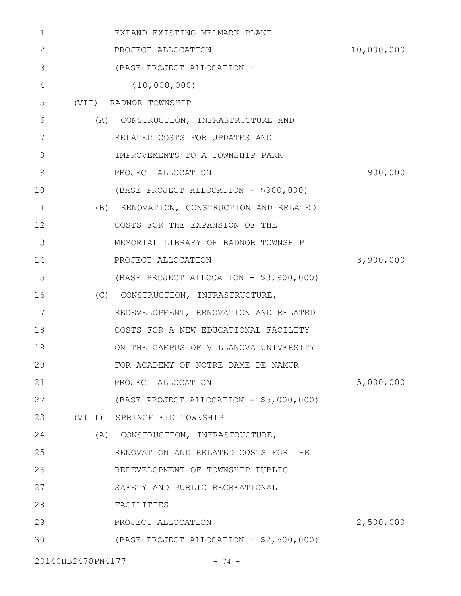| 1  | EXPAND EXISTING MELMARK PLANT            |            |
|----|------------------------------------------|------------|
| 2  | PROJECT ALLOCATION                       | 10,000,000 |
| 3  | (BASE PROJECT ALLOCATION -               |            |
| 4  | \$10,000,000)                            |            |
| 5  | (VII) RADNOR TOWNSHIP                    |            |
| 6  | (A) CONSTRUCTION, INFRASTRUCTURE AND     |            |
| 7  | RELATED COSTS FOR UPDATES AND            |            |
| 8  | IMPROVEMENTS TO A TOWNSHIP PARK          |            |
| 9  | PROJECT ALLOCATION                       | 900,000    |
| 10 | (BASE PROJECT ALLOCATION - \$900,000)    |            |
| 11 | (B) RENOVATION, CONSTRUCTION AND RELATED |            |
| 12 | COSTS FOR THE EXPANSION OF THE           |            |
| 13 | MEMORIAL LIBRARY OF RADNOR TOWNSHIP      |            |
| 14 | PROJECT ALLOCATION                       | 3,900,000  |
| 15 | (BASE PROJECT ALLOCATION - \$3,900,000)  |            |
| 16 | (C) CONSTRUCTION, INFRASTRUCTURE,        |            |
| 17 | REDEVELOPMENT, RENOVATION AND RELATED    |            |
| 18 | COSTS FOR A NEW EDUCATIONAL FACILITY     |            |
| 19 | ON THE CAMPUS OF VILLANOVA UNIVERSITY    |            |
| 20 | FOR ACADEMY OF NOTRE DAME DE NAMUR       |            |
| 21 | PROJECT ALLOCATION                       | 5,000,000  |
| 22 | (BASE PROJECT ALLOCATION - \$5,000,000)  |            |
| 23 | (VIII) SPRINGFIELD TOWNSHIP              |            |
| 24 | (A) CONSTRUCTION, INFRASTRUCTURE,        |            |
| 25 | RENOVATION AND RELATED COSTS FOR THE     |            |
| 26 | REDEVELOPMENT OF TOWNSHIP PUBLIC         |            |
| 27 | SAFETY AND PUBLIC RECREATIONAL           |            |
| 28 | FACILITIES                               |            |
| 29 | PROJECT ALLOCATION                       | 2,500,000  |
| 30 | (BASE PROJECT ALLOCATION - \$2,500,000)  |            |
|    |                                          |            |

20140HB2478PN4177 - 74 -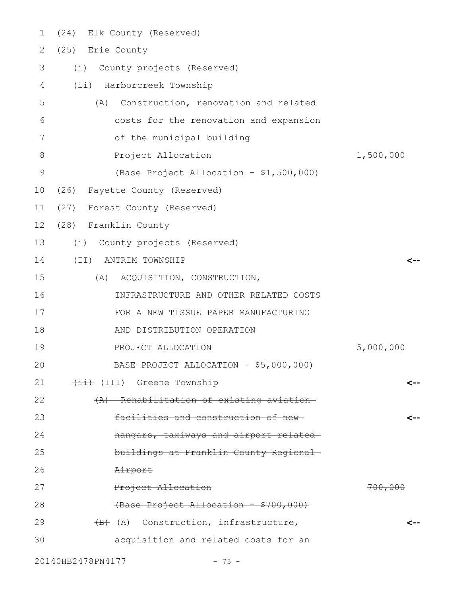| 1             | (24) Elk County (Reserved)                  |           |
|---------------|---------------------------------------------|-----------|
| 2             | (25) Erie County                            |           |
| 3             | (i)<br>County projects (Reserved)           |           |
| 4             | (ii) Harborcreek Township                   |           |
| 5             | Construction, renovation and related<br>(A) |           |
| 6             | costs for the renovation and expansion      |           |
| 7             | of the municipal building                   |           |
| 8             | Project Allocation                          | 1,500,000 |
| $\mathcal{G}$ | (Base Project Allocation - \$1,500,000)     |           |
| 10            | (26) Fayette County (Reserved)              |           |
| 11            | (27) Forest County (Reserved)               |           |
| 12            | (28) Franklin County                        |           |
| 13            | (i) County projects (Reserved)              |           |
| 14            | $(\exists \exists)$<br>ANTRIM TOWNSHIP      |           |
| 15            | (A) ACQUISITION, CONSTRUCTION,              |           |
| 16            | INFRASTRUCTURE AND OTHER RELATED COSTS      |           |
| 17            | FOR A NEW TISSUE PAPER MANUFACTURING        |           |
| 18            | AND DISTRIBUTION OPERATION                  |           |
| 19            | PROJECT ALLOCATION                          | 5,000,000 |
| 20            | BASE PROJECT ALLOCATION - \$5,000,000)      |           |
| 21            | (III) Greene Township                       |           |
| 22            | (A) Rehabilitation of existing aviation-    |           |
| 23            | facilities and construction of new-         |           |
| 24            | hangars, taxiways and airport related-      |           |
| 25            | buildings at Franklin County Regional-      |           |
| 26            | Airport                                     |           |
| 27            | Project Allocation                          | 700,000   |
| 28            | (Base Project Allocation - \$700,000)       |           |
| 29            | (B) (A) Construction, infrastructure,       |           |
| 30            | acquisition and related costs for an        |           |
|               |                                             |           |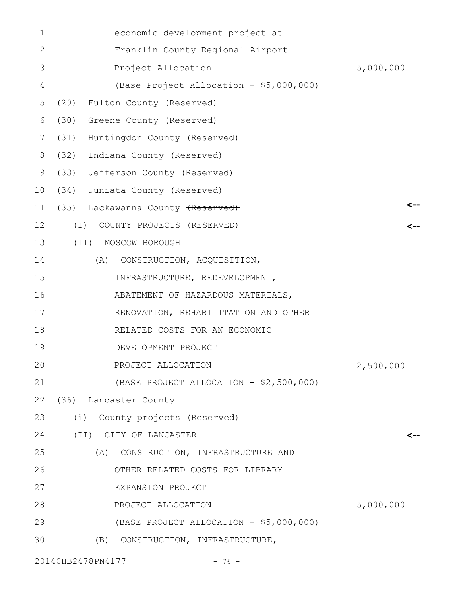| 1              | economic development project at         |              |
|----------------|-----------------------------------------|--------------|
| 2              | Franklin County Regional Airport        |              |
| 3              | Project Allocation                      | 5,000,000    |
| $\overline{4}$ | (Base Project Allocation - \$5,000,000) |              |
| 5              | (29)<br>Fulton County (Reserved)        |              |
| 6              | (30)<br>Greene County (Reserved)        |              |
| 7              | (31)<br>Huntingdon County (Reserved)    |              |
| 8              | (32)<br>Indiana County (Reserved)       |              |
| 9              | (33)<br>Jefferson County (Reserved)     |              |
| 10             | (34)<br>Juniata County (Reserved)       |              |
| 11             | (35) Lackawanna County (Reserved)       |              |
| 12             | COUNTY PROJECTS (RESERVED)<br>(I)       | $\leftarrow$ |
| 13             | (II) MOSCOW BOROUGH                     |              |
| 14             | (A) CONSTRUCTION, ACQUISITION,          |              |
| 15             | INFRASTRUCTURE, REDEVELOPMENT,          |              |
| 16             | ABATEMENT OF HAZARDOUS MATERIALS,       |              |
| 17             | RENOVATION, REHABILITATION AND OTHER    |              |
| 18             | RELATED COSTS FOR AN ECONOMIC           |              |
| 19             | DEVELOPMENT PROJECT                     |              |
| 20             | PROJECT ALLOCATION                      | 2,500,000    |
| 21             | (BASE PROJECT ALLOCATION - \$2,500,000) |              |
| 22             | (36) Lancaster County                   |              |
| 23             | (i) County projects (Reserved)          |              |
| 24             | (II) CITY OF LANCASTER                  | <--          |
| 25             | (A) CONSTRUCTION, INFRASTRUCTURE AND    |              |
| 26             | OTHER RELATED COSTS FOR LIBRARY         |              |
| 27             | EXPANSION PROJECT                       |              |
| 28             | PROJECT ALLOCATION                      | 5,000,000    |
| 29             | (BASE PROJECT ALLOCATION - \$5,000,000) |              |
| 30             | (B) CONSTRUCTION, INFRASTRUCTURE,       |              |
|                |                                         |              |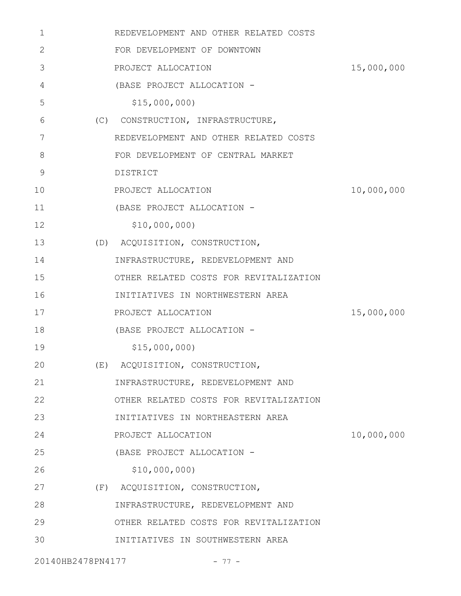| 1                 | REDEVELOPMENT AND OTHER RELATED COSTS  |            |
|-------------------|----------------------------------------|------------|
| 2                 | FOR DEVELOPMENT OF DOWNTOWN            |            |
| 3                 | PROJECT ALLOCATION                     | 15,000,000 |
| 4                 | (BASE PROJECT ALLOCATION -             |            |
| 5                 | \$15,000,000                           |            |
| 6                 | (C) CONSTRUCTION, INFRASTRUCTURE,      |            |
| 7                 | REDEVELOPMENT AND OTHER RELATED COSTS  |            |
| 8                 | FOR DEVELOPMENT OF CENTRAL MARKET      |            |
| 9                 | DISTRICT                               |            |
| 10                | PROJECT ALLOCATION                     | 10,000,000 |
| 11                | (BASE PROJECT ALLOCATION -             |            |
| 12                | \$10,000,000)                          |            |
| 13                | (D) ACQUISITION, CONSTRUCTION,         |            |
| 14                | INFRASTRUCTURE, REDEVELOPMENT AND      |            |
| 15                | OTHER RELATED COSTS FOR REVITALIZATION |            |
| 16                | INITIATIVES IN NORTHWESTERN AREA       |            |
| 17                | PROJECT ALLOCATION                     | 15,000,000 |
| 18                | (BASE PROJECT ALLOCATION -             |            |
| 19                | \$15,000,000                           |            |
| 20                | (E) ACQUISITION, CONSTRUCTION,         |            |
| 21                | INFRASTRUCTURE, REDEVELOPMENT AND      |            |
| 22                | OTHER RELATED COSTS FOR REVITALIZATION |            |
| 23                | INITIATIVES IN NORTHEASTERN AREA       |            |
| 24                | PROJECT ALLOCATION                     | 10,000,000 |
| 25                | (BASE PROJECT ALLOCATION -             |            |
| 26                | \$10,000,000)                          |            |
| 27                | (F) ACQUISITION, CONSTRUCTION,         |            |
| 28                | INFRASTRUCTURE, REDEVELOPMENT AND      |            |
| 29                | OTHER RELATED COSTS FOR REVITALIZATION |            |
| 30                | INITIATIVES IN SOUTHWESTERN AREA       |            |
| 20140HB2478PN4177 | $-77-$                                 |            |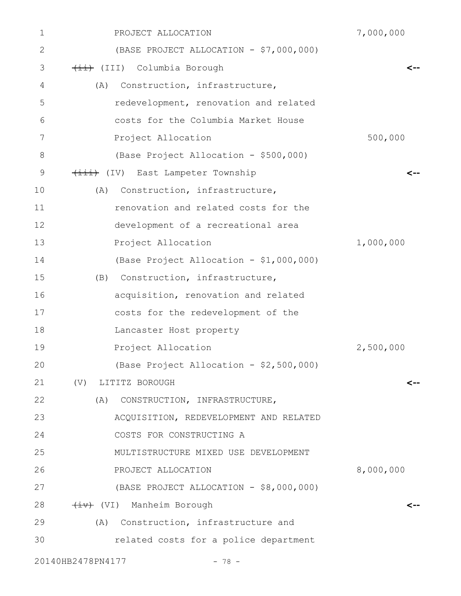| 1                 | PROJECT ALLOCATION                      | 7,000,000 |
|-------------------|-----------------------------------------|-----------|
| 2                 | (BASE PROJECT ALLOCATION - \$7,000,000) |           |
| 3                 | (III) Columbia Borough                  | <--       |
| 4<br>(A)          | Construction, infrastructure,           |           |
| 5                 | redevelopment, renovation and related   |           |
| 6                 | costs for the Columbia Market House     |           |
| 7                 | Project Allocation                      | 500,000   |
| 8                 | (Base Project Allocation - \$500,000)   |           |
| 9                 | (iii) (IV) East Lampeter Township       |           |
| 10<br>(A)         | Construction, infrastructure,           |           |
| 11                | renovation and related costs for the    |           |
| 12                | development of a recreational area      |           |
| 13                | Project Allocation                      | 1,000,000 |
| 14                | (Base Project Allocation - \$1,000,000) |           |
| 15                | (B) Construction, infrastructure,       |           |
| 16                | acquisition, renovation and related     |           |
| 17                | costs for the redevelopment of the      |           |
| 18                | Lancaster Host property                 |           |
| 19                | Project Allocation                      | 2,500,000 |
| 20                | (Base Project Allocation - \$2,500,000) |           |
| 21                | (V) LITITZ BOROUGH                      | <--       |
| 22                | (A)<br>CONSTRUCTION, INFRASTRUCTURE,    |           |
| 23                | ACQUISITION, REDEVELOPMENT AND RELATED  |           |
| 24                | COSTS FOR CONSTRUCTING A                |           |
| 25                | MULTISTRUCTURE MIXED USE DEVELOPMENT    |           |
| 26                | PROJECT ALLOCATION                      | 8,000,000 |
| 27                | (BASE PROJECT ALLOCATION - \$8,000,000) |           |
| 28                | (VI) Manheim Borough                    | <--       |
| 29                | (A) Construction, infrastructure and    |           |
| 30                | related costs for a police department   |           |
| 20140HB2478PN4177 | $-78 -$                                 |           |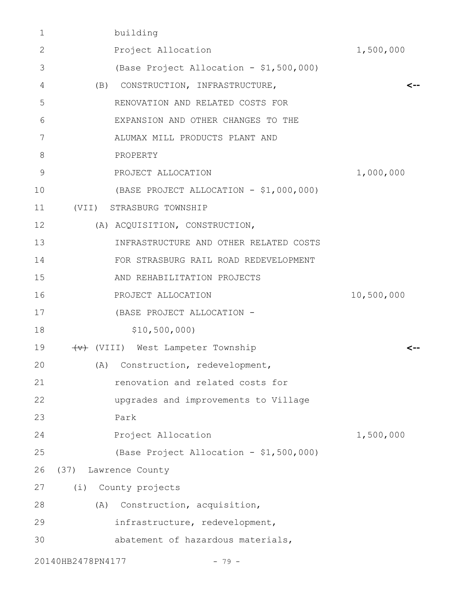| 1            | building                                |            |
|--------------|-----------------------------------------|------------|
| $\mathbf{2}$ | Project Allocation                      | 1,500,000  |
| 3            | (Base Project Allocation - \$1,500,000) |            |
| 4            | (B) CONSTRUCTION, INFRASTRUCTURE,       | <--        |
| 5            | RENOVATION AND RELATED COSTS FOR        |            |
| 6            | EXPANSION AND OTHER CHANGES TO THE      |            |
| 7            | ALUMAX MILL PRODUCTS PLANT AND          |            |
| 8            | PROPERTY                                |            |
| 9            | PROJECT ALLOCATION                      | 1,000,000  |
| 10           | (BASE PROJECT ALLOCATION - \$1,000,000) |            |
| 11           | (VII) STRASBURG TOWNSHIP                |            |
| 12           | (A) ACQUISITION, CONSTRUCTION,          |            |
| 13           | INFRASTRUCTURE AND OTHER RELATED COSTS  |            |
| 14           | FOR STRASBURG RAIL ROAD REDEVELOPMENT   |            |
| 15           | AND REHABILITATION PROJECTS             |            |
| 16           | PROJECT ALLOCATION                      | 10,500,000 |
| 17           | (BASE PROJECT ALLOCATION -              |            |
| 18           | \$10,500,000                            |            |
| 19           | (VIII) West Lampeter Township           |            |
| 20           | (A) Construction, redevelopment,        |            |
| 21           | renovation and related costs for        |            |
| 22           | upgrades and improvements to Village    |            |
| 23           | Park                                    |            |
| 24           | Project Allocation                      | 1,500,000  |
| 25           | (Base Project Allocation - \$1,500,000) |            |
| 26           | (37) Lawrence County                    |            |
| 27           | (i) County projects                     |            |
| 28           | Construction, acquisition,<br>(A)       |            |
| 29           | infrastructure, redevelopment,          |            |
| 30           | abatement of hazardous materials,       |            |
|              | 20140HB2478PN4177<br>$-79 -$            |            |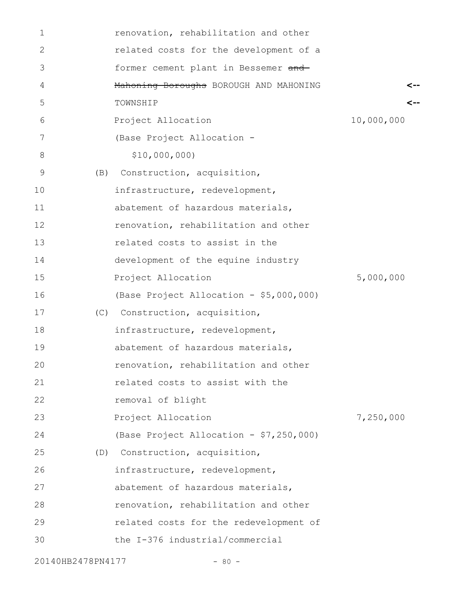| $\mathbf{1}$      |     | renovation, rehabilitation and other    |            |
|-------------------|-----|-----------------------------------------|------------|
| 2                 |     | related costs for the development of a  |            |
| 3                 |     | former cement plant in Bessemer and     |            |
| 4                 |     | Mahoning Boroughs BOROUGH AND MAHONING  | <--        |
| 5                 |     | TOWNSHIP                                |            |
| 6                 |     | Project Allocation                      | 10,000,000 |
| 7                 |     | (Base Project Allocation -              |            |
| 8                 |     | \$10,000,000)                           |            |
| 9                 | (B) | Construction, acquisition,              |            |
| 10                |     | infrastructure, redevelopment,          |            |
| 11                |     | abatement of hazardous materials,       |            |
| 12                |     | renovation, rehabilitation and other    |            |
| 13                |     | related costs to assist in the          |            |
| 14                |     | development of the equine industry      |            |
| 15                |     | Project Allocation                      | 5,000,000  |
| 16                |     | (Base Project Allocation - \$5,000,000) |            |
| 17                |     | (C) Construction, acquisition,          |            |
| 18                |     | infrastructure, redevelopment,          |            |
| 19                |     | abatement of hazardous materials,       |            |
| 20                |     | renovation, rehabilitation and other    |            |
| 21                |     | related costs to assist with the        |            |
| 22                |     | removal of blight                       |            |
| 23                |     | Project Allocation                      | 7,250,000  |
| 24                |     | (Base Project Allocation - \$7,250,000) |            |
| 25                |     | (D) Construction, acquisition,          |            |
| 26                |     | infrastructure, redevelopment,          |            |
| 27                |     | abatement of hazardous materials,       |            |
| 28                |     | renovation, rehabilitation and other    |            |
| 29                |     | related costs for the redevelopment of  |            |
| 30                |     | the I-376 industrial/commercial         |            |
| 20140HB2478PN4177 |     | $-80 -$                                 |            |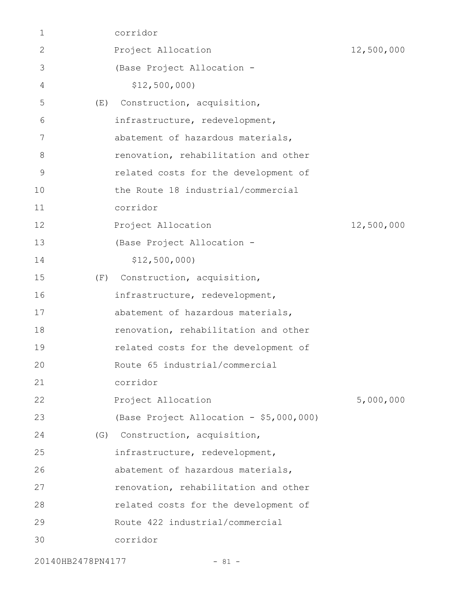|     | Project Allocation<br>(Base Project Allocation - | 12,500,000                     |
|-----|--------------------------------------------------|--------------------------------|
|     |                                                  |                                |
|     |                                                  |                                |
|     | \$12,500,000                                     |                                |
| (E) | Construction, acquisition,                       |                                |
|     | infrastructure, redevelopment,                   |                                |
|     | abatement of hazardous materials,                |                                |
|     | renovation, rehabilitation and other             |                                |
|     | related costs for the development of             |                                |
|     | the Route 18 industrial/commercial               |                                |
|     | corridor                                         |                                |
|     | Project Allocation                               | 12,500,000                     |
|     | (Base Project Allocation -                       |                                |
|     | \$12,500,000                                     |                                |
| (F) | Construction, acquisition,                       |                                |
|     | infrastructure, redevelopment,                   |                                |
|     | abatement of hazardous materials,                |                                |
|     | renovation, rehabilitation and other             |                                |
|     | related costs for the development of             |                                |
|     | Route 65 industrial/commercial                   |                                |
|     | corridor                                         |                                |
|     | Project Allocation                               | 5,000,000                      |
|     | (Base Project Allocation - \$5,000,000)          |                                |
|     |                                                  |                                |
|     | infrastructure, redevelopment,                   |                                |
|     | abatement of hazardous materials,                |                                |
|     | renovation, rehabilitation and other             |                                |
|     | related costs for the development of             |                                |
|     | Route 422 industrial/commercial                  |                                |
|     | corridor                                         |                                |
|     |                                                  | (G) Construction, acquisition, |

20140HB2478PN4177 - 81 -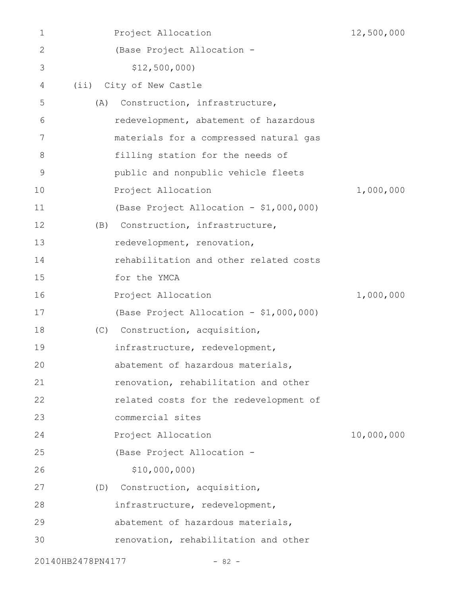| 1                 |     | Project Allocation                      | 12,500,000 |
|-------------------|-----|-----------------------------------------|------------|
| $\mathbf{2}$      |     | (Base Project Allocation -              |            |
| 3                 |     | \$12,500,000                            |            |
| 4                 | (i) | City of New Castle                      |            |
| 5                 | (A) | Construction, infrastructure,           |            |
| 6                 |     | redevelopment, abatement of hazardous   |            |
| 7                 |     | materials for a compressed natural gas  |            |
| 8                 |     | filling station for the needs of        |            |
| 9                 |     | public and nonpublic vehicle fleets     |            |
| 10                |     | Project Allocation                      | 1,000,000  |
| 11                |     | (Base Project Allocation - \$1,000,000) |            |
| 12                | (B) | Construction, infrastructure,           |            |
| 13                |     | redevelopment, renovation,              |            |
| 14                |     | rehabilitation and other related costs  |            |
| 15                |     | for the YMCA                            |            |
| 16                |     | Project Allocation                      | 1,000,000  |
| 17                |     | (Base Project Allocation - \$1,000,000) |            |
| 18                | (C) | Construction, acquisition,              |            |
| 19                |     | infrastructure, redevelopment,          |            |
| 20                |     | abatement of hazardous materials,       |            |
| 21                |     | renovation, rehabilitation and other    |            |
| 22                |     | related costs for the redevelopment of  |            |
| 23                |     | commercial sites                        |            |
| 24                |     | Project Allocation                      | 10,000,000 |
| 25                |     | (Base Project Allocation -              |            |
| 26                |     | \$10,000,000                            |            |
| 27                |     | (D) Construction, acquisition,          |            |
| 28                |     | infrastructure, redevelopment,          |            |
| 29                |     | abatement of hazardous materials,       |            |
| 30                |     | renovation, rehabilitation and other    |            |
| 20140HB2478PN4177 |     | $-82 -$                                 |            |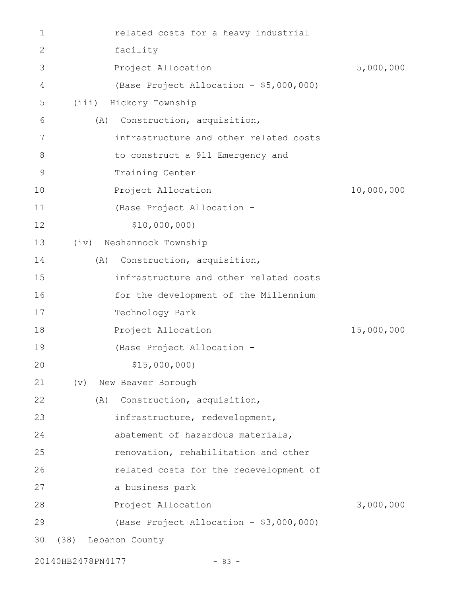| 1              | related costs for a heavy industrial    |            |
|----------------|-----------------------------------------|------------|
| 2              | facility                                |            |
| 3              | Project Allocation                      | 5,000,000  |
| 4              | (Base Project Allocation - \$5,000,000) |            |
| 5              | (iii)<br>Hickory Township               |            |
| 6              | Construction, acquisition,<br>(A)       |            |
| 7              | infrastructure and other related costs  |            |
| 8              | to construct a 911 Emergency and        |            |
| $\overline{9}$ | Training Center                         |            |
| 10             | Project Allocation                      | 10,000,000 |
| 11             | (Base Project Allocation -              |            |
| 12             | \$10,000,000                            |            |
| 13             | (iv) Neshannock Township                |            |
| 14             | Construction, acquisition,<br>(A)       |            |
| 15             | infrastructure and other related costs  |            |
| 16             | for the development of the Millennium   |            |
| 17             | Technology Park                         |            |
| 18             | Project Allocation                      | 15,000,000 |
| 19             | (Base Project Allocation -              |            |
| 20             | \$15,000,000)                           |            |
| 21             | New Beaver Borough<br>$(\triangledown)$ |            |
| 22             | Construction, acquisition,<br>(A)       |            |
| 23             | infrastructure, redevelopment,          |            |
| 24             | abatement of hazardous materials,       |            |
| 25             | renovation, rehabilitation and other    |            |
| 26             | related costs for the redevelopment of  |            |
| 27             | a business park                         |            |
| 28             | Project Allocation                      | 3,000,000  |
| 29             | (Base Project Allocation - \$3,000,000) |            |
| 30             | (38)<br>Lebanon County                  |            |
|                |                                         |            |

20140HB2478PN4177 - 83 -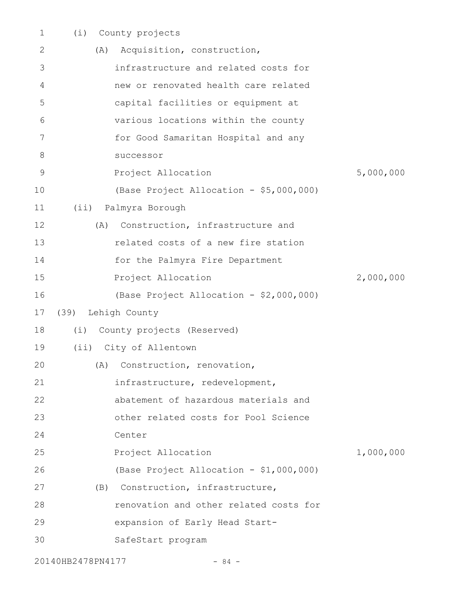| $\mathbf 1$    | (i)  | County projects                         |           |
|----------------|------|-----------------------------------------|-----------|
| 2              | (A)  | Acquisition, construction,              |           |
| 3              |      | infrastructure and related costs for    |           |
| 4              |      | new or renovated health care related    |           |
| 5              |      | capital facilities or equipment at      |           |
| 6              |      | various locations within the county     |           |
| $\overline{7}$ |      | for Good Samaritan Hospital and any     |           |
| 8              |      | successor                               |           |
| $\overline{9}$ |      | Project Allocation                      | 5,000,000 |
| 10             |      | (Base Project Allocation - \$5,000,000) |           |
| 11             | (i)  | Palmyra Borough                         |           |
| 12             | (A)  | Construction, infrastructure and        |           |
| 13             |      | related costs of a new fire station     |           |
| 14             |      | for the Palmyra Fire Department         |           |
| 15             |      | Project Allocation                      | 2,000,000 |
| 16             |      | (Base Project Allocation - \$2,000,000) |           |
| 17             | (39) | Lehigh County                           |           |
| 18             | (i)  | County projects (Reserved)              |           |
| 19             |      | (ii) City of Allentown                  |           |
| 20             |      | (A) Construction, renovation,           |           |
| 21             |      | infrastructure, redevelopment,          |           |
| 22             |      | abatement of hazardous materials and    |           |
| 23             |      | other related costs for Pool Science    |           |
| 24             |      | Center                                  |           |
| 25             |      | Project Allocation                      | 1,000,000 |
| 26             |      | (Base Project Allocation - \$1,000,000) |           |
| 27             | (B)  | Construction, infrastructure,           |           |
| 28             |      | renovation and other related costs for  |           |
| 29             |      | expansion of Early Head Start-          |           |
| 30             |      | SafeStart program                       |           |
|                |      |                                         |           |

20140HB2478PN4177 - 84 -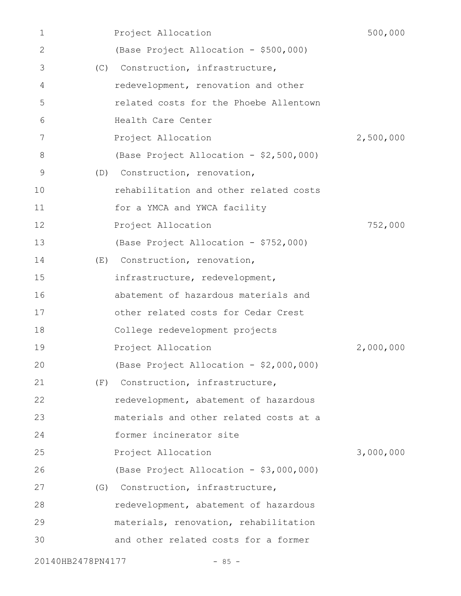| 1                 |     | Project Allocation                      | 500,000   |
|-------------------|-----|-----------------------------------------|-----------|
| 2                 |     | (Base Project Allocation - \$500,000)   |           |
| 3                 |     | (C) Construction, infrastructure,       |           |
| 4                 |     | redevelopment, renovation and other     |           |
| 5                 |     | related costs for the Phoebe Allentown  |           |
| 6                 |     | Health Care Center                      |           |
| 7                 |     | Project Allocation                      | 2,500,000 |
| 8                 |     | (Base Project Allocation - \$2,500,000) |           |
| 9                 | (D) | Construction, renovation,               |           |
| 10                |     | rehabilitation and other related costs  |           |
| 11                |     | for a YMCA and YWCA facility            |           |
| 12                |     | Project Allocation                      | 752,000   |
| 13                |     | (Base Project Allocation - \$752,000)   |           |
| 14                | (E) | Construction, renovation,               |           |
| 15                |     | infrastructure, redevelopment,          |           |
| 16                |     | abatement of hazardous materials and    |           |
| 17                |     | other related costs for Cedar Crest     |           |
| 18                |     | College redevelopment projects          |           |
| 19                |     | Project Allocation                      | 2,000,000 |
| 20                |     | (Base Project Allocation - \$2,000,000) |           |
| 21                | (F) | Construction, infrastructure,           |           |
| 22                |     | redevelopment, abatement of hazardous   |           |
| 23                |     | materials and other related costs at a  |           |
| 24                |     | former incinerator site                 |           |
| 25                |     | Project Allocation                      | 3,000,000 |
| 26                |     | (Base Project Allocation - \$3,000,000) |           |
| 27                | (G) | Construction, infrastructure,           |           |
| 28                |     | redevelopment, abatement of hazardous   |           |
| 29                |     | materials, renovation, rehabilitation   |           |
| 30                |     | and other related costs for a former    |           |
| 20140HB2478PN4177 |     | $-85 -$                                 |           |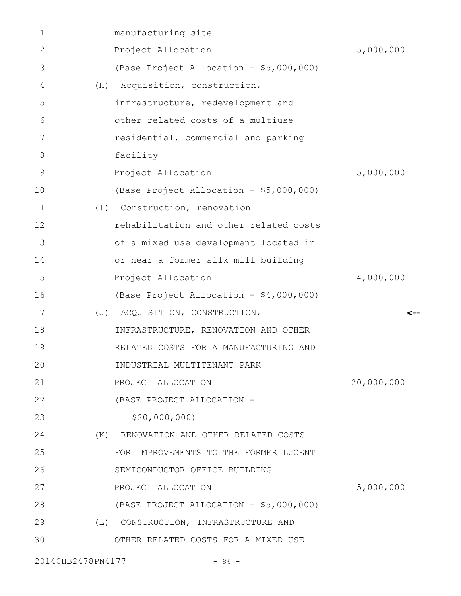| 1  |          | manufacturing site                      |            |
|----|----------|-----------------------------------------|------------|
| 2  |          | Project Allocation                      | 5,000,000  |
| 3  |          | (Base Project Allocation - \$5,000,000) |            |
| 4  | (H)      | Acquisition, construction,              |            |
| 5  |          | infrastructure, redevelopment and       |            |
| 6  |          | other related costs of a multiuse       |            |
| 7  |          | residential, commercial and parking     |            |
| 8  |          | facility                                |            |
| 9  |          | Project Allocation                      | 5,000,000  |
| 10 |          | (Base Project Allocation - \$5,000,000) |            |
| 11 | $(\top)$ | Construction, renovation                |            |
| 12 |          | rehabilitation and other related costs  |            |
| 13 |          | of a mixed use development located in   |            |
| 14 |          | or near a former silk mill building     |            |
| 15 |          | Project Allocation                      | 4,000,000  |
| 16 |          | (Base Project Allocation - \$4,000,000) |            |
| 17 |          | (J) ACQUISITION, CONSTRUCTION,          | -->        |
| 18 |          | INFRASTRUCTURE, RENOVATION AND OTHER    |            |
| 19 |          | RELATED COSTS FOR A MANUFACTURING AND   |            |
| 20 |          | INDUSTRIAL MULTITENANT PARK             |            |
| 21 |          | PROJECT ALLOCATION                      | 20,000,000 |
| 22 |          | (BASE PROJECT ALLOCATION -              |            |
| 23 |          | \$20,000,000                            |            |
| 24 |          | (K) RENOVATION AND OTHER RELATED COSTS  |            |
| 25 |          | FOR IMPROVEMENTS TO THE FORMER LUCENT   |            |
| 26 |          | SEMICONDUCTOR OFFICE BUILDING           |            |
| 27 |          | PROJECT ALLOCATION                      | 5,000,000  |
| 28 |          | (BASE PROJECT ALLOCATION - \$5,000,000) |            |
| 29 |          | (L) CONSTRUCTION, INFRASTRUCTURE AND    |            |
| 30 |          | OTHER RELATED COSTS FOR A MIXED USE     |            |
|    |          |                                         |            |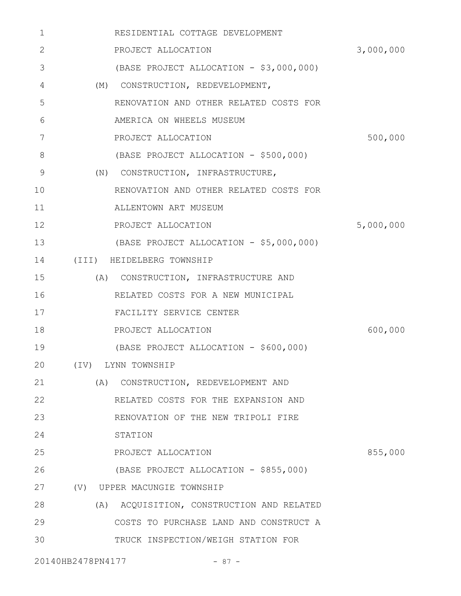| 1           | RESIDENTIAL COTTAGE DEVELOPMENT           |           |
|-------------|-------------------------------------------|-----------|
| 2           | PROJECT ALLOCATION                        | 3,000,000 |
| 3           | (BASE PROJECT ALLOCATION - \$3,000,000)   |           |
| 4           | (M) CONSTRUCTION, REDEVELOPMENT,          |           |
| 5           | RENOVATION AND OTHER RELATED COSTS FOR    |           |
| 6           | AMERICA ON WHEELS MUSEUM                  |           |
| 7           | PROJECT ALLOCATION                        | 500,000   |
| 8           | (BASE PROJECT ALLOCATION - \$500,000)     |           |
| $\mathsf 9$ | (N) CONSTRUCTION, INFRASTRUCTURE,         |           |
| 10          | RENOVATION AND OTHER RELATED COSTS FOR    |           |
| 11          | ALLENTOWN ART MUSEUM                      |           |
| 12          | PROJECT ALLOCATION                        | 5,000,000 |
| 13          | (BASE PROJECT ALLOCATION - \$5,000,000)   |           |
| 14          | (III) HEIDELBERG TOWNSHIP                 |           |
| 15          | (A) CONSTRUCTION, INFRASTRUCTURE AND      |           |
| 16          | RELATED COSTS FOR A NEW MUNICIPAL         |           |
| 17          | FACILITY SERVICE CENTER                   |           |
| 18          | PROJECT ALLOCATION                        | 600,000   |
| 19          | (BASE PROJECT ALLOCATION - \$600,000)     |           |
| 20          | (IV) LYNN TOWNSHIP                        |           |
| 21          | (A) CONSTRUCTION, REDEVELOPMENT AND       |           |
| 22          | RELATED COSTS FOR THE EXPANSION AND       |           |
| 23          | RENOVATION OF THE NEW TRIPOLI FIRE        |           |
| 24          | STATION                                   |           |
| 25          | PROJECT ALLOCATION                        | 855,000   |
| 26          | (BASE PROJECT ALLOCATION - \$855,000)     |           |
| 27          | (V) UPPER MACUNGIE TOWNSHIP               |           |
| 28          | (A) ACQUISITION, CONSTRUCTION AND RELATED |           |
| 29          | COSTS TO PURCHASE LAND AND CONSTRUCT A    |           |
| 30          | TRUCK INSPECTION/WEIGH STATION FOR        |           |
|             | 20140HB2478PN4177<br>$-87 -$              |           |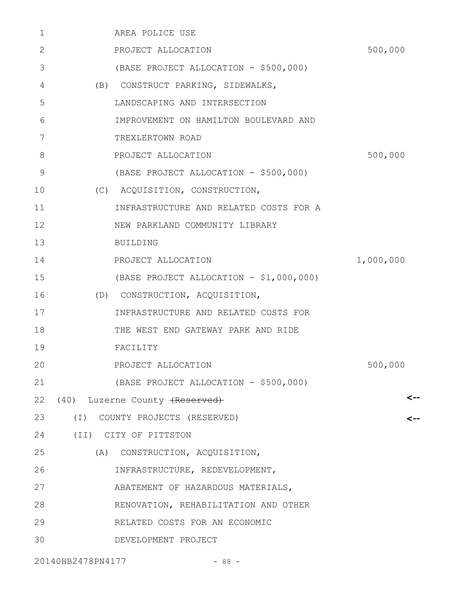| 1  | AREA POLICE USE                         |           |
|----|-----------------------------------------|-----------|
| 2  | PROJECT ALLOCATION                      | 500,000   |
| 3  | (BASE PROJECT ALLOCATION - \$500,000)   |           |
| 4  | (B) CONSTRUCT PARKING, SIDEWALKS,       |           |
| 5  | LANDSCAPING AND INTERSECTION            |           |
| 6  | IMPROVEMENT ON HAMILTON BOULEVARD AND   |           |
| 7  | TREXLERTOWN ROAD                        |           |
| 8  | PROJECT ALLOCATION                      | 500,000   |
| 9  | (BASE PROJECT ALLOCATION - \$500,000)   |           |
| 10 | (C) ACQUISITION, CONSTRUCTION,          |           |
| 11 | INFRASTRUCTURE AND RELATED COSTS FOR A  |           |
| 12 | NEW PARKLAND COMMUNITY LIBRARY          |           |
| 13 | <b>BUILDING</b>                         |           |
| 14 | PROJECT ALLOCATION                      | 1,000,000 |
| 15 | (BASE PROJECT ALLOCATION - \$1,000,000) |           |
| 16 | (D) CONSTRUCTION, ACQUISITION,          |           |
| 17 | INFRASTRUCTURE AND RELATED COSTS FOR    |           |
| 18 | THE WEST END GATEWAY PARK AND RIDE      |           |
| 19 | FACILITY                                |           |
| 20 | PROJECT ALLOCATION                      | 500,000   |
| 21 | (BASE PROJECT ALLOCATION - \$500,000)   |           |
| 22 | (40) Luzerne County (Reserved)          | <--       |
| 23 | (I) COUNTY PROJECTS (RESERVED)          |           |
| 24 | (II) CITY OF PITTSTON                   |           |
| 25 | (A) CONSTRUCTION, ACQUISITION,          |           |
| 26 | INFRASTRUCTURE, REDEVELOPMENT,          |           |
| 27 | ABATEMENT OF HAZARDOUS MATERIALS,       |           |
| 28 | RENOVATION, REHABILITATION AND OTHER    |           |
| 29 | RELATED COSTS FOR AN ECONOMIC           |           |
| 30 | DEVELOPMENT PROJECT                     |           |
|    |                                         |           |

20140HB2478PN4177 - 88 -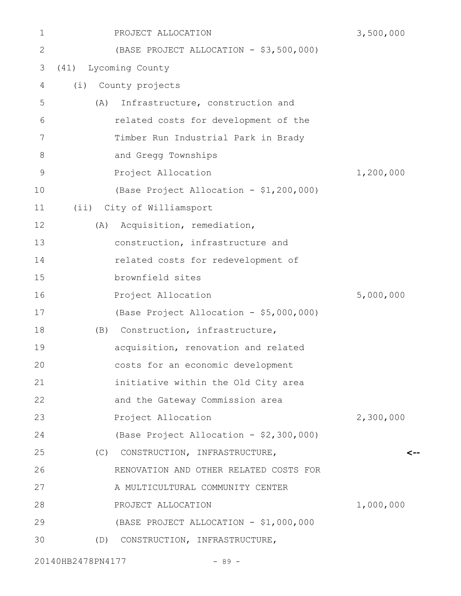| 1             | PROJECT ALLOCATION                      | 3,500,000 |
|---------------|-----------------------------------------|-----------|
| 2             | (BASE PROJECT ALLOCATION - \$3,500,000) |           |
| 3             | Lycoming County<br>(41)                 |           |
| 4             | (i) County projects                     |           |
| 5             | Infrastructure, construction and<br>(A) |           |
| 6             | related costs for development of the    |           |
| 7             | Timber Run Industrial Park in Brady     |           |
| 8             | and Gregg Townships                     |           |
| $\mathcal{G}$ | Project Allocation                      | 1,200,000 |
| 10            | (Base Project Allocation - \$1,200,000) |           |
| 11            | (ii) City of Williamsport               |           |
| 12            | Acquisition, remediation,<br>(A)        |           |
| 13            | construction, infrastructure and        |           |
| 14            | related costs for redevelopment of      |           |
| 15            | brownfield sites                        |           |
| 16            | Project Allocation                      | 5,000,000 |
| 17            | (Base Project Allocation - \$5,000,000) |           |
| 18            | (B) Construction, infrastructure,       |           |
| 19            | acquisition, renovation and related     |           |
| 20            | costs for an economic development       |           |
| 21            | initiative within the Old City area     |           |
| 22            | and the Gateway Commission area         |           |
| 23            | Project Allocation                      | 2,300,000 |
| 24            | (Base Project Allocation - \$2,300,000) |           |
| 25            | (C)<br>CONSTRUCTION, INFRASTRUCTURE,    |           |
| 26            | RENOVATION AND OTHER RELATED COSTS FOR  |           |
| 27            | A MULTICULTURAL COMMUNITY CENTER        |           |
| 28            | PROJECT ALLOCATION                      | 1,000,000 |
| 29            | (BASE PROJECT ALLOCATION - \$1,000,000  |           |
| 30            | (D) CONSTRUCTION, INFRASTRUCTURE,       |           |
|               |                                         |           |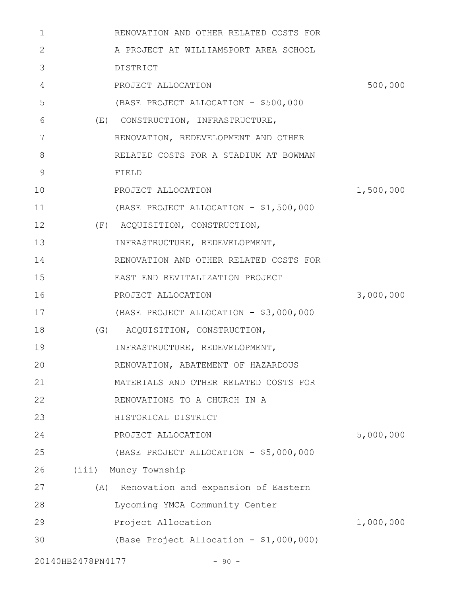| 1            |                   | RENOVATION AND OTHER RELATED COSTS FOR  |           |
|--------------|-------------------|-----------------------------------------|-----------|
| $\mathbf{2}$ |                   | A PROJECT AT WILLIAMSPORT AREA SCHOOL   |           |
| 3            |                   | DISTRICT                                |           |
| 4            |                   | PROJECT ALLOCATION                      | 500,000   |
| 5            |                   | (BASE PROJECT ALLOCATION - \$500,000    |           |
| 6            |                   | (E) CONSTRUCTION, INFRASTRUCTURE,       |           |
| 7            |                   | RENOVATION, REDEVELOPMENT AND OTHER     |           |
| 8            |                   | RELATED COSTS FOR A STADIUM AT BOWMAN   |           |
| 9            |                   | FIELD                                   |           |
| 10           |                   | PROJECT ALLOCATION                      | 1,500,000 |
| 11           |                   | (BASE PROJECT ALLOCATION - \$1,500,000  |           |
| 12           |                   | (F) ACQUISITION, CONSTRUCTION,          |           |
| 13           |                   | INFRASTRUCTURE, REDEVELOPMENT,          |           |
| 14           |                   | RENOVATION AND OTHER RELATED COSTS FOR  |           |
| 15           |                   | EAST END REVITALIZATION PROJECT         |           |
| 16           |                   | PROJECT ALLOCATION                      | 3,000,000 |
| 17           |                   | (BASE PROJECT ALLOCATION - \$3,000,000  |           |
| 18           |                   | (G) ACQUISITION, CONSTRUCTION,          |           |
| 19           |                   | INFRASTRUCTURE, REDEVELOPMENT,          |           |
| 20           |                   | RENOVATION, ABATEMENT OF HAZARDOUS      |           |
| 21           |                   | MATERIALS AND OTHER RELATED COSTS FOR   |           |
| 22           |                   | RENOVATIONS TO A CHURCH IN A            |           |
| 23           |                   | HISTORICAL DISTRICT                     |           |
| 24           |                   | PROJECT ALLOCATION                      | 5,000,000 |
| 25           |                   | (BASE PROJECT ALLOCATION - \$5,000,000  |           |
| 26           |                   | (iii) Muncy Township                    |           |
| 27           |                   | (A) Renovation and expansion of Eastern |           |
| 28           |                   | Lycoming YMCA Community Center          |           |
| 29           |                   | Project Allocation                      | 1,000,000 |
| 30           |                   | (Base Project Allocation - \$1,000,000) |           |
|              | 20140HB2478PN4177 | $-90 -$                                 |           |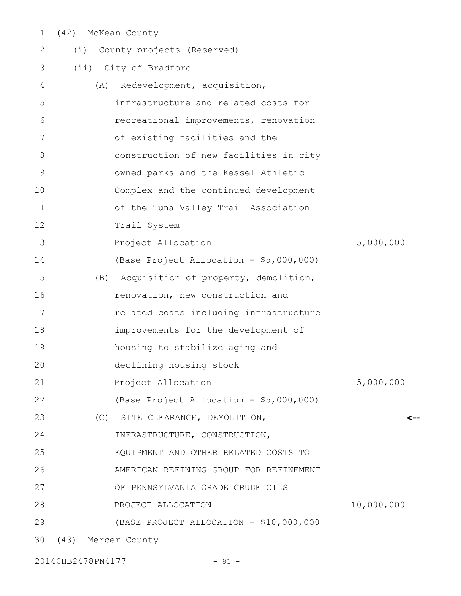(42) McKean County 1

| 2           | (i)                | County projects (Reserved)               |            |
|-------------|--------------------|------------------------------------------|------------|
| 3           |                    | (ii) City of Bradford                    |            |
| 4           | (A)                | Redevelopment, acquisition,              |            |
| 5           |                    | infrastructure and related costs for     |            |
| 6           |                    | recreational improvements, renovation    |            |
| 7           |                    | of existing facilities and the           |            |
| 8           |                    | construction of new facilities in city   |            |
| $\mathsf 9$ |                    | owned parks and the Kessel Athletic      |            |
| 10          |                    | Complex and the continued development    |            |
| 11          |                    | of the Tuna Valley Trail Association     |            |
| 12          |                    | Trail System                             |            |
| 13          |                    | Project Allocation                       | 5,000,000  |
| 14          |                    | (Base Project Allocation - \$5,000,000)  |            |
| 15          |                    | (B) Acquisition of property, demolition, |            |
| 16          |                    | renovation, new construction and         |            |
| 17          |                    | related costs including infrastructure   |            |
| 18          |                    | improvements for the development of      |            |
| 19          |                    | housing to stabilize aging and           |            |
| 20          |                    | declining housing stock                  |            |
| 21          |                    | Project Allocation                       | 5,000,000  |
| 22          |                    | (Base Project Allocation - \$5,000,000)  |            |
| 23          |                    | (C) SITE CLEARANCE, DEMOLITION,          | <--        |
| 24          |                    | INFRASTRUCTURE, CONSTRUCTION,            |            |
| 25          |                    | EQUIPMENT AND OTHER RELATED COSTS TO     |            |
| 26          |                    | AMERICAN REFINING GROUP FOR REFINEMENT   |            |
| 27          |                    | OF PENNSYLVANIA GRADE CRUDE OILS         |            |
| 28          |                    | PROJECT ALLOCATION                       | 10,000,000 |
| 29          |                    | (BASE PROJECT ALLOCATION - \$10,000,000  |            |
| 30          | (43) Mercer County |                                          |            |
|             |                    |                                          |            |

20140HB2478PN4177 - 91 -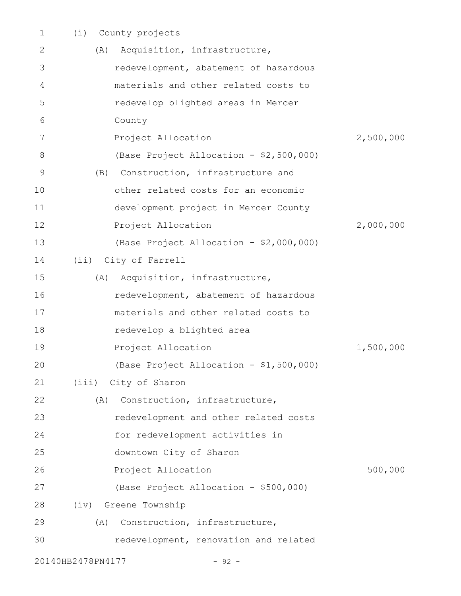| 1  | (i)<br>County projects                  |           |
|----|-----------------------------------------|-----------|
| 2  | Acquisition, infrastructure,<br>(A)     |           |
| 3  | redevelopment, abatement of hazardous   |           |
| 4  | materials and other related costs to    |           |
| 5  | redevelop blighted areas in Mercer      |           |
| 6  | County                                  |           |
| 7  | Project Allocation                      | 2,500,000 |
| 8  | (Base Project Allocation - \$2,500,000) |           |
| 9  | Construction, infrastructure and<br>(B) |           |
| 10 | other related costs for an economic     |           |
| 11 | development project in Mercer County    |           |
| 12 | Project Allocation                      | 2,000,000 |
| 13 | (Base Project Allocation - \$2,000,000) |           |
| 14 | (ii) City of Farrell                    |           |
| 15 | Acquisition, infrastructure,<br>(A)     |           |
| 16 | redevelopment, abatement of hazardous   |           |
| 17 | materials and other related costs to    |           |
| 18 | redevelop a blighted area               |           |
| 19 | Project Allocation                      | 1,500,000 |
| 20 | (Base Project Allocation - \$1,500,000) |           |
| 21 | (iii) City of Sharon                    |           |
| 22 | (A) Construction, infrastructure,       |           |
| 23 | redevelopment and other related costs   |           |
| 24 | for redevelopment activities in         |           |
| 25 | downtown City of Sharon                 |           |
| 26 | Project Allocation                      | 500,000   |
| 27 | (Base Project Allocation - \$500,000)   |           |
| 28 | (iv) Greene Township                    |           |
| 29 | Construction, infrastructure,<br>(A)    |           |
| 30 | redevelopment, renovation and related   |           |
|    | 20140HB2478PN4177<br>$-92 -$            |           |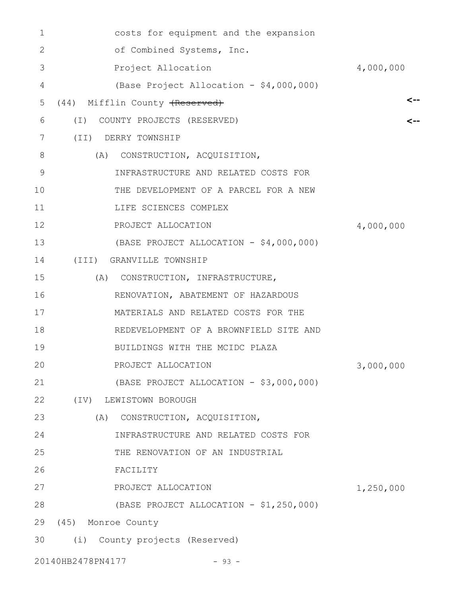| 1  | costs for equipment and the expansion   |           |
|----|-----------------------------------------|-----------|
| 2  | of Combined Systems, Inc.               |           |
| 3  | Project Allocation                      | 4,000,000 |
| 4  | (Base Project Allocation - \$4,000,000) |           |
| 5  | (44) Mifflin County (Reserved)          | <--       |
| 6  | COUNTY PROJECTS (RESERVED)<br>$(\top)$  | <--       |
| 7  | (TI)<br>DERRY TOWNSHIP                  |           |
| 8  | (A)<br>CONSTRUCTION, ACQUISITION,       |           |
| 9  | INFRASTRUCTURE AND RELATED COSTS FOR    |           |
| 10 | THE DEVELOPMENT OF A PARCEL FOR A NEW   |           |
| 11 | LIFE SCIENCES COMPLEX                   |           |
| 12 | PROJECT ALLOCATION                      | 4,000,000 |
| 13 | (BASE PROJECT ALLOCATION - \$4,000,000) |           |
| 14 | (III) GRANVILLE TOWNSHIP                |           |
| 15 | CONSTRUCTION, INFRASTRUCTURE,<br>(A)    |           |
| 16 | RENOVATION, ABATEMENT OF HAZARDOUS      |           |
| 17 | MATERIALS AND RELATED COSTS FOR THE     |           |
| 18 | REDEVELOPMENT OF A BROWNFIELD SITE AND  |           |
| 19 | BUILDINGS WITH THE MCIDC PLAZA          |           |
| 20 | PROJECT ALLOCATION                      | 3,000,000 |
| 21 | (BASE PROJECT ALLOCATION - \$3,000,000) |           |
| 22 | $(\text{IV})$<br>LEWISTOWN BOROUGH      |           |
| 23 | (A)<br>CONSTRUCTION, ACQUISITION,       |           |
| 24 | INFRASTRUCTURE AND RELATED COSTS FOR    |           |
| 25 | THE RENOVATION OF AN INDUSTRIAL         |           |
| 26 | FACILITY                                |           |
| 27 | PROJECT ALLOCATION                      | 1,250,000 |
| 28 | (BASE PROJECT ALLOCATION - \$1,250,000) |           |
| 29 | (45) Monroe County                      |           |
| 30 | (i) County projects (Reserved)          |           |
|    |                                         |           |

20140HB2478PN4177 - 93 -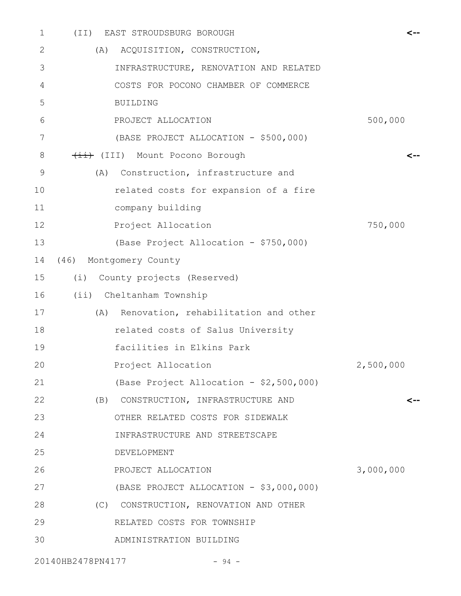| $\mathbf 1$ | (TI) | EAST STROUDSBURG BOROUGH                |           |
|-------------|------|-----------------------------------------|-----------|
| 2           |      | (A) ACQUISITION, CONSTRUCTION,          |           |
| 3           |      | INFRASTRUCTURE, RENOVATION AND RELATED  |           |
| 4           |      | COSTS FOR POCONO CHAMBER OF COMMERCE    |           |
| 5           |      | <b>BUILDING</b>                         |           |
| 6           |      | PROJECT ALLOCATION                      | 500,000   |
| 7           |      | (BASE PROJECT ALLOCATION - \$500,000)   |           |
| 8           |      | (III) Mount Pocono Borough              | <--       |
| 9           | (A)  | Construction, infrastructure and        |           |
| 10          |      | related costs for expansion of a fire   |           |
| 11          |      | company building                        |           |
| 12          |      | Project Allocation                      | 750,000   |
| 13          |      | (Base Project Allocation - \$750,000)   |           |
| 14          |      | (46) Montgomery County                  |           |
| 15          |      | (i) County projects (Reserved)          |           |
| 16          |      | (ii) Cheltanham Township                |           |
| 17          | (A)  | Renovation, rehabilitation and other    |           |
| 18          |      | related costs of Salus University       |           |
| 19          |      | facilities in Elkins Park               |           |
| 20          |      | Project Allocation                      | 2,500,000 |
| 21          |      | (Base Project Allocation - \$2,500,000) |           |
| 22          |      | (B) CONSTRUCTION, INFRASTRUCTURE AND    | <--       |
| 23          |      | OTHER RELATED COSTS FOR SIDEWALK        |           |
| 24          |      | INFRASTRUCTURE AND STREETSCAPE          |           |
| 25          |      | DEVELOPMENT                             |           |
| 26          |      | PROJECT ALLOCATION                      | 3,000,000 |
| 27          |      | (BASE PROJECT ALLOCATION - \$3,000,000) |           |
| 28          |      | (C) CONSTRUCTION, RENOVATION AND OTHER  |           |
| 29          |      | RELATED COSTS FOR TOWNSHIP              |           |
| 30          |      | ADMINISTRATION BUILDING                 |           |
|             |      |                                         |           |

20140HB2478PN4177 - 94 -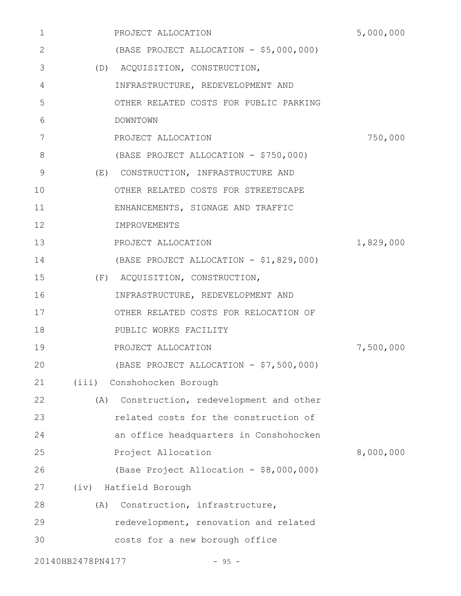| 1           |                   | PROJECT ALLOCATION                      | 5,000,000 |
|-------------|-------------------|-----------------------------------------|-----------|
| 2           |                   | (BASE PROJECT ALLOCATION - \$5,000,000) |           |
| 3           |                   | (D) ACQUISITION, CONSTRUCTION,          |           |
| 4           |                   | INFRASTRUCTURE, REDEVELOPMENT AND       |           |
| 5           |                   | OTHER RELATED COSTS FOR PUBLIC PARKING  |           |
| 6           |                   | DOWNTOWN                                |           |
| 7           |                   | PROJECT ALLOCATION                      | 750,000   |
| 8           |                   | (BASE PROJECT ALLOCATION - \$750,000)   |           |
| $\mathsf 9$ |                   | (E) CONSTRUCTION, INFRASTRUCTURE AND    |           |
| 10          |                   | OTHER RELATED COSTS FOR STREETSCAPE     |           |
| 11          |                   | ENHANCEMENTS, SIGNAGE AND TRAFFIC       |           |
| 12          |                   | IMPROVEMENTS                            |           |
| 13          |                   | PROJECT ALLOCATION                      | 1,829,000 |
| 14          |                   | (BASE PROJECT ALLOCATION - \$1,829,000) |           |
| 15          |                   | (F) ACQUISITION, CONSTRUCTION,          |           |
| 16          |                   | INFRASTRUCTURE, REDEVELOPMENT AND       |           |
| 17          |                   | OTHER RELATED COSTS FOR RELOCATION OF   |           |
| 18          |                   | PUBLIC WORKS FACILITY                   |           |
| 19          |                   | PROJECT ALLOCATION                      | 7,500,000 |
| 20          |                   | (BASE PROJECT ALLOCATION - \$7,500,000) |           |
| 21          | (iii)             | Conshohocken Borough                    |           |
| 22          | (A)               | Construction, redevelopment and other   |           |
| 23          |                   | related costs for the construction of   |           |
| 24          |                   | an office headquarters in Conshohocken  |           |
| 25          |                   | Project Allocation                      | 8,000,000 |
| 26          |                   | (Base Project Allocation - \$8,000,000) |           |
| 27          |                   | (iv) Hatfield Borough                   |           |
| 28          | (A)               | Construction, infrastructure,           |           |
| 29          |                   | redevelopment, renovation and related   |           |
| 30          |                   | costs for a new borough office          |           |
|             | 20140HB2478PN4177 | $-95 -$                                 |           |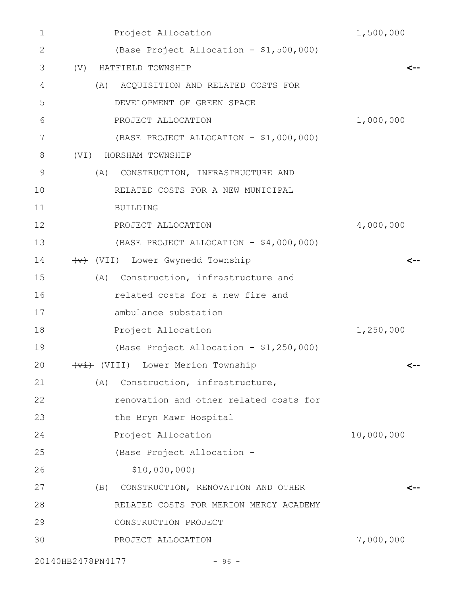| 1             | Project Allocation                           | 1,500,000  |
|---------------|----------------------------------------------|------------|
| $\mathbf{2}$  | (Base Project Allocation - \$1,500,000)      |            |
| 3             | HATFIELD TOWNSHIP<br>(V)                     | <--        |
| 4             | (A) ACQUISITION AND RELATED COSTS FOR        |            |
| 5             | DEVELOPMENT OF GREEN SPACE                   |            |
| 6             | PROJECT ALLOCATION                           | 1,000,000  |
| 7             | (BASE PROJECT ALLOCATION - \$1,000,000)      |            |
| 8             | HORSHAM TOWNSHIP<br>(VI)                     |            |
| $\mathcal{G}$ | CONSTRUCTION, INFRASTRUCTURE AND<br>(A)      |            |
| 10            | RELATED COSTS FOR A NEW MUNICIPAL            |            |
| 11            | <b>BUILDING</b>                              |            |
| 12            | PROJECT ALLOCATION                           | 4,000,000  |
| 13            | (BASE PROJECT ALLOCATION - \$4,000,000)      |            |
| 14            | (VII) Lower Gwynedd Township                 | <--        |
| 15            | (A) Construction, infrastructure and         |            |
| 16            | related costs for a new fire and             |            |
| 17            | ambulance substation                         |            |
| 18            | Project Allocation                           | 1,250,000  |
| 19            | (Base Project Allocation - \$1,250,000)      |            |
| 20            | <del>(vi)</del> (VIII) Lower Merion Township | <--        |
| 21            | (A)<br>Construction, infrastructure,         |            |
| 22            | renovation and other related costs for       |            |
| 23            | the Bryn Mawr Hospital                       |            |
| 24            | Project Allocation                           | 10,000,000 |
| 25            | (Base Project Allocation -                   |            |
| 26            | \$10,000,000)                                |            |
| 27            | CONSTRUCTION, RENOVATION AND OTHER<br>(B)    | <--        |
| 28            | RELATED COSTS FOR MERION MERCY ACADEMY       |            |
| 29            | CONSTRUCTION PROJECT                         |            |
| 30            | PROJECT ALLOCATION                           | 7,000,000  |
|               |                                              |            |

20140HB2478PN4177 - 96 -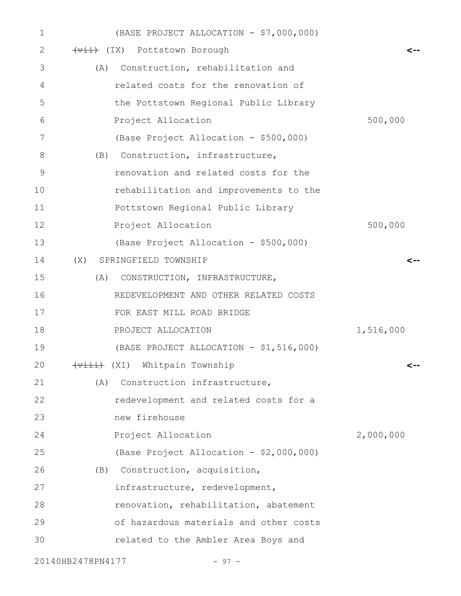| $\mathbf 1$   | (BASE PROJECT ALLOCATION - \$7,000,000) |           |
|---------------|-----------------------------------------|-----------|
| 2             | (Vii) (IX) Pottstown Borough            |           |
| 3             | (A) Construction, rehabilitation and    |           |
| 4             | related costs for the renovation of     |           |
| 5             | the Pottstown Regional Public Library   |           |
| 6             | Project Allocation                      | 500,000   |
| 7             | (Base Project Allocation - \$500,000)   |           |
| 8             | (B) Construction, infrastructure,       |           |
| $\mathcal{G}$ | renovation and related costs for the    |           |
| 10            | rehabilitation and improvements to the  |           |
| 11            | Pottstown Regional Public Library       |           |
| 12            | Project Allocation                      | 500,000   |
| 13            | (Base Project Allocation - \$500,000)   |           |
| 14            | (X) SPRINGFIELD TOWNSHIP                |           |
| 15            | (A)<br>CONSTRUCTION, INFRASTRUCTURE,    |           |
| 16            | REDEVELOPMENT AND OTHER RELATED COSTS   |           |
| 17            | FOR EAST MILL ROAD BRIDGE               |           |
| 18            | PROJECT ALLOCATION                      | 1,516,000 |
| 19            | (BASE PROJECT ALLOCATION - \$1,516,000) |           |
| 20            | (viii) (XI) Whitpain Township           | <--       |
| 21            | Construction infrastructure,<br>(A)     |           |
| 22            | redevelopment and related costs for a   |           |
| 23            | new firehouse                           |           |
| 24            | Project Allocation                      | 2,000,000 |
| 25            | (Base Project Allocation - \$2,000,000) |           |
| 26            | (B) Construction, acquisition,          |           |
| 27            | infrastructure, redevelopment,          |           |
| 28            | renovation, rehabilitation, abatement   |           |
| 29            | of hazardous materials and other costs  |           |
| 30            | related to the Ambler Area Boys and     |           |
|               | 20140HB2478PN4177<br>$-97 -$            |           |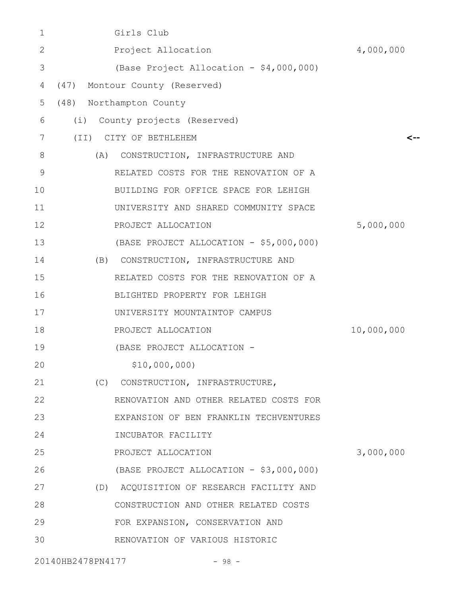| 1           | Girls Club                               |            |
|-------------|------------------------------------------|------------|
| 2           | Project Allocation                       | 4,000,000  |
| 3           | (Base Project Allocation - \$4,000,000)  |            |
| 4           | (47) Montour County (Reserved)           |            |
| 5           | (48) Northampton County                  |            |
| 6           | County projects (Reserved)<br>(i)        |            |
| 7           | (TI)<br>CITY OF BETHLEHEM                | <--        |
| 8           | CONSTRUCTION, INFRASTRUCTURE AND<br>(A)  |            |
| $\mathsf 9$ | RELATED COSTS FOR THE RENOVATION OF A    |            |
| 10          | BUILDING FOR OFFICE SPACE FOR LEHIGH     |            |
| 11          | UNIVERSITY AND SHARED COMMUNITY SPACE    |            |
| 12          | PROJECT ALLOCATION                       | 5,000,000  |
| 13          | (BASE PROJECT ALLOCATION - \$5,000,000)  |            |
| 14          | (B) CONSTRUCTION, INFRASTRUCTURE AND     |            |
| 15          | RELATED COSTS FOR THE RENOVATION OF A    |            |
| 16          | BLIGHTED PROPERTY FOR LEHIGH             |            |
| 17          | UNIVERSITY MOUNTAINTOP CAMPUS            |            |
| 18          | PROJECT ALLOCATION                       | 10,000,000 |
| 19          | (BASE PROJECT ALLOCATION -               |            |
| 20          | \$10,000,000)                            |            |
| 21          | (C)<br>CONSTRUCTION, INFRASTRUCTURE,     |            |
| 22          | RENOVATION AND OTHER RELATED COSTS FOR   |            |
| 23          | EXPANSION OF BEN FRANKLIN TECHVENTURES   |            |
| 24          | INCUBATOR FACILITY                       |            |
| 25          | PROJECT ALLOCATION                       | 3,000,000  |
| 26          | (BASE PROJECT ALLOCATION - \$3,000,000)  |            |
| 27          | (D) ACQUISITION OF RESEARCH FACILITY AND |            |
| 28          | CONSTRUCTION AND OTHER RELATED COSTS     |            |
| 29          | FOR EXPANSION, CONSERVATION AND          |            |
| 30          | RENOVATION OF VARIOUS HISTORIC           |            |
|             |                                          |            |

20140HB2478PN4177 - 98 -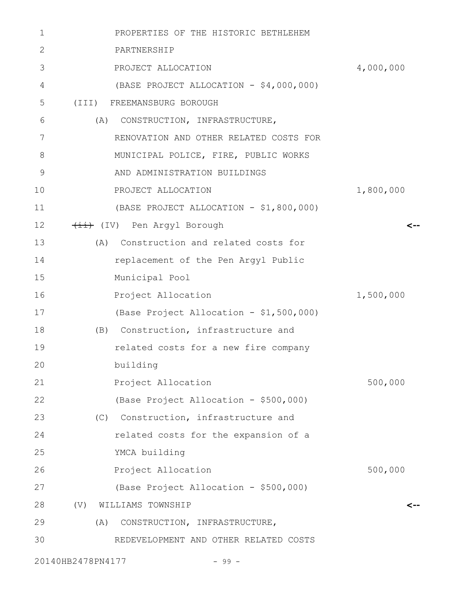| $\mathbf{1}$ |                            | PROPERTIES OF THE HISTORIC BETHLEHEM    |           |
|--------------|----------------------------|-----------------------------------------|-----------|
| 2            | PARTNERSHIP                |                                         |           |
| 3            |                            | PROJECT ALLOCATION                      | 4,000,000 |
| 4            |                            | (BASE PROJECT ALLOCATION - \$4,000,000) |           |
| 5            | (III) FREEMANSBURG BOROUGH |                                         |           |
| 6            | (A)                        | CONSTRUCTION, INFRASTRUCTURE,           |           |
| 7            |                            | RENOVATION AND OTHER RELATED COSTS FOR  |           |
| 8            |                            | MUNICIPAL POLICE, FIRE, PUBLIC WORKS    |           |
| 9            |                            | AND ADMINISTRATION BUILDINGS            |           |
| 10           |                            | PROJECT ALLOCATION                      | 1,800,000 |
| 11           |                            | (BASE PROJECT ALLOCATION - \$1,800,000) |           |
| 12           | (IV) Pen Argyl Borough     |                                         | <--       |
| 13           |                            | (A) Construction and related costs for  |           |
| 14           |                            | replacement of the Pen Argyl Public     |           |
| 15           | Municipal Pool             |                                         |           |
| 16           |                            | Project Allocation                      | 1,500,000 |
| 17           |                            | (Base Project Allocation - \$1,500,000) |           |
| 18           |                            | (B) Construction, infrastructure and    |           |
| 19           |                            | related costs for a new fire company    |           |
| 20           | building                   |                                         |           |
| 21           |                            | Project Allocation                      | 500,000   |
| 22           |                            | (Base Project Allocation - \$500,000)   |           |
| 23           |                            | (C) Construction, infrastructure and    |           |
| 24           |                            | related costs for the expansion of a    |           |
| 25           | YMCA building              |                                         |           |
| 26           |                            | Project Allocation                      | 500,000   |
| 27           |                            | (Base Project Allocation - \$500,000)   |           |
| 28           | (V)<br>WILLIAMS TOWNSHIP   |                                         | <--       |
| 29           | (A)                        | CONSTRUCTION, INFRASTRUCTURE,           |           |
| 30           |                            | REDEVELOPMENT AND OTHER RELATED COSTS   |           |
|              | 20140HB2478PN4177          | $-99 -$                                 |           |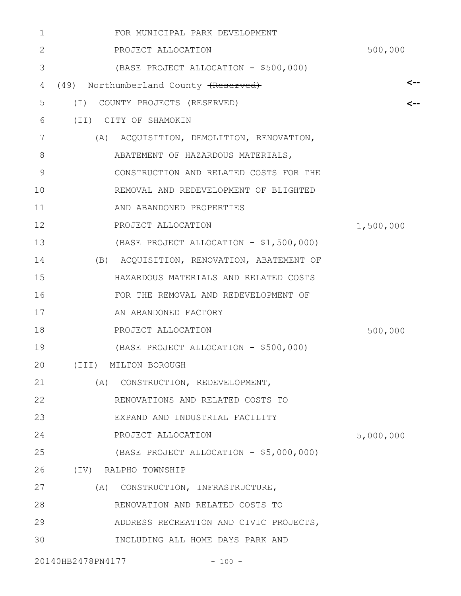| 1  | FOR MUNICIPAL PARK DEVELOPMENT            |           |
|----|-------------------------------------------|-----------|
| 2  | PROJECT ALLOCATION                        | 500,000   |
| 3  | (BASE PROJECT ALLOCATION - \$500,000)     |           |
| 4  | (49) Northumberland County (Reserved)     | <--       |
| 5  | (I) COUNTY PROJECTS (RESERVED)            |           |
| 6  | (II) CITY OF SHAMOKIN                     |           |
| 7  | (A) ACQUISITION, DEMOLITION, RENOVATION,  |           |
| 8  | ABATEMENT OF HAZARDOUS MATERIALS,         |           |
| 9  | CONSTRUCTION AND RELATED COSTS FOR THE    |           |
| 10 | REMOVAL AND REDEVELOPMENT OF BLIGHTED     |           |
| 11 | AND ABANDONED PROPERTIES                  |           |
| 12 | PROJECT ALLOCATION                        | 1,500,000 |
| 13 | (BASE PROJECT ALLOCATION - \$1,500,000)   |           |
| 14 | (B) ACQUISITION, RENOVATION, ABATEMENT OF |           |
| 15 | HAZARDOUS MATERIALS AND RELATED COSTS     |           |
| 16 | FOR THE REMOVAL AND REDEVELOPMENT OF      |           |
| 17 | AN ABANDONED FACTORY                      |           |
| 18 | PROJECT ALLOCATION                        | 500,000   |
| 19 | (BASE PROJECT ALLOCATION - \$500,000)     |           |
| 20 | (III) MILTON BOROUGH                      |           |
| 21 | (A) CONSTRUCTION, REDEVELOPMENT,          |           |
| 22 | RENOVATIONS AND RELATED COSTS TO          |           |
| 23 | EXPAND AND INDUSTRIAL FACILITY            |           |
| 24 | PROJECT ALLOCATION                        | 5,000,000 |
| 25 | (BASE PROJECT ALLOCATION - \$5,000,000)   |           |
| 26 | (IV) RALPHO TOWNSHIP                      |           |
| 27 | (A) CONSTRUCTION, INFRASTRUCTURE,         |           |
| 28 | RENOVATION AND RELATED COSTS TO           |           |
| 29 | ADDRESS RECREATION AND CIVIC PROJECTS,    |           |
| 30 | INCLUDING ALL HOME DAYS PARK AND          |           |
|    | 20140HB2478PN4177<br>$-100 -$             |           |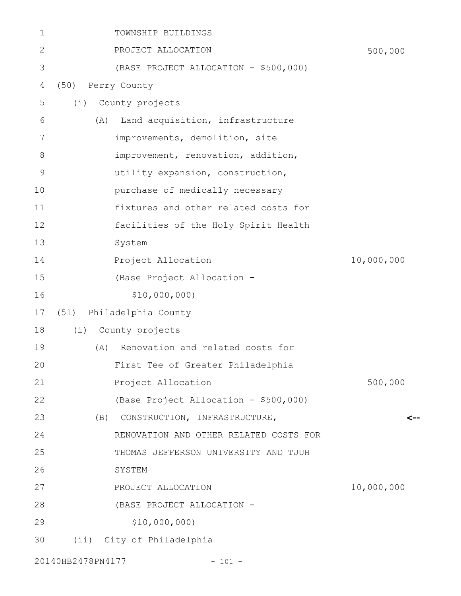| 1  | TOWNSHIP BUILDINGS                      |            |
|----|-----------------------------------------|------------|
| 2  | PROJECT ALLOCATION                      | 500,000    |
| 3  | (BASE PROJECT ALLOCATION - \$500,000)   |            |
| 4  | (50) Perry County                       |            |
| 5  | (i)<br>County projects                  |            |
| 6  | Land acquisition, infrastructure<br>(A) |            |
| 7  | improvements, demolition, site          |            |
| 8  | improvement, renovation, addition,      |            |
| 9  | utility expansion, construction,        |            |
| 10 | purchase of medically necessary         |            |
| 11 | fixtures and other related costs for    |            |
| 12 | facilities of the Holy Spirit Health    |            |
| 13 | System                                  |            |
| 14 | Project Allocation                      | 10,000,000 |
| 15 | (Base Project Allocation -              |            |
| 16 | \$10,000,000)                           |            |
| 17 | (51) Philadelphia County                |            |
| 18 | County projects<br>(i)                  |            |
| 19 | Renovation and related costs for<br>(A) |            |
| 20 | First Tee of Greater Philadelphia       |            |
| 21 | Project Allocation                      | 500,000    |
| 22 | (Base Project Allocation - \$500,000)   |            |
| 23 | (B)<br>CONSTRUCTION, INFRASTRUCTURE,    |            |
| 24 | RENOVATION AND OTHER RELATED COSTS FOR  |            |
| 25 | THOMAS JEFFERSON UNIVERSITY AND TJUH    |            |
| 26 | SYSTEM                                  |            |
| 27 | PROJECT ALLOCATION                      | 10,000,000 |
| 28 | (BASE PROJECT ALLOCATION -              |            |
| 29 | \$10,000,000)                           |            |
| 30 | (ii) City of Philadelphia               |            |
|    |                                         |            |

20140HB2478PN4177 - 101 -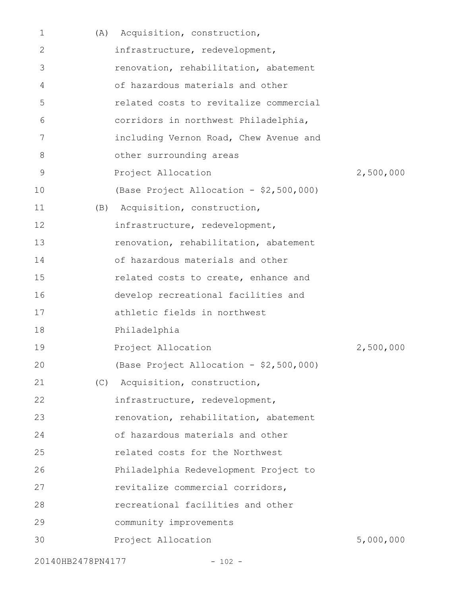| 1  | (A) | Acquisition, construction,              |           |
|----|-----|-----------------------------------------|-----------|
| 2  |     | infrastructure, redevelopment,          |           |
| 3  |     | renovation, rehabilitation, abatement   |           |
| 4  |     | of hazardous materials and other        |           |
| 5  |     | related costs to revitalize commercial  |           |
| 6  |     | corridors in northwest Philadelphia,    |           |
| 7  |     | including Vernon Road, Chew Avenue and  |           |
| 8  |     | other surrounding areas                 |           |
| 9  |     | Project Allocation                      | 2,500,000 |
| 10 |     | (Base Project Allocation - \$2,500,000) |           |
| 11 | (B) | Acquisition, construction,              |           |
| 12 |     | infrastructure, redevelopment,          |           |
| 13 |     | renovation, rehabilitation, abatement   |           |
| 14 |     | of hazardous materials and other        |           |
| 15 |     | related costs to create, enhance and    |           |
| 16 |     | develop recreational facilities and     |           |
| 17 |     | athletic fields in northwest            |           |
| 18 |     | Philadelphia                            |           |
| 19 |     | Project Allocation                      | 2,500,000 |
| 20 |     | (Base Project Allocation - \$2,500,000) |           |
| 21 | (C) | Acquisition, construction,              |           |
| 22 |     | infrastructure, redevelopment,          |           |
| 23 |     | renovation, rehabilitation, abatement   |           |
| 24 |     | of hazardous materials and other        |           |
| 25 |     | related costs for the Northwest         |           |
| 26 |     | Philadelphia Redevelopment Project to   |           |
| 27 |     | revitalize commercial corridors,        |           |
| 28 |     | recreational facilities and other       |           |
| 29 |     | community improvements                  |           |
| 30 |     | Project Allocation                      | 5,000,000 |
|    |     |                                         |           |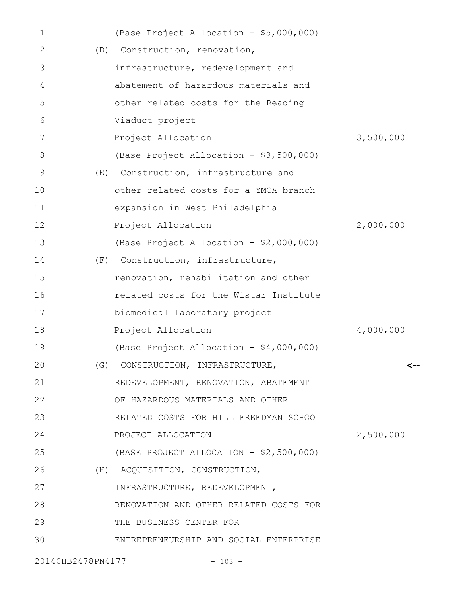| $\mathbf 1$       |     | (Base Project Allocation - \$5,000,000) |           |
|-------------------|-----|-----------------------------------------|-----------|
| 2                 |     | (D) Construction, renovation,           |           |
| 3                 |     | infrastructure, redevelopment and       |           |
| 4                 |     | abatement of hazardous materials and    |           |
| 5                 |     | other related costs for the Reading     |           |
| 6                 |     | Viaduct project                         |           |
| 7                 |     | Project Allocation                      | 3,500,000 |
| 8                 |     | (Base Project Allocation - \$3,500,000) |           |
| 9                 | (E) | Construction, infrastructure and        |           |
| 10                |     | other related costs for a YMCA branch   |           |
| 11                |     | expansion in West Philadelphia          |           |
| 12                |     | Project Allocation                      | 2,000,000 |
| 13                |     | (Base Project Allocation - \$2,000,000) |           |
| 14                |     | (F) Construction, infrastructure,       |           |
| 15                |     | renovation, rehabilitation and other    |           |
| 16                |     | related costs for the Wistar Institute  |           |
| 17                |     | biomedical laboratory project           |           |
| 18                |     | Project Allocation                      | 4,000,000 |
| 19                |     | (Base Project Allocation - \$4,000,000) |           |
| 20                |     | (G) CONSTRUCTION, INFRASTRUCTURE,       | <--       |
| 21                |     | REDEVELOPMENT, RENOVATION, ABATEMENT    |           |
| 22                |     | OF HAZARDOUS MATERIALS AND OTHER        |           |
| 23                |     | RELATED COSTS FOR HILL FREEDMAN SCHOOL  |           |
| 24                |     | PROJECT ALLOCATION                      | 2,500,000 |
| 25                |     | (BASE PROJECT ALLOCATION - \$2,500,000) |           |
| 26                |     | (H) ACQUISITION, CONSTRUCTION,          |           |
| 27                |     | INFRASTRUCTURE, REDEVELOPMENT,          |           |
| 28                |     | RENOVATION AND OTHER RELATED COSTS FOR  |           |
| 29                |     | THE BUSINESS CENTER FOR                 |           |
| 30                |     | ENTREPRENEURSHIP AND SOCIAL ENTERPRISE  |           |
| 20140HB2478PN4177 |     | $-103 -$                                |           |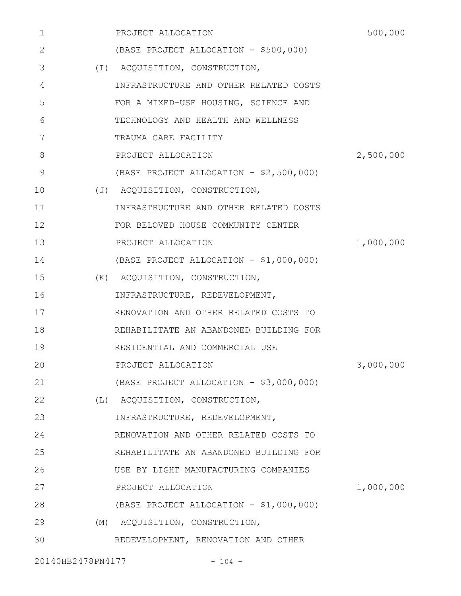| $\mathbf 1$ | PROJECT ALLOCATION                      | 500,000   |
|-------------|-----------------------------------------|-----------|
| 2           | (BASE PROJECT ALLOCATION - \$500,000)   |           |
| 3           | (I) ACQUISITION, CONSTRUCTION,          |           |
| 4           | INFRASTRUCTURE AND OTHER RELATED COSTS  |           |
| 5           | FOR A MIXED-USE HOUSING, SCIENCE AND    |           |
| 6           | TECHNOLOGY AND HEALTH AND WELLNESS      |           |
| 7           | TRAUMA CARE FACILITY                    |           |
| 8           | PROJECT ALLOCATION                      | 2,500,000 |
| 9           | (BASE PROJECT ALLOCATION - \$2,500,000) |           |
| 10          | (J) ACQUISITION, CONSTRUCTION,          |           |
| 11          | INFRASTRUCTURE AND OTHER RELATED COSTS  |           |
| 12          | FOR BELOVED HOUSE COMMUNITY CENTER      |           |
| 13          | PROJECT ALLOCATION                      | 1,000,000 |
| 14          | (BASE PROJECT ALLOCATION - \$1,000,000) |           |
| 15          | (K) ACQUISITION, CONSTRUCTION,          |           |
| 16          | INFRASTRUCTURE, REDEVELOPMENT,          |           |
| 17          | RENOVATION AND OTHER RELATED COSTS TO   |           |
| 18          | REHABILITATE AN ABANDONED BUILDING FOR  |           |
| 19          | RESIDENTIAL AND COMMERCIAL USE          |           |
| 20          | PROJECT ALLOCATION                      | 3,000,000 |
| 21          | (BASE PROJECT ALLOCATION - \$3,000,000) |           |
| 22          | (L) ACQUISITION, CONSTRUCTION,          |           |
| 23          | INFRASTRUCTURE, REDEVELOPMENT,          |           |
| 24          | RENOVATION AND OTHER RELATED COSTS TO   |           |
| 25          | REHABILITATE AN ABANDONED BUILDING FOR  |           |
| 26          | USE BY LIGHT MANUFACTURING COMPANIES    |           |
| 27          | PROJECT ALLOCATION                      | 1,000,000 |
| 28          | (BASE PROJECT ALLOCATION - \$1,000,000) |           |
| 29          | (M) ACQUISITION, CONSTRUCTION,          |           |
| 30          | REDEVELOPMENT, RENOVATION AND OTHER     |           |
|             |                                         |           |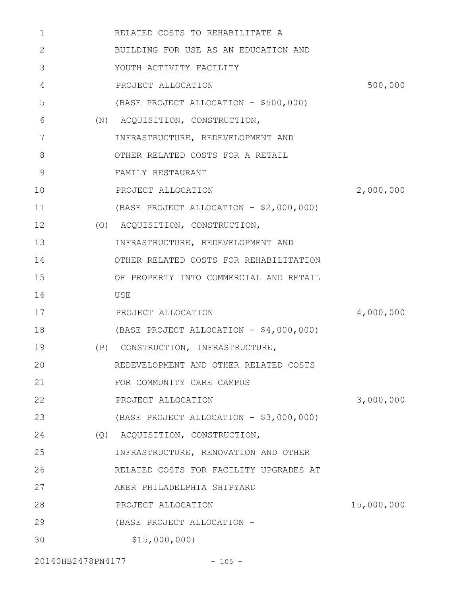| 1  | RELATED COSTS TO REHABILITATE A         |            |
|----|-----------------------------------------|------------|
| 2  | BUILDING FOR USE AS AN EDUCATION AND    |            |
| 3  | YOUTH ACTIVITY FACILITY                 |            |
| 4  | PROJECT ALLOCATION                      | 500,000    |
| 5  | (BASE PROJECT ALLOCATION - \$500,000)   |            |
| 6  | (N) ACQUISITION, CONSTRUCTION,          |            |
| 7  | INFRASTRUCTURE, REDEVELOPMENT AND       |            |
| 8  | OTHER RELATED COSTS FOR A RETAIL        |            |
| 9  | FAMILY RESTAURANT                       |            |
| 10 | PROJECT ALLOCATION                      | 2,000,000  |
| 11 | (BASE PROJECT ALLOCATION - \$2,000,000) |            |
| 12 | (O) ACQUISITION, CONSTRUCTION,          |            |
| 13 | INFRASTRUCTURE, REDEVELOPMENT AND       |            |
| 14 | OTHER RELATED COSTS FOR REHABILITATION  |            |
| 15 | OF PROPERTY INTO COMMERCIAL AND RETAIL  |            |
| 16 | USE                                     |            |
| 17 | PROJECT ALLOCATION                      | 4,000,000  |
| 18 | (BASE PROJECT ALLOCATION - \$4,000,000) |            |
| 19 | (P) CONSTRUCTION, INFRASTRUCTURE,       |            |
| 20 | REDEVELOPMENT AND OTHER RELATED COSTS   |            |
| 21 | FOR COMMUNITY CARE CAMPUS               |            |
| 22 | PROJECT ALLOCATION                      | 3,000,000  |
| 23 | (BASE PROJECT ALLOCATION - \$3,000,000) |            |
| 24 | (Q) ACQUISITION, CONSTRUCTION,          |            |
| 25 | INFRASTRUCTURE, RENOVATION AND OTHER    |            |
| 26 | RELATED COSTS FOR FACILITY UPGRADES AT  |            |
| 27 | AKER PHILADELPHIA SHIPYARD              |            |
| 28 | PROJECT ALLOCATION                      | 15,000,000 |
| 29 | (BASE PROJECT ALLOCATION -              |            |
| 30 | \$15,000,000                            |            |

20140HB2478PN4177 - 105 -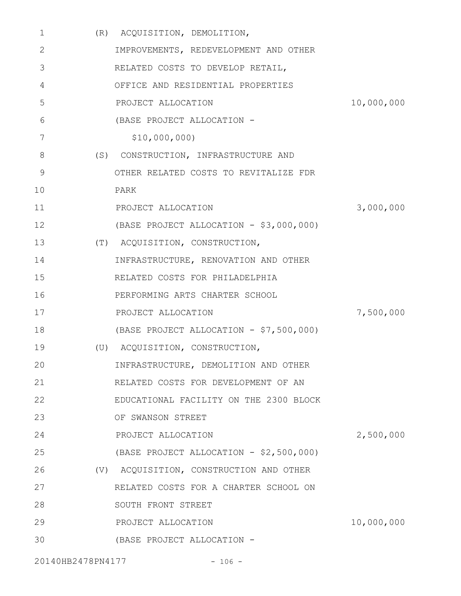| 1                 | (R) ACQUISITION, DEMOLITION,            |            |
|-------------------|-----------------------------------------|------------|
| 2                 | IMPROVEMENTS, REDEVELOPMENT AND OTHER   |            |
| 3                 | RELATED COSTS TO DEVELOP RETAIL,        |            |
| 4                 | OFFICE AND RESIDENTIAL PROPERTIES       |            |
| 5                 | PROJECT ALLOCATION                      | 10,000,000 |
| 6                 | (BASE PROJECT ALLOCATION -              |            |
| 7                 | \$10,000,000)                           |            |
| 8                 | (S) CONSTRUCTION, INFRASTRUCTURE AND    |            |
| $\mathsf 9$       | OTHER RELATED COSTS TO REVITALIZE FDR   |            |
| 10                | PARK                                    |            |
| 11                | PROJECT ALLOCATION                      | 3,000,000  |
| 12                | (BASE PROJECT ALLOCATION - \$3,000,000) |            |
| 13                | (T) ACQUISITION, CONSTRUCTION,          |            |
| 14                | INFRASTRUCTURE, RENOVATION AND OTHER    |            |
| 15                | RELATED COSTS FOR PHILADELPHIA          |            |
| 16                | PERFORMING ARTS CHARTER SCHOOL          |            |
| 17                | PROJECT ALLOCATION                      | 7,500,000  |
| 18                | (BASE PROJECT ALLOCATION - \$7,500,000) |            |
| 19                | (U) ACQUISITION, CONSTRUCTION,          |            |
| 20                | INFRASTRUCTURE, DEMOLITION AND OTHER    |            |
| 21                | RELATED COSTS FOR DEVELOPMENT OF AN     |            |
| 22                | EDUCATIONAL FACILITY ON THE 2300 BLOCK  |            |
| 23                | OF SWANSON STREET                       |            |
| 24                | PROJECT ALLOCATION                      | 2,500,000  |
| 25                | (BASE PROJECT ALLOCATION - \$2,500,000) |            |
| 26                | (V) ACQUISITION, CONSTRUCTION AND OTHER |            |
| 27                | RELATED COSTS FOR A CHARTER SCHOOL ON   |            |
| 28                | SOUTH FRONT STREET                      |            |
| 29                | PROJECT ALLOCATION                      | 10,000,000 |
| 30                | (BASE PROJECT ALLOCATION -              |            |
| 20140HB2478PN4177 | $-106 -$                                |            |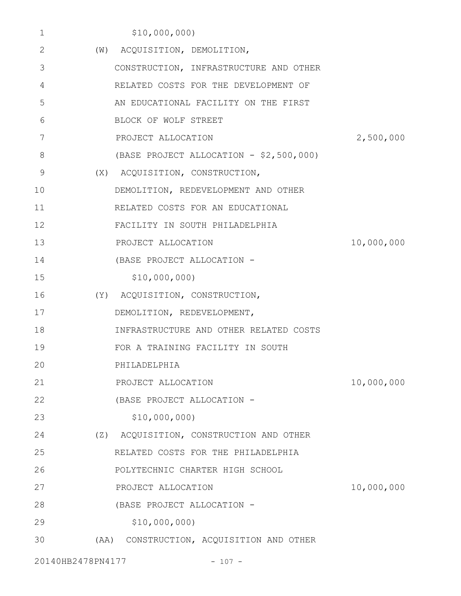| 1  | \$10,000,000)                            |            |
|----|------------------------------------------|------------|
| 2  | (W) ACQUISITION, DEMOLITION,             |            |
| 3  | CONSTRUCTION, INFRASTRUCTURE AND OTHER   |            |
| 4  | RELATED COSTS FOR THE DEVELOPMENT OF     |            |
| 5  | AN EDUCATIONAL FACILITY ON THE FIRST     |            |
| 6  | BLOCK OF WOLF STREET                     |            |
| 7  | PROJECT ALLOCATION                       | 2,500,000  |
| 8  | (BASE PROJECT ALLOCATION - \$2,500,000)  |            |
| 9  | (X) ACQUISITION, CONSTRUCTION,           |            |
| 10 | DEMOLITION, REDEVELOPMENT AND OTHER      |            |
| 11 | RELATED COSTS FOR AN EDUCATIONAL         |            |
| 12 | FACILITY IN SOUTH PHILADELPHIA           |            |
| 13 | PROJECT ALLOCATION                       | 10,000,000 |
| 14 | (BASE PROJECT ALLOCATION -               |            |
| 15 | \$10,000,000)                            |            |
| 16 | (Y) ACQUISITION, CONSTRUCTION,           |            |
| 17 | DEMOLITION, REDEVELOPMENT,               |            |
| 18 | INFRASTRUCTURE AND OTHER RELATED COSTS   |            |
| 19 | FOR A TRAINING FACILITY IN SOUTH         |            |
| 20 | PHILADELPHIA                             |            |
| 21 | PROJECT ALLOCATION                       | 10,000,000 |
| 22 | (BASE PROJECT ALLOCATION -               |            |
| 23 | \$10,000,000                             |            |
| 24 | (Z) ACQUISITION, CONSTRUCTION AND OTHER  |            |
| 25 | RELATED COSTS FOR THE PHILADELPHIA       |            |
| 26 | POLYTECHNIC CHARTER HIGH SCHOOL          |            |
| 27 | PROJECT ALLOCATION                       | 10,000,000 |
| 28 | (BASE PROJECT ALLOCATION -               |            |
| 29 | \$10,000,000                             |            |
| 30 | (AA) CONSTRUCTION, ACQUISITION AND OTHER |            |
|    |                                          |            |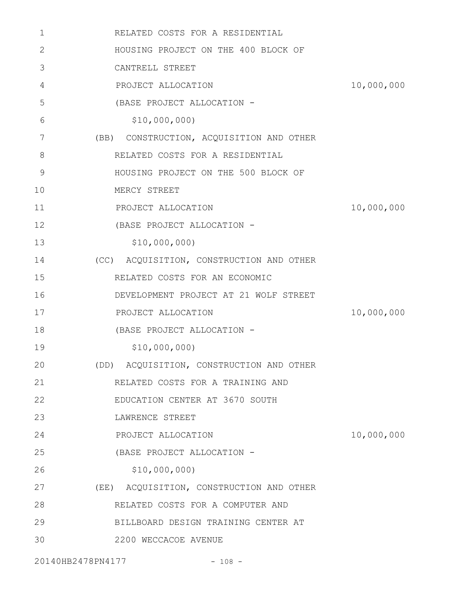| $\mathbf 1$  | RELATED COSTS FOR A RESIDENTIAL          |            |
|--------------|------------------------------------------|------------|
| $\mathbf{2}$ | HOUSING PROJECT ON THE 400 BLOCK OF      |            |
| 3            | CANTRELL STREET                          |            |
| 4            | PROJECT ALLOCATION                       | 10,000,000 |
| 5            | (BASE PROJECT ALLOCATION -               |            |
| 6            | \$10,000,000                             |            |
| 7            | (BB) CONSTRUCTION, ACQUISITION AND OTHER |            |
| 8            | RELATED COSTS FOR A RESIDENTIAL          |            |
| 9            | HOUSING PROJECT ON THE 500 BLOCK OF      |            |
| 10           | MERCY STREET                             |            |
| 11           | PROJECT ALLOCATION                       | 10,000,000 |
| 12           | (BASE PROJECT ALLOCATION -               |            |
| 13           | \$10,000,000)                            |            |
| 14           | (CC) ACQUISITION, CONSTRUCTION AND OTHER |            |
| 15           | RELATED COSTS FOR AN ECONOMIC            |            |
| 16           | DEVELOPMENT PROJECT AT 21 WOLF STREET    |            |
| 17           | PROJECT ALLOCATION                       | 10,000,000 |
| 18           | (BASE PROJECT ALLOCATION -               |            |
| 19           | \$10,000,000)                            |            |
| 20           | (DD) ACQUISITION, CONSTRUCTION AND OTHER |            |
| 21           | RELATED COSTS FOR A TRAINING AND         |            |
| 22           | EDUCATION CENTER AT 3670 SOUTH           |            |
| 23           | LAWRENCE STREET                          |            |
| 24           | PROJECT ALLOCATION                       | 10,000,000 |
| 25           | (BASE PROJECT ALLOCATION -               |            |
| 26           | \$10,000,000)                            |            |
| 27           | (EE) ACQUISITION, CONSTRUCTION AND OTHER |            |
| 28           | RELATED COSTS FOR A COMPUTER AND         |            |
| 29           | BILLBOARD DESIGN TRAINING CENTER AT      |            |
| 30           | 2200 WECCACOE AVENUE                     |            |
|              |                                          |            |

20140HB2478PN4177 - 108 -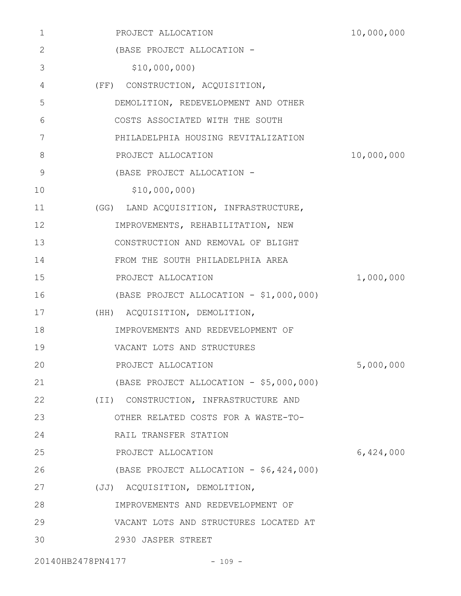| 1  | PROJECT ALLOCATION                      | 10,000,000 |
|----|-----------------------------------------|------------|
| 2  | (BASE PROJECT ALLOCATION -              |            |
| 3  | \$10,000,000)                           |            |
| 4  | (FF) CONSTRUCTION, ACQUISITION,         |            |
| 5  | DEMOLITION, REDEVELOPMENT AND OTHER     |            |
| 6  | COSTS ASSOCIATED WITH THE SOUTH         |            |
| 7  | PHILADELPHIA HOUSING REVITALIZATION     |            |
| 8  | PROJECT ALLOCATION                      | 10,000,000 |
| 9  | (BASE PROJECT ALLOCATION -              |            |
| 10 | \$10,000,000                            |            |
| 11 | (GG) LAND ACQUISITION, INFRASTRUCTURE,  |            |
| 12 | IMPROVEMENTS, REHABILITATION, NEW       |            |
| 13 | CONSTRUCTION AND REMOVAL OF BLIGHT      |            |
| 14 | FROM THE SOUTH PHILADELPHIA AREA        |            |
| 15 | PROJECT ALLOCATION                      | 1,000,000  |
| 16 | (BASE PROJECT ALLOCATION - \$1,000,000) |            |
| 17 | (HH) ACQUISITION, DEMOLITION,           |            |
| 18 | IMPROVEMENTS AND REDEVELOPMENT OF       |            |
| 19 | VACANT LOTS AND STRUCTURES              |            |
| 20 | PROJECT ALLOCATION                      | 5,000,000  |
| 21 | (BASE PROJECT ALLOCATION - \$5,000,000) |            |
| 22 | (II) CONSTRUCTION, INFRASTRUCTURE AND   |            |
| 23 | OTHER RELATED COSTS FOR A WASTE-TO-     |            |
| 24 | RAIL TRANSFER STATION                   |            |
| 25 | PROJECT ALLOCATION                      | 6,424,000  |
| 26 | (BASE PROJECT ALLOCATION - \$6,424,000) |            |
| 27 | (JJ) ACQUISITION, DEMOLITION,           |            |
| 28 | IMPROVEMENTS AND REDEVELOPMENT OF       |            |
| 29 | VACANT LOTS AND STRUCTURES LOCATED AT   |            |
| 30 | 2930 JASPER STREET                      |            |
|    |                                         |            |

20140HB2478PN4177 - 109 -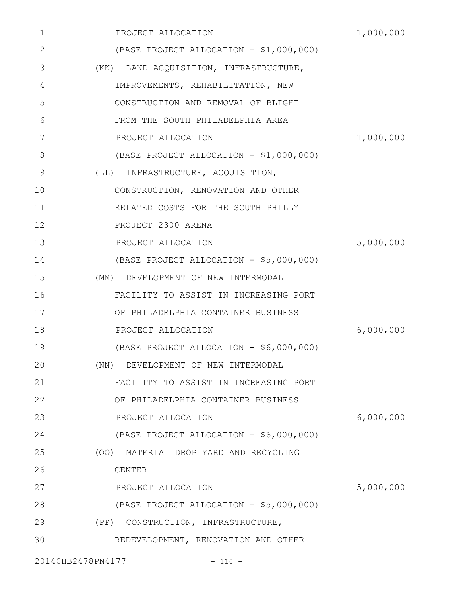| 1            | PROJECT ALLOCATION                      | 1,000,000 |
|--------------|-----------------------------------------|-----------|
| $\mathbf{2}$ | (BASE PROJECT ALLOCATION - \$1,000,000) |           |
| 3            | (KK) LAND ACQUISITION, INFRASTRUCTURE,  |           |
| 4            | IMPROVEMENTS, REHABILITATION, NEW       |           |
| 5            | CONSTRUCTION AND REMOVAL OF BLIGHT      |           |
| 6            | FROM THE SOUTH PHILADELPHIA AREA        |           |
| 7            | PROJECT ALLOCATION                      | 1,000,000 |
| 8            | (BASE PROJECT ALLOCATION - \$1,000,000) |           |
| 9            | (LL) INFRASTRUCTURE, ACQUISITION,       |           |
| 10           | CONSTRUCTION, RENOVATION AND OTHER      |           |
| 11           | RELATED COSTS FOR THE SOUTH PHILLY      |           |
| 12           | PROJECT 2300 ARENA                      |           |
| 13           | PROJECT ALLOCATION                      | 5,000,000 |
| 14           | (BASE PROJECT ALLOCATION - \$5,000,000) |           |
| 15           | (MM) DEVELOPMENT OF NEW INTERMODAL      |           |
| 16           | FACILITY TO ASSIST IN INCREASING PORT   |           |
| 17           | OF PHILADELPHIA CONTAINER BUSINESS      |           |
| 18           | PROJECT ALLOCATION                      | 6,000,000 |
| 19           | (BASE PROJECT ALLOCATION - \$6,000,000) |           |
| 20           | (NN) DEVELOPMENT OF NEW INTERMODAL      |           |
| 21           | FACILITY TO ASSIST IN INCREASING PORT   |           |
| 22           | OF PHILADELPHIA CONTAINER BUSINESS      |           |
| 23           | PROJECT ALLOCATION                      | 6,000,000 |
| 24           | (BASE PROJECT ALLOCATION - \$6,000,000) |           |
| 25           | (OO) MATERIAL DROP YARD AND RECYCLING   |           |
| 26           | CENTER                                  |           |
| 27           | PROJECT ALLOCATION                      | 5,000,000 |
| 28           | (BASE PROJECT ALLOCATION - \$5,000,000) |           |
| 29           | (PP) CONSTRUCTION, INFRASTRUCTURE,      |           |
| 30           | REDEVELOPMENT, RENOVATION AND OTHER     |           |
|              | 20140HB2478PN4177<br>$-110 -$           |           |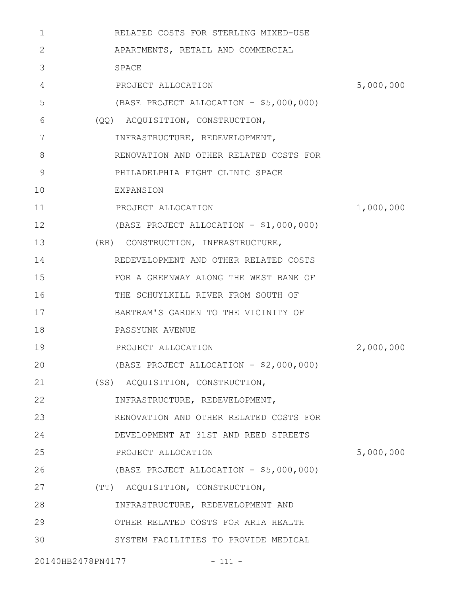| $\mathbf 1$  | RELATED COSTS FOR STERLING MIXED-USE    |           |
|--------------|-----------------------------------------|-----------|
| $\mathbf{2}$ | APARTMENTS, RETAIL AND COMMERCIAL       |           |
| 3            | SPACE                                   |           |
| 4            | PROJECT ALLOCATION                      | 5,000,000 |
| 5            | (BASE PROJECT ALLOCATION - \$5,000,000) |           |
| 6            | (QQ) ACQUISITION, CONSTRUCTION,         |           |
| 7            | INFRASTRUCTURE, REDEVELOPMENT,          |           |
| 8            | RENOVATION AND OTHER RELATED COSTS FOR  |           |
| 9            | PHILADELPHIA FIGHT CLINIC SPACE         |           |
| 10           | EXPANSION                               |           |
| 11           | PROJECT ALLOCATION                      | 1,000,000 |
| 12           | (BASE PROJECT ALLOCATION - \$1,000,000) |           |
| 13           | (RR) CONSTRUCTION, INFRASTRUCTURE,      |           |
| 14           | REDEVELOPMENT AND OTHER RELATED COSTS   |           |
| 15           | FOR A GREENWAY ALONG THE WEST BANK OF   |           |
| 16           | THE SCHUYLKILL RIVER FROM SOUTH OF      |           |
| 17           | BARTRAM'S GARDEN TO THE VICINITY OF     |           |
| 18           | PASSYUNK AVENUE                         |           |
| 19           | PROJECT ALLOCATION                      | 2,000,000 |
| 20           | (BASE PROJECT ALLOCATION - \$2,000,000) |           |
| 21           | (SS) ACQUISITION, CONSTRUCTION,         |           |
| 22           | INFRASTRUCTURE, REDEVELOPMENT,          |           |
| 23           | RENOVATION AND OTHER RELATED COSTS FOR  |           |
| 24           | DEVELOPMENT AT 31ST AND REED STREETS    |           |
| 25           | PROJECT ALLOCATION                      | 5,000,000 |
| 26           | (BASE PROJECT ALLOCATION - \$5,000,000) |           |
| 27           | (TT) ACQUISITION, CONSTRUCTION,         |           |
| 28           | INFRASTRUCTURE, REDEVELOPMENT AND       |           |
| 29           | OTHER RELATED COSTS FOR ARIA HEALTH     |           |
| 30           | SYSTEM FACILITIES TO PROVIDE MEDICAL    |           |
|              | 20140HB2478PN4177<br>$-111 -$           |           |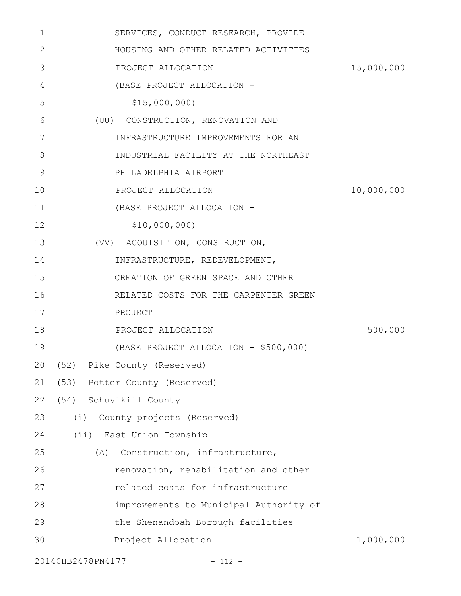| $\mathbf{1}$ | SERVICES, CONDUCT RESEARCH, PROVIDE    |            |
|--------------|----------------------------------------|------------|
| 2            | HOUSING AND OTHER RELATED ACTIVITIES   |            |
| 3            | PROJECT ALLOCATION                     | 15,000,000 |
| 4            | (BASE PROJECT ALLOCATION -             |            |
| 5            | \$15,000,000                           |            |
| 6            | (UU) CONSTRUCTION, RENOVATION AND      |            |
| 7            | INFRASTRUCTURE IMPROVEMENTS FOR AN     |            |
| 8            | INDUSTRIAL FACILITY AT THE NORTHEAST   |            |
| 9            | PHILADELPHIA AIRPORT                   |            |
| 10           | PROJECT ALLOCATION                     | 10,000,000 |
| 11           | (BASE PROJECT ALLOCATION -             |            |
| 12           | \$10,000,000                           |            |
| 13           | (VV) ACQUISITION, CONSTRUCTION,        |            |
| 14           | INFRASTRUCTURE, REDEVELOPMENT,         |            |
| 15           | CREATION OF GREEN SPACE AND OTHER      |            |
| 16           | RELATED COSTS FOR THE CARPENTER GREEN  |            |
| 17           | PROJECT                                |            |
| 18           | PROJECT ALLOCATION                     | 500,000    |
| 19           | (BASE PROJECT ALLOCATION - \$500,000)  |            |
|              | 20 (52) Pike County (Reserved)         |            |
| 21           | (53) Potter County (Reserved)          |            |
| 22           | (54) Schuylkill County                 |            |
| 23           | (i)<br>County projects (Reserved)      |            |
| 24           | (ii) East Union Township               |            |
| 25           | Construction, infrastructure,<br>(A)   |            |
| 26           | renovation, rehabilitation and other   |            |
| 27           | related costs for infrastructure       |            |
| 28           | improvements to Municipal Authority of |            |
| 29           | the Shenandoah Borough facilities      |            |
| 30           | Project Allocation                     | 1,000,000  |
|              | 20140HB2478PN4177<br>$- 112 -$         |            |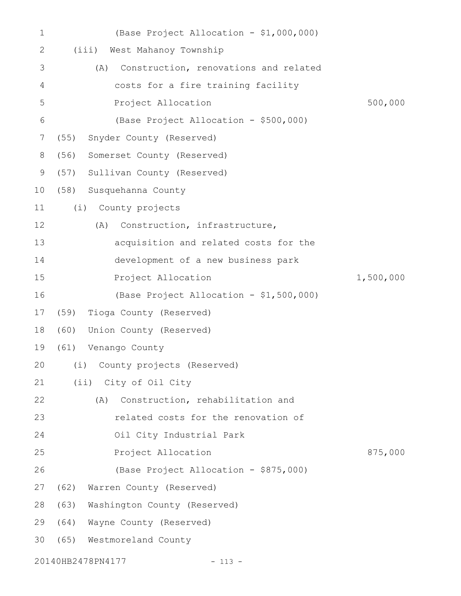| $\mathbf 1$ |      | (Base Project Allocation - \$1,000,000)      |           |
|-------------|------|----------------------------------------------|-----------|
| 2           |      | (iii) West Mahanoy Township                  |           |
| 3           |      | Construction, renovations and related<br>(A) |           |
| 4           |      | costs for a fire training facility           |           |
| 5           |      | Project Allocation                           | 500,000   |
| 6           |      | (Base Project Allocation - \$500,000)        |           |
| 7           | (55) | Snyder County (Reserved)                     |           |
| 8           | (56) | Somerset County (Reserved)                   |           |
| 9           | (57) | Sullivan County (Reserved)                   |           |
| 10          |      | (58) Susquehanna County                      |           |
| 11          |      | (i)<br>County projects                       |           |
| 12          |      | Construction, infrastructure,<br>(A)         |           |
| 13          |      | acquisition and related costs for the        |           |
| 14          |      | development of a new business park           |           |
| 15          |      | Project Allocation                           | 1,500,000 |
| 16          |      | (Base Project Allocation - \$1,500,000)      |           |
| 17          | (59) | Tioga County (Reserved)                      |           |
| 18          | (60) | Union County (Reserved)                      |           |
| 19          | (61) | Venango County                               |           |
|             |      | 20 (i) County projects (Reserved)            |           |
| 21          |      | (ii) City of Oil City                        |           |
| 22          |      | (A) Construction, rehabilitation and         |           |
| 23          |      | related costs for the renovation of          |           |
| 24          |      | Oil City Industrial Park                     |           |
| 25          |      | Project Allocation                           | 875,000   |
| 26          |      | (Base Project Allocation - \$875,000)        |           |
| 27          |      | (62) Warren County (Reserved)                |           |
| 28          |      | (63) Washington County (Reserved)            |           |
| 29          | (64) | Wayne County (Reserved)                      |           |
| 30          |      | (65) Westmoreland County                     |           |
|             |      | 20140HB2478PN4177<br>$-113 -$                |           |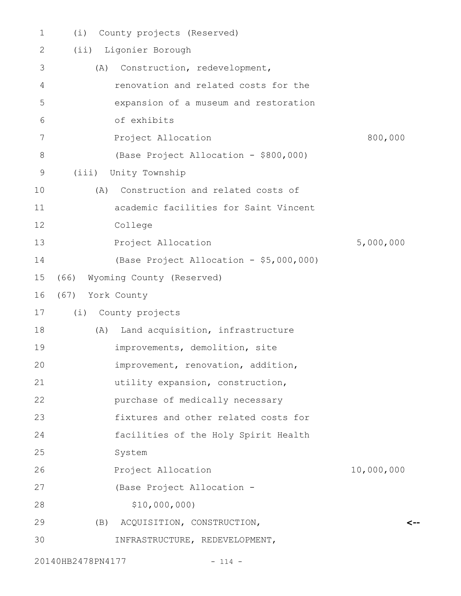| $\mathbf 1$ | County projects (Reserved)<br>(i)        |            |
|-------------|------------------------------------------|------------|
| 2           | Ligonier Borough<br>(i <sub>i</sub> )    |            |
| 3           | Construction, redevelopment,<br>(A)      |            |
| 4           | renovation and related costs for the     |            |
| 5           | expansion of a museum and restoration    |            |
| 6           | of exhibits                              |            |
| 7           | Project Allocation                       | 800,000    |
| 8           | (Base Project Allocation - \$800,000)    |            |
| 9           | (iii)<br>Unity Township                  |            |
| 10          | Construction and related costs of<br>(A) |            |
| 11          | academic facilities for Saint Vincent    |            |
| 12          | College                                  |            |
| 13          | Project Allocation                       | 5,000,000  |
| 14          | (Base Project Allocation - \$5,000,000)  |            |
| 15          | Wyoming County (Reserved)<br>(66)        |            |
| 16          | (67) York County                         |            |
| 17          | (i) County projects                      |            |
| 18          | Land acquisition, infrastructure<br>(A)  |            |
| 19          | improvements, demolition, site           |            |
| 20          | improvement, renovation, addition,       |            |
| 21          | utility expansion, construction,         |            |
| 22          | purchase of medically necessary          |            |
| 23          | fixtures and other related costs for     |            |
| 24          | facilities of the Holy Spirit Health     |            |
| 25          | System                                   |            |
| 26          | Project Allocation                       | 10,000,000 |
| 27          | (Base Project Allocation -               |            |
| 28          | \$10,000,000)                            |            |
| 29          | ACQUISITION, CONSTRUCTION,<br>(B)        | <--        |
| 30          | INFRASTRUCTURE, REDEVELOPMENT,           |            |
|             |                                          |            |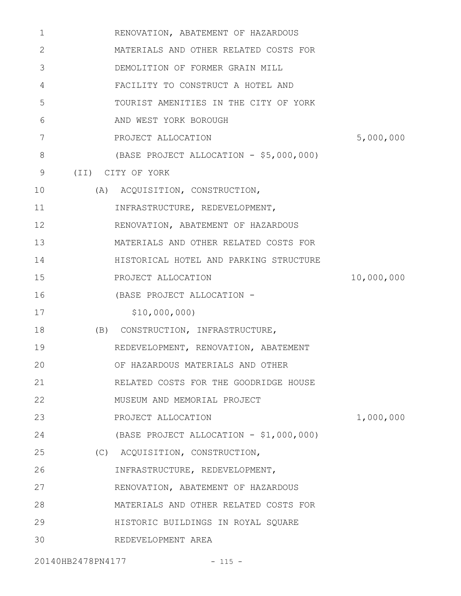| 1            | RENOVATION, ABATEMENT OF HAZARDOUS      |            |
|--------------|-----------------------------------------|------------|
| $\mathbf{2}$ | MATERIALS AND OTHER RELATED COSTS FOR   |            |
| 3            | DEMOLITION OF FORMER GRAIN MILL         |            |
| 4            | FACILITY TO CONSTRUCT A HOTEL AND       |            |
| 5            | TOURIST AMENITIES IN THE CITY OF YORK   |            |
| 6            | AND WEST YORK BOROUGH                   |            |
| 7            | PROJECT ALLOCATION                      | 5,000,000  |
| 8            | (BASE PROJECT ALLOCATION - \$5,000,000) |            |
| 9            | (II) CITY OF YORK                       |            |
| 10           | (A) ACQUISITION, CONSTRUCTION,          |            |
| 11           | INFRASTRUCTURE, REDEVELOPMENT,          |            |
| 12           | RENOVATION, ABATEMENT OF HAZARDOUS      |            |
| 13           | MATERIALS AND OTHER RELATED COSTS FOR   |            |
| 14           | HISTORICAL HOTEL AND PARKING STRUCTURE  |            |
| 15           | PROJECT ALLOCATION                      | 10,000,000 |
| 16           | (BASE PROJECT ALLOCATION -              |            |
| 17           | \$10,000,000)                           |            |
| 18           | (B) CONSTRUCTION, INFRASTRUCTURE,       |            |
| 19           | REDEVELOPMENT, RENOVATION, ABATEMENT    |            |
| 20           | OF HAZARDOUS MATERIALS AND OTHER        |            |
| 21           | RELATED COSTS FOR THE GOODRIDGE HOUSE   |            |
| 22           | MUSEUM AND MEMORIAL PROJECT             |            |
| 23           | PROJECT ALLOCATION                      | 1,000,000  |
| 24           | (BASE PROJECT ALLOCATION - \$1,000,000) |            |
| 25           | (C) ACQUISITION, CONSTRUCTION,          |            |
| 26           | INFRASTRUCTURE, REDEVELOPMENT,          |            |
| 27           | RENOVATION, ABATEMENT OF HAZARDOUS      |            |
| 28           | MATERIALS AND OTHER RELATED COSTS FOR   |            |
| 29           | HISTORIC BUILDINGS IN ROYAL SQUARE      |            |
| 30           | REDEVELOPMENT AREA                      |            |
|              |                                         |            |

20140HB2478PN4177 - 115 -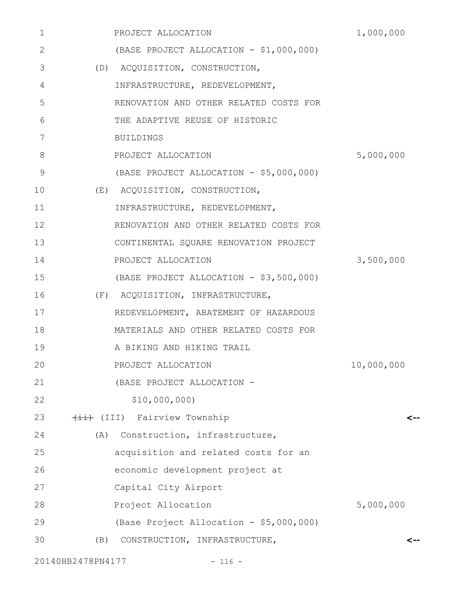| 1              |     | PROJECT ALLOCATION                      | 1,000,000  |
|----------------|-----|-----------------------------------------|------------|
| 2              |     | (BASE PROJECT ALLOCATION - \$1,000,000) |            |
| 3              |     | (D) ACQUISITION, CONSTRUCTION,          |            |
| 4              |     | INFRASTRUCTURE, REDEVELOPMENT,          |            |
| 5              |     | RENOVATION AND OTHER RELATED COSTS FOR  |            |
| 6              |     | THE ADAPTIVE REUSE OF HISTORIC          |            |
| 7              |     | BUILDINGS                               |            |
| 8              |     | PROJECT ALLOCATION                      | 5,000,000  |
| $\overline{9}$ |     | (BASE PROJECT ALLOCATION - \$5,000,000) |            |
| 10             |     | (E) ACQUISITION, CONSTRUCTION,          |            |
| 11             |     | INFRASTRUCTURE, REDEVELOPMENT,          |            |
| 12             |     | RENOVATION AND OTHER RELATED COSTS FOR  |            |
| 13             |     | CONTINENTAL SQUARE RENOVATION PROJECT   |            |
| 14             |     | PROJECT ALLOCATION                      | 3,500,000  |
| 15             |     | (BASE PROJECT ALLOCATION - \$3,500,000) |            |
| 16             |     | (F) ACQUISITION, INFRASTRUCTURE,        |            |
| 17             |     | REDEVELOPMENT, ABATEMENT OF HAZARDOUS   |            |
| 18             |     | MATERIALS AND OTHER RELATED COSTS FOR   |            |
| 19             |     | A BIKING AND HIKING TRAIL               |            |
| 20             |     | PROJECT ALLOCATION                      | 10,000,000 |
| 21             |     | (BASE PROJECT ALLOCATION -              |            |
| 22             |     | \$10,000,000)                           |            |
| 23             |     | (III) Fairview Township                 | <--        |
| 24             | (A) | Construction, infrastructure,           |            |
| 25             |     | acquisition and related costs for an    |            |
| 26             |     | economic development project at         |            |
| 27             |     | Capital City Airport                    |            |
| 28             |     | Project Allocation                      | 5,000,000  |
| 29             |     | (Base Project Allocation - \$5,000,000) |            |
| 30             | (B) | CONSTRUCTION, INFRASTRUCTURE,           |            |
|                |     |                                         |            |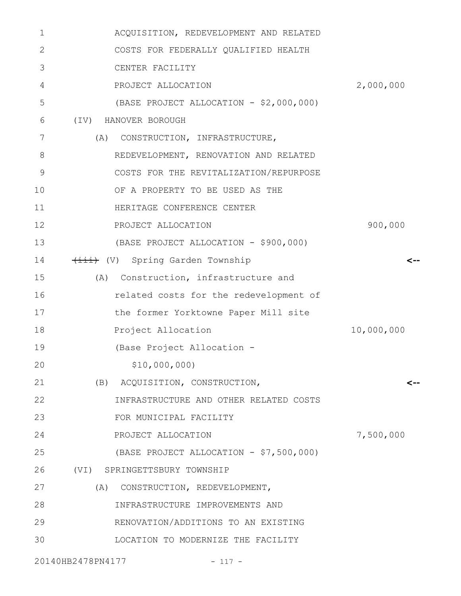| 1  | ACQUISITION, REDEVELOPMENT AND RELATED  |            |
|----|-----------------------------------------|------------|
| 2  | COSTS FOR FEDERALLY QUALIFIED HEALTH    |            |
| 3  | CENTER FACILITY                         |            |
| 4  | PROJECT ALLOCATION                      | 2,000,000  |
| 5  | (BASE PROJECT ALLOCATION - \$2,000,000) |            |
| 6  | $(\text{IV})$<br>HANOVER BOROUGH        |            |
| 7  | (A)<br>CONSTRUCTION, INFRASTRUCTURE,    |            |
| 8  | REDEVELOPMENT, RENOVATION AND RELATED   |            |
| 9  | COSTS FOR THE REVITALIZATION/REPURPOSE  |            |
| 10 | OF A PROPERTY TO BE USED AS THE         |            |
| 11 | HERITAGE CONFERENCE CENTER              |            |
| 12 | PROJECT ALLOCATION                      | 900,000    |
| 13 | (BASE PROJECT ALLOCATION - \$900,000)   |            |
| 14 | (V) Spring Garden Township              |            |
| 15 | Construction, infrastructure and<br>(A) |            |
| 16 | related costs for the redevelopment of  |            |
| 17 | the former Yorktowne Paper Mill site    |            |
| 18 | Project Allocation                      | 10,000,000 |
| 19 | (Base Project Allocation -              |            |
| 20 | \$10,000,000)                           |            |
| 21 | (B) ACQUISITION, CONSTRUCTION,          | <--        |
| 22 | INFRASTRUCTURE AND OTHER RELATED COSTS  |            |
| 23 | FOR MUNICIPAL FACILITY                  |            |
| 24 | PROJECT ALLOCATION                      | 7,500,000  |
| 25 | (BASE PROJECT ALLOCATION - \$7,500,000) |            |
| 26 | (VI) SPRINGETTSBURY TOWNSHIP            |            |
| 27 | (A) CONSTRUCTION, REDEVELOPMENT,        |            |
| 28 | INFRASTRUCTURE IMPROVEMENTS AND         |            |
| 29 | RENOVATION/ADDITIONS TO AN EXISTING     |            |
| 30 | LOCATION TO MODERNIZE THE FACILITY      |            |
|    | 20140HB2478PN4177<br>$-117 -$           |            |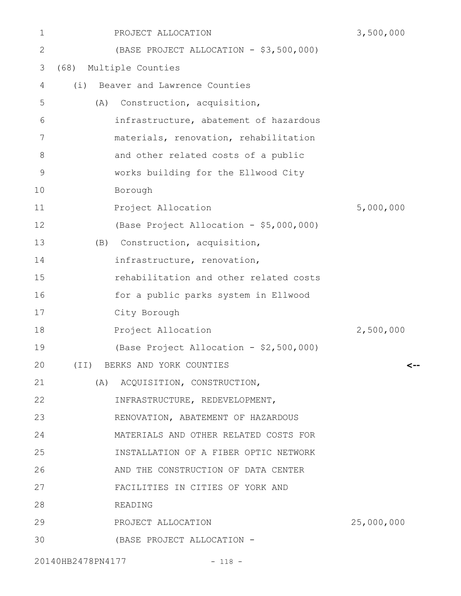| 1           | PROJECT ALLOCATION                  |                                         | 3,500,000  |
|-------------|-------------------------------------|-----------------------------------------|------------|
| 2           |                                     | (BASE PROJECT ALLOCATION - \$3,500,000) |            |
| 3           | Multiple Counties<br>(68)           |                                         |            |
| 4           | Beaver and Lawrence Counties<br>(i) |                                         |            |
| 5           | (A)                                 | Construction, acquisition,              |            |
| 6           |                                     | infrastructure, abatement of hazardous  |            |
| 7           |                                     | materials, renovation, rehabilitation   |            |
| 8           |                                     | and other related costs of a public     |            |
| $\mathsf 9$ |                                     | works building for the Ellwood City     |            |
| 10          | Borough                             |                                         |            |
| 11          | Project Allocation                  |                                         | 5,000,000  |
| 12          |                                     | (Base Project Allocation - \$5,000,000) |            |
| 13          | (B)                                 | Construction, acquisition,              |            |
| 14          |                                     | infrastructure, renovation,             |            |
| 15          |                                     | rehabilitation and other related costs  |            |
| 16          |                                     | for a public parks system in Ellwood    |            |
| 17          | City Borough                        |                                         |            |
| 18          | Project Allocation                  |                                         | 2,500,000  |
| 19          |                                     | (Base Project Allocation - \$2,500,000) |            |
| 20          | (II) BERKS AND YORK COUNTIES        |                                         | <--        |
| 21          | (A) ACQUISITION, CONSTRUCTION,      |                                         |            |
| 22          |                                     | INFRASTRUCTURE, REDEVELOPMENT,          |            |
| 23          |                                     | RENOVATION, ABATEMENT OF HAZARDOUS      |            |
| 24          |                                     | MATERIALS AND OTHER RELATED COSTS FOR   |            |
| 25          |                                     | INSTALLATION OF A FIBER OPTIC NETWORK   |            |
| 26          |                                     | AND THE CONSTRUCTION OF DATA CENTER     |            |
| 27          |                                     | FACILITIES IN CITIES OF YORK AND        |            |
| 28          | READING                             |                                         |            |
| 29          | PROJECT ALLOCATION                  |                                         | 25,000,000 |
| 30          |                                     | (BASE PROJECT ALLOCATION -              |            |
|             | 20140HB2478PN4177                   | $-118 -$                                |            |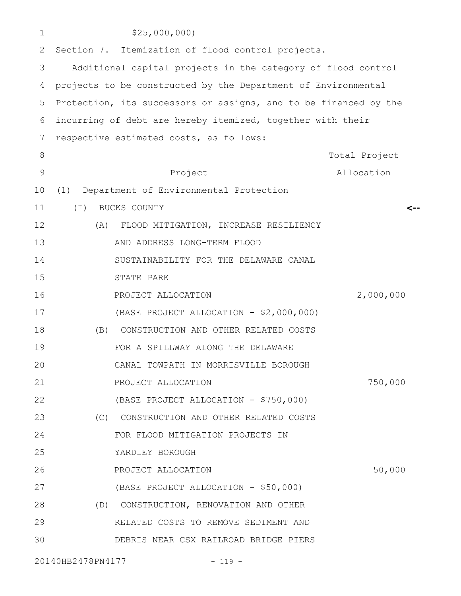| 1             |          | \$25,000,000                                                     |               |
|---------------|----------|------------------------------------------------------------------|---------------|
| 2             |          | Section 7. Itemization of flood control projects.                |               |
| 3             |          | Additional capital projects in the category of flood control     |               |
| 4             |          | projects to be constructed by the Department of Environmental    |               |
| 5             |          | Protection, its successors or assigns, and to be financed by the |               |
| 6             |          | incurring of debt are hereby itemized, together with their       |               |
| 7             |          | respective estimated costs, as follows:                          |               |
| 8             |          |                                                                  | Total Project |
| $\mathcal{G}$ |          | Project                                                          | Allocation    |
| 10            | (1)      | Department of Environmental Protection                           |               |
| 11            | $(\top)$ | BUCKS COUNTY                                                     |               |
| 12            | (A)      | FLOOD MITIGATION, INCREASE RESILIENCY                            |               |
| 13            |          | AND ADDRESS LONG-TERM FLOOD                                      |               |
| 14            |          | SUSTAINABILITY FOR THE DELAWARE CANAL                            |               |
| 15            |          | STATE PARK                                                       |               |
| 16            |          | PROJECT ALLOCATION                                               | 2,000,000     |
| 17            |          | (BASE PROJECT ALLOCATION - \$2,000,000)                          |               |
| 18            | (B)      | CONSTRUCTION AND OTHER RELATED COSTS                             |               |
| 19            |          | FOR A SPILLWAY ALONG THE DELAWARE                                |               |
| 20            |          | CANAL TOWPATH IN MORRISVILLE BOROUGH                             |               |
| 21            |          | PROJECT ALLOCATION                                               | 750,000       |
| 22            |          | (BASE PROJECT ALLOCATION - \$750,000)                            |               |
| 23            |          | (C) CONSTRUCTION AND OTHER RELATED COSTS                         |               |
| 24            |          | FOR FLOOD MITIGATION PROJECTS IN                                 |               |
| 25            |          | YARDLEY BOROUGH                                                  |               |
| 26            |          | PROJECT ALLOCATION                                               | 50,000        |
| 27            |          | (BASE PROJECT ALLOCATION - \$50,000)                             |               |
| 28            |          | (D) CONSTRUCTION, RENOVATION AND OTHER                           |               |
| 29            |          | RELATED COSTS TO REMOVE SEDIMENT AND                             |               |
| 30            |          | DEBRIS NEAR CSX RAILROAD BRIDGE PIERS                            |               |
|               |          |                                                                  |               |

20140HB2478PN4177 - 119 -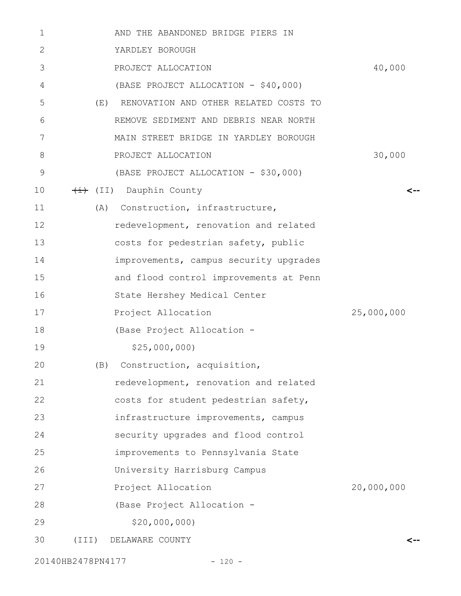| 1  | AND THE ABANDONED BRIDGE PIERS IN            |            |
|----|----------------------------------------------|------------|
| 2  | YARDLEY BOROUGH                              |            |
| 3  | PROJECT ALLOCATION                           | 40,000     |
| 4  | (BASE PROJECT ALLOCATION - \$40,000)         |            |
| 5  | (E)<br>RENOVATION AND OTHER RELATED COSTS TO |            |
| 6  | REMOVE SEDIMENT AND DEBRIS NEAR NORTH        |            |
| 7  | MAIN STREET BRIDGE IN YARDLEY BOROUGH        |            |
| 8  | PROJECT ALLOCATION                           | 30,000     |
| 9  | (BASE PROJECT ALLOCATION - \$30,000)         |            |
| 10 | (II) Dauphin County                          | <--        |
| 11 | (A) Construction, infrastructure,            |            |
| 12 | redevelopment, renovation and related        |            |
| 13 | costs for pedestrian safety, public          |            |
| 14 | improvements, campus security upgrades       |            |
| 15 | and flood control improvements at Penn       |            |
| 16 | State Hershey Medical Center                 |            |
| 17 | Project Allocation                           | 25,000,000 |
| 18 | (Base Project Allocation -                   |            |
| 19 | \$25,000,000                                 |            |
| 20 | (B) Construction, acquisition,               |            |
| 21 | redevelopment, renovation and related        |            |
| 22 | costs for student pedestrian safety,         |            |
| 23 | infrastructure improvements, campus          |            |
| 24 | security upgrades and flood control          |            |
| 25 | improvements to Pennsylvania State           |            |
| 26 | University Harrisburg Campus                 |            |
| 27 | Project Allocation                           | 20,000,000 |
| 28 | (Base Project Allocation -                   |            |
| 29 | \$20,000,000                                 |            |
| 30 | $(\text{III})$<br>DELAWARE COUNTY            | <--        |
|    |                                              |            |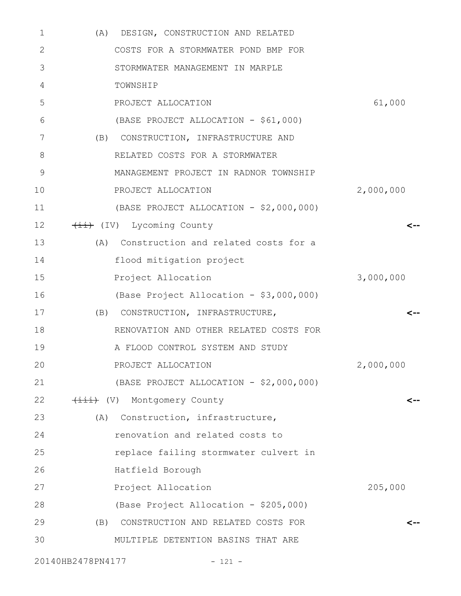| 1  | (A) DESIGN, CONSTRUCTION AND RELATED     |           |
|----|------------------------------------------|-----------|
| 2  | COSTS FOR A STORMWATER POND BMP FOR      |           |
| 3  | STORMWATER MANAGEMENT IN MARPLE          |           |
| 4  | TOWNSHIP                                 |           |
| 5  | PROJECT ALLOCATION                       | 61,000    |
| 6  | (BASE PROJECT ALLOCATION - \$61,000)     |           |
| 7  | (B) CONSTRUCTION, INFRASTRUCTURE AND     |           |
| 8  | RELATED COSTS FOR A STORMWATER           |           |
| 9  | MANAGEMENT PROJECT IN RADNOR TOWNSHIP    |           |
| 10 | PROJECT ALLOCATION                       | 2,000,000 |
| 11 | (BASE PROJECT ALLOCATION - \$2,000,000)  |           |
| 12 | (IV) Lycoming County                     | <--       |
| 13 | (A) Construction and related costs for a |           |
| 14 | flood mitigation project                 |           |
| 15 | Project Allocation                       | 3,000,000 |
| 16 | (Base Project Allocation - \$3,000,000)  |           |
| 17 | (B) CONSTRUCTION, INFRASTRUCTURE,        | <--       |
| 18 | RENOVATION AND OTHER RELATED COSTS FOR   |           |
| 19 | A FLOOD CONTROL SYSTEM AND STUDY         |           |
| 20 | PROJECT ALLOCATION                       | 2,000,000 |
| 21 | (BASE PROJECT ALLOCATION - \$2,000,000)  |           |
| 22 | (V) Montgomery County                    | <--       |
| 23 | (A) Construction, infrastructure,        |           |
| 24 | renovation and related costs to          |           |
| 25 | replace failing stormwater culvert in    |           |
| 26 | Hatfield Borough                         |           |
| 27 | Project Allocation                       | 205,000   |
| 28 | (Base Project Allocation - \$205,000)    |           |
| 29 | (B) CONSTRUCTION AND RELATED COSTS FOR   | <--       |
| 30 | MULTIPLE DETENTION BASINS THAT ARE       |           |
|    |                                          |           |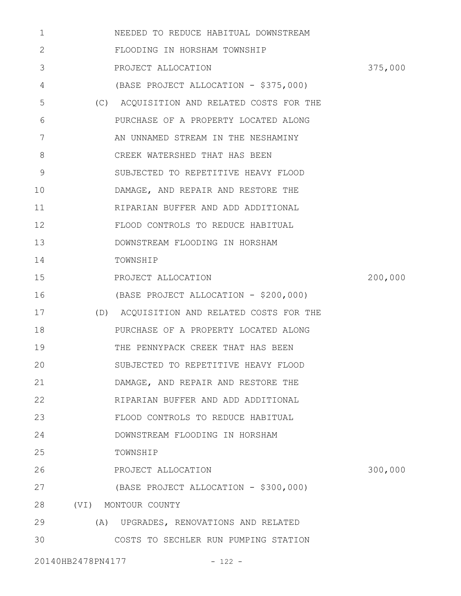| 1            | NEEDED TO REDUCE HABITUAL DOWNSTREAM      |         |
|--------------|-------------------------------------------|---------|
| $\mathbf{2}$ | FLOODING IN HORSHAM TOWNSHIP              |         |
| 3            | PROJECT ALLOCATION                        | 375,000 |
| 4            | (BASE PROJECT ALLOCATION - \$375,000)     |         |
| 5            | (C) ACQUISITION AND RELATED COSTS FOR THE |         |
| 6            | PURCHASE OF A PROPERTY LOCATED ALONG      |         |
| 7            | AN UNNAMED STREAM IN THE NESHAMINY        |         |
| 8            | CREEK WATERSHED THAT HAS BEEN             |         |
| 9            | SUBJECTED TO REPETITIVE HEAVY FLOOD       |         |
| 10           | DAMAGE, AND REPAIR AND RESTORE THE        |         |
| 11           | RIPARIAN BUFFER AND ADD ADDITIONAL        |         |
| 12           | FLOOD CONTROLS TO REDUCE HABITUAL         |         |
| 13           | DOWNSTREAM FLOODING IN HORSHAM            |         |
| 14           | TOWNSHIP                                  |         |
| 15           | PROJECT ALLOCATION                        | 200,000 |
| 16           | (BASE PROJECT ALLOCATION - \$200,000)     |         |
| 17           | (D) ACQUISITION AND RELATED COSTS FOR THE |         |
| 18           | PURCHASE OF A PROPERTY LOCATED ALONG      |         |
| 19           | THE PENNYPACK CREEK THAT HAS BEEN         |         |
| 20           | SUBJECTED TO REPETITIVE HEAVY FLOOD       |         |
| 21           | DAMAGE, AND REPAIR AND RESTORE THE        |         |
| 22           | RIPARIAN BUFFER AND ADD ADDITIONAL        |         |
| 23           | FLOOD CONTROLS TO REDUCE HABITUAL         |         |
| 24           | DOWNSTREAM FLOODING IN HORSHAM            |         |
| 25           | TOWNSHIP                                  |         |
| 26           | PROJECT ALLOCATION                        | 300,000 |
| 27           | (BASE PROJECT ALLOCATION - \$300,000)     |         |
| 28           | (VI) MONTOUR COUNTY                       |         |
| 29           | (A) UPGRADES, RENOVATIONS AND RELATED     |         |
| 30           | COSTS TO SECHLER RUN PUMPING STATION      |         |
|              | 20140HB2478PN4177<br>$-122 -$             |         |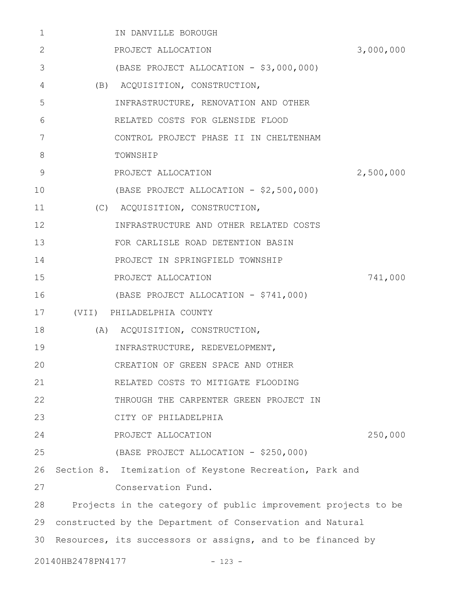| 1  |                   | IN DANVILLE BOROUGH                                           |           |
|----|-------------------|---------------------------------------------------------------|-----------|
| 2  |                   | PROJECT ALLOCATION                                            | 3,000,000 |
| 3  |                   | (BASE PROJECT ALLOCATION - \$3,000,000)                       |           |
| 4  |                   | (B) ACQUISITION, CONSTRUCTION,                                |           |
| 5  |                   | INFRASTRUCTURE, RENOVATION AND OTHER                          |           |
| 6  |                   | RELATED COSTS FOR GLENSIDE FLOOD                              |           |
| 7  |                   | CONTROL PROJECT PHASE II IN CHELTENHAM                        |           |
| 8  |                   | TOWNSHIP                                                      |           |
| 9  |                   | PROJECT ALLOCATION                                            | 2,500,000 |
| 10 |                   | (BASE PROJECT ALLOCATION - \$2,500,000)                       |           |
| 11 |                   | (C) ACQUISITION, CONSTRUCTION,                                |           |
| 12 |                   | INFRASTRUCTURE AND OTHER RELATED COSTS                        |           |
| 13 |                   | FOR CARLISLE ROAD DETENTION BASIN                             |           |
| 14 |                   | PROJECT IN SPRINGFIELD TOWNSHIP                               |           |
| 15 |                   | PROJECT ALLOCATION                                            | 741,000   |
| 16 |                   | (BASE PROJECT ALLOCATION - \$741,000)                         |           |
| 17 |                   | (VII) PHILADELPHIA COUNTY                                     |           |
| 18 |                   | (A) ACQUISITION, CONSTRUCTION,                                |           |
| 19 |                   | INFRASTRUCTURE, REDEVELOPMENT,                                |           |
| 20 |                   | CREATION OF GREEN SPACE AND OTHER                             |           |
| 21 |                   | RELATED COSTS TO MITIGATE FLOODING                            |           |
| 22 |                   | THROUGH THE CARPENTER GREEN PROJECT IN                        |           |
| 23 |                   | CITY OF PHILADELPHIA                                          |           |
| 24 |                   | PROJECT ALLOCATION                                            | 250,000   |
| 25 |                   | (BASE PROJECT ALLOCATION - \$250,000)                         |           |
| 26 |                   | Section 8. Itemization of Keystone Recreation, Park and       |           |
| 27 |                   | Conservation Fund.                                            |           |
| 28 |                   | Projects in the category of public improvement projects to be |           |
| 29 |                   | constructed by the Department of Conservation and Natural     |           |
| 30 |                   | Resources, its successors or assigns, and to be financed by   |           |
|    | 20140HB2478PN4177 | $-123 -$                                                      |           |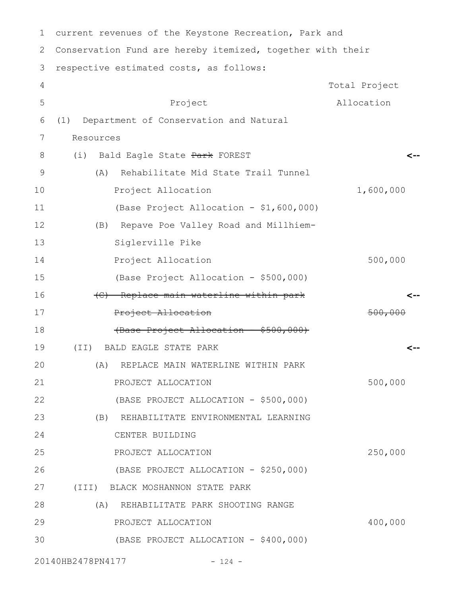| $\mathbf 1$ | current revenues of the Keystone Recreation, Park and      |                  |  |  |
|-------------|------------------------------------------------------------|------------------|--|--|
| 2           | Conservation Fund are hereby itemized, together with their |                  |  |  |
| 3           | respective estimated costs, as follows:                    |                  |  |  |
| 4           |                                                            | Total Project    |  |  |
| 5           | Project                                                    | Allocation       |  |  |
| 6           | Department of Conservation and Natural<br>(1)              |                  |  |  |
| 7           | Resources                                                  |                  |  |  |
| 8           | (i) Bald Eagle State Park FOREST                           |                  |  |  |
| 9           | Rehabilitate Mid State Trail Tunnel<br>(A)                 |                  |  |  |
| 10          | Project Allocation                                         | 1,600,000        |  |  |
| 11          | (Base Project Allocation - \$1,600,000)                    |                  |  |  |
| 12          | (B) Repave Poe Valley Road and Millhiem-                   |                  |  |  |
| 13          | Siglerville Pike                                           |                  |  |  |
| 14          | Project Allocation                                         | 500,000          |  |  |
| 15          | (Base Project Allocation - \$500,000)                      |                  |  |  |
| 16          | (C) Replace main waterline within park                     |                  |  |  |
| 17          | Project Allocation                                         | <del>500.0</del> |  |  |
| 18          | (Base Project Allocation - \$500,000)                      |                  |  |  |
| 19          | BALD EAGLE STATE PARK<br>(TI)                              |                  |  |  |
| 20          | (A) REPLACE MAIN WATERLINE WITHIN PARK                     |                  |  |  |
| 21          | PROJECT ALLOCATION                                         | 500,000          |  |  |
| 22          | (BASE PROJECT ALLOCATION - \$500,000)                      |                  |  |  |
| 23          | (B) REHABILITATE ENVIRONMENTAL LEARNING                    |                  |  |  |
| 24          | CENTER BUILDING                                            |                  |  |  |
| 25          | PROJECT ALLOCATION                                         | 250,000          |  |  |
| 26          | (BASE PROJECT ALLOCATION - \$250,000)                      |                  |  |  |
| 27          | (III) BLACK MOSHANNON STATE PARK                           |                  |  |  |
| 28          | (A) REHABILITATE PARK SHOOTING RANGE                       |                  |  |  |
| 29          | PROJECT ALLOCATION                                         | 400,000          |  |  |
| 30          | (BASE PROJECT ALLOCATION - \$400,000)                      |                  |  |  |
|             | 20140HB2478PN4177<br>$-124 -$                              |                  |  |  |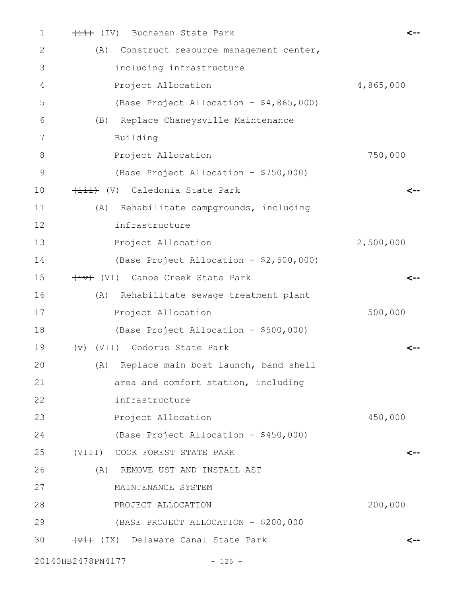| 1              | (IV) Buchanan State Park                     |           |
|----------------|----------------------------------------------|-----------|
| 2              | (A)<br>Construct resource management center, |           |
| 3              | including infrastructure                     |           |
| 4              | Project Allocation                           | 4,865,000 |
| 5              | (Base Project Allocation - \$4,865,000)      |           |
| 6              | Replace Chaneysville Maintenance<br>(B)      |           |
| 7              | Building                                     |           |
| 8              | Project Allocation                           | 750,000   |
| $\overline{9}$ | (Base Project Allocation - \$750,000)        |           |
| 10             | (V) Caledonia State Park                     | <--       |
| 11             | Rehabilitate campgrounds, including<br>(A)   |           |
| 12             | infrastructure                               |           |
| 13             | Project Allocation                           | 2,500,000 |
| 14             | (Base Project Allocation - \$2,500,000)      |           |
| 15             | (VI) Canoe Creek State Park                  | <--       |
| 16             | Rehabilitate sewage treatment plant<br>(A)   |           |
| 17             | Project Allocation                           | 500,000   |
| 18             | (Base Project Allocation - \$500,000)        |           |
| 19             | Codorus State Park<br>$\overline{(+)}$ (VII) |           |
| 20             | Replace main boat launch, band shell<br>(A)  |           |
| 21             | area and comfort station, including          |           |
| 22             | infrastructure                               |           |
| 23             | Project Allocation                           | 450,000   |
| 24             | (Base Project Allocation - \$450,000)        |           |
| 25             | (VIII) COOK FOREST STATE PARK                | <--       |
| 26             | (A)<br>REMOVE UST AND INSTALL AST            |           |
| 27             | MAINTENANCE SYSTEM                           |           |
| 28             | PROJECT ALLOCATION                           | 200,000   |
| 29             | (BASE PROJECT ALLOCATION - \$200,000         |           |
| 30             | (Vi) Delaware Canal State Park               | <--       |
|                |                                              |           |

20140HB2478PN4177 - 125 -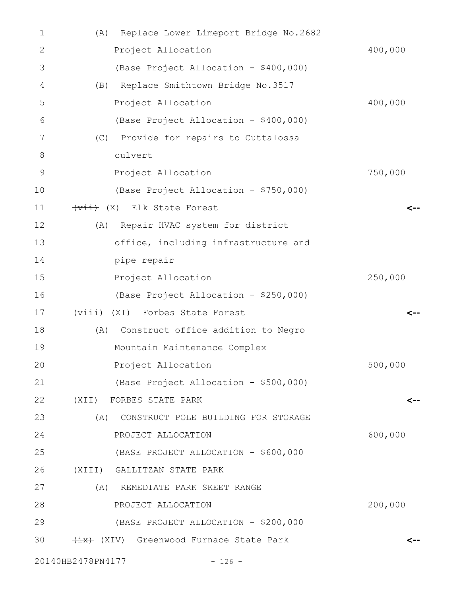| 1  | Replace Lower Limeport Bridge No.2682<br>(A)                       |         |
|----|--------------------------------------------------------------------|---------|
| 2  | Project Allocation                                                 | 400,000 |
| 3  | (Base Project Allocation - \$400,000)                              |         |
| 4  | Replace Smithtown Bridge No.3517<br>(B)                            |         |
| 5  | Project Allocation                                                 | 400,000 |
| 6  | (Base Project Allocation - \$400,000)                              |         |
| 7  | (C) Provide for repairs to Cuttalossa                              |         |
| 8  | culvert                                                            |         |
| 9  | Project Allocation                                                 | 750,000 |
| 10 | (Base Project Allocation - \$750,000)                              |         |
| 11 | $\overline{+ \overline{ \mathsf{v} \pm \pm}}$ (X) Elk State Forest |         |
| 12 | (A) Repair HVAC system for district                                |         |
| 13 | office, including infrastructure and                               |         |
| 14 | pipe repair                                                        |         |
| 15 | Project Allocation                                                 | 250,000 |
| 16 | (Base Project Allocation - \$250,000)                              |         |
| 17 | (Viii) (XI) Forbes State Forest                                    |         |
| 18 | Construct office addition to Negro<br>(A)                          |         |
| 19 | Mountain Maintenance Complex                                       |         |
| 20 | Project Allocation                                                 | 500,000 |
| 21 | (Base Project Allocation - \$500,000)                              |         |
| 22 | (XII) FORBES STATE PARK                                            | <--     |
| 23 | (A)<br>CONSTRUCT POLE BUILDING FOR STORAGE                         |         |
| 24 | PROJECT ALLOCATION                                                 | 600,000 |
| 25 | (BASE PROJECT ALLOCATION - \$600,000                               |         |
| 26 | (XIII) GALLITZAN STATE PARK                                        |         |
| 27 | (A) REMEDIATE PARK SKEET RANGE                                     |         |
| 28 | PROJECT ALLOCATION                                                 | 200,000 |
| 29 | (BASE PROJECT ALLOCATION - \$200,000                               |         |
| 30 | (XIV) Greenwood Furnace State Park                                 | <--     |
|    | 20140HB2478PN4177<br>$-126 -$                                      |         |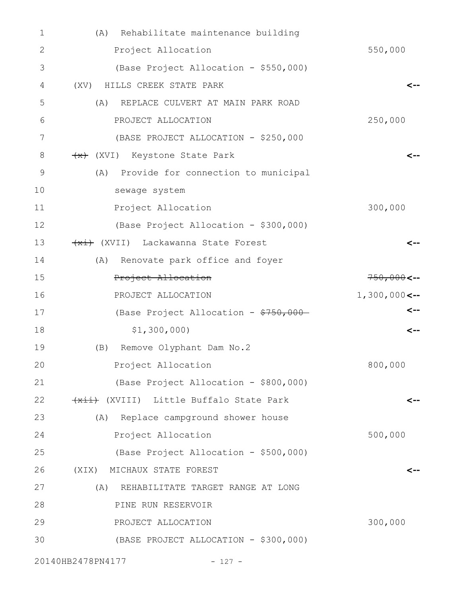| 1  | Rehabilitate maintenance building<br>(A)   |                 |
|----|--------------------------------------------|-----------------|
| 2  | Project Allocation                         | 550,000         |
| 3  | (Base Project Allocation - \$550,000)      |                 |
| 4  | HILLS CREEK STATE PARK<br>(XV)             |                 |
| 5  | REPLACE CULVERT AT MAIN PARK ROAD<br>(A)   |                 |
| 6  | PROJECT ALLOCATION                         | 250,000         |
| 7  | (BASE PROJECT ALLOCATION - \$250,000       |                 |
| 8  | (XVI) Keystone State Park                  |                 |
| 9  | Provide for connection to municipal<br>(A) |                 |
| 10 | sewage system                              |                 |
| 11 | Project Allocation                         | 300,000         |
| 12 | (Base Project Allocation - \$300,000)      |                 |
| 13 | (XVII) Lackawanna State Forest             | <--             |
| 14 | Renovate park office and foyer<br>(A)      |                 |
| 15 | Project Allocation                         | $750,000$ <--   |
| 16 | PROJECT ALLOCATION                         | $1,300,000$ <-- |
| 17 | (Base Project Allocation - \$750,000-      | <--             |
| 18 | \$1,300,000)                               | $\leftarrow$    |
| 19 | Remove Olyphant Dam No.2<br>(B)            |                 |
| 20 | Project Allocation                         | 800,000         |
| 21 | (Base Project Allocation - \$800,000)      |                 |
| 22 | (XVIII) Little Buffalo State Park          | $\leftarrow$    |
| 23 | (A) Replace campground shower house        |                 |
| 24 | Project Allocation                         | 500,000         |
| 25 | (Base Project Allocation - \$500,000)      |                 |
| 26 | (XIX) MICHAUX STATE FOREST                 | $\leftarrow$    |
| 27 | (A)<br>REHABILITATE TARGET RANGE AT LONG   |                 |
| 28 | PINE RUN RESERVOIR                         |                 |
| 29 | PROJECT ALLOCATION                         | 300,000         |
| 30 | (BASE PROJECT ALLOCATION - \$300,000)      |                 |
|    | 20140HB2478PN4177<br>$-127 -$              |                 |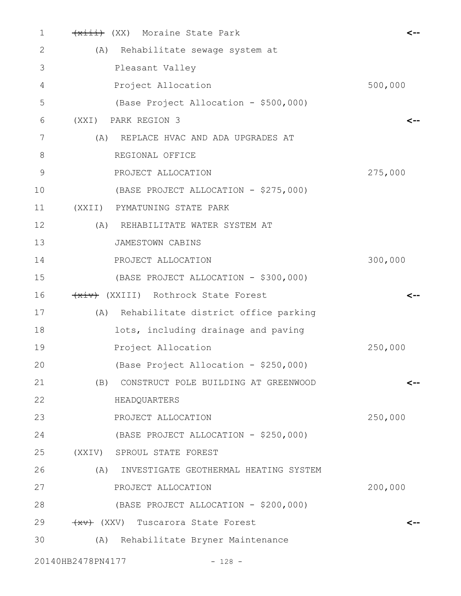| 1           | (xiii) (XX) Moraine State Park               | <--     |
|-------------|----------------------------------------------|---------|
| 2           | (A) Rehabilitate sewage system at            |         |
| 3           | Pleasant Valley                              |         |
| 4           | Project Allocation                           | 500,000 |
| 5           | (Base Project Allocation - \$500,000)        |         |
| 6           | (XXI) PARK REGION 3                          | <--     |
| 7           | REPLACE HVAC AND ADA UPGRADES AT<br>(A)      |         |
| 8           | REGIONAL OFFICE                              |         |
| $\mathsf 9$ | PROJECT ALLOCATION                           | 275,000 |
| 10          | (BASE PROJECT ALLOCATION - \$275,000)        |         |
| 11          | (XXII) PYMATUNING STATE PARK                 |         |
| 12          | (A) REHABILITATE WATER SYSTEM AT             |         |
| 13          | JAMESTOWN CABINS                             |         |
| 14          | PROJECT ALLOCATION                           | 300,000 |
| 15          | (BASE PROJECT ALLOCATION - \$300,000)        |         |
| 16          | (XXIII) Rothrock State Forest                | <--     |
| 17          | (A) Rehabilitate district office parking     |         |
| 18          | lots, including drainage and paving          |         |
| 19          | Project Allocation                           | 250,000 |
| 20          | (Base Project Allocation - \$250,000)        |         |
| 21          | CONSTRUCT POLE BUILDING AT GREENWOOD<br>(B)  | <--     |
| 22          | HEADQUARTERS                                 |         |
| 23          | PROJECT ALLOCATION                           | 250,000 |
| 24          | (BASE PROJECT ALLOCATION - \$250,000)        |         |
| 25          | (XXIV) SPROUL STATE FOREST                   |         |
| 26          | (A)<br>INVESTIGATE GEOTHERMAL HEATING SYSTEM |         |
| 27          | PROJECT ALLOCATION                           | 200,000 |
| 28          | (BASE PROJECT ALLOCATION - \$200,000)        |         |
| 29          | (XXV) Tuscarora State Forest                 | <--     |
| 30          | (A) Rehabilitate Bryner Maintenance          |         |
|             | 20140HB2478PN4177<br>$-128 -$                |         |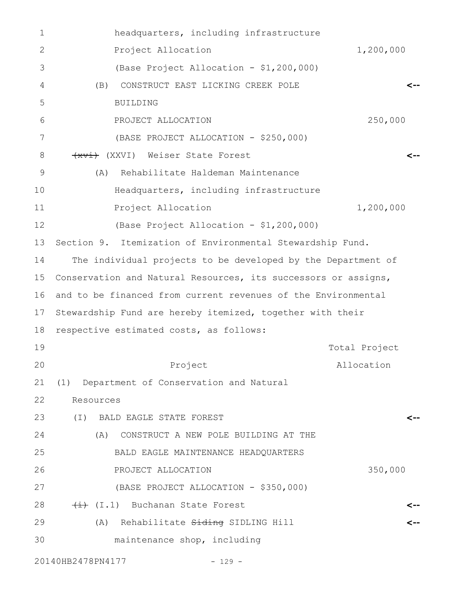| $\mathbf 1$    | headquarters, including infrastructure                         |               |  |
|----------------|----------------------------------------------------------------|---------------|--|
| 2              | Project Allocation                                             | 1,200,000     |  |
| 3              | (Base Project Allocation - \$1,200,000)                        |               |  |
| 4              | CONSTRUCT EAST LICKING CREEK POLE<br>(B)                       |               |  |
| 5              | <b>BUILDING</b>                                                |               |  |
| 6              | PROJECT ALLOCATION                                             | 250,000       |  |
| 7              | (BASE PROJECT ALLOCATION - \$250,000)                          |               |  |
| 8              | (XXVI) Weiser State Forest                                     |               |  |
| $\overline{9}$ | Rehabilitate Haldeman Maintenance<br>(A)                       |               |  |
| 10             | Headquarters, including infrastructure                         |               |  |
| 11             | Project Allocation                                             | 1,200,000     |  |
| 12             | (Base Project Allocation - \$1,200,000)                        |               |  |
| 13             | Section 9. Itemization of Environmental Stewardship Fund.      |               |  |
| 14             | The individual projects to be developed by the Department of   |               |  |
| 15             | Conservation and Natural Resources, its successors or assigns, |               |  |
| 16             | and to be financed from current revenues of the Environmental  |               |  |
| 17             | Stewardship Fund are hereby itemized, together with their      |               |  |
| 18             | respective estimated costs, as follows:                        |               |  |
| 19             |                                                                | Total Project |  |
| 20             | Project                                                        | Allocation    |  |
| 21             | (1) Department of Conservation and Natural                     |               |  |
| 22             | Resources                                                      |               |  |
| 23             | (I) BALD EAGLE STATE FOREST                                    | <--           |  |
| 24             | CONSTRUCT A NEW POLE BUILDING AT THE<br>(A)                    |               |  |
| 25             | BALD EAGLE MAINTENANCE HEADQUARTERS                            |               |  |
| 26             | PROJECT ALLOCATION                                             | 350,000       |  |
| 27             | (BASE PROJECT ALLOCATION - \$350,000)                          |               |  |
| 28             | $\overline{+i}$ (I.1) Buchanan State Forest                    |               |  |
| 29             | (A) Rehabilitate Siding SIDLING Hill                           |               |  |
| 30             | maintenance shop, including                                    |               |  |
|                |                                                                |               |  |

20140HB2478PN4177 - 129 -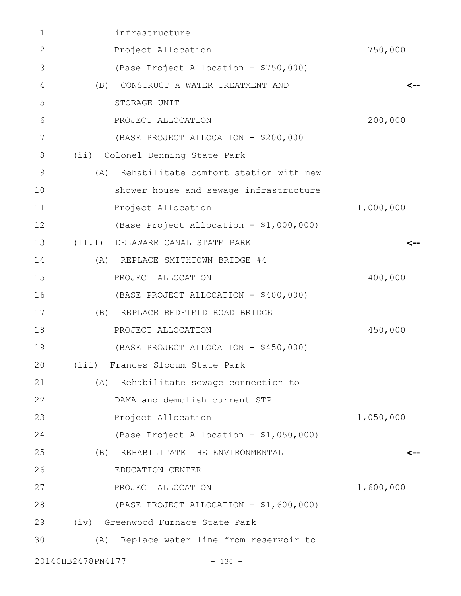| 1            | infrastructure                               |           |
|--------------|----------------------------------------------|-----------|
| $\mathbf{2}$ | Project Allocation                           | 750,000   |
| 3            | (Base Project Allocation - \$750,000)        |           |
| 4            | CONSTRUCT A WATER TREATMENT AND<br>(B)       | <--       |
| 5            | STORAGE UNIT                                 |           |
| 6            | PROJECT ALLOCATION                           | 200,000   |
| 7            | (BASE PROJECT ALLOCATION - \$200,000         |           |
| $8\,$        | (ii) Colonel Denning State Park              |           |
| 9            | Rehabilitate comfort station with new<br>(A) |           |
| 10           | shower house and sewage infrastructure       |           |
| 11           | Project Allocation                           | 1,000,000 |
| 12           | (Base Project Allocation - \$1,000,000)      |           |
| 13           | (II.1) DELAWARE CANAL STATE PARK             | <--       |
| 14           | (A) REPLACE SMITHTOWN BRIDGE #4              |           |
| 15           | PROJECT ALLOCATION                           | 400,000   |
| 16           | (BASE PROJECT ALLOCATION - \$400,000)        |           |
| 17           | REPLACE REDFIELD ROAD BRIDGE<br>(B)          |           |
| 18           | PROJECT ALLOCATION                           | 450,000   |
| 19           | (BASE PROJECT ALLOCATION - \$450,000)        |           |
| 20           | (iii) Frances Slocum State Park              |           |
| 21           | (A) Rehabilitate sewage connection to        |           |
| 22           | DAMA and demolish current STP                |           |
| 23           | Project Allocation                           | 1,050,000 |
| 24           | (Base Project Allocation - \$1,050,000)      |           |
| 25           | (B) REHABILITATE THE ENVIRONMENTAL           | <--       |
| 26           | EDUCATION CENTER                             |           |
| 27           | PROJECT ALLOCATION                           | 1,600,000 |
| 28           | (BASE PROJECT ALLOCATION - \$1,600,000)      |           |
| 29           | (iv) Greenwood Furnace State Park            |           |
| 30           | Replace water line from reservoir to<br>(A)  |           |
|              | 20140HB2478PN4177<br>$-130 -$                |           |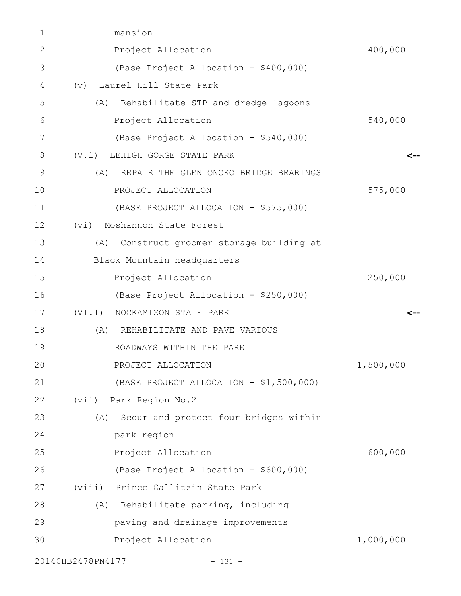| 1              | mansion                                      |           |
|----------------|----------------------------------------------|-----------|
| $\overline{2}$ | Project Allocation                           | 400,000   |
| 3              | (Base Project Allocation - \$400,000)        |           |
| 4              | (v) Laurel Hill State Park                   |           |
| 5              | Rehabilitate STP and dredge lagoons<br>(A)   |           |
| 6              | Project Allocation                           | 540,000   |
| 7              | (Base Project Allocation - \$540,000)        |           |
| 8              | (V, 1)<br>LEHIGH GORGE STATE PARK            | <--       |
| 9              | (A)<br>REPAIR THE GLEN ONOKO BRIDGE BEARINGS |           |
| 10             | PROJECT ALLOCATION                           | 575,000   |
| 11             | (BASE PROJECT ALLOCATION - \$575,000)        |           |
| 12             | (vi) Moshannon State Forest                  |           |
| 13             | Construct groomer storage building at<br>(A) |           |
| 14             | Black Mountain headquarters                  |           |
| 15             | Project Allocation                           | 250,000   |
| 16             | (Base Project Allocation - \$250,000)        |           |
| 17             | (VI.1) NOCKAMIXON STATE PARK                 | <--       |
| 18             | (A) REHABILITATE AND PAVE VARIOUS            |           |
| 19             | ROADWAYS WITHIN THE PARK                     |           |
| 20             | PROJECT ALLOCATION                           | 1,500,000 |
| 21             | (BASE PROJECT ALLOCATION - \$1,500,000)      |           |
| 22             | (vii) Park Region No.2                       |           |
| 23             | Scour and protect four bridges within<br>(A) |           |
| 24             | park region                                  |           |
| 25             | Project Allocation                           | 600,000   |
| 26             | (Base Project Allocation - \$600,000)        |           |
| 27             | (viii) Prince Gallitzin State Park           |           |
| 28             | (A) Rehabilitate parking, including          |           |
| 29             | paving and drainage improvements             |           |
| 30             | Project Allocation                           | 1,000,000 |
|                | 20140HB2478PN4177<br>$-131 -$                |           |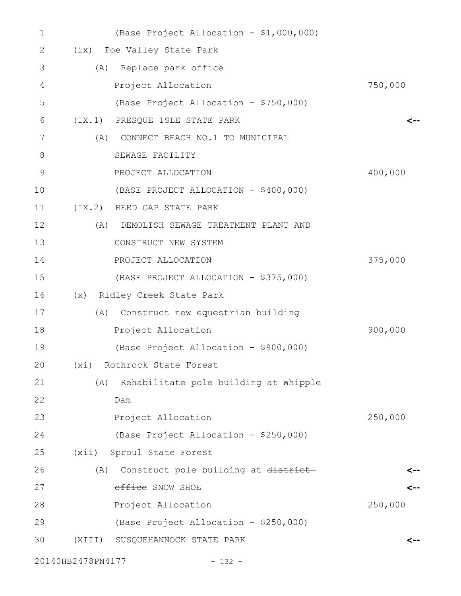| $\mathbf 1$ |                   | (Base Project Allocation - \$1,000,000) |         |
|-------------|-------------------|-----------------------------------------|---------|
| 2           |                   | (ix) Poe Valley State Park              |         |
| 3           |                   | (A) Replace park office                 |         |
| 4           |                   | Project Allocation                      | 750,000 |
| 5           |                   | (Base Project Allocation - \$750,000)   |         |
| 6           |                   | (IX.1) PRESQUE ISLE STATE PARK          |         |
| 7           | (A)               | CONNECT BEACH NO.1 TO MUNICIPAL         |         |
| 8           |                   | SEWAGE FACILITY                         |         |
| $\mathsf 9$ |                   | PROJECT ALLOCATION                      | 400,000 |
| 10          |                   | (BASE PROJECT ALLOCATION - \$400,000)   |         |
| 11          |                   | (IX.2) REED GAP STATE PARK              |         |
| 12          | (A)               | DEMOLISH SEWAGE TREATMENT PLANT AND     |         |
| 13          |                   | CONSTRUCT NEW SYSTEM                    |         |
| 14          |                   | PROJECT ALLOCATION                      | 375,000 |
| 15          |                   | (BASE PROJECT ALLOCATION - \$375,000)   |         |
| 16          |                   | (x) Ridley Creek State Park             |         |
| 17          | (A)               | Construct new equestrian building       |         |
| 18          |                   | Project Allocation                      | 900,000 |
| 19          |                   | (Base Project Allocation - \$900,000)   |         |
| 20          | (xi)              | Rothrock State Forest                   |         |
| 21          | (A)               | Rehabilitate pole building at Whipple   |         |
| 22          |                   | Dam                                     |         |
| 23          |                   | Project Allocation                      | 250,000 |
| 24          |                   | (Base Project Allocation - \$250,000)   |         |
| 25          |                   | (xii) Sproul State Forest               |         |
| 26          | (A)               | Construct pole building at district     |         |
| 27          |                   | office SNOW SHOE                        |         |
| 28          |                   | Project Allocation                      | 250,000 |
| 29          |                   | (Base Project Allocation - \$250,000)   |         |
| 30          |                   | (XIII) SUSQUEHANNOCK STATE PARK         | <--     |
|             | 20140HB2478PN4177 | $-132 -$                                |         |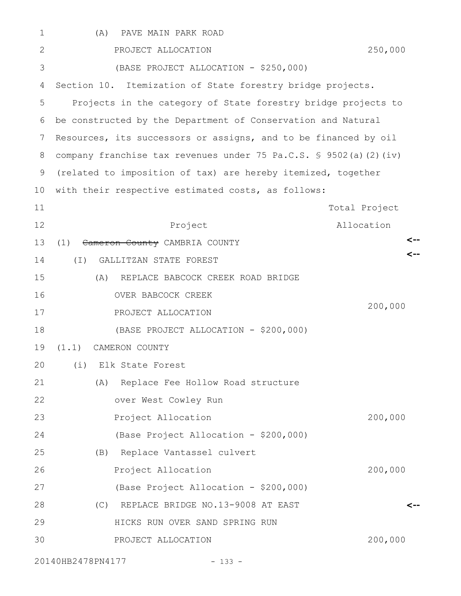| $\mathbf 1$ | (A)<br>PAVE MAIN PARK ROAD                                       |               |
|-------------|------------------------------------------------------------------|---------------|
| 2           | PROJECT ALLOCATION                                               | 250,000       |
| 3           | (BASE PROJECT ALLOCATION - \$250,000)                            |               |
| 4           | Section 10. Itemization of State forestry bridge projects.       |               |
| 5           | Projects in the category of State forestry bridge projects to    |               |
| 6           | be constructed by the Department of Conservation and Natural     |               |
| 7           | Resources, its successors or assigns, and to be financed by oil  |               |
| 8           | company franchise tax revenues under 75 Pa.C.S. § 9502(a)(2)(iv) |               |
| 9           | (related to imposition of tax) are hereby itemized, together     |               |
| 10          | with their respective estimated costs, as follows:               |               |
| 11          |                                                                  | Total Project |
| 12          | Project                                                          | Allocation    |
| 13          | (1)<br>Cameron County CAMBRIA COUNTY                             |               |
| 14          | GALLITZAN STATE FOREST<br>$(\top)$                               |               |
| 15          | REPLACE BABCOCK CREEK ROAD BRIDGE<br>(A)                         |               |
| 16          | OVER BABCOCK CREEK                                               |               |
| 17          | PROJECT ALLOCATION                                               | 200,000       |
| 18          | (BASE PROJECT ALLOCATION - \$200,000)                            |               |
| 19          | (1.1)<br>CAMERON COUNTY                                          |               |
| 20          | (i) Elk State Forest                                             |               |
| 21          | Replace Fee Hollow Road structure<br>(A)                         |               |
| 22          | over West Cowley Run                                             |               |
| 23          | Project Allocation                                               | 200,000       |
| 24          | (Base Project Allocation - \$200,000)                            |               |
| 25          | (B) Replace Vantassel culvert                                    |               |
| 26          | Project Allocation                                               | 200,000       |
| 27          | (Base Project Allocation - \$200,000)                            |               |
| 28          | REPLACE BRIDGE NO.13-9008 AT EAST<br>(C)                         | <--           |
| 29          | HICKS RUN OVER SAND SPRING RUN                                   |               |
| 30          | PROJECT ALLOCATION                                               | 200,000       |
|             |                                                                  |               |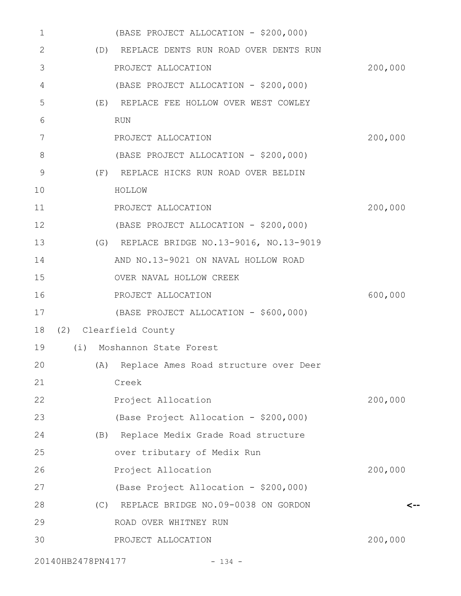| 1             | (BASE PROJECT ALLOCATION - \$200,000)     |         |
|---------------|-------------------------------------------|---------|
| 2             | (D) REPLACE DENTS RUN ROAD OVER DENTS RUN |         |
| 3             | PROJECT ALLOCATION                        | 200,000 |
| 4             | (BASE PROJECT ALLOCATION - \$200,000)     |         |
| 5             | (E) REPLACE FEE HOLLOW OVER WEST COWLEY   |         |
| 6             | <b>RUN</b>                                |         |
| 7             | PROJECT ALLOCATION                        | 200,000 |
| 8             | (BASE PROJECT ALLOCATION - \$200,000)     |         |
| $\mathcal{G}$ | (F) REPLACE HICKS RUN ROAD OVER BELDIN    |         |
| 10            | HOLLOW                                    |         |
| 11            | PROJECT ALLOCATION                        | 200,000 |
| 12            | (BASE PROJECT ALLOCATION - \$200,000)     |         |
| 13            | (G) REPLACE BRIDGE NO.13-9016, NO.13-9019 |         |
| 14            | AND NO.13-9021 ON NAVAL HOLLOW ROAD       |         |
| 15            | OVER NAVAL HOLLOW CREEK                   |         |
| 16            | PROJECT ALLOCATION                        | 600,000 |
| 17            | (BASE PROJECT ALLOCATION - \$600,000)     |         |
| 18            | (2) Clearfield County                     |         |
| 19            | (i) Moshannon State Forest                |         |
| 20            | (A) Replace Ames Road structure over Deer |         |
| 21            | Creek                                     |         |
| 22            | Project Allocation                        | 200,000 |
| 23            | (Base Project Allocation - \$200,000)     |         |
| 24            | (B) Replace Medix Grade Road structure    |         |
| 25            | over tributary of Medix Run               |         |
| 26            | Project Allocation                        | 200,000 |
| 27            | (Base Project Allocation - \$200,000)     |         |
| 28            | (C) REPLACE BRIDGE NO.09-0038 ON GORDON   | <--     |
| 29            | ROAD OVER WHITNEY RUN                     |         |
| 30            | PROJECT ALLOCATION                        | 200,000 |
|               |                                           |         |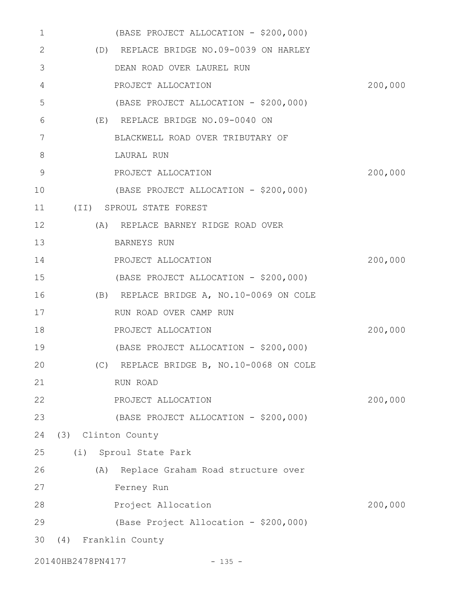| 1  |                    | (BASE PROJECT ALLOCATION - \$200,000)    |         |
|----|--------------------|------------------------------------------|---------|
| 2  |                    | (D) REPLACE BRIDGE NO.09-0039 ON HARLEY  |         |
| 3  |                    | DEAN ROAD OVER LAUREL RUN                |         |
| 4  |                    | PROJECT ALLOCATION                       | 200,000 |
| 5  |                    | (BASE PROJECT ALLOCATION - \$200,000)    |         |
| 6  |                    | (E) REPLACE BRIDGE NO.09-0040 ON         |         |
| 7  |                    | BLACKWELL ROAD OVER TRIBUTARY OF         |         |
| 8  |                    | LAURAL RUN                               |         |
| 9  |                    | PROJECT ALLOCATION                       | 200,000 |
| 10 |                    | (BASE PROJECT ALLOCATION - \$200,000)    |         |
| 11 |                    | (II) SPROUL STATE FOREST                 |         |
| 12 | (A)                | REPLACE BARNEY RIDGE ROAD OVER           |         |
| 13 |                    | <b>BARNEYS RUN</b>                       |         |
| 14 |                    | PROJECT ALLOCATION                       | 200,000 |
| 15 |                    | (BASE PROJECT ALLOCATION - \$200,000)    |         |
| 16 |                    | (B) REPLACE BRIDGE A, NO.10-0069 ON COLE |         |
| 17 |                    | RUN ROAD OVER CAMP RUN                   |         |
| 18 |                    | PROJECT ALLOCATION                       | 200,000 |
| 19 |                    | (BASE PROJECT ALLOCATION - \$200,000)    |         |
| 20 |                    | (C) REPLACE BRIDGE B, NO.10-0068 ON COLE |         |
| 21 |                    | RUN ROAD                                 |         |
| 22 |                    | PROJECT ALLOCATION                       | 200,000 |
| 23 |                    | (BASE PROJECT ALLOCATION - \$200,000)    |         |
| 24 | (3) Clinton County |                                          |         |
| 25 |                    | (i) Sproul State Park                    |         |
| 26 |                    | (A) Replace Graham Road structure over   |         |
| 27 |                    | Ferney Run                               |         |
| 28 |                    | Project Allocation                       | 200,000 |
| 29 |                    | (Base Project Allocation - \$200,000)    |         |
| 30 |                    | (4) Franklin County                      |         |
|    |                    |                                          |         |

20140HB2478PN4177 - 135 -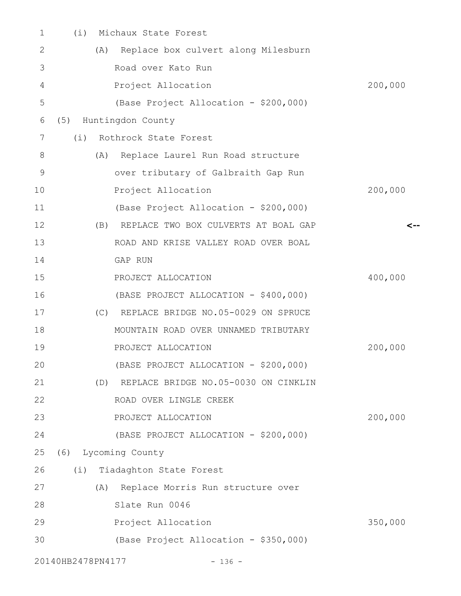| 1  | (i)               | Michaux State Forest                     |         |
|----|-------------------|------------------------------------------|---------|
| 2  | (A)               | Replace box culvert along Milesburn      |         |
| 3  |                   | Road over Kato Run                       |         |
| 4  |                   | Project Allocation                       | 200,000 |
| 5  |                   | (Base Project Allocation - \$200,000)    |         |
| 6  | (5)               | Huntingdon County                        |         |
| 7  | (i)               | Rothrock State Forest                    |         |
| 8  | (A)               | Replace Laurel Run Road structure        |         |
| 9  |                   | over tributary of Galbraith Gap Run      |         |
| 10 |                   | Project Allocation                       | 200,000 |
| 11 |                   | (Base Project Allocation - \$200,000)    |         |
| 12 | (B)               | REPLACE TWO BOX CULVERTS AT BOAL GAP     |         |
| 13 |                   | ROAD AND KRISE VALLEY ROAD OVER BOAL     |         |
| 14 |                   | GAP RUN                                  |         |
| 15 |                   | PROJECT ALLOCATION                       | 400,000 |
| 16 |                   | (BASE PROJECT ALLOCATION - \$400,000)    |         |
| 17 |                   | (C) REPLACE BRIDGE NO.05-0029 ON SPRUCE  |         |
| 18 |                   | MOUNTAIN ROAD OVER UNNAMED TRIBUTARY     |         |
| 19 |                   | PROJECT ALLOCATION                       | 200,000 |
| 20 |                   | (BASE PROJECT ALLOCATION - \$200,000)    |         |
| 21 |                   | (D) REPLACE BRIDGE NO.05-0030 ON CINKLIN |         |
| 22 |                   | ROAD OVER LINGLE CREEK                   |         |
| 23 |                   | PROJECT ALLOCATION                       | 200,000 |
| 24 |                   | (BASE PROJECT ALLOCATION - \$200,000)    |         |
| 25 |                   | (6) Lycoming County                      |         |
| 26 |                   | (i) Tiadaghton State Forest              |         |
| 27 |                   | (A) Replace Morris Run structure over    |         |
| 28 |                   | Slate Run 0046                           |         |
| 29 |                   | Project Allocation                       | 350,000 |
| 30 |                   | (Base Project Allocation - \$350,000)    |         |
|    | 20140HB2478PN4177 | $-136 -$                                 |         |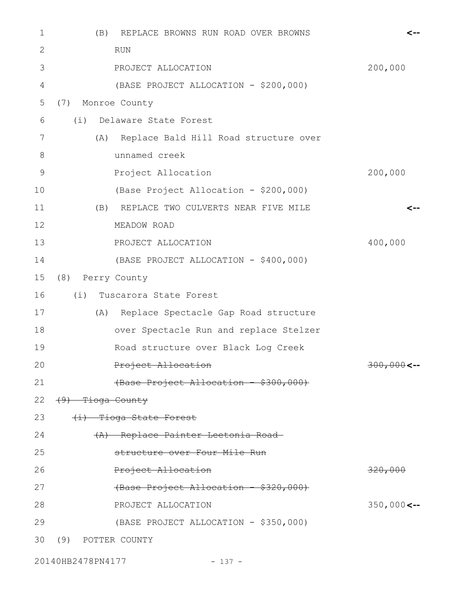| 1  | REPLACE BROWNS RUN ROAD OVER BROWNS<br>(B) |               |
|----|--------------------------------------------|---------------|
| 2  | <b>RUN</b>                                 |               |
| 3  | PROJECT ALLOCATION                         | 200,000       |
| 4  | (BASE PROJECT ALLOCATION - \$200,000)      |               |
| 5  | Monroe County<br>(7)                       |               |
| 6  | (i)<br>Delaware State Forest               |               |
| 7  | (A) Replace Bald Hill Road structure over  |               |
| 8  | unnamed creek                              |               |
| 9  | Project Allocation                         | 200,000       |
| 10 | (Base Project Allocation - \$200,000)      |               |
| 11 | REPLACE TWO CULVERTS NEAR FIVE MILE<br>(B) |               |
| 12 | MEADOW ROAD                                |               |
| 13 | PROJECT ALLOCATION                         | 400,000       |
| 14 | (BASE PROJECT ALLOCATION - \$400,000)      |               |
| 15 | (8) Perry County                           |               |
| 16 | (i)<br>Tuscarora State Forest              |               |
| 17 | (A) Replace Spectacle Gap Road structure   |               |
| 18 | over Spectacle Run and replace Stelzer     |               |
| 19 | Road structure over Black Log Creek        |               |
| 20 | Project Allocation                         | $300,000$ <-- |
| 21 | (Base Project Allocation - \$300,000)      |               |
| 22 | (9) Tioga County                           |               |
| 23 | (i) Tioga State Forest                     |               |
| 24 | (A) Replace Painter Leetonia Road-         |               |
| 25 | structure over Four Mile Run               |               |
| 26 | Project Allocation                         | 320,000       |
| 27 | (Base Project Allocation - \$320,000)      |               |
| 28 | PROJECT ALLOCATION                         | $350,000$ <-- |
| 29 | (BASE PROJECT ALLOCATION - \$350,000)      |               |
| 30 | (9)<br>POTTER COUNTY                       |               |

20140HB2478PN4177 - 137 -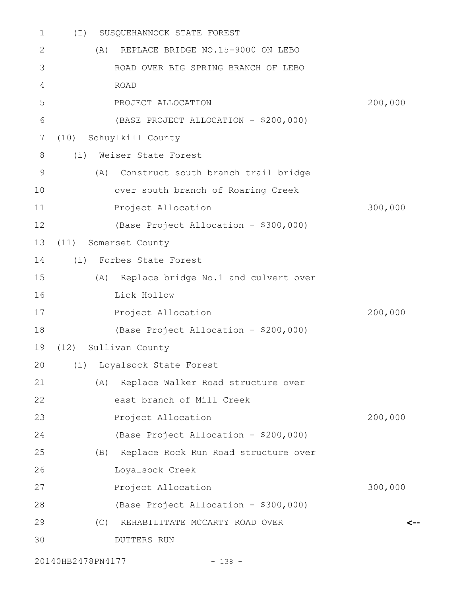| 1  | $(\top)$ | SUSQUEHANNOCK STATE FOREST               |         |
|----|----------|------------------------------------------|---------|
| 2  | (A)      | REPLACE BRIDGE NO.15-9000 ON LEBO        |         |
| 3  |          | ROAD OVER BIG SPRING BRANCH OF LEBO      |         |
| 4  |          | <b>ROAD</b>                              |         |
| 5  |          | PROJECT ALLOCATION                       | 200,000 |
| 6  |          | (BASE PROJECT ALLOCATION - \$200,000)    |         |
| 7  | (10)     | Schuylkill County                        |         |
| 8  | (i)      | Weiser State Forest                      |         |
| 9  | (A)      | Construct south branch trail bridge      |         |
| 10 |          | over south branch of Roaring Creek       |         |
| 11 |          | Project Allocation                       | 300,000 |
| 12 |          | (Base Project Allocation - \$300,000)    |         |
| 13 | (11)     | Somerset County                          |         |
| 14 |          | (i) Forbes State Forest                  |         |
| 15 | (A)      | Replace bridge No.1 and culvert over     |         |
| 16 |          | Lick Hollow                              |         |
| 17 |          | Project Allocation                       | 200,000 |
| 18 |          | (Base Project Allocation - \$200,000)    |         |
| 19 |          | (12) Sullivan County                     |         |
|    |          | 20 (i) Loyalsock State Forest            |         |
| 21 | (A)      | Replace Walker Road structure over       |         |
| 22 |          | east branch of Mill Creek                |         |
| 23 |          | Project Allocation                       | 200,000 |
| 24 |          | (Base Project Allocation - \$200,000)    |         |
| 25 |          | (B) Replace Rock Run Road structure over |         |
| 26 |          | Loyalsock Creek                          |         |
| 27 |          | Project Allocation                       | 300,000 |
| 28 |          | (Base Project Allocation - \$300,000)    |         |
| 29 | (C)      | REHABILITATE MCCARTY ROAD OVER           |         |
| 30 |          | <b>DUTTERS RUN</b>                       |         |
|    |          |                                          |         |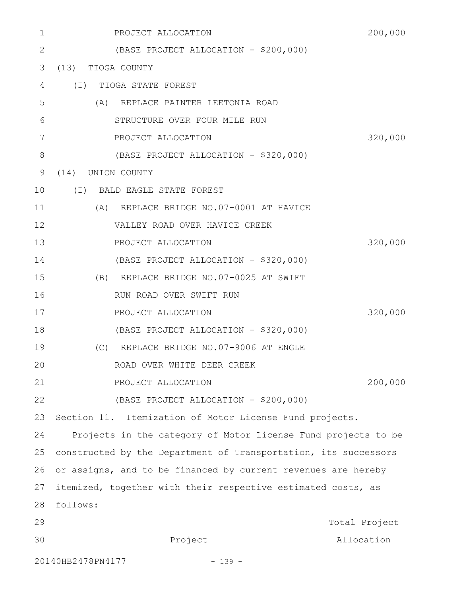| 1           | PROJECT ALLOCATION                                              | 200,000       |
|-------------|-----------------------------------------------------------------|---------------|
| 2           | (BASE PROJECT ALLOCATION - \$200,000)                           |               |
| 3           | (13) TIOGA COUNTY                                               |               |
| 4           | (I) TIOGA STATE FOREST                                          |               |
| 5           | (A) REPLACE PAINTER LEETONIA ROAD                               |               |
| 6           | STRUCTURE OVER FOUR MILE RUN                                    |               |
| 7           | PROJECT ALLOCATION                                              | 320,000       |
| $8\,$       | (BASE PROJECT ALLOCATION - \$320,000)                           |               |
| $\mathsf 9$ | (14)<br>UNION COUNTY                                            |               |
| 10          | (I) BALD EAGLE STATE FOREST                                     |               |
| 11          | (A) REPLACE BRIDGE NO.07-0001 AT HAVICE                         |               |
| 12          | VALLEY ROAD OVER HAVICE CREEK                                   |               |
| 13          | PROJECT ALLOCATION                                              | 320,000       |
| 14          | (BASE PROJECT ALLOCATION - \$320,000)                           |               |
| 15          | (B) REPLACE BRIDGE NO.07-0025 AT SWIFT                          |               |
| 16          | RUN ROAD OVER SWIFT RUN                                         |               |
| 17          | PROJECT ALLOCATION                                              | 320,000       |
| 18          | (BASE PROJECT ALLOCATION - \$320,000)                           |               |
| 19          | (C) REPLACE BRIDGE NO.07-9006 AT ENGLE                          |               |
| 20          | ROAD OVER WHITE DEER CREEK                                      |               |
| 21          | PROJECT ALLOCATION                                              | 200,000       |
| 22          | (BASE PROJECT ALLOCATION - \$200,000)                           |               |
| 23          | Section 11. Itemization of Motor License Fund projects.         |               |
| 24          | Projects in the category of Motor License Fund projects to be   |               |
| 25          | constructed by the Department of Transportation, its successors |               |
| 26          | or assigns, and to be financed by current revenues are hereby   |               |
| 27          | itemized, together with their respective estimated costs, as    |               |
| 28          | follows:                                                        |               |
| 29          |                                                                 | Total Project |
| 30          | Project                                                         | Allocation    |
|             | 20140HB2478PN4177<br>$-139 -$                                   |               |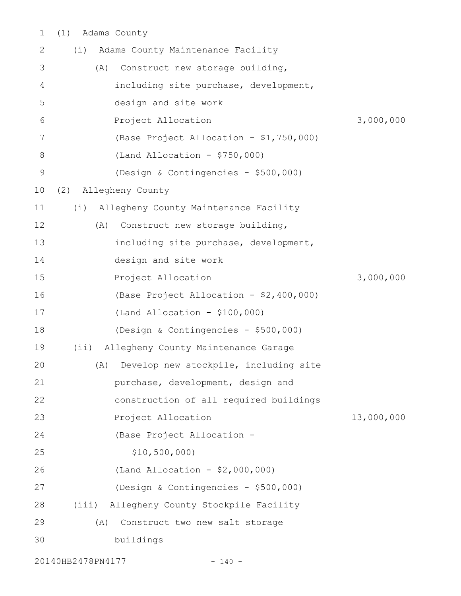(1) Adams County 1

| 2             | Adams County Maintenance Facility<br>(i)     |            |
|---------------|----------------------------------------------|------------|
| 3             | Construct new storage building,<br>(A)       |            |
| 4             | including site purchase, development,        |            |
| 5             | design and site work                         |            |
| 6             | Project Allocation                           | 3,000,000  |
| 7             | (Base Project Allocation - \$1,750,000)      |            |
| 8             | $(Land Allocation - $750,000)$               |            |
| $\mathcal{G}$ | (Design & Contingencies - \$500,000)         |            |
| 10            | (2) Allegheny County                         |            |
| 11            | Allegheny County Maintenance Facility<br>(i) |            |
| 12            | (A)<br>Construct new storage building,       |            |
| 13            | including site purchase, development,        |            |
| 14            | design and site work                         |            |
| 15            | Project Allocation                           | 3,000,000  |
| 16            | (Base Project Allocation - \$2,400,000)      |            |
| 17            | (Land Allocation - $$100,000)$               |            |
| 18            | (Design & Contingencies - \$500,000)         |            |
| 19            | Allegheny County Maintenance Garage<br>(i)   |            |
| 20            | Develop new stockpile, including site<br>(A) |            |
| 21            | purchase, development, design and            |            |
| 22            | construction of all required buildings       |            |
| 23            | Project Allocation                           | 13,000,000 |
| 24            | (Base Project Allocation -                   |            |
| 25            | \$10,500,000                                 |            |
| 26            | (Land Allocation - $$2,000,000)$             |            |
| 27            | (Design & Contingencies - \$500,000)         |            |
| 28            | Allegheny County Stockpile Facility<br>(iii) |            |
| 29            | Construct two new salt storage<br>(A)        |            |
| 30            | buildings                                    |            |
|               |                                              |            |

20140HB2478PN4177 - 140 -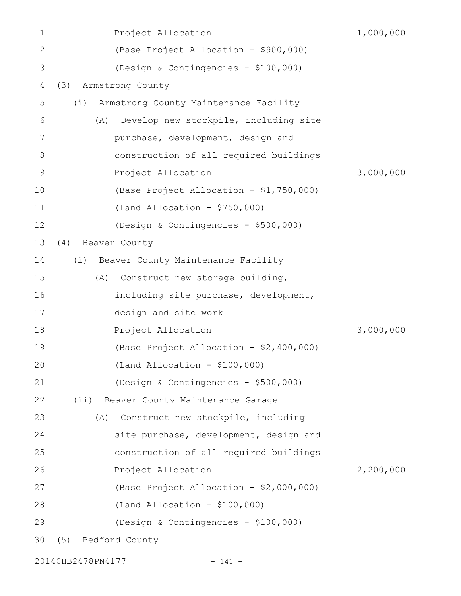| 1            | Project Allocation                           | 1,000,000 |
|--------------|----------------------------------------------|-----------|
| $\mathbf{2}$ | (Base Project Allocation - \$900,000)        |           |
| 3            | (Design & Contingencies - \$100,000)         |           |
| 4            | Armstrong County<br>(3)                      |           |
| 5            | Armstrong County Maintenance Facility<br>(i) |           |
| 6            | Develop new stockpile, including site<br>(A) |           |
| 7            | purchase, development, design and            |           |
| 8            | construction of all required buildings       |           |
| $\mathsf 9$  | Project Allocation                           | 3,000,000 |
| 10           | (Base Project Allocation - \$1,750,000)      |           |
| 11           | $(Land Allocation - $750,000)$               |           |
| 12           | (Design & Contingencies - \$500,000)         |           |
| 13           | (4)<br>Beaver County                         |           |
| 14           | Beaver County Maintenance Facility<br>(i)    |           |
| 15           | (A)<br>Construct new storage building,       |           |
| 16           | including site purchase, development,        |           |
| 17           | design and site work                         |           |
| 18           | Project Allocation                           | 3,000,000 |
| 19           | (Base Project Allocation - \$2,400,000)      |           |
| 20           | $(Land Allocation - $100,000)$               |           |
| 21           | (Design & Contingencies - \$500,000)         |           |
| 22           | (i)<br>Beaver County Maintenance Garage      |           |
| 23           | Construct new stockpile, including<br>(A)    |           |
| 24           | site purchase, development, design and       |           |
| 25           | construction of all required buildings       |           |
| 26           | Project Allocation                           | 2,200,000 |
| 27           | (Base Project Allocation - \$2,000,000)      |           |
| 28           | $(Land Allocation - $100,000)$               |           |
| 29           | (Design & Contingencies - \$100,000)         |           |
| 30           | Bedford County<br>(5)                        |           |
|              |                                              |           |

20140HB2478PN4177 - 141 -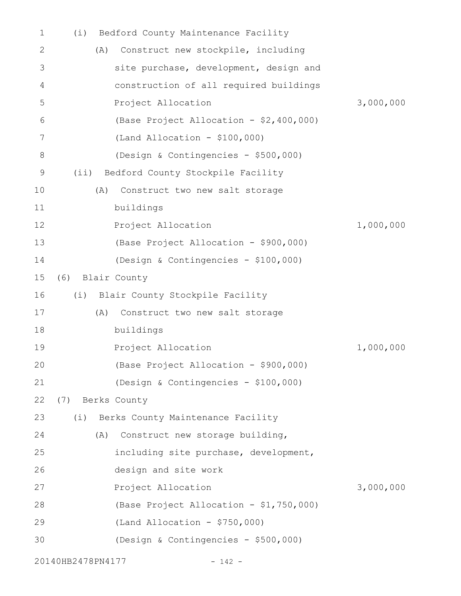| 1  | (i)               | Bedford County Maintenance Facility     |           |
|----|-------------------|-----------------------------------------|-----------|
| 2  | (A)               | Construct new stockpile, including      |           |
| 3  |                   | site purchase, development, design and  |           |
| 4  |                   | construction of all required buildings  |           |
| 5  |                   | Project Allocation                      | 3,000,000 |
| 6  |                   | (Base Project Allocation - \$2,400,000) |           |
| 7  |                   | $(Land Allocation - $100,000)$          |           |
| 8  |                   | (Design & Contingencies - \$500,000)    |           |
| 9  | (i)               | Bedford County Stockpile Facility       |           |
| 10 | (A)               | Construct two new salt storage          |           |
| 11 |                   | buildings                               |           |
| 12 |                   | Project Allocation                      | 1,000,000 |
| 13 |                   | (Base Project Allocation - \$900,000)   |           |
| 14 |                   | (Design & Contingencies - \$100,000)    |           |
| 15 | (6) Blair County  |                                         |           |
| 16 |                   | (i) Blair County Stockpile Facility     |           |
| 17 | (A)               | Construct two new salt storage          |           |
| 18 |                   | buildings                               |           |
| 19 |                   | Project Allocation                      | 1,000,000 |
| 20 |                   | (Base Project Allocation - \$900,000)   |           |
| 21 |                   | (Design & Contingencies - \$100,000)    |           |
| 22 | (7) Berks County  |                                         |           |
| 23 |                   | (i) Berks County Maintenance Facility   |           |
| 24 | (A)               | Construct new storage building,         |           |
| 25 |                   | including site purchase, development,   |           |
| 26 |                   | design and site work                    |           |
| 27 |                   | Project Allocation                      | 3,000,000 |
| 28 |                   | (Base Project Allocation - \$1,750,000) |           |
| 29 |                   | $(Land Allocation - $750,000)$          |           |
| 30 |                   | (Design & Contingencies - \$500,000)    |           |
|    | 20140HB2478PN4177 | $-142 -$                                |           |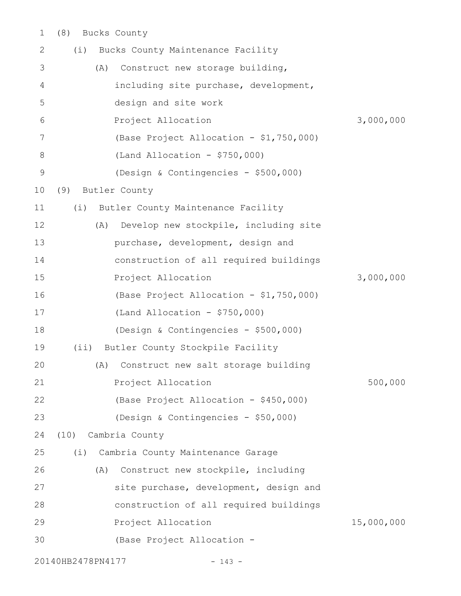(8) Bucks County 1

| $\mathbf{2}$ | (i)               | Bucks County Maintenance Facility       |            |
|--------------|-------------------|-----------------------------------------|------------|
| 3            | (A)               | Construct new storage building,         |            |
| 4            |                   | including site purchase, development,   |            |
| 5            |                   | design and site work                    |            |
| 6            |                   | Project Allocation                      | 3,000,000  |
| 7            |                   | (Base Project Allocation - \$1,750,000) |            |
| $8\,$        |                   | $(Land$ Allocation - \$750,000)         |            |
| $\mathsf 9$  |                   | (Design & Contingencies - \$500,000)    |            |
| 10<br>(9)    |                   | Butler County                           |            |
| 11           | (i)               | Butler County Maintenance Facility      |            |
| 12           | (A)               | Develop new stockpile, including site   |            |
| 13           |                   | purchase, development, design and       |            |
| 14           |                   | construction of all required buildings  |            |
| 15           |                   | Project Allocation                      | 3,000,000  |
| 16           |                   | (Base Project Allocation - \$1,750,000) |            |
| 17           |                   | $(Land Allocation - $750,000)$          |            |
| 18           |                   | (Design & Contingencies - \$500,000)    |            |
| 19           | $(i$ i)           | Butler County Stockpile Facility        |            |
| 20           | (A)               | Construct new salt storage building     |            |
| 21           |                   | Project Allocation                      | 500,000    |
| 22           |                   | (Base Project Allocation - \$450,000)   |            |
| 23           |                   | (Design & Contingencies - \$50,000)     |            |
| 24           | (10)              | Cambria County                          |            |
| 25           | (i)               | Cambria County Maintenance Garage       |            |
| 26           | (A)               | Construct new stockpile, including      |            |
| 27           |                   | site purchase, development, design and  |            |
| 28           |                   | construction of all required buildings  |            |
| 29           |                   | Project Allocation                      | 15,000,000 |
| 30           |                   | (Base Project Allocation -              |            |
|              | 20140HB2478PN4177 | $- 143 -$                               |            |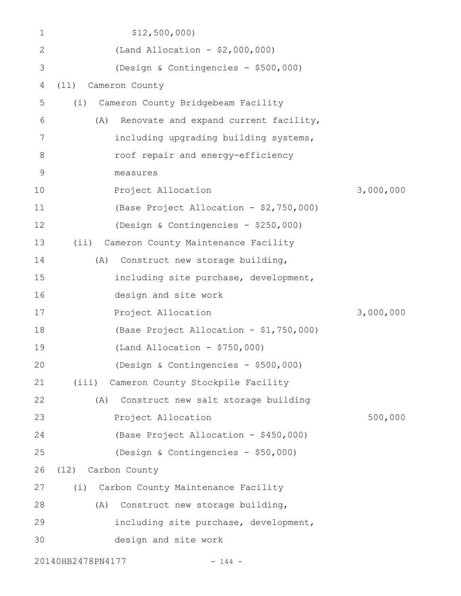| $\mathbf 1$  | \$12,500,000                                 |           |
|--------------|----------------------------------------------|-----------|
| $\mathbf{2}$ | (Land Allocation - $$2,000,000)$             |           |
| 3            | (Design & Contingencies - \$500,000)         |           |
| 4            | Cameron County<br>(11)                       |           |
| 5            | Cameron County Bridgebeam Facility<br>(i)    |           |
| 6            | Renovate and expand current facility,<br>(A) |           |
| 7            | including upgrading building systems,        |           |
| 8            | roof repair and energy-efficiency            |           |
| 9            | measures                                     |           |
| 10           | Project Allocation                           | 3,000,000 |
| 11           | (Base Project Allocation - \$2,750,000)      |           |
| 12           | (Design & Contingencies - \$250,000)         |           |
| 13           | Cameron County Maintenance Facility<br>(i)   |           |
| 14           | Construct new storage building,<br>(A)       |           |
| 15           | including site purchase, development,        |           |
| 16           | design and site work                         |           |
| 17           | Project Allocation                           | 3,000,000 |
| 18           | (Base Project Allocation - \$1,750,000)      |           |
| 19           | (Land Allocation - $$750,000)$               |           |
| 20           | (Design & Contingencies - \$500,000)         |           |
| 21           | (iii) Cameron County Stockpile Facility      |           |
| 22           | (A) Construct new salt storage building      |           |
| 23           | Project Allocation                           | 500,000   |
| 24           | (Base Project Allocation - \$450,000)        |           |
| 25           | (Design & Contingencies - \$50,000)          |           |
| 26           | Carbon County<br>(12)                        |           |
| 27           | Carbon County Maintenance Facility<br>(i)    |           |
| 28           | (A) Construct new storage building,          |           |
| 29           | including site purchase, development,        |           |
| 30           | design and site work                         |           |
|              | 20140HB2478PN4177<br>$-144 -$                |           |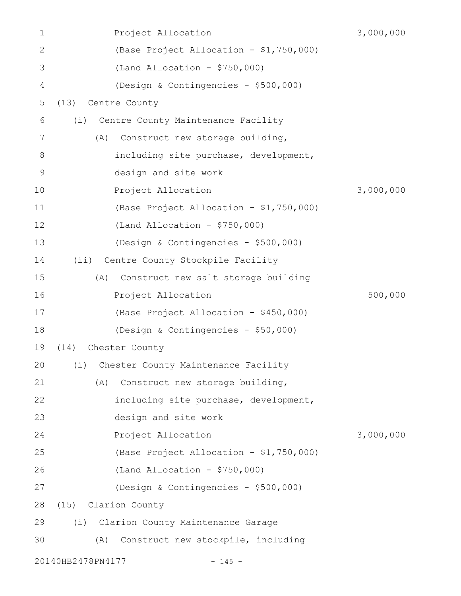| 1              |                   | Project Allocation                         | 3,000,000 |
|----------------|-------------------|--------------------------------------------|-----------|
| $\mathbf{2}$   |                   | (Base Project Allocation - \$1,750,000)    |           |
| 3              |                   | $(Land$ Allocation - \$750,000)            |           |
| $\overline{4}$ |                   | (Design & Contingencies - \$500,000)       |           |
| 5              | (13)              | Centre County                              |           |
| 6              | (i)               | Centre County Maintenance Facility         |           |
| 7              | (A)               | Construct new storage building,            |           |
| 8              |                   | including site purchase, development,      |           |
| $\mathsf 9$    |                   | design and site work                       |           |
| 10             |                   | Project Allocation                         | 3,000,000 |
| 11             |                   | (Base Project Allocation - \$1,750,000)    |           |
| 12             |                   | $(Land$ Allocation - \$750,000)            |           |
| 13             |                   | (Design & Contingencies - \$500,000)       |           |
| 14             |                   | (ii) Centre County Stockpile Facility      |           |
| 15             | (A)               | Construct new salt storage building        |           |
| 16             |                   | Project Allocation                         | 500,000   |
| 17             |                   | (Base Project Allocation - \$450,000)      |           |
| 18             |                   | (Design & Contingencies - \$50,000)        |           |
| 19             |                   | (14) Chester County                        |           |
|                |                   | 20 (i) Chester County Maintenance Facility |           |
| 21             | (A)               | Construct new storage building,            |           |
| 22             |                   | including site purchase, development,      |           |
| 23             |                   | design and site work                       |           |
| 24             |                   | Project Allocation                         | 3,000,000 |
| 25             |                   | (Base Project Allocation - \$1,750,000)    |           |
| 26             |                   | $(Land Allocation - $750,000)$             |           |
| 27             |                   | (Design & Contingencies - \$500,000)       |           |
| 28             |                   | (15) Clarion County                        |           |
| 29             | (i)               | Clarion County Maintenance Garage          |           |
| 30             | (A)               | Construct new stockpile, including         |           |
|                | 20140HB2478PN4177 | $-145 -$                                   |           |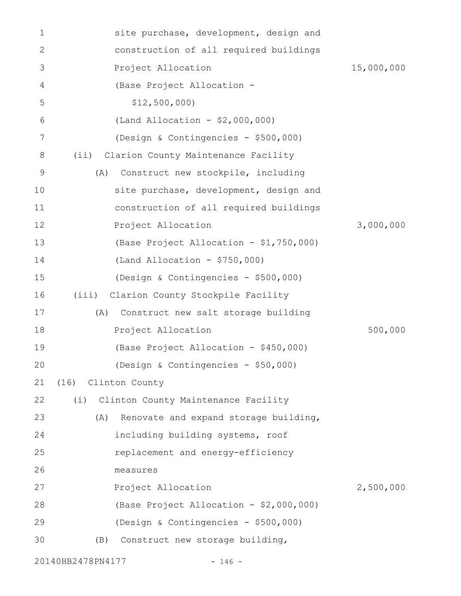| 1           |                        | site purchase, development, design and  |            |
|-------------|------------------------|-----------------------------------------|------------|
| 2           |                        | construction of all required buildings  |            |
| 3           | Project Allocation     |                                         | 15,000,000 |
| 4           |                        | (Base Project Allocation -              |            |
| 5           | \$12,500,000           |                                         |            |
| 6           |                        | (Land Allocation - $$2,000,000)$        |            |
| 7           |                        | (Design & Contingencies - \$500,000)    |            |
| 8           | (i)                    | Clarion County Maintenance Facility     |            |
| $\mathsf 9$ | (A)                    | Construct new stockpile, including      |            |
| 10          |                        | site purchase, development, design and  |            |
| 11          |                        | construction of all required buildings  |            |
| 12          | Project Allocation     |                                         | 3,000,000  |
| 13          |                        | (Base Project Allocation - \$1,750,000) |            |
| 14          |                        | (Land Allocation - $$750,000$ )         |            |
| 15          |                        | (Design & Contingencies - \$500,000)    |            |
| 16          | (iii)                  | Clarion County Stockpile Facility       |            |
| 17          | (A)                    | Construct new salt storage building     |            |
| 18          | Project Allocation     |                                         | 500,000    |
| 19          |                        | (Base Project Allocation - \$450,000)   |            |
| 20          |                        | (Design & Contingencies - \$50,000)     |            |
| 21          | Clinton County<br>(16) |                                         |            |
| 22          | (i)                    | Clinton County Maintenance Facility     |            |
| 23          | (A)                    | Renovate and expand storage building,   |            |
| 24          |                        | including building systems, roof        |            |
| 25          |                        | replacement and energy-efficiency       |            |
| 26          | measures               |                                         |            |
| 27          | Project Allocation     |                                         | 2,500,000  |
| 28          |                        | (Base Project Allocation - \$2,000,000) |            |
| 29          |                        | (Design & Contingencies - \$500,000)    |            |
| 30          | (B)                    | Construct new storage building,         |            |
|             | 20140HB2478PN4177      | $-146 -$                                |            |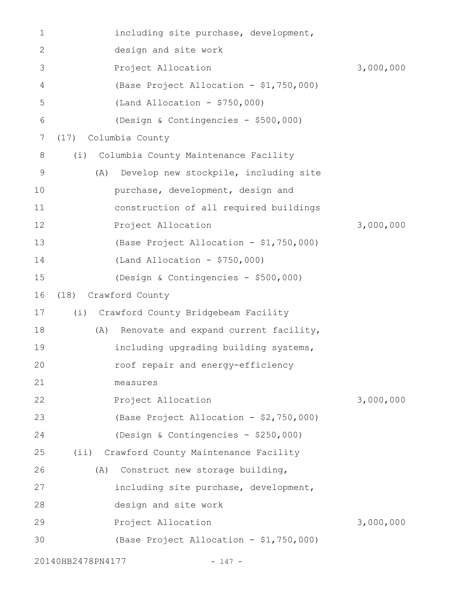| 1              |                   | including site purchase, development,     |           |
|----------------|-------------------|-------------------------------------------|-----------|
| 2              |                   | design and site work                      |           |
| 3              |                   | Project Allocation                        | 3,000,000 |
| $\overline{4}$ |                   | (Base Project Allocation - \$1,750,000)   |           |
| 5              |                   | $(Land Allocation - $750,000)$            |           |
| 6              |                   | (Design & Contingencies - \$500,000)      |           |
| 7              | (17)              | Columbia County                           |           |
| 8              | (i)               | Columbia County Maintenance Facility      |           |
| 9              | (A)               | Develop new stockpile, including site     |           |
| 10             |                   | purchase, development, design and         |           |
| 11             |                   | construction of all required buildings    |           |
| 12             |                   | Project Allocation                        | 3,000,000 |
| 13             |                   | (Base Project Allocation - \$1,750,000)   |           |
| 14             |                   | (Land Allocation - $$750,000$ )           |           |
| 15             |                   | (Design & Contingencies - \$500,000)      |           |
| 16             | (18)              | Crawford County                           |           |
| 17             | (i)               | Crawford County Bridgebeam Facility       |           |
| 18             | (A)               | Renovate and expand current facility,     |           |
| 19             |                   | including upgrading building systems,     |           |
| 20             |                   | roof repair and energy-efficiency         |           |
| 21             |                   | measures                                  |           |
| 22             |                   | Project Allocation                        | 3,000,000 |
| 23             |                   | (Base Project Allocation - \$2,750,000)   |           |
| 24             |                   | (Design & Contingencies - \$250,000)      |           |
| 25             |                   | (ii) Crawford County Maintenance Facility |           |
| 26             | (A)               | Construct new storage building,           |           |
| 27             |                   | including site purchase, development,     |           |
| 28             |                   | design and site work                      |           |
| 29             |                   | Project Allocation                        | 3,000,000 |
| 30             |                   | (Base Project Allocation - \$1,750,000)   |           |
|                | 20140HB2478PN4177 | $-147 -$                                  |           |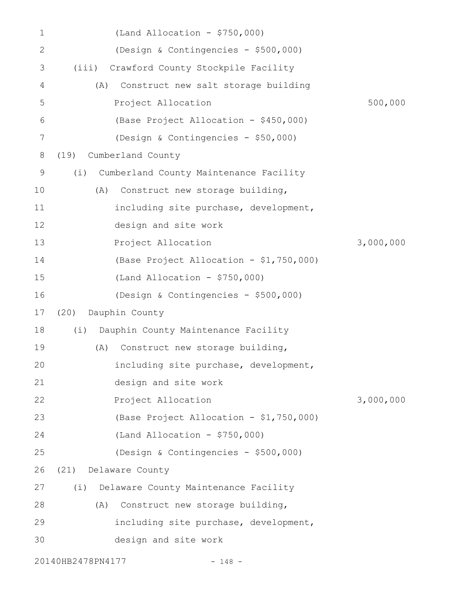| 1            | $(Land$ Allocation - \$750,000)               |           |
|--------------|-----------------------------------------------|-----------|
| $\mathbf{2}$ | (Design & Contingencies - \$500,000)          |           |
| 3            | Crawford County Stockpile Facility<br>(iii)   |           |
| 4            | Construct new salt storage building<br>(A)    |           |
| 5            | Project Allocation                            | 500,000   |
| 6            | (Base Project Allocation - \$450,000)         |           |
| 7            | (Design & Contingencies - \$50,000)           |           |
| 8            | Cumberland County<br>(19)                     |           |
| 9            | Cumberland County Maintenance Facility<br>(i) |           |
| 10           | Construct new storage building,<br>(A)        |           |
| 11           | including site purchase, development,         |           |
| 12           | design and site work                          |           |
| 13           | Project Allocation                            | 3,000,000 |
| 14           | (Base Project Allocation - \$1,750,000)       |           |
| 15           | (Land Allocation - $$750,000$ )               |           |
| 16           | (Design & Contingencies - \$500,000)          |           |
| 17           | Dauphin County<br>(20)                        |           |
| 18           | Dauphin County Maintenance Facility<br>(i)    |           |
| 19           | Construct new storage building,<br>(A)        |           |
| 20           | including site purchase, development,         |           |
| 21           | design and site work                          |           |
| 22           | Project Allocation                            | 3,000,000 |
| 23           | (Base Project Allocation - \$1,750,000)       |           |
| 24           | $(Land$ Allocation - \$750,000)               |           |
| 25           | (Design & Contingencies - \$500,000)          |           |
| 26           | (21) Delaware County                          |           |
| 27           | Delaware County Maintenance Facility<br>(i)   |           |
| 28           | Construct new storage building,<br>(A)        |           |
| 29           | including site purchase, development,         |           |
| 30           | design and site work                          |           |
|              | 20140HB2478PN4177<br>$-148 -$                 |           |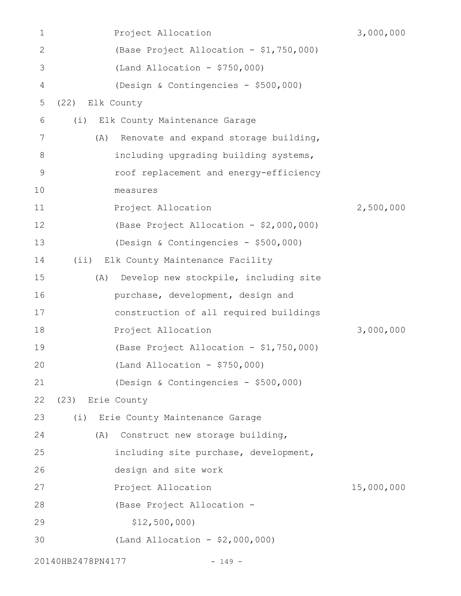| $\mathbf 1$ | Project Allocation                           | 3,000,000  |
|-------------|----------------------------------------------|------------|
| 2           | (Base Project Allocation - \$1,750,000)      |            |
| 3           | (Land Allocation - $$750,000$ )              |            |
| 4           | (Design & Contingencies - \$500,000)         |            |
| 5           | Elk County<br>(22)                           |            |
| 6           | Elk County Maintenance Garage<br>(i)         |            |
| 7           | Renovate and expand storage building,<br>(A) |            |
| 8           | including upgrading building systems,        |            |
| 9           | roof replacement and energy-efficiency       |            |
| 10          | measures                                     |            |
| 11          | Project Allocation                           | 2,500,000  |
| 12          | (Base Project Allocation - \$2,000,000)      |            |
| 13          | (Design & Contingencies - \$500,000)         |            |
| 14          | Elk County Maintenance Facility<br>$(i$ i)   |            |
| 15          | Develop new stockpile, including site<br>(A) |            |
| 16          | purchase, development, design and            |            |
| 17          | construction of all required buildings       |            |
| 18          | Project Allocation                           | 3,000,000  |
| 19          | (Base Project Allocation - \$1,750,000)      |            |
| 20          | $(Land Allocation - $750,000)$               |            |
| 21          | (Design & Contingencies - \$500,000)         |            |
| 22          | (23) Erie County                             |            |
| 23          | (i) Erie County Maintenance Garage           |            |
| 24          | Construct new storage building,<br>(A)       |            |
| 25          | including site purchase, development,        |            |
| 26          | design and site work                         |            |
| 27          | Project Allocation                           | 15,000,000 |
| 28          | (Base Project Allocation -                   |            |
| 29          | \$12,500,000                                 |            |
| 30          | (Land Allocation - $$2,000,000)$             |            |
|             | 20140HB2478PN4177<br>$-149 -$                |            |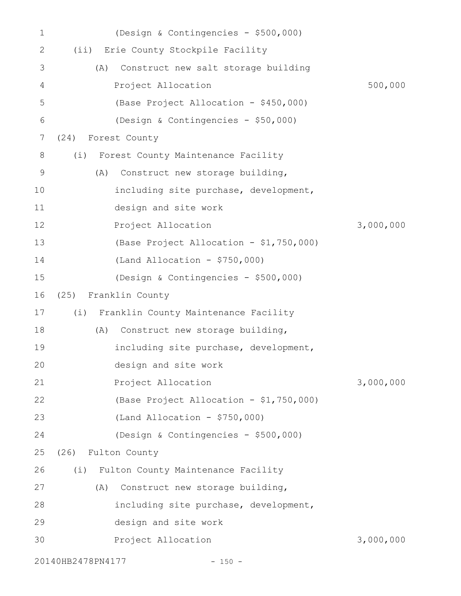| $\mathbf 1$    | (Design & Contingencies - \$500,000)        |           |
|----------------|---------------------------------------------|-----------|
| 2              | (ii) Erie County Stockpile Facility         |           |
| 3              | Construct new salt storage building<br>(A)  |           |
| 4              | Project Allocation                          | 500,000   |
| 5              | (Base Project Allocation - \$450,000)       |           |
| 6              | (Design & Contingencies - \$50,000)         |           |
| $\overline{7}$ | Forest County<br>(24)                       |           |
| 8              | (i)<br>Forest County Maintenance Facility   |           |
| 9              | Construct new storage building,<br>(A)      |           |
| 10             | including site purchase, development,       |           |
| 11             | design and site work                        |           |
| 12             | Project Allocation                          | 3,000,000 |
| 13             | (Base Project Allocation - \$1,750,000)     |           |
| 14             | (Land Allocation - $$750,000$ )             |           |
| 15             | (Design & Contingencies - \$500,000)        |           |
| 16             | Franklin County<br>(25)                     |           |
| 17             | (i)<br>Franklin County Maintenance Facility |           |
| 18             | Construct new storage building,<br>(A)      |           |
| 19             | including site purchase, development,       |           |
| 20             | design and site work                        |           |
| 21             | Project Allocation                          | 3,000,000 |
| 22             | (Base Project Allocation - \$1,750,000)     |           |
| 23             | (Land Allocation - $$750,000$ )             |           |
| 24             | (Design & Contingencies - \$500,000)        |           |
| 25             | Fulton County<br>(26)                       |           |
| 26             | Fulton County Maintenance Facility<br>(i)   |           |
| 27             | Construct new storage building,<br>(A)      |           |
| 28             | including site purchase, development,       |           |
| 29             | design and site work                        |           |
| 30             | Project Allocation                          | 3,000,000 |
|                | 20140HB2478PN4177<br>$-150 -$               |           |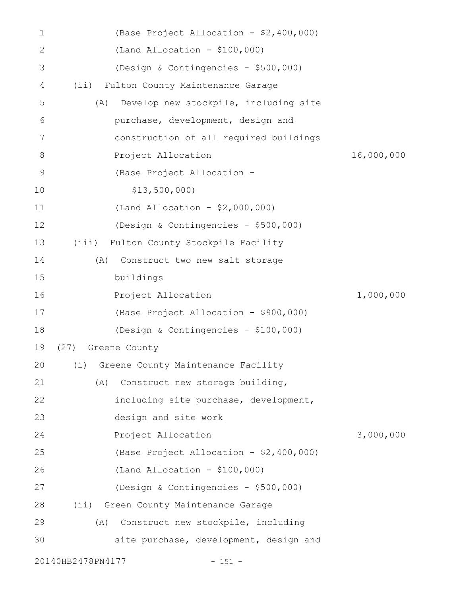| 1            | (Base Project Allocation - \$2,400,000)      |            |
|--------------|----------------------------------------------|------------|
| $\mathbf{2}$ | $(Land Allocation - $100,000)$               |            |
| 3            | (Design & Contingencies - \$500,000)         |            |
| 4            | Fulton County Maintenance Garage<br>(i)      |            |
| 5            | Develop new stockpile, including site<br>(A) |            |
| 6            | purchase, development, design and            |            |
| 7            | construction of all required buildings       |            |
| 8            | Project Allocation                           | 16,000,000 |
| 9            | (Base Project Allocation -                   |            |
| 10           | \$13,500,000                                 |            |
| 11           | (Land Allocation - $$2,000,000)$             |            |
| 12           | (Design & Contingencies - \$500,000)         |            |
| 13           | Fulton County Stockpile Facility<br>(iii)    |            |
| 14           | Construct two new salt storage<br>(A)        |            |
| 15           | buildings                                    |            |
| 16           | Project Allocation                           | 1,000,000  |
| 17           | (Base Project Allocation - \$900,000)        |            |
| 18           | (Design & Contingencies - \$100,000)         |            |
| 19           | (27) Greene County                           |            |
|              | 20 (i) Greene County Maintenance Facility    |            |
| 21           | Construct new storage building,<br>(A)       |            |
| 22           | including site purchase, development,        |            |
| 23           | design and site work                         |            |
| 24           | Project Allocation                           | 3,000,000  |
| 25           | (Base Project Allocation - \$2,400,000)      |            |
| 26           | $(Land Allocation - $100,000)$               |            |
| 27           | (Design & Contingencies - \$500,000)         |            |
| 28           | (ii) Green County Maintenance Garage         |            |
| 29           | Construct new stockpile, including<br>(A)    |            |
| 30           | site purchase, development, design and       |            |
|              | 20140HB2478PN4177<br>$-151 -$                |            |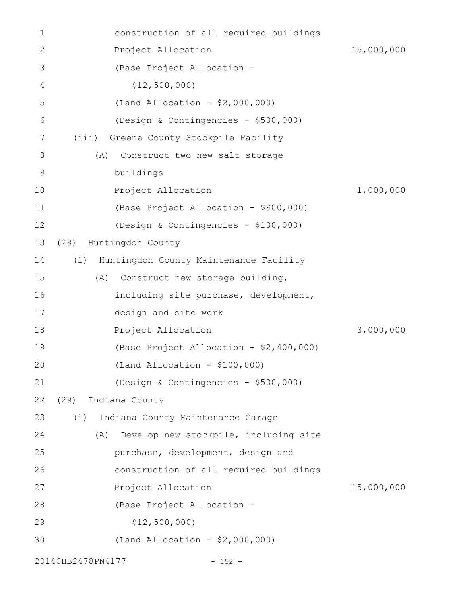| 1             | construction of all required buildings        |            |
|---------------|-----------------------------------------------|------------|
| $\mathbf 2$   | Project Allocation                            | 15,000,000 |
| 3             | (Base Project Allocation -                    |            |
| 4             | \$12,500,000                                  |            |
| 5             | (Land Allocation - $$2,000,000)$              |            |
| 6             | (Design & Contingencies - \$500,000)          |            |
| 7             | (iii)<br>Greene County Stockpile Facility     |            |
| 8             | Construct two new salt storage<br>(A)         |            |
| $\mathcal{G}$ | buildings                                     |            |
| 10            | Project Allocation                            | 1,000,000  |
| 11            | (Base Project Allocation - \$900,000)         |            |
| 12            | (Design & Contingencies - \$100,000)          |            |
| 13            | Huntingdon County<br>(28)                     |            |
| 14            | Huntingdon County Maintenance Facility<br>(i) |            |
| 15            | (A)<br>Construct new storage building,        |            |
| 16            | including site purchase, development,         |            |
| 17            | design and site work                          |            |
| 18            | Project Allocation                            | 3,000,000  |
| 19            | (Base Project Allocation - \$2,400,000)       |            |
| 20            | $(Land Allocation - $100,000)$                |            |
| 21            | (Design & Contingencies - \$500,000)          |            |
| 22            | (29)<br>Indiana County                        |            |
| 23            | (i)<br>Indiana County Maintenance Garage      |            |
| 24            | Develop new stockpile, including site<br>(A)  |            |
| 25            | purchase, development, design and             |            |
| 26            | construction of all required buildings        |            |
| 27            | Project Allocation                            | 15,000,000 |
| 28            | (Base Project Allocation -                    |            |
| 29            | \$12,500,000                                  |            |
| 30            | (Land Allocation - \$2,000,000)               |            |
|               | 20140HB2478PN4177<br>$-152 -$                 |            |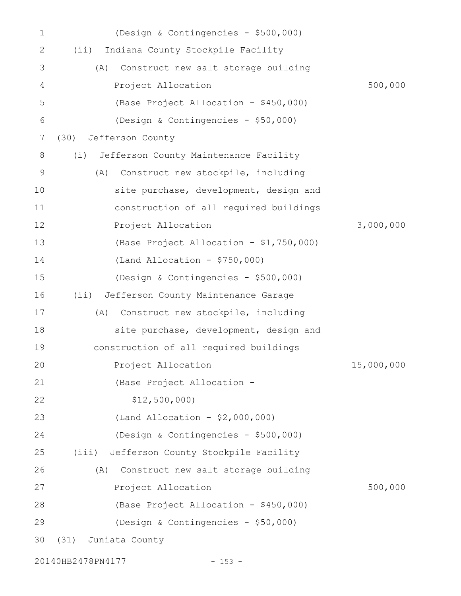| 1            | (Design & Contingencies - \$500,000)         |            |
|--------------|----------------------------------------------|------------|
| $\mathbf{2}$ | Indiana County Stockpile Facility<br>(i)     |            |
| 3            | Construct new salt storage building<br>(A)   |            |
| 4            | Project Allocation                           | 500,000    |
| 5            | (Base Project Allocation - \$450,000)        |            |
| 6            | (Design & Contingencies - \$50,000)          |            |
| 7            | Jefferson County<br>(30)                     |            |
| 8            | Jefferson County Maintenance Facility<br>(i) |            |
| 9            | Construct new stockpile, including<br>(A)    |            |
| 10           | site purchase, development, design and       |            |
| 11           | construction of all required buildings       |            |
| 12           | Project Allocation                           | 3,000,000  |
| 13           | (Base Project Allocation - \$1,750,000)      |            |
| 14           | (Land Allocation - $$750,000$ )              |            |
| 15           | (Design & Contingencies - \$500,000)         |            |
| 16           | Jefferson County Maintenance Garage<br>(i)   |            |
| 17           | Construct new stockpile, including<br>(A)    |            |
| 18           | site purchase, development, design and       |            |
| 19           | construction of all required buildings       |            |
| 20           | Project Allocation                           | 15,000,000 |
| 21           | (Base Project Allocation -                   |            |
| 22           | \$12,500,000                                 |            |
| 23           | (Land Allocation - \$2,000,000)              |            |
| 24           | (Design & Contingencies - \$500,000)         |            |
| 25           | (iii)<br>Jefferson County Stockpile Facility |            |
| 26           | Construct new salt storage building<br>(A)   |            |
| 27           | Project Allocation                           | 500,000    |
| 28           | (Base Project Allocation - \$450,000)        |            |
| 29           | (Design & Contingencies - \$50,000)          |            |
| 30           | (31)<br>Juniata County                       |            |
|              |                                              |            |

20140HB2478PN4177 - 153 -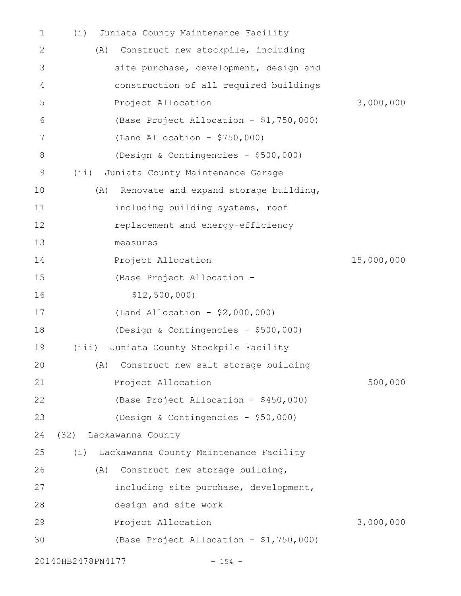| 1  | Juniata County Maintenance Facility<br>(i)    |            |
|----|-----------------------------------------------|------------|
| 2  | Construct new stockpile, including<br>(A)     |            |
| 3  | site purchase, development, design and        |            |
| 4  | construction of all required buildings        |            |
| 5  | Project Allocation                            | 3,000,000  |
| 6  | (Base Project Allocation - \$1,750,000)       |            |
| 7  | $(Land$ Allocation - \$750,000)               |            |
| 8  | (Design & Contingencies - \$500,000)          |            |
| 9  | (iii)<br>Juniata County Maintenance Garage    |            |
| 10 | (A)<br>Renovate and expand storage building,  |            |
| 11 | including building systems, roof              |            |
| 12 | replacement and energy-efficiency             |            |
| 13 | measures                                      |            |
| 14 | Project Allocation                            | 15,000,000 |
| 15 | (Base Project Allocation -                    |            |
| 16 | \$12,500,000                                  |            |
| 17 | (Land Allocation - $$2,000,000$ )             |            |
| 18 | (Design & Contingencies - \$500,000)          |            |
| 19 | Juniata County Stockpile Facility<br>(iii)    |            |
| 20 | (A) Construct new salt storage building       |            |
| 21 | Project Allocation                            | 500,000    |
| 22 | (Base Project Allocation - \$450,000)         |            |
| 23 | (Design & Contingencies - \$50,000)           |            |
| 24 | (32) Lackawanna County                        |            |
| 25 | Lackawanna County Maintenance Facility<br>(i) |            |
| 26 | Construct new storage building,<br>(A)        |            |
| 27 | including site purchase, development,         |            |
| 28 | design and site work                          |            |
| 29 | Project Allocation                            | 3,000,000  |
| 30 | (Base Project Allocation - \$1,750,000)       |            |
|    | 20140HB2478PN4177<br>$-154 -$                 |            |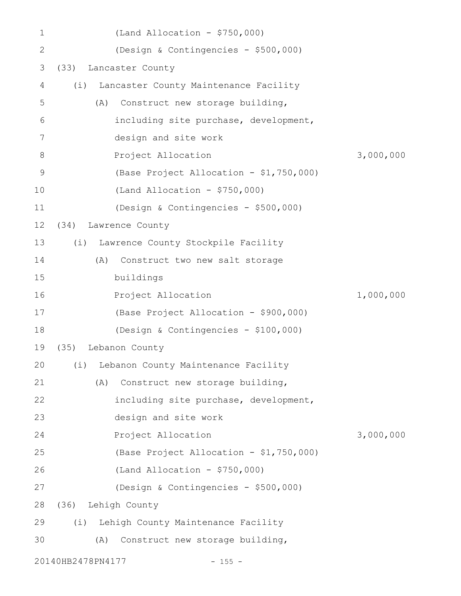| 1            |                   | $(Land$ Allocation - \$750,000)         |           |
|--------------|-------------------|-----------------------------------------|-----------|
| $\mathbf{2}$ |                   | (Design & Contingencies - \$500,000)    |           |
| 3            | (33)              | Lancaster County                        |           |
| 4            | (i)               | Lancaster County Maintenance Facility   |           |
| 5            | (A)               | Construct new storage building,         |           |
| 6            |                   | including site purchase, development,   |           |
| 7            |                   | design and site work                    |           |
| 8            |                   | Project Allocation                      | 3,000,000 |
| 9            |                   | (Base Project Allocation - \$1,750,000) |           |
| 10           |                   | $(Land Allocation - $750,000)$          |           |
| 11           |                   | (Design & Contingencies - \$500,000)    |           |
| 12           | (34)              | Lawrence County                         |           |
| 13           | (i)               | Lawrence County Stockpile Facility      |           |
| 14           | (A)               | Construct two new salt storage          |           |
| 15           |                   | buildings                               |           |
| 16           |                   | Project Allocation                      | 1,000,000 |
| 17           |                   | (Base Project Allocation - \$900,000)   |           |
| 18           |                   | (Design & Contingencies - \$100,000)    |           |
| 19           |                   | (35) Lebanon County                     |           |
| 20           |                   | (i) Lebanon County Maintenance Facility |           |
| 21           | (A)               | Construct new storage building,         |           |
| 22           |                   | including site purchase, development,   |           |
| 23           |                   | design and site work                    |           |
| 24           |                   | Project Allocation                      | 3,000,000 |
| 25           |                   | (Base Project Allocation - \$1,750,000) |           |
| 26           |                   | (Land Allocation - $$750,000$ )         |           |
| 27           |                   | (Design & Contingencies - \$500,000)    |           |
| 28           |                   | (36) Lehigh County                      |           |
| 29           | (i)               | Lehigh County Maintenance Facility      |           |
| 30           | (A)               | Construct new storage building,         |           |
|              | 20140HB2478PN4177 | $-155 -$                                |           |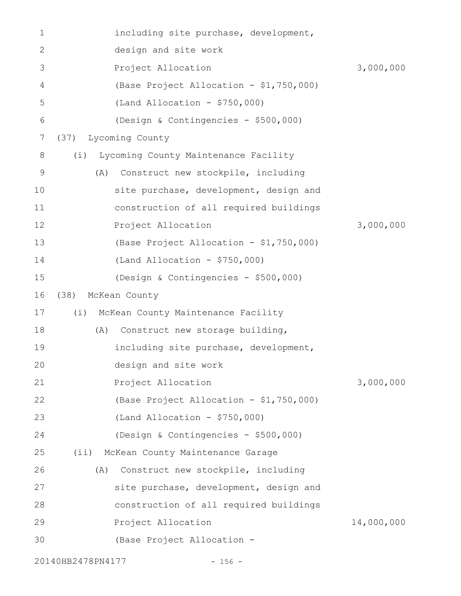| 1  | including site purchase, development,       |            |
|----|---------------------------------------------|------------|
| 2  | design and site work                        |            |
| 3  | Project Allocation                          | 3,000,000  |
| 4  | (Base Project Allocation - \$1,750,000)     |            |
| 5  | (Land Allocation - $$750,000$ )             |            |
| 6  | (Design & Contingencies - \$500,000)        |            |
| 7  | Lycoming County<br>(37)                     |            |
| 8  | Lycoming County Maintenance Facility<br>(i) |            |
| 9  | Construct new stockpile, including<br>(A)   |            |
| 10 | site purchase, development, design and      |            |
| 11 | construction of all required buildings      |            |
| 12 | Project Allocation                          | 3,000,000  |
| 13 | (Base Project Allocation - \$1,750,000)     |            |
| 14 | (Land Allocation - $$750,000$ )             |            |
| 15 | (Design & Contingencies - \$500,000)        |            |
| 16 | McKean County<br>(38)                       |            |
| 17 | McKean County Maintenance Facility<br>(i)   |            |
| 18 | Construct new storage building,<br>(A)      |            |
| 19 | including site purchase, development,       |            |
| 20 | design and site work                        |            |
| 21 | Project Allocation                          | 3,000,000  |
| 22 | (Base Project Allocation - \$1,750,000)     |            |
| 23 | $(Land$ Allocation - \$750,000)             |            |
| 24 | (Design & Contingencies - \$500,000)        |            |
| 25 | McKean County Maintenance Garage<br>$(i$ i) |            |
| 26 | Construct new stockpile, including<br>(A)   |            |
| 27 | site purchase, development, design and      |            |
| 28 | construction of all required buildings      |            |
| 29 | Project Allocation                          | 14,000,000 |
| 30 | (Base Project Allocation -                  |            |
|    | 20140HB2478PN4177<br>$-156 -$               |            |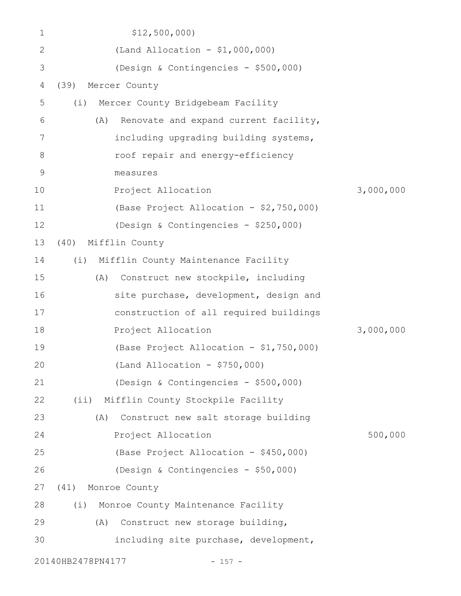| 1            | \$12,500,000                                 |           |
|--------------|----------------------------------------------|-----------|
| $\mathbf{2}$ | (Land Allocation - $$1,000,000)$             |           |
| 3            | (Design & Contingencies - \$500,000)         |           |
| 4            | Mercer County<br>(39)                        |           |
| 5            | Mercer County Bridgebeam Facility<br>(i)     |           |
| 6            | Renovate and expand current facility,<br>(A) |           |
| 7            | including upgrading building systems,        |           |
| 8            | roof repair and energy-efficiency            |           |
| 9            | measures                                     |           |
| 10           | Project Allocation                           | 3,000,000 |
| 11           | (Base Project Allocation - \$2,750,000)      |           |
| 12           | (Design & Contingencies - \$250,000)         |           |
| 13           | Mifflin County<br>(40)                       |           |
| 14           | (i) Mifflin County Maintenance Facility      |           |
| 15           | Construct new stockpile, including<br>(A)    |           |
| 16           | site purchase, development, design and       |           |
| 17           | construction of all required buildings       |           |
| 18           | Project Allocation                           | 3,000,000 |
| 19           | (Base Project Allocation - \$1,750,000)      |           |
| 20           | $(Land Allocation - $750,000)$               |           |
| 21           | (Design & Contingencies - \$500,000)         |           |
| 22           | (ii) Mifflin County Stockpile Facility       |           |
| 23           | Construct new salt storage building<br>(A)   |           |
| 24           | Project Allocation                           | 500,000   |
| 25           | (Base Project Allocation - \$450,000)        |           |
| 26           | (Design & Contingencies - \$50,000)          |           |
| 27           | (41) Monroe County                           |           |
| 28           | Monroe County Maintenance Facility<br>(i)    |           |
| 29           | Construct new storage building,<br>(A)       |           |
| 30           | including site purchase, development,        |           |
|              | 20140HB2478PN4177<br>$-157 -$                |           |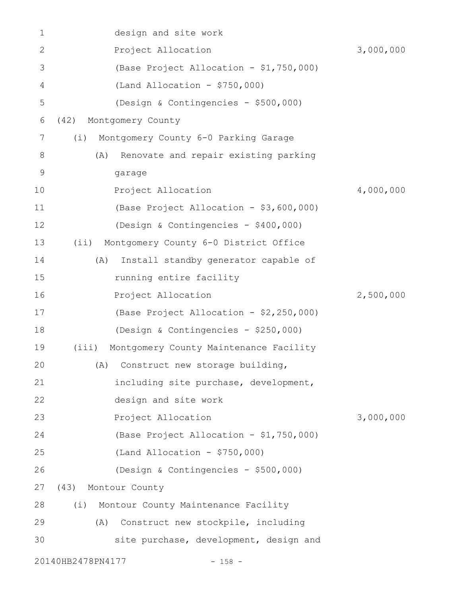| $\mathbf 1$  | design and site work                            |           |
|--------------|-------------------------------------------------|-----------|
| $\mathbf{2}$ | Project Allocation                              | 3,000,000 |
| 3            | (Base Project Allocation - \$1,750,000)         |           |
| 4            | $(Land Allocation - $750,000)$                  |           |
| 5            | (Design & Contingencies - \$500,000)            |           |
| 6            | (42)<br>Montgomery County                       |           |
| 7            | Montgomery County 6-0 Parking Garage<br>(i)     |           |
| 8            | Renovate and repair existing parking<br>(A)     |           |
| $\mathsf 9$  | garage                                          |           |
| 10           | Project Allocation                              | 4,000,000 |
| 11           | (Base Project Allocation - \$3,600,000)         |           |
| 12           | (Design & Contingencies - \$400,000)            |           |
| 13           | Montgomery County 6-0 District Office<br>(i)    |           |
| 14           | Install standby generator capable of<br>(A)     |           |
| 15           | running entire facility                         |           |
| 16           | Project Allocation                              | 2,500,000 |
| 17           | (Base Project Allocation - \$2,250,000)         |           |
| 18           | (Design & Contingencies - \$250,000)            |           |
| 19           | Montgomery County Maintenance Facility<br>(iii) |           |
| 20           | (A) Construct new storage building,             |           |
| 21           | including site purchase, development,           |           |
| 22           | design and site work                            |           |
| 23           | Project Allocation                              | 3,000,000 |
| 24           | (Base Project Allocation - \$1,750,000)         |           |
| 25           | $(Land Allocation - $750,000)$                  |           |
| 26           | (Design & Contingencies - \$500,000)            |           |
| 27           | (43)<br>Montour County                          |           |
| 28           | Montour County Maintenance Facility<br>(i)      |           |
| 29           | Construct new stockpile, including<br>(A)       |           |
| 30           | site purchase, development, design and          |           |
|              | 20140HB2478PN4177<br>$-158 -$                   |           |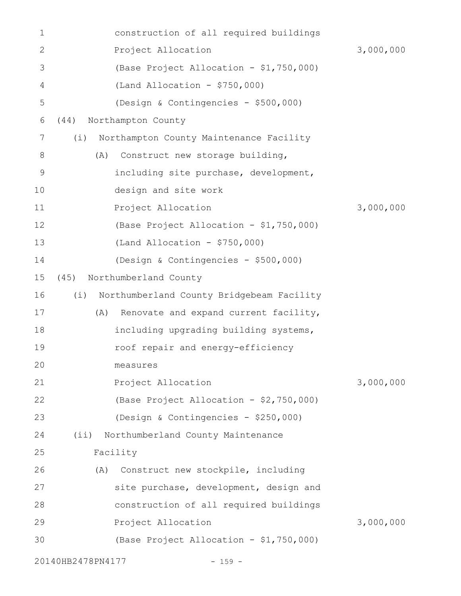| 1             |                   | construction of all required buildings    |           |
|---------------|-------------------|-------------------------------------------|-----------|
| $\mathbf{2}$  |                   | Project Allocation                        | 3,000,000 |
| 3             |                   | (Base Project Allocation - \$1,750,000)   |           |
| 4             |                   | (Land Allocation - $$750,000$ )           |           |
| 5             |                   | (Design & Contingencies - \$500,000)      |           |
| 6             | (44)              | Northampton County                        |           |
| 7             | (i)               | Northampton County Maintenance Facility   |           |
| 8             | (A)               | Construct new storage building,           |           |
| $\mathcal{G}$ |                   | including site purchase, development,     |           |
| 10            |                   | design and site work                      |           |
| 11            |                   | Project Allocation                        | 3,000,000 |
| 12            |                   | (Base Project Allocation - \$1,750,000)   |           |
| 13            |                   | $(Land$ Allocation - \$750,000)           |           |
| 14            |                   | (Design & Contingencies - \$500,000)      |           |
| 15            | (45)              | Northumberland County                     |           |
| 16            | (i)               | Northumberland County Bridgebeam Facility |           |
| 17            | (A)               | Renovate and expand current facility,     |           |
| 18            |                   | including upgrading building systems,     |           |
| 19            |                   | roof repair and energy-efficiency         |           |
| 20            |                   | measures                                  |           |
| 21            |                   | Project Allocation                        | 3,000,000 |
| 22            |                   | (Base Project Allocation - \$2,750,000)   |           |
| 23            |                   | (Design & Contingencies - \$250,000)      |           |
| 24            | (i)               | Northumberland County Maintenance         |           |
| 25            |                   | Facility                                  |           |
| 26            | (A)               | Construct new stockpile, including        |           |
| 27            |                   | site purchase, development, design and    |           |
| 28            |                   | construction of all required buildings    |           |
| 29            |                   | Project Allocation                        | 3,000,000 |
| 30            |                   | (Base Project Allocation - \$1,750,000)   |           |
|               | 20140HB2478PN4177 | $-159 -$                                  |           |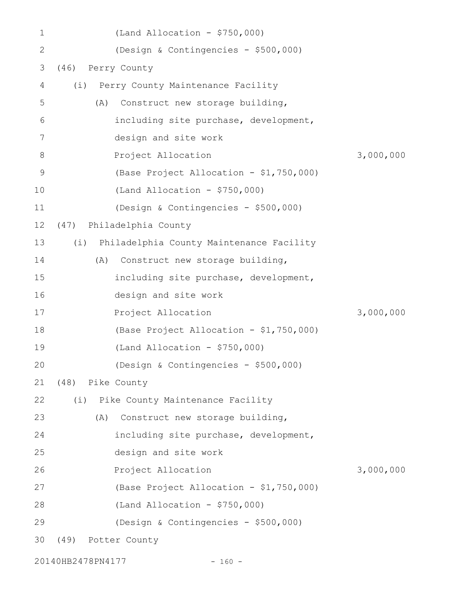| 1  |                    | $(Land$ Allocation - \$750,000)              |           |
|----|--------------------|----------------------------------------------|-----------|
| 2  |                    | (Design & Contingencies - \$500,000)         |           |
| 3  | (46) Perry County  |                                              |           |
| 4  |                    | (i) Perry County Maintenance Facility        |           |
| 5  | (A)                | Construct new storage building,              |           |
| 6  |                    | including site purchase, development,        |           |
| 7  |                    | design and site work                         |           |
| 8  |                    | Project Allocation                           | 3,000,000 |
| 9  |                    | (Base Project Allocation - \$1,750,000)      |           |
| 10 |                    | $(Land Allocation - $750,000)$               |           |
| 11 |                    | (Design & Contingencies - \$500,000)         |           |
| 12 | (47)               | Philadelphia County                          |           |
| 13 |                    | (i) Philadelphia County Maintenance Facility |           |
| 14 | (A)                | Construct new storage building,              |           |
| 15 |                    | including site purchase, development,        |           |
| 16 |                    | design and site work                         |           |
| 17 |                    | Project Allocation                           | 3,000,000 |
| 18 |                    | (Base Project Allocation - \$1,750,000)      |           |
| 19 |                    | $(Land$ Allocation - \$750,000)              |           |
| 20 |                    | (Design & Contingencies - \$500,000)         |           |
| 21 | (48) Pike County   |                                              |           |
| 22 |                    | (i) Pike County Maintenance Facility         |           |
| 23 | (A)                | Construct new storage building,              |           |
| 24 |                    | including site purchase, development,        |           |
| 25 |                    | design and site work                         |           |
| 26 |                    | Project Allocation                           | 3,000,000 |
| 27 |                    | (Base Project Allocation - \$1,750,000)      |           |
| 28 |                    | $(Land Allocation - $750,000)$               |           |
| 29 |                    | (Design & Contingencies - \$500,000)         |           |
| 30 | (49) Potter County |                                              |           |
|    |                    |                                              |           |

20140HB2478PN4177 - 160 -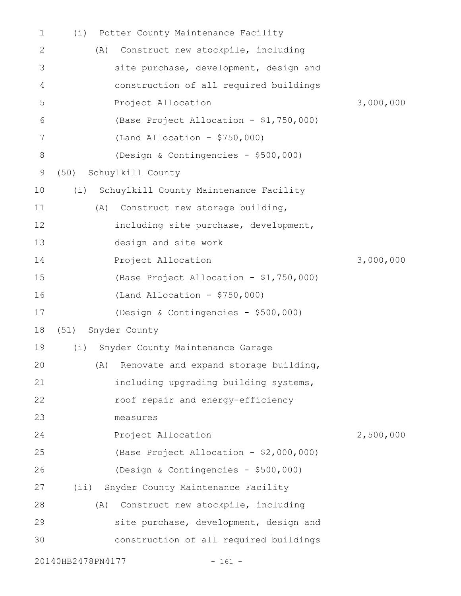| 1           | (i)               | Potter County Maintenance Facility        |           |
|-------------|-------------------|-------------------------------------------|-----------|
| 2           | (A)               | Construct new stockpile, including        |           |
| 3           |                   | site purchase, development, design and    |           |
| 4           |                   | construction of all required buildings    |           |
| 5           |                   | Project Allocation                        | 3,000,000 |
| 6           |                   | (Base Project Allocation - \$1,750,000)   |           |
| 7           |                   | (Land Allocation - $$750,000$ )           |           |
| 8           |                   | (Design & Contingencies - \$500,000)      |           |
| $\mathsf 9$ | (50)              | Schuylkill County                         |           |
| 10          | (i)               | Schuylkill County Maintenance Facility    |           |
| 11          | (A)               | Construct new storage building,           |           |
| 12          |                   | including site purchase, development,     |           |
| 13          |                   | design and site work                      |           |
| 14          |                   | Project Allocation                        | 3,000,000 |
| 15          |                   | (Base Project Allocation - \$1,750,000)   |           |
| 16          |                   | (Land Allocation - $$750,000$ )           |           |
| 17          |                   | (Design & Contingencies - \$500,000)      |           |
| 18          | (51)              | Snyder County                             |           |
| 19          | (i)               | Snyder County Maintenance Garage          |           |
| 20          |                   | (A) Renovate and expand storage building, |           |
| 21          |                   | including upgrading building systems,     |           |
| 22          |                   | roof repair and energy-efficiency         |           |
| 23          |                   | measures                                  |           |
| 24          |                   | Project Allocation                        | 2,500,000 |
| 25          |                   | (Base Project Allocation - \$2,000,000)   |           |
| 26          |                   | (Design & Contingencies - \$500,000)      |           |
| 27          | $(i$ i)           | Snyder County Maintenance Facility        |           |
| 28          | (A)               | Construct new stockpile, including        |           |
| 29          |                   | site purchase, development, design and    |           |
| 30          |                   | construction of all required buildings    |           |
|             | 20140HB2478PN4177 | $-161 -$                                  |           |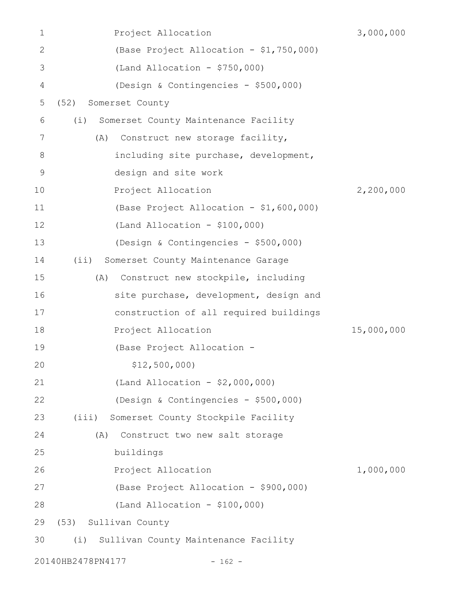| 1             | Project Allocation                            | 3,000,000  |
|---------------|-----------------------------------------------|------------|
| $\mathbf{2}$  | (Base Project Allocation - \$1,750,000)       |            |
| 3             | $(Land Allocation - $750,000)$                |            |
| 4             | (Design & Contingencies - \$500,000)          |            |
| 5             | (52)<br>Somerset County                       |            |
| 6             | (i)<br>Somerset County Maintenance Facility   |            |
| 7             | Construct new storage facility,<br>(A)        |            |
| 8             | including site purchase, development,         |            |
| $\mathcal{G}$ | design and site work                          |            |
| 10            | Project Allocation                            | 2,200,000  |
| 11            | (Base Project Allocation - \$1,600,000)       |            |
| 12            | $(Land Allocation - $100,000)$                |            |
| 13            | (Design & Contingencies - \$500,000)          |            |
| 14            | $(i$ i)<br>Somerset County Maintenance Garage |            |
| 15            | Construct new stockpile, including<br>(A)     |            |
| 16            | site purchase, development, design and        |            |
| 17            | construction of all required buildings        |            |
| 18            | Project Allocation                            | 15,000,000 |
| 19            | (Base Project Allocation -                    |            |
| 20            | \$12,500,000                                  |            |
| 21            | (Land Allocation - $$2,000,000)$              |            |
| 22            | (Design & Contingencies - \$500,000)          |            |
| 23            | (iii)<br>Somerset County Stockpile Facility   |            |
| 24            | Construct two new salt storage<br>(A)         |            |
| 25            | buildings                                     |            |
| 26            | Project Allocation                            | 1,000,000  |
| 27            | (Base Project Allocation - \$900,000)         |            |
| 28            | $(Land Allocation - $100,000)$                |            |
| 29            | (53) Sullivan County                          |            |
| 30            | (i)<br>Sullivan County Maintenance Facility   |            |
|               | 20140HB2478PN4177<br>$-162 -$                 |            |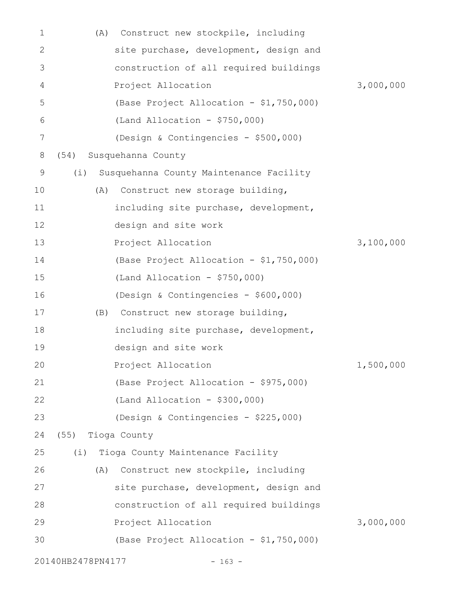| 1            | (A)               | Construct new stockpile, including      |           |
|--------------|-------------------|-----------------------------------------|-----------|
| $\mathbf{2}$ |                   | site purchase, development, design and  |           |
| 3            |                   | construction of all required buildings  |           |
| 4            |                   | Project Allocation                      | 3,000,000 |
| 5            |                   | (Base Project Allocation - \$1,750,000) |           |
| 6            |                   | $(Land$ Allocation - \$750,000)         |           |
| 7            |                   | (Design & Contingencies - \$500,000)    |           |
| 8            | (54)              | Susquehanna County                      |           |
| 9            | (i)               | Susquehanna County Maintenance Facility |           |
| 10           | (A)               | Construct new storage building,         |           |
| 11           |                   | including site purchase, development,   |           |
| 12           |                   | design and site work                    |           |
| 13           |                   | Project Allocation                      | 3,100,000 |
| 14           |                   | (Base Project Allocation - \$1,750,000) |           |
| 15           |                   | $(Land$ Allocation - \$750,000)         |           |
| 16           |                   | (Design & Contingencies - \$600,000)    |           |
| 17           | (B)               | Construct new storage building,         |           |
| 18           |                   | including site purchase, development,   |           |
| 19           |                   | design and site work                    |           |
| 20           |                   | Project Allocation                      | 1,500,000 |
| 21           |                   | (Base Project Allocation - \$975,000)   |           |
| 22           |                   | $(Land Allocation - $300,000)$          |           |
| 23           |                   | (Design & Contingencies - \$225,000)    |           |
| 24           | (55) Tioga County |                                         |           |
| 25           |                   | (i) Tioga County Maintenance Facility   |           |
| 26           | (A)               | Construct new stockpile, including      |           |
| 27           |                   | site purchase, development, design and  |           |
| 28           |                   | construction of all required buildings  |           |
| 29           |                   | Project Allocation                      | 3,000,000 |
| 30           |                   | (Base Project Allocation - \$1,750,000) |           |
|              | 20140HB2478PN4177 | $-163 -$                                |           |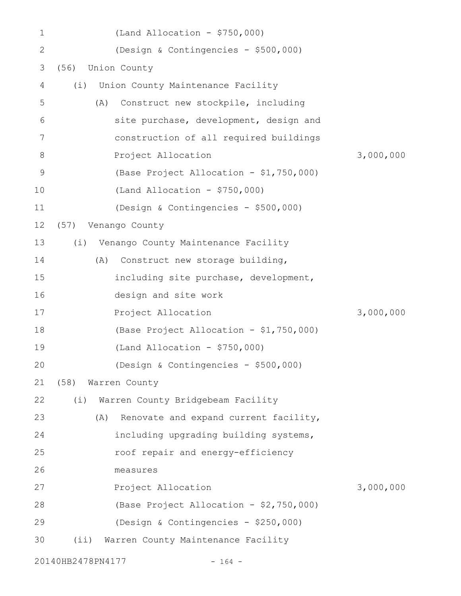| $\mathbf 1$  |                   | $(Land$ Allocation - \$750,000)              |           |
|--------------|-------------------|----------------------------------------------|-----------|
| $\mathbf{2}$ |                   | (Design & Contingencies - \$500,000)         |           |
| 3            | (56)              | Union County                                 |           |
| 4            | (i)               | Union County Maintenance Facility            |           |
| 5            |                   | Construct new stockpile, including<br>(A)    |           |
| 6            |                   | site purchase, development, design and       |           |
| 7            |                   | construction of all required buildings       |           |
| 8            |                   | Project Allocation                           | 3,000,000 |
| 9            |                   | (Base Project Allocation - \$1,750,000)      |           |
| 10           |                   | (Land Allocation - $$750,000$ )              |           |
| 11           |                   | (Design & Contingencies - \$500,000)         |           |
| 12           | (57)              | Venango County                               |           |
| 13           | (i)               | Venango County Maintenance Facility          |           |
| 14           |                   | Construct new storage building,<br>(A)       |           |
| 15           |                   | including site purchase, development,        |           |
| 16           |                   | design and site work                         |           |
| 17           |                   | Project Allocation                           | 3,000,000 |
| 18           |                   | (Base Project Allocation - \$1,750,000)      |           |
| 19           |                   | (Land Allocation - $$750,000$ )              |           |
| 20           |                   | (Design & Contingencies - \$500,000)         |           |
| 21           | (58)              | Warren County                                |           |
| 22           | (i)               | Warren County Bridgebeam Facility            |           |
| 23           |                   | (A)<br>Renovate and expand current facility, |           |
| 24           |                   | including upgrading building systems,        |           |
| 25           |                   | roof repair and energy-efficiency            |           |
| 26           |                   | measures                                     |           |
| 27           |                   | Project Allocation                           | 3,000,000 |
| 28           |                   | (Base Project Allocation - \$2,750,000)      |           |
| 29           |                   | (Design & Contingencies - \$250,000)         |           |
| 30           | (i)               | Warren County Maintenance Facility           |           |
|              | 20140HB2478PN4177 | $-164 -$                                     |           |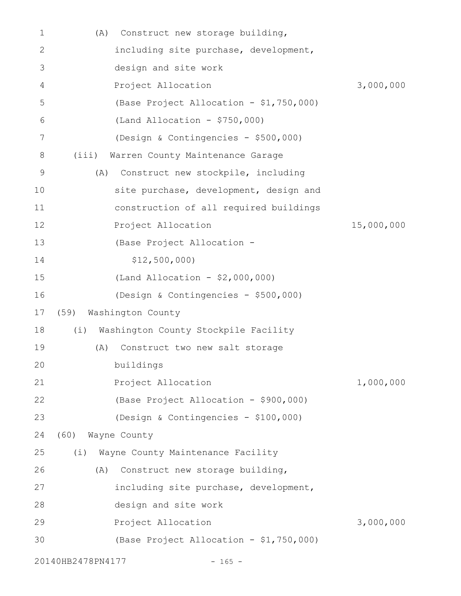| $\mathbf 1$ | Construct new storage building,<br>(A)      |            |
|-------------|---------------------------------------------|------------|
| 2           | including site purchase, development,       |            |
| 3           | design and site work                        |            |
| 4           | Project Allocation                          | 3,000,000  |
| 5           | (Base Project Allocation - \$1,750,000)     |            |
| 6           | (Land Allocation - $$750,000$ )             |            |
| 7           | (Design & Contingencies - \$500,000)        |            |
| 8           | Warren County Maintenance Garage<br>(iii)   |            |
| 9           | Construct new stockpile, including<br>(A)   |            |
| 10          | site purchase, development, design and      |            |
| 11          | construction of all required buildings      |            |
| 12          | Project Allocation                          | 15,000,000 |
| 13          | (Base Project Allocation -                  |            |
| 14          | \$12,500,000                                |            |
| 15          | (Land Allocation - \$2,000,000)             |            |
| 16          | (Design & Contingencies - \$500,000)        |            |
| 17          | Washington County<br>(59)                   |            |
| 18          | (i)<br>Washington County Stockpile Facility |            |
| 19          | Construct two new salt storage<br>(A)       |            |
| 20          | buildings                                   |            |
| 21          | Project Allocation                          | 1,000,000  |
| 22          | (Base Project Allocation - \$900,000)       |            |
| 23          | (Design & Contingencies - \$100,000)        |            |
| 24          | (60)<br>Wayne County                        |            |
| 25          | Wayne County Maintenance Facility<br>(i)    |            |
| 26          | Construct new storage building,<br>(A)      |            |
| 27          | including site purchase, development,       |            |
| 28          | design and site work                        |            |
| 29          | Project Allocation                          | 3,000,000  |
| 30          | (Base Project Allocation - \$1,750,000)     |            |
|             | 20140HB2478PN4177<br>$-165 -$               |            |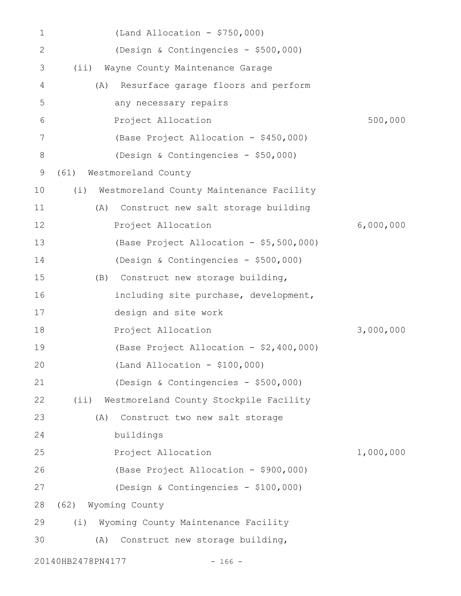| 1            | $(Land$ Allocation - \$750,000)                 |           |
|--------------|-------------------------------------------------|-----------|
| $\mathbf{2}$ | (Design & Contingencies - \$500,000)            |           |
| 3            | (i)<br>Wayne County Maintenance Garage          |           |
| 4            | Resurface garage floors and perform<br>(A)      |           |
| 5            | any necessary repairs                           |           |
| 6            | Project Allocation                              | 500,000   |
| 7            | (Base Project Allocation - \$450,000)           |           |
| 8            | (Design & Contingencies - \$50,000)             |           |
| 9            | (61)<br>Westmoreland County                     |           |
| 10           | Westmoreland County Maintenance Facility<br>(i) |           |
| 11           | Construct new salt storage building<br>(A)      |           |
| 12           | Project Allocation                              | 6,000,000 |
| 13           | (Base Project Allocation - \$5,500,000)         |           |
| 14           | (Design & Contingencies - \$500,000)            |           |
| 15           | (B) Construct new storage building,             |           |
| 16           | including site purchase, development,           |           |
| 17           | design and site work                            |           |
| 18           | Project Allocation                              | 3,000,000 |
| 19           | (Base Project Allocation - \$2,400,000)         |           |
| 20           | $(Land Allocation - $100,000)$                  |           |
| 21           | (Design & Contingencies - \$500,000)            |           |
| 22           | (i)<br>Westmoreland County Stockpile Facility   |           |
| 23           | Construct two new salt storage<br>(A)           |           |
| 24           | buildings                                       |           |
| 25           | Project Allocation                              | 1,000,000 |
| 26           | (Base Project Allocation - \$900,000)           |           |
| 27           | (Design & Contingencies - \$100,000)            |           |
| 28           | (62) Wyoming County                             |           |
| 29           | Wyoming County Maintenance Facility<br>(i)      |           |
| 30           | Construct new storage building,<br>(A)          |           |
|              | 20140HB2478PN4177<br>$-166 -$                   |           |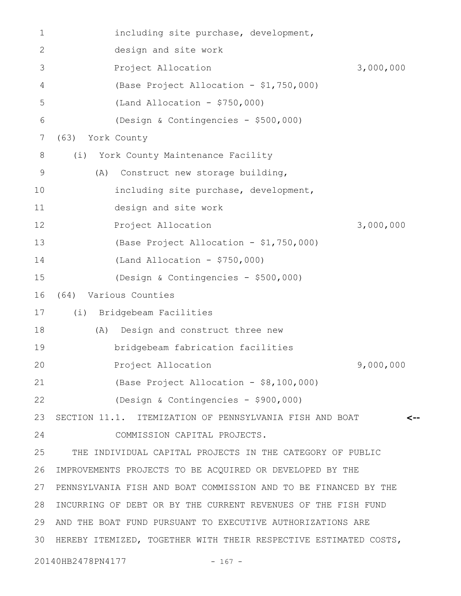| 1  | including site purchase, development,                            |           |
|----|------------------------------------------------------------------|-----------|
| 2  | design and site work                                             |           |
| 3  | Project Allocation                                               | 3,000,000 |
| 4  | (Base Project Allocation - \$1,750,000)                          |           |
| 5  | $(Land Allocation - $750,000)$                                   |           |
| 6  | (Design & Contingencies - \$500,000)                             |           |
| 7  | (63)<br>York County                                              |           |
| 8  | York County Maintenance Facility<br>(i)                          |           |
| 9  | Construct new storage building,<br>(A)                           |           |
| 10 | including site purchase, development,                            |           |
| 11 | design and site work                                             |           |
| 12 | Project Allocation                                               | 3,000,000 |
| 13 | (Base Project Allocation - \$1,750,000)                          |           |
| 14 | $(Land Allocation - $750,000)$                                   |           |
| 15 | (Design & Contingencies - \$500,000)                             |           |
| 16 | Various Counties<br>(64)                                         |           |
| 17 | (i) Bridgebeam Facilities                                        |           |
| 18 | Design and construct three new<br>(A)                            |           |
| 19 | bridgebeam fabrication facilities                                |           |
| 20 | Project Allocation                                               | 9,000,000 |
| 21 | (Base Project Allocation - \$8,100,000)                          |           |
| 22 | (Design & Contingencies - \$900,000)                             |           |
| 23 | SECTION 11.1. ITEMIZATION OF PENNSYLVANIA FISH AND BOAT          | <--       |
| 24 | COMMISSION CAPITAL PROJECTS.                                     |           |
| 25 | THE INDIVIDUAL CAPITAL PROJECTS IN THE CATEGORY OF PUBLIC        |           |
| 26 | IMPROVEMENTS PROJECTS TO BE ACQUIRED OR DEVELOPED BY THE         |           |
| 27 | PENNSYLVANIA FISH AND BOAT COMMISSION AND TO BE FINANCED BY THE  |           |
| 28 | INCURRING OF DEBT OR BY THE CURRENT REVENUES OF THE FISH FUND    |           |
| 29 | AND THE BOAT FUND PURSUANT TO EXECUTIVE AUTHORIZATIONS ARE       |           |
| 30 | HEREBY ITEMIZED, TOGETHER WITH THEIR RESPECTIVE ESTIMATED COSTS, |           |
|    | 20140HB2478PN4177<br>$-167 -$                                    |           |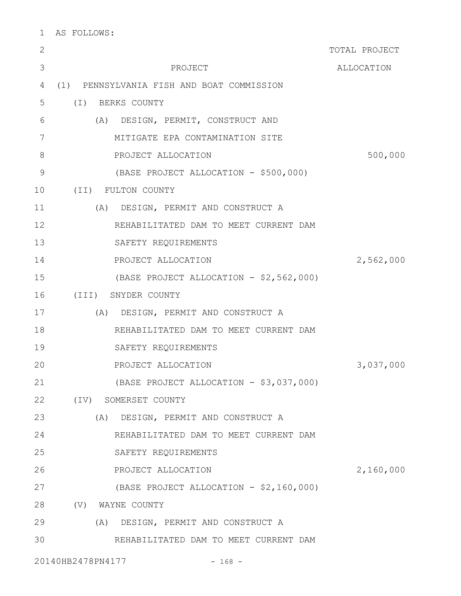| $\mathbf{2}$  |                                           | TOTAL PROJECT |
|---------------|-------------------------------------------|---------------|
| 3             | PROJECT                                   | ALLOCATION    |
| 4             | (1) PENNSYLVANIA FISH AND BOAT COMMISSION |               |
| 5             | $(\top)$<br>BERKS COUNTY                  |               |
| 6             | (A) DESIGN, PERMIT, CONSTRUCT AND         |               |
| 7             | MITIGATE EPA CONTAMINATION SITE           |               |
| 8             | PROJECT ALLOCATION                        | 500,000       |
| $\mathcal{G}$ | (BASE PROJECT ALLOCATION - \$500,000)     |               |
| 10            | (II) FULTON COUNTY                        |               |
| 11            | (A) DESIGN, PERMIT AND CONSTRUCT A        |               |
| 12            | REHABILITATED DAM TO MEET CURRENT DAM     |               |
| 13            | SAFETY REQUIREMENTS                       |               |
| 14            | PROJECT ALLOCATION                        | 2,562,000     |
| 15            | (BASE PROJECT ALLOCATION - \$2,562,000)   |               |
| 16            | (III) SNYDER COUNTY                       |               |
| 17            | (A) DESIGN, PERMIT AND CONSTRUCT A        |               |
| 18            | REHABILITATED DAM TO MEET CURRENT DAM     |               |
| 19            | SAFETY REQUIREMENTS                       |               |
| 20            | PROJECT ALLOCATION                        | 3,037,000     |
| 21            | (BASE PROJECT ALLOCATION - \$3,037,000)   |               |
| 22            | (IV) SOMERSET COUNTY                      |               |
| 23            | (A) DESIGN, PERMIT AND CONSTRUCT A        |               |
| 24            | REHABILITATED DAM TO MEET CURRENT DAM     |               |
| 25            | SAFETY REQUIREMENTS                       |               |
| 26            | PROJECT ALLOCATION                        | 2,160,000     |
| 27            | (BASE PROJECT ALLOCATION - \$2,160,000)   |               |
| 28            | (V) WAYNE COUNTY                          |               |
| 29            | (A) DESIGN, PERMIT AND CONSTRUCT A        |               |
| 30            | REHABILITATED DAM TO MEET CURRENT DAM     |               |
|               |                                           |               |

20140HB2478PN4177 - 168 -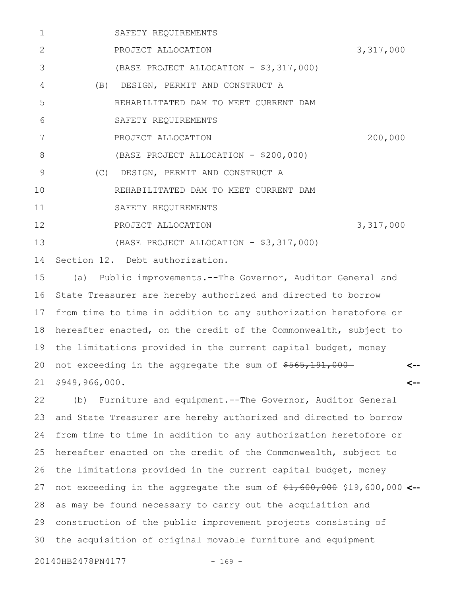| 1              | SAFETY REQUIREMENTS                     |           |
|----------------|-----------------------------------------|-----------|
| $\overline{2}$ | PROJECT ALLOCATION                      | 3,317,000 |
| 3              | (BASE PROJECT ALLOCATION - \$3,317,000) |           |
| 4              | (B) DESIGN, PERMIT AND CONSTRUCT A      |           |
| 5              | REHABILITATED DAM TO MEET CURRENT DAM   |           |
| 6              | SAFETY REQUIREMENTS                     |           |
| 7              | PROJECT ALLOCATION                      | 200,000   |
| 8              | (BASE PROJECT ALLOCATION - \$200,000)   |           |
| 9              | (C) DESIGN, PERMIT AND CONSTRUCT A      |           |
| 10             | REHABILITATED DAM TO MEET CURRENT DAM   |           |
| 11             | SAFETY REQUIREMENTS                     |           |
| 12             | PROJECT ALLOCATION                      | 3,317,000 |
| 13             | (BASE PROJECT ALLOCATION - \$3,317,000) |           |
|                | 14 Section 12. Debt authorization.      |           |

(a) Public improvements.--The Governor, Auditor General and State Treasurer are hereby authorized and directed to borrow from time to time in addition to any authorization heretofore or hereafter enacted, on the credit of the Commonwealth, subject to the limitations provided in the current capital budget, money not exceeding in the aggregate the sum of  $$565,191,000-$ \$949,966,000. **<-- <--** 15 16 17 18 19 20 21

(b) Furniture and equipment.--The Governor, Auditor General and State Treasurer are hereby authorized and directed to borrow from time to time in addition to any authorization heretofore or hereafter enacted on the credit of the Commonwealth, subject to the limitations provided in the current capital budget, money not exceeding in the aggregate the sum of \$<del>1,600,000</del> \$19,600,000 <-as may be found necessary to carry out the acquisition and construction of the public improvement projects consisting of the acquisition of original movable furniture and equipment 22 23 24 25 26 27 28 29 30

20140HB2478PN4177 - 169 -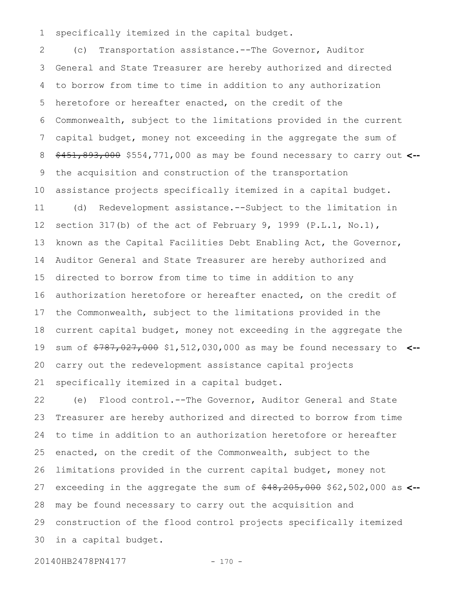specifically itemized in the capital budget. 1

(c) Transportation assistance.--The Governor, Auditor General and State Treasurer are hereby authorized and directed to borrow from time to time in addition to any authorization heretofore or hereafter enacted, on the credit of the Commonwealth, subject to the limitations provided in the current capital budget, money not exceeding in the aggregate the sum of \$451,893,000 \$554,771,000 as may be found necessary to carry out **<-** the acquisition and construction of the transportation assistance projects specifically itemized in a capital budget. (d) Redevelopment assistance.--Subject to the limitation in section 317(b) of the act of February 9, 1999 (P.L.1, No.1), known as the Capital Facilities Debt Enabling Act, the Governor, Auditor General and State Treasurer are hereby authorized and directed to borrow from time to time in addition to any authorization heretofore or hereafter enacted, on the credit of the Commonwealth, subject to the limitations provided in the current capital budget, money not exceeding in the aggregate the sum of \$787,027,000 \$1,512,030,000 as may be found necessary to **<-** carry out the redevelopment assistance capital projects specifically itemized in a capital budget. 2 3 4 5 6 7 8 9 10 11 12 13 14 15 16 17 18 19 20 21

(e) Flood control.--The Governor, Auditor General and State Treasurer are hereby authorized and directed to borrow from time to time in addition to an authorization heretofore or hereafter enacted, on the credit of the Commonwealth, subject to the limitations provided in the current capital budget, money not exceeding in the aggregate the sum of  $*48,205,000$  \$62,502,000 as <-may be found necessary to carry out the acquisition and construction of the flood control projects specifically itemized in a capital budget. 22 23 24 25 26 27 28 29 30

20140HB2478PN4177 - 170 -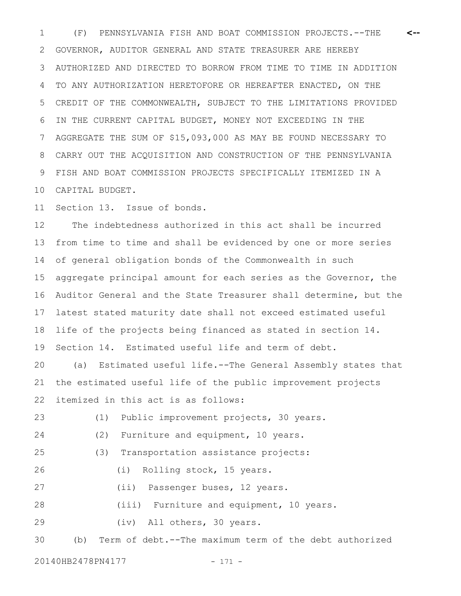(F) PENNSYLVANIA FISH AND BOAT COMMISSION PROJECTS.--THE 1 **<--** GOVERNOR, AUDITOR GENERAL AND STATE TREASURER ARE HEREBY AUTHORIZED AND DIRECTED TO BORROW FROM TIME TO TIME IN ADDITION TO ANY AUTHORIZATION HERETOFORE OR HEREAFTER ENACTED, ON THE CREDIT OF THE COMMONWEALTH, SUBJECT TO THE LIMITATIONS PROVIDED IN THE CURRENT CAPITAL BUDGET, MONEY NOT EXCEEDING IN THE AGGREGATE THE SUM OF \$15,093,000 AS MAY BE FOUND NECESSARY TO CARRY OUT THE ACQUISITION AND CONSTRUCTION OF THE PENNSYLVANIA FISH AND BOAT COMMISSION PROJECTS SPECIFICALLY ITEMIZED IN A CAPITAL BUDGET. 2 3 4 5 6 7 8 9 10

Section 13. Issue of bonds. 11

The indebtedness authorized in this act shall be incurred from time to time and shall be evidenced by one or more series of general obligation bonds of the Commonwealth in such aggregate principal amount for each series as the Governor, the Auditor General and the State Treasurer shall determine, but the latest stated maturity date shall not exceed estimated useful life of the projects being financed as stated in section 14. Section 14. Estimated useful life and term of debt. 12 13 14 15 16 17 18 19

(a) Estimated useful life.--The General Assembly states that the estimated useful life of the public improvement projects itemized in this act is as follows: 20 21 22

(1) Public improvement projects, 30 years. (2) Furniture and equipment, 10 years. (3) Transportation assistance projects: (i) Rolling stock, 15 years. (ii) Passenger buses, 12 years. (iii) Furniture and equipment, 10 years. (iv) All others, 30 years. (b) Term of debt.--The maximum term of the debt authorized 23 24 25 26 27 28 29 30

20140HB2478PN4177 - 171 -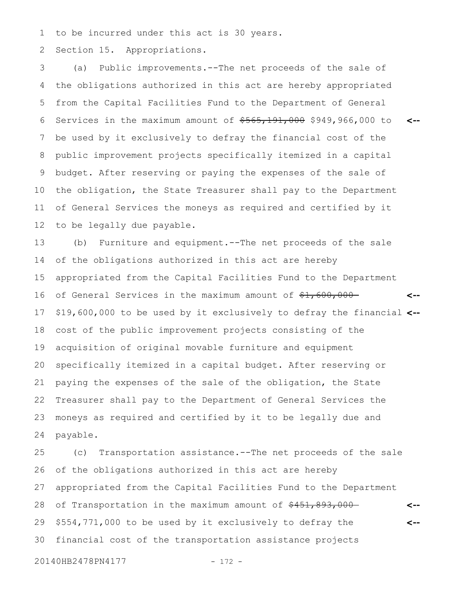to be incurred under this act is 30 years. 1

Section 15. Appropriations. 2

(a) Public improvements.--The net proceeds of the sale of the obligations authorized in this act are hereby appropriated from the Capital Facilities Fund to the Department of General Services in the maximum amount of  $$565,191,000$  \$949,966,000 to be used by it exclusively to defray the financial cost of the public improvement projects specifically itemized in a capital budget. After reserving or paying the expenses of the sale of the obligation, the State Treasurer shall pay to the Department of General Services the moneys as required and certified by it to be legally due payable. **<--** 3 4 5 6 7 8 9 10 11 12

(b) Furniture and equipment.--The net proceeds of the sale of the obligations authorized in this act are hereby appropriated from the Capital Facilities Fund to the Department of General Services in the maximum amount of  $\frac{1}{2}$ , 600,000-\$19,600,000 to be used by it exclusively to defray the financial **<-** cost of the public improvement projects consisting of the acquisition of original movable furniture and equipment specifically itemized in a capital budget. After reserving or paying the expenses of the sale of the obligation, the State Treasurer shall pay to the Department of General Services the moneys as required and certified by it to be legally due and payable. **<--** 13 14 15 16 17 18 19 20 21 22 23 24

(c) Transportation assistance.--The net proceeds of the sale of the obligations authorized in this act are hereby appropriated from the Capital Facilities Fund to the Department of Transportation in the maximum amount of \$451,893,000-\$554,771,000 to be used by it exclusively to defray the financial cost of the transportation assistance projects **<-- <--** 25 26 27 28 29 30

20140HB2478PN4177 - 172 -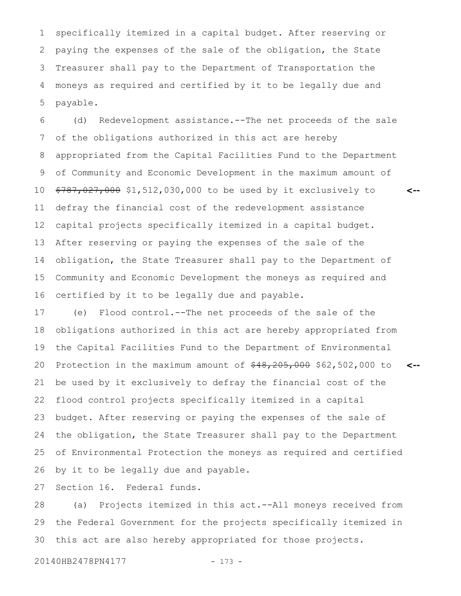specifically itemized in a capital budget. After reserving or paying the expenses of the sale of the obligation, the State Treasurer shall pay to the Department of Transportation the moneys as required and certified by it to be legally due and payable. 1 2 3 4 5

(d) Redevelopment assistance.--The net proceeds of the sale of the obligations authorized in this act are hereby appropriated from the Capital Facilities Fund to the Department of Community and Economic Development in the maximum amount of \$787,027,000 \$1,512,030,000 to be used by it exclusively to defray the financial cost of the redevelopment assistance capital projects specifically itemized in a capital budget. After reserving or paying the expenses of the sale of the obligation, the State Treasurer shall pay to the Department of Community and Economic Development the moneys as required and certified by it to be legally due and payable. 6 7 8 9 10 11 12 13 14 15 16

(e) Flood control.--The net proceeds of the sale of the obligations authorized in this act are hereby appropriated from the Capital Facilities Fund to the Department of Environmental Protection in the maximum amount of  $\frac{48}{205}$ , 000 \$62,502,000 to be used by it exclusively to defray the financial cost of the flood control projects specifically itemized in a capital budget. After reserving or paying the expenses of the sale of the obligation, the State Treasurer shall pay to the Department of Environmental Protection the moneys as required and certified by it to be legally due and payable. 17 18 19 20 21 22 23 24 25 26

**<--**

**<--**

Section 16. Federal funds. 27

(a) Projects itemized in this act.--All moneys received from the Federal Government for the projects specifically itemized in this act are also hereby appropriated for those projects. 28 29 30

20140HB2478PN4177 - 173 -